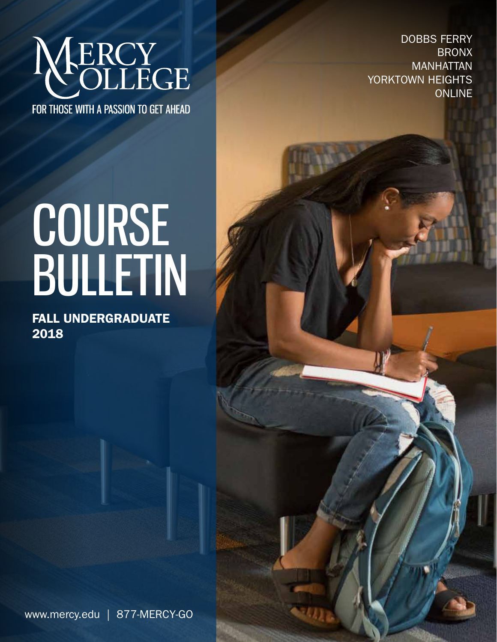

FOR THOSE WITH A PASSION TO GET AHEAD

DOBBS FERRY BRONX MANHATTAN YORKTOWN HEIGHTS **ONLINE** 

# COURSE BULLETIN

FALL underGRADUATE 2018

www.mercy.edu | 877-MERCY-GO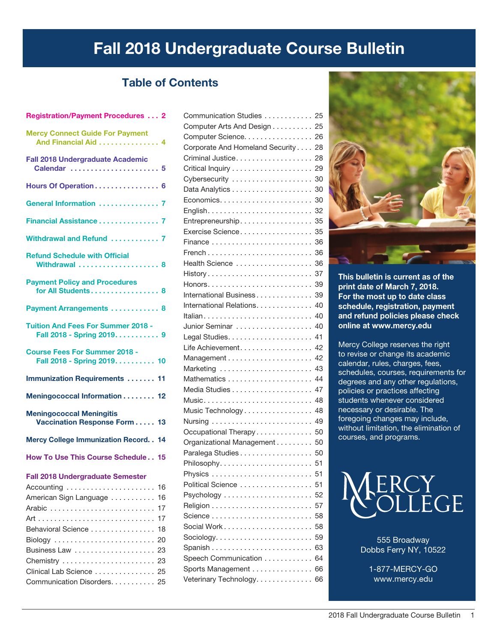# Fall 2018 Undergraduate Course Bulletin

# Table of Contents

| <b>Registration/Payment Procedures  2</b>                               |
|-------------------------------------------------------------------------|
| <b>Mercy Connect Guide For Payment</b><br>And Financial Aid 4           |
| <b>Fall 2018 Undergraduate Academic</b><br>Calendar  5                  |
| Hours Of Operation 6                                                    |
| General Information  7                                                  |
| Financial Assistance 7                                                  |
| Withdrawal and Refund  7                                                |
| <b>Refund Schedule with Official</b><br>Withdrawal  8                   |
| <b>Payment Policy and Procedures</b><br>for All Students 8              |
| Payment Arrangements  8                                                 |
| <b>Tuition And Fees For Summer 2018 -</b><br>Fall 2018 - Spring 2019. 9 |
| <b>Course Fees For Summer 2018 -</b><br>Fall 2018 - Spring 2019. 10     |
| <b>Immunization Requirements  11</b>                                    |
| Meningococcal Information 12                                            |
| <b>Meningococcal Meningitis</b><br>Vaccination Response Form 13         |
| <b>Mercy College Immunization Record. . 14</b>                          |
| How To Use This Course Schedule 15                                      |
| <b>Fall 2018 Undergraduate Semester</b>                                 |
| 16                                                                      |
| American Sign Language<br>16                                            |
| 17                                                                      |
| 17                                                                      |
| Behavioral Science<br>18                                                |
| 20                                                                      |
| Business Law<br>23                                                      |
| Chemistry<br>23                                                         |
| Clinical Lab Science  25                                                |
| Communication Disorders. 25                                             |

| Communication Studies 25                                      |    |
|---------------------------------------------------------------|----|
| Computer Arts And Design 25                                   |    |
| Computer Science. 26                                          |    |
| Corporate And Homeland Security                               | 28 |
| Criminal Justice                                              | 28 |
|                                                               | 29 |
| Cybersecurity                                                 | 30 |
|                                                               | 30 |
|                                                               | 30 |
|                                                               | 32 |
| Entrepreneurship                                              | 35 |
| Exercise Science                                              | 35 |
| Finance                                                       | 36 |
|                                                               | 36 |
| Health Science                                                | 36 |
|                                                               | 37 |
|                                                               | 39 |
| International Business                                        | 39 |
| International Relations.                                      | 40 |
|                                                               | 40 |
| Junior Seminar                                                | 40 |
|                                                               | 41 |
| Life Achievement                                              | 42 |
| Management                                                    | 42 |
| Marketing  43                                                 |    |
|                                                               | 44 |
|                                                               | 47 |
|                                                               | 48 |
| Music Technology                                              | 48 |
| Nursing                                                       | 49 |
| Occupational Therapy                                          | 50 |
| Organizational Management                                     | 50 |
| Paralega Studies                                              | 50 |
|                                                               |    |
| Physics $\ldots \ldots \ldots \ldots \ldots \ldots \ldots$    | 51 |
| Political Science                                             | 51 |
| Psychology                                                    | 52 |
|                                                               | 57 |
|                                                               | 58 |
|                                                               | 58 |
| $Sociology. \ldots \ldots \ldots \ldots \ldots \ldots \ldots$ | 59 |
|                                                               | 63 |
| Speech Communication                                          | 64 |
| Sports Management                                             | 66 |
| Veterinary Technology                                         | 66 |
|                                                               |    |



This bulletin is current as of the print date of March 7, 2018. For the most up to date class schedule, registration, payment and refund policies please check online at www.mercy.edu

Mercy College reserves the right to revise or change its academic calendar, rules, charges, fees, schedules, courses, requirements for degrees and any other regulations, policies or practices affecting students whenever considered necessary or desirable. The foregoing changes may include, without limitation, the elimination of courses, and programs.



555 Broadway Dobbs Ferry NY, 10522

1-877-MERCY-GO www.mercy.edu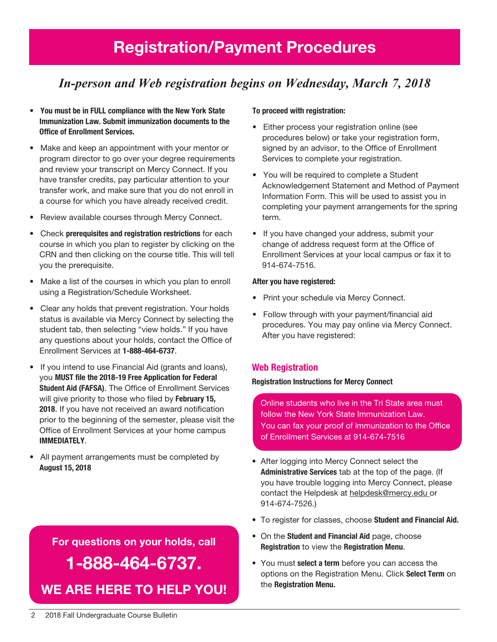# Registration/Payment Procedures

# *In-person and Web registration begins on Wednesday, March 7, 2018*

- You must be in FULL compliance with the New York State Immunization Law. Submit immunization documents to the Office of Enrollment Services.
- Make and keep an appointment with your mentor or program director to go over your degree requirements and review your transcript on Mercy Connect. If you have transfer credits, pay particular attention to your transfer work, and make sure that you do not enroll in a course for which you have already received credit.
- Review available courses through Mercy Connect.
- Check prerequisites and registration restrictions for each course in which you plan to register by clicking on the CRN and then clicking on the course title. This will tell you the prerequisite.
- Make a list of the courses in which you plan to enroll using a Registration/Schedule Worksheet.
- Clear any holds that prevent registration. Your holds status is available via Mercy Connect by selecting the student tab, then selecting "view holds." If you have any questions about your holds, contact the Office of Enrollment Services at 1-888-464-6737.
- If you intend to use Financial Aid (grants and loans), you MUST file the 2018-19 Free Application for Federal Student Aid (FAFSA). The Office of Enrollment Services will give priority to those who filed by February 15, 2018. If you have not received an award notification prior to the beginning of the semester, please visit the Office of Enrollment Services at your home campus IMMEDIATELY.
- All payment arrangements must be completed by August 15, 2018

# For questions on your holds, call 1-888-464-6737. We are here to help You!

## To proceed with registration:

- Either process your registration online (see procedures below) or take your registration form, signed by an advisor, to the Office of Enrollment Services to complete your registration.
- You will be required to complete a Student Acknowledgement Statement and Method of Payment Information Form. This will be used to assist you in completing your payment arrangements for the spring term.
- If you have changed your address, submit your change of address request form at the Office of Enrollment Services at your local campus or fax it to 914-674-7516.

## After you have registered:

- Print your schedule via Mercy Connect.
- Follow through with your payment/financial aid procedures. You may pay online via Mercy Connect. After you have registered:

## Web Registration

#### Registration Instructions for Mercy Connect

Online students who live in the Tri State area must follow the New York State Immunization Law. You can fax your proof of immunization to the Office of Enrollment Services at 914-674-7516

- After logging into Mercy Connect select the Administrative Services tab at the top of the page. (If you have trouble logging into Mercy Connect, please contact the Helpdesk at helpdesk@mercy.edu or 914-674-7526.)
- To register for classes, choose Student and Financial Aid.
- On the Student and Financial Aid page, choose Registration to view the Registration Menu.
- You must select a term before you can access the options on the Registration Menu. Click Select Term on the Registration Menu.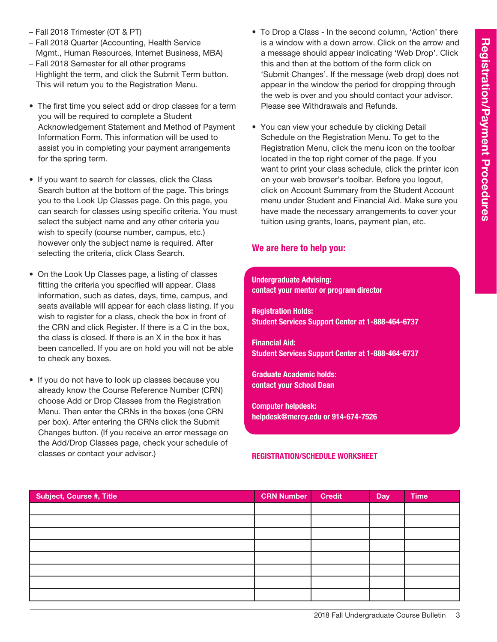- Fall 2018 Trimester (OT & PT)
- Fall 2018 Quarter (Accounting, Health Service Mgmt., Human Resources, Internet Business, MBA)
- Fall 2018 Semester for all other programs Highlight the term, and click the Submit Term button. This will return you to the Registration Menu.
- The first time you select add or drop classes for a term you will be required to complete a Student Acknowledgement Statement and Method of Payment Information Form. This information will be used to assist you in completing your payment arrangements for the spring term.
- If you want to search for classes, click the Class Search button at the bottom of the page. This brings you to the Look Up Classes page. On this page, you can search for classes using specific criteria. You must select the subject name and any other criteria you wish to specify (course number, campus, etc.) however only the subject name is required. After selecting the criteria, click Class Search.
- On the Look Up Classes page, a listing of classes fitting the criteria you specified will appear. Class information, such as dates, days, time, campus, and seats available will appear for each class listing. If you wish to register for a class, check the box in front of the CRN and click Register. If there is a C in the box, the class is closed. If there is an X in the box it has been cancelled. If you are on hold you will not be able to check any boxes.
- If you do not have to look up classes because you already know the Course Reference Number (CRN) choose Add or Drop Classes from the Registration Menu. Then enter the CRNs in the boxes (one CRN per box). After entering the CRNs click the Submit Changes button. (If you receive an error message on the Add/Drop Classes page, check your schedule of classes or contact your advisor.)
- To Drop a Class In the second column, 'Action' there is a window with a down arrow. Click on the arrow and a message should appear indicating 'Web Drop'. Click this and then at the bottom of the form click on 'Submit Changes'. If the message (web drop) does not appear in the window the period for dropping through the web is over and you should contact your advisor. Please see Withdrawals and Refunds.
- You can view your schedule by clicking Detail Schedule on the Registration Menu. To get to the Registration Menu, click the menu icon on the toolbar located in the top right corner of the page. If you want to print your class schedule, click the printer icon on your web browser's toolbar. Before you logout, click on Account Summary from the Student Account menu under Student and Financial Aid. Make sure you have made the necessary arrangements to cover your tuition using grants, loans, payment plan, etc.

# We are here to help you:

## Undergraduate Advising: contact your mentor or program director

Registration Holds: Student Services Support Center at 1-888-464-6737

Financial Aid: Student Services Support Center at 1-888-464-6737

Graduate Academic holds: contact your School Dean

Computer helpdesk: helpdesk@mercy.edu or 914-674-7526

## Registration/Schedule Worksheet

| Subject, Course #, Title | <b>CRN Number</b> | <b>Credit</b> | Day | <b>Time</b> |
|--------------------------|-------------------|---------------|-----|-------------|
|                          |                   |               |     |             |
|                          |                   |               |     |             |
|                          |                   |               |     |             |
|                          |                   |               |     |             |
|                          |                   |               |     |             |
|                          |                   |               |     |             |
|                          |                   |               |     |             |
|                          |                   |               |     |             |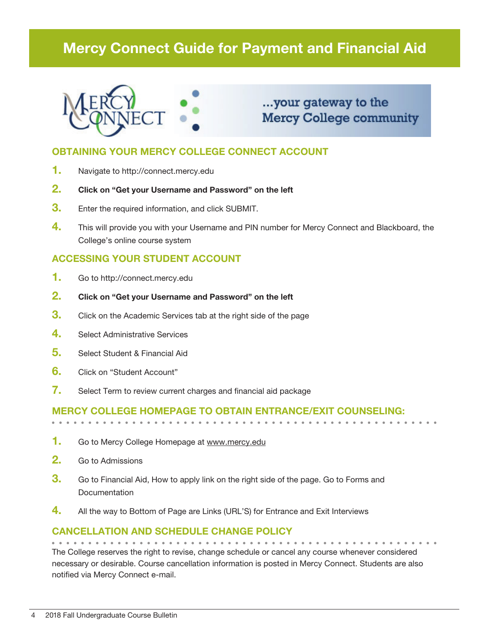# Mercy Connect Guide for Payment and Financial Aid



# ...your gateway to the **Mercy College community**

# OBTAINING YOUR MERCY COLLEGE CONNECT ACCOUNT

- 1. Navigate to http://connect.mercy.edu
- 2. Click on "Get your Username and Password" on the left
- **3.** Enter the required information, and click SUBMIT.
- 4. This will provide you with your Username and PIN number for Mercy Connect and Blackboard, the College's online course system

# ACCESSING YOUR STUDENT ACCOUNT

- 1. Go to http://connect.mercy.edu
- 2. Click on "Get your Username and Password" on the left
- **3.** Click on the Academic Services tab at the right side of the page
- 4. Select Administrative Services
- 5. Select Student & Financial Aid
- 6. Click on "Student Account"
- 7. Select Term to review current charges and financial aid package

# Mercy College homepage to obtain entrance/exit counseling:

- 1. Go to Mercy College Homepage at www.mercy.edu
- 2. Go to Admissions
- **3.** Go to Financial Aid, How to apply link on the right side of the page. Go to Forms and **Documentation**
- 4. All the way to Bottom of Page are Links (URL'S) for Entrance and Exit Interviews

# Cancellation and Schedule Change Policy

The College reserves the right to revise, change schedule or cancel any course whenever considered necessary or desirable. Course cancellation information is posted in Mercy Connect. Students are also notified via Mercy Connect e-mail.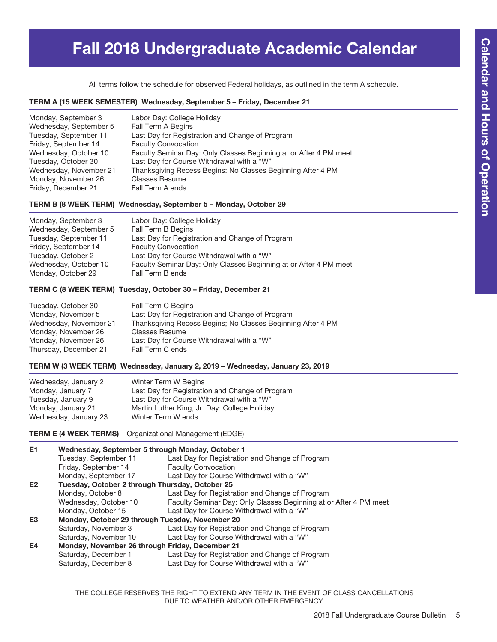# Fall 2018 Undergraduate Academic Calendar

All terms follow the schedule for observed Federal holidays, as outlined in the term A schedule.

#### TERM A (15 WEEK SEMESTER) Wednesday, September 5 – Friday, December 21

| Monday, September 3    | Labor Day: College Holiday                                        |
|------------------------|-------------------------------------------------------------------|
| Wednesday, September 5 | Fall Term A Begins                                                |
| Tuesday, September 11  | Last Day for Registration and Change of Program                   |
| Friday, September 14   | <b>Faculty Convocation</b>                                        |
| Wednesday, October 10  | Faculty Seminar Day: Only Classes Beginning at or After 4 PM meet |
| Tuesday, October 30    | Last Day for Course Withdrawal with a "W"                         |
| Wednesday, November 21 | Thanksgiving Recess Begins: No Classes Beginning After 4 PM       |
| Monday, November 26    | <b>Classes Resume</b>                                             |
| Friday, December 21    | Fall Term A ends                                                  |

#### TERM B (8 WEEK TERM) Wednesday, September 5 – Monday, October 29

| Monday, September 3    | Labor Day: College Holiday                                        |
|------------------------|-------------------------------------------------------------------|
| Wednesday, September 5 | Fall Term B Begins                                                |
| Tuesday, September 11  | Last Day for Registration and Change of Program                   |
| Friday, September 14   | <b>Faculty Convocation</b>                                        |
| Tuesday, October 2     | Last Day for Course Withdrawal with a "W"                         |
| Wednesday, October 10  | Faculty Seminar Day: Only Classes Beginning at or After 4 PM meet |
| Monday, October 29     | Fall Term B ends                                                  |

#### TERM C (8 WEEK TERM) Tuesday, October 30 – Friday, December 21

| Tuesday, October 30    | Fall Term C Begins                                          |
|------------------------|-------------------------------------------------------------|
| Monday, November 5     | Last Day for Registration and Change of Program             |
| Wednesday, November 21 | Thanksgiving Recess Begins; No Classes Beginning After 4 PM |
| Monday, November 26    | <b>Classes Resume</b>                                       |
| Monday, November 26    | Last Day for Course Withdrawal with a "W"                   |
| Thursday, December 21  | Fall Term C ends                                            |

#### TERM W (3 WEEK TERM) Wednesday, January 2, 2019 – Wednesday, January 23, 2019

| Wednesday, January 2  | Winter Term W Begins                            |
|-----------------------|-------------------------------------------------|
| Monday, January 7     | Last Day for Registration and Change of Program |
| Tuesday, January 9    | Last Day for Course Withdrawal with a "W"       |
| Monday, January 21    | Martin Luther King, Jr. Day: College Holiday    |
| Wednesday, January 23 | Winter Term W ends                              |
|                       |                                                 |

TERM E (4 WEEK TERMS) – Organizational Management (EDGE)

| E1             | Wednesday, September 5 through Monday, October 1 |                                                                   |  |  |
|----------------|--------------------------------------------------|-------------------------------------------------------------------|--|--|
|                | Tuesday, September 11                            | Last Day for Registration and Change of Program                   |  |  |
|                | Friday, September 14                             | <b>Faculty Convocation</b>                                        |  |  |
|                | Monday, September 17                             | Last Day for Course Withdrawal with a "W"                         |  |  |
| E <sub>2</sub> | Tuesday, October 2 through Thursday, October 25  |                                                                   |  |  |
|                | Monday, October 8                                | Last Day for Registration and Change of Program                   |  |  |
|                | Wednesday, October 10                            | Faculty Seminar Day: Only Classes Beginning at or After 4 PM meet |  |  |
|                | Monday, October 15                               | Last Day for Course Withdrawal with a "W"                         |  |  |
| E <sub>3</sub> | Monday, October 29 through Tuesday, November 20  |                                                                   |  |  |
|                | Saturday, November 3                             | Last Day for Registration and Change of Program                   |  |  |
|                | Saturday, November 10                            | Last Day for Course Withdrawal with a "W"                         |  |  |
| E4             | Monday, November 26 through Friday, December 21  |                                                                   |  |  |
|                | Saturday, December 1                             | Last Day for Registration and Change of Program                   |  |  |
|                | Saturday, December 8                             | Last Day for Course Withdrawal with a "W"                         |  |  |

THE COLLEGE RESERVES THE RIGHT TO EXTEND ANY TERM IN THE EVENT OF CLASS CANCELLATIONS DUE TO WEATHER AND/OR OTHER EMERGENCY.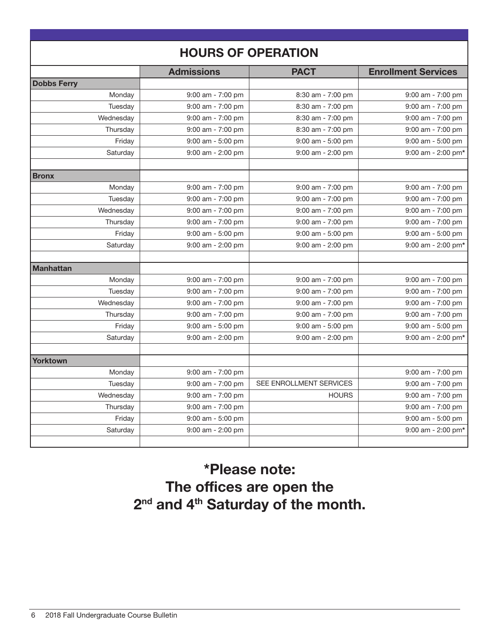| <b>HOURS OF OPERATION</b> |                       |                                            |                                            |  |
|---------------------------|-----------------------|--------------------------------------------|--------------------------------------------|--|
|                           | <b>Admissions</b>     | <b>PACT</b>                                | <b>Enrollment Services</b>                 |  |
| <b>Dobbs Ferry</b>        |                       |                                            |                                            |  |
| Monday                    | $9:00$ am - $7:00$ pm | 8:30 am - 7:00 pm                          | $9:00$ am - $7:00$ pm                      |  |
| Tuesday                   | $9:00$ am - $7:00$ pm | 8:30 am - 7:00 pm                          | $9:00$ am - $7:00$ pm                      |  |
| Wednesday                 | 9:00 am - 7:00 pm     | 8:30 am - 7:00 pm                          | $9:00$ am - $7:00$ pm                      |  |
| Thursday                  | 9:00 am - 7:00 pm     | 8:30 am - 7:00 pm                          | $9:00$ am - $7:00$ pm                      |  |
| Friday                    | 9:00 am - 5:00 pm     | 9:00 am - 5:00 pm                          | $9:00$ am - $5:00$ pm                      |  |
| Saturday                  | 9:00 am - 2:00 pm     | 9:00 am - 2:00 pm                          | $9:00$ am - 2:00 pm*                       |  |
|                           |                       |                                            |                                            |  |
| <b>Bronx</b>              |                       |                                            |                                            |  |
| Monday                    | $9:00$ am - $7:00$ pm | $9:00$ am - $7:00$ pm                      | $9:00$ am - $7:00$ pm                      |  |
| Tuesday<br>Wednesday      | $9:00$ am - $7:00$ pm | $9:00$ am - $7:00$ pm                      | $9:00$ am - $7:00$ pm                      |  |
|                           | $9:00$ am - $7:00$ pm | $9:00$ am - $7:00$ pm<br>9:00 am - 7:00 pm | $9:00$ am - $7:00$ pm<br>9:00 am - 7:00 pm |  |
| Thursday                  | $9:00$ am - $7:00$ pm |                                            |                                            |  |
| Friday                    | $9:00$ am - 5:00 pm   | $9:00$ am - $5:00$ pm                      | $9:00$ am - $5:00$ pm                      |  |
| Saturday                  | $9:00$ am - 2:00 pm   | $9:00$ am - 2:00 pm                        | $9:00$ am - 2:00 pm*                       |  |
| <b>Manhattan</b>          |                       |                                            |                                            |  |
| Monday                    | $9:00$ am - $7:00$ pm | 9:00 am - 7:00 pm                          | $9:00$ am - $7:00$ pm                      |  |
| Tuesday                   | $9:00$ am - $7:00$ pm | $9:00$ am - $7:00$ pm                      | $9:00$ am - $7:00$ pm                      |  |
| Wednesday                 | $9:00$ am - $7:00$ pm | $9:00$ am - $7:00$ pm                      | $9:00$ am - $7:00$ pm                      |  |
| Thursday                  | $9:00$ am - $7:00$ pm | $9:00$ am - $7:00$ pm                      | 9:00 am - 7:00 pm                          |  |
| Friday                    | 9:00 am - 5:00 pm     | 9:00 am - 5:00 pm                          | $9:00$ am - $5:00$ pm                      |  |
| Saturday                  | $9:00$ am - 2:00 pm   | 9:00 am - 2:00 pm                          | $9:00$ am - 2:00 pm*                       |  |
| <b>Yorktown</b>           |                       |                                            |                                            |  |
| Monday                    | 9:00 am - 7:00 pm     |                                            | $9:00$ am - $7:00$ pm                      |  |
| Tuesday                   | $9:00$ am - $7:00$ pm | SEE ENROLLMENT SERVICES                    | $9:00$ am - $7:00$ pm                      |  |
| Wednesday                 | 9:00 am - 7:00 pm     | <b>HOURS</b>                               | 9:00 am - 7:00 pm                          |  |
| Thursday                  | $9:00$ am - $7:00$ pm |                                            | 9:00 am - 7:00 pm                          |  |
| Friday                    | 9:00 am - 5:00 pm     |                                            | $9:00$ am - $5:00$ pm                      |  |
| Saturday                  | $9:00$ am - 2:00 pm   |                                            | 9:00 am - 2:00 pm*                         |  |
|                           |                       |                                            |                                            |  |

\*Please note: The offices are open the 2<sup>nd</sup> and 4<sup>th</sup> Saturday of the month.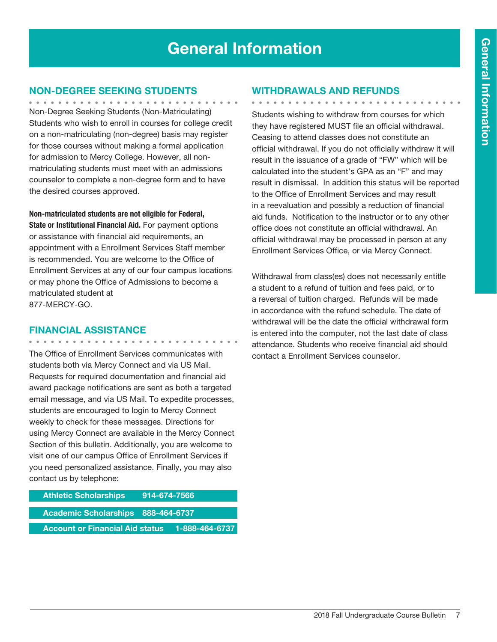# General Information

# Non-Degree Seeking Students

Non-Degree Seeking Students (Non-Matriculating) Students who wish to enroll in courses for college credit on a non-matriculating (non-degree) basis may register for those courses without making a formal application for admission to Mercy College. However, all nonmatriculating students must meet with an admissions counselor to complete a non-degree form and to have the desired courses approved.

Non-matriculated students are not eligible for Federal, State or Institutional Financial Aid. For payment options or assistance with financial aid requirements, an appointment with a Enrollment Services Staff member is recommended. You are welcome to the Office of Enrollment Services at any of our four campus locations or may phone the Office of Admissions to become a matriculated student at

877-MERCY-GO.

# Financial Assistance

. . . . . . . . . . . . . .

The Office of Enrollment Services communicates with students both via Mercy Connect and via US Mail. Requests for required documentation and financial aid award package notifications are sent as both a targeted email message, and via US Mail. To expedite processes, students are encouraged to login to Mercy Connect weekly to check for these messages. Directions for using Mercy Connect are available in the Mercy Connect Section of this bulletin. Additionally, you are welcome to visit one of our campus Office of Enrollment Services if you need personalized assistance. Finally, you may also contact us by telephone:

| <b>Athletic Scholarships</b>           | <u>914-674-7566 [</u> |  |
|----------------------------------------|-----------------------|--|
| Academic Scholarships 888-464-6737     |                       |  |
| <b>Account or Financial Aid status</b> | 1-888-464-6737        |  |

# Withdrawals and Refunds

. . . . . . . . . . . . . . . . . . Students wishing to withdraw from courses for which they have registered MUST file an official withdrawal. Ceasing to attend classes does not constitute an official withdrawal. If you do not officially withdraw it will result in the issuance of a grade of "FW" which will be calculated into the student's GPA as an "F" and may result in dismissal. In addition this status will be reported to the Office of Enrollment Services and may result in a reevaluation and possibly a reduction of financial aid funds. Notification to the instructor or to any other office does not constitute an official withdrawal. An official withdrawal may be processed in person at any Enrollment Services Office, or via Mercy Connect.

Withdrawal from class(es) does not necessarily entitle a student to a refund of tuition and fees paid, or to a reversal of tuition charged. Refunds will be made in accordance with the refund schedule. The date of withdrawal will be the date the official withdrawal form is entered into the computer, not the last date of class attendance. Students who receive financial aid should contact a Enrollment Services counselor.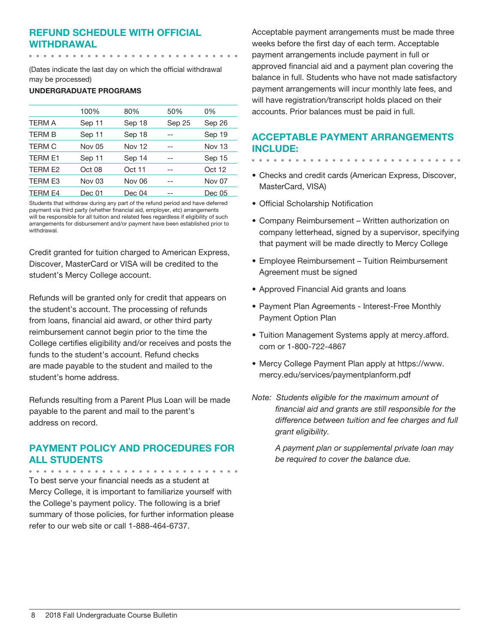# Refund Schedule with Official Withdrawal

(Dates indicate the last day on which the official withdrawal may be processed)

## UNDERGRADUATE PROGRAMS

|                | 100%          | 80%           | 50%    | 0%     |
|----------------|---------------|---------------|--------|--------|
| <b>TERM A</b>  | Sep 11        | Sep 18        | Sep 25 | Sep 26 |
| <b>TERM B</b>  | Sep 11        | Sep 18        |        | Sep 19 |
| <b>TERM C</b>  | Nov 05        | <b>Nov 12</b> |        | Nov 13 |
| <b>TERM E1</b> | Sep 11        | Sep 14        |        | Sep 15 |
| TERM E2        | Oct 08        | Oct 11        |        | Oct 12 |
| <b>TERM E3</b> | <b>Nov 03</b> | Nov 06        |        | Nov 07 |
| <b>TERM E4</b> | Dec 01        | Dec 04        |        | Dec 05 |

Students that withdraw during any part of the refund period and have deferred payment via third party (whether financial aid, employer, etc) arrangements will be responsible for all tuition and related fees regardless if eligibility of such arrangements for disbursement and/or payment have been established prior to withdrawal.

Credit granted for tuition charged to American Express, Discover, MasterCard or VISA will be credited to the student's Mercy College account.

Refunds will be granted only for credit that appears on the student's account. The processing of refunds from loans, financial aid award, or other third party reimbursement cannot begin prior to the time the College certifies eligibility and/or receives and posts the funds to the student's account. Refund checks are made payable to the student and mailed to the student's home address.

Refunds resulting from a Parent Plus Loan will be made payable to the parent and mail to the parent's address on record.

# Payment Policy and Procedures for all Students

To best serve your financial needs as a student at Mercy College, it is important to familiarize yourself with the College's payment policy. The following is a brief summary of those policies, for further information please refer to our web site or call 1-888-464-6737.

Acceptable payment arrangements must be made three weeks before the first day of each term. Acceptable payment arrangements include payment in full or approved financial aid and a payment plan covering the balance in full. Students who have not made satisfactory payment arrangements will incur monthly late fees, and will have registration/transcript holds placed on their accounts. Prior balances must be paid in full.

# Acceptable Payment Arrangements include:

- $\begin{array}{cccccccccccccc} \bullet & \bullet & \bullet & \bullet & \bullet & \bullet & \bullet & \bullet \end{array}$
- Checks and credit cards (American Express, Discover, MasterCard, VISA)
- Official Scholarship Notification
- Company Reimbursement Written authorization on company letterhead, signed by a supervisor, specifying that payment will be made directly to Mercy College
- Employee Reimbursement Tuition Reimbursement Agreement must be signed
- Approved Financial Aid grants and loans
- Payment Plan Agreements Interest-Free Monthly Payment Option Plan
- Tuition Management Systems apply at mercy.afford. com or 1-800-722-4867
- Mercy College Payment Plan apply at https://www. mercy.edu/services/paymentplanform.pdf
- *Note: Students eligible for the maximum amount of financial aid and grants are still responsible for the difference between tuition and fee charges and full grant eligibility.*

*A payment plan or supplemental private loan may be required to cover the balance due.*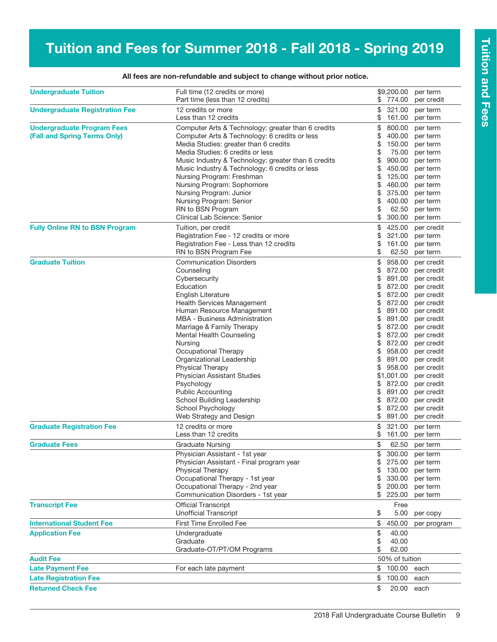# Tuition and Fees for Summer 2018 - Fall 2018 - Spring 2019

| <b>Undergraduate Tuition</b>                                      | \$9,200.00<br>Full time (12 credits or more)<br>Part time (less than 12 credits)<br>\$ 774.00                                                                                                                                                                                                                                                                                                                                                                                                                                |                                                                                                                | per term<br>per credit                                                                                                                                                     |                                                                                                                                                                                                                                                                                                           |
|-------------------------------------------------------------------|------------------------------------------------------------------------------------------------------------------------------------------------------------------------------------------------------------------------------------------------------------------------------------------------------------------------------------------------------------------------------------------------------------------------------------------------------------------------------------------------------------------------------|----------------------------------------------------------------------------------------------------------------|----------------------------------------------------------------------------------------------------------------------------------------------------------------------------|-----------------------------------------------------------------------------------------------------------------------------------------------------------------------------------------------------------------------------------------------------------------------------------------------------------|
| <b>Undergraduate Registration Fee</b>                             | 12 credits or more<br>Less than 12 credits                                                                                                                                                                                                                                                                                                                                                                                                                                                                                   | \$<br>\$                                                                                                       | 321.00<br>161.00                                                                                                                                                           | per term<br>per term                                                                                                                                                                                                                                                                                      |
| <b>Undergraduate Program Fees</b><br>(Fall and Spring Terms Only) | Computer Arts & Technology: greater than 6 credits<br>Computer Arts & Technology: 6 credits or less<br>Media Studies: greater than 6 credits<br>Media Studies: 6 credits or less<br>Music Industry & Technology: greater than 6 credits<br>Music Industry & Technology: 6 credits or less<br>Nursing Program: Freshman<br>Nursing Program: Sophomore<br>Nursing Program: Junior<br>Nursing Program: Senior<br>RN to BSN Program<br>Clinical Lab Science: Senior                                                              | \$<br>\$<br>\$<br>\$<br>\$<br>\$<br>\$<br>\$<br>\$<br>\$<br>\$                                                 | 800.00<br>400.00<br>150.00<br>75.00<br>900.00<br>450.00<br>125.00<br>460.00<br>375.00<br>400.00<br>62.50<br>300.00                                                         | per term<br>per term<br>per term<br>per term<br>per term<br>per term<br>per term<br>per term<br>per term<br>per term<br>per term<br>per term                                                                                                                                                              |
| <b>Fully Online RN to BSN Program</b>                             | Tuition, per credit<br>Registration Fee - 12 credits or more<br>Registration Fee - Less than 12 credits<br>RN to BSN Program Fee                                                                                                                                                                                                                                                                                                                                                                                             | \$<br>\$<br>\$                                                                                                 | 425.00<br>321.00<br>161.00<br>62.50                                                                                                                                        | per credit<br>per term<br>per term<br>per term                                                                                                                                                                                                                                                            |
| <b>Graduate Tuition</b>                                           | <b>Communication Disorders</b><br>Counseling<br>Cybersecurity<br>Education<br><b>English Literature</b><br><b>Health Services Management</b><br>Human Resource Management<br>MBA - Business Administration<br>Marriage & Family Therapy<br>Mental Health Counseling<br>Nursing<br>Occupational Therapy<br>Organizational Leadership<br><b>Physical Therapy</b><br><b>Physician Assistant Studies</b><br>Psychology<br><b>Public Accounting</b><br>School Building Leadership<br>School Psychology<br>Web Strategy and Design | \$<br>\$<br>\$<br>\$<br>\$<br>\$<br>\$<br>\$<br>\$<br>\$<br>\$<br>\$<br>\$<br>\$<br>\$<br>\$<br>\$<br>\$<br>\$ | 958.00<br>872.00<br>891.00<br>872.00<br>872.00<br>872.00<br>891.00<br>872.00<br>872.00<br>958.00<br>891.00<br>\$1,001.00<br>872.00<br>891.00<br>872.00<br>872.00<br>891.00 | per credit<br>per credit<br>per credit<br>per credit<br>per credit<br>per credit<br>per credit<br>891.00 per credit<br>per credit<br>per credit<br>872.00 per credit<br>per credit<br>per credit<br>958.00 per credit<br>per credit<br>per credit<br>per credit<br>per credit<br>per credit<br>per credit |
| <b>Graduate Registration Fee</b>                                  | 12 credits or more<br>Less than 12 credits                                                                                                                                                                                                                                                                                                                                                                                                                                                                                   | \$<br>\$                                                                                                       | 321.00<br>161.00                                                                                                                                                           | per term<br>per term                                                                                                                                                                                                                                                                                      |
| <b>Graduate Fees</b>                                              | <b>Graduate Nursing</b><br>Physician Assistant - 1st year<br>Physician Assistant - Final program year<br>Physical Therapy<br>Occupational Therapy - 1st year<br>Occupational Therapy - 2nd year<br>Communication Disorders - 1st year                                                                                                                                                                                                                                                                                        | \$<br>\$<br>\$                                                                                                 | 62.50<br>300.00<br>275.00<br>130.00<br>330.00<br>200.00<br>225.00                                                                                                          | per term<br>per term<br>per term<br>per term<br>per term<br>per term<br>per term                                                                                                                                                                                                                          |
| <b>Transcript Fee</b>                                             | <b>Official Transcript</b><br><b>Unofficial Transcript</b>                                                                                                                                                                                                                                                                                                                                                                                                                                                                   | \$                                                                                                             | Free<br>5.00                                                                                                                                                               | per copy                                                                                                                                                                                                                                                                                                  |
| <b>International Student Fee</b>                                  | First Time Enrolled Fee                                                                                                                                                                                                                                                                                                                                                                                                                                                                                                      | \$                                                                                                             | 450.00                                                                                                                                                                     | per program                                                                                                                                                                                                                                                                                               |
| <b>Application Fee</b>                                            | Undergraduate<br>Graduate<br>Graduate-OT/PT/OM Programs                                                                                                                                                                                                                                                                                                                                                                                                                                                                      | \$<br>\$<br>\$                                                                                                 | 40.00<br>40.00<br>62.00                                                                                                                                                    |                                                                                                                                                                                                                                                                                                           |
| <b>Audit Fee</b>                                                  |                                                                                                                                                                                                                                                                                                                                                                                                                                                                                                                              |                                                                                                                | 50% of tuition                                                                                                                                                             |                                                                                                                                                                                                                                                                                                           |
| <b>Late Payment Fee</b>                                           | For each late payment                                                                                                                                                                                                                                                                                                                                                                                                                                                                                                        | \$                                                                                                             | 100.00                                                                                                                                                                     | each                                                                                                                                                                                                                                                                                                      |
| <b>Late Registration Fee</b>                                      |                                                                                                                                                                                                                                                                                                                                                                                                                                                                                                                              | \$                                                                                                             | 100.00                                                                                                                                                                     | each                                                                                                                                                                                                                                                                                                      |
| <b>Returned Check Fee</b>                                         |                                                                                                                                                                                                                                                                                                                                                                                                                                                                                                                              | \$                                                                                                             | 20.00 each                                                                                                                                                                 |                                                                                                                                                                                                                                                                                                           |

## All fees are non-refundable and subject to change without prior notice.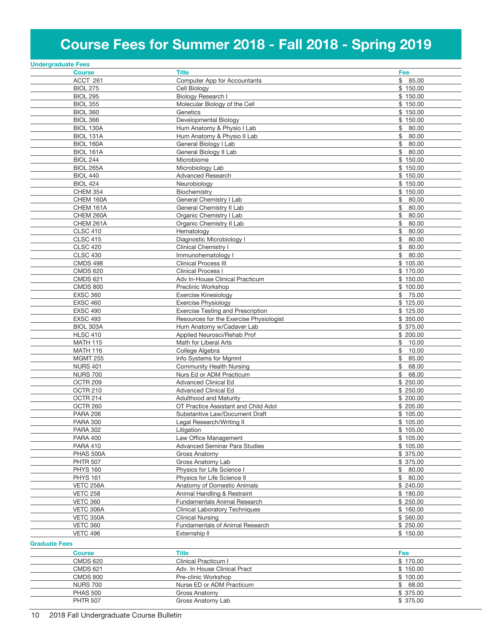# Course Fees for Summer 2018 - Fall 2018 - Spring 2019

| <b>Course</b><br>ACCT 261          | <b>Title</b><br>Computer App for Accountants      | Fee<br>\$85.00       |
|------------------------------------|---------------------------------------------------|----------------------|
|                                    |                                                   |                      |
|                                    |                                                   |                      |
| <b>BIOL 275</b>                    | Cell Biology                                      | \$150.00             |
| <b>BIOL 295</b>                    | <b>Biology Research I</b>                         | \$150.00             |
| <b>BIOL 355</b>                    | Molecular Biology of the Cell                     | \$150.00             |
| <b>BIOL 360</b>                    | Genetics                                          | \$150.00             |
| <b>BIOL 366</b>                    | Developmental Biology                             | \$150.00             |
| BIOL 130A                          | Hum Anatomy & Physio I Lab                        | 80.00<br>\$          |
| <b>BIOL 131A</b>                   | Hum Anatomy & Physio II Lab                       | \$<br>80.00          |
| <b>BIOL 160A</b>                   | General Biology I Lab                             | \$<br>80.00          |
| <b>BIOL 161A</b>                   | General Biology II Lab                            | \$<br>80.00          |
| <b>BIOL 244</b>                    | Microbiome                                        | \$150.00             |
| <b>BIOL 265A</b>                   | Microbiology Lab                                  | \$150.00             |
| <b>BIOL 440</b>                    | <b>Advanced Research</b>                          | \$150.00             |
| <b>BIOL 424</b>                    | Neurobiology                                      | \$150.00             |
| <b>CHEM 354</b>                    | Biochemistry                                      | \$150.00             |
| CHEM 160A                          | General Chemistry I Lab                           | \$<br>80.00          |
| CHEM 161A                          | General Chemistry II Lab                          | \$<br>80.00          |
| CHEM 260A                          | Organic Chemistry I Lab                           | \$<br>80.00          |
| CHEM 261A                          | Organic Chemistry II Lab                          | \$<br>80.00          |
| <b>CLSC 410</b>                    | Hematology                                        | \$<br>80.00          |
| <b>CLSC 415</b>                    | Diagnostic Microbiology I                         | \$<br>80.00          |
| <b>CLSC 420</b>                    | Clinical Chemistry I                              | \$<br>80.00          |
| <b>CLSC 430</b>                    |                                                   | \$<br>80.00          |
|                                    | Immunohematology I<br><b>Clinical Process III</b> |                      |
| <b>CMDS 498</b><br><b>CMDS 620</b> | <b>Clinical Process I</b>                         | \$105.00<br>\$170.00 |
|                                    |                                                   |                      |
| <b>CMDS 621</b>                    | Adv In-House Clinical Practicum                   | \$150.00             |
| <b>CMDS 800</b>                    | Preclinic Workshop                                | \$100.00             |
| <b>EXSC 360</b>                    | <b>Exercise Kinesiology</b>                       | \$<br>75.00          |
| <b>EXSC 460</b>                    | <b>Exercise Physiology</b>                        | \$125.00             |
| <b>EXSC 490</b>                    | <b>Exercise Testing and Prescription</b>          | \$125.00             |
| <b>EXSC 493</b>                    | Resources for the Exercise Physiologist           | \$350.00             |
| BIOL 303A                          | Hum Anatomy w/Cadaver Lab                         | \$ 375.00            |
| <b>HLSC 410</b>                    | Applied Neurosci/Rehab Prof                       | \$200.00             |
| <b>MATH 115</b>                    | Math for Liberal Arts                             | \$<br>10.00          |
| <b>MATH 116</b>                    | College Algebra                                   | \$<br>10.00          |
| <b>MGMT 255</b>                    | Info Systems for Mgmnt                            | \$<br>85.00          |
| <b>NURS 401</b>                    | Community Health Nursing                          | \$<br>68.00          |
| <b>NURS 700</b>                    | Nurs Ed or ADM Practicum                          | \$<br>68.00          |
| OCTR 209                           | <b>Advanced Clinical Ed</b>                       | \$250.00             |
| OCTR 210                           | <b>Advanced Clinical Ed</b>                       | \$250.00             |
| OCTR 214                           | <b>Adulthood and Maturity</b>                     | \$200.00             |
| OCTR <sub>260</sub>                | OT Practice Assistant and Child Adol              | \$205.00             |
| <b>PARA 206</b>                    | Substantive Law/Document Draft                    | \$105.00             |
| <b>PARA 300</b>                    | Legal Research/Writing II                         | \$105.00             |
| <b>PARA 302</b>                    | Litigation                                        | \$105.00             |
| <b>PARA 400</b>                    | Law Office Management                             | \$105.00             |
| <b>PARA 410</b>                    | <b>Advanced Seminar Para Studies</b>              | \$105.00             |
| PHAS 500A                          | Gross Anatomy                                     | \$375.00             |
| <b>PHTR 507</b>                    | Gross Anatomy Lab                                 | \$375.00             |
| <b>PHYS 160</b>                    | Physics for Life Science I                        | \$80.00              |
| <b>PHYS 161</b>                    | Physics for Life Science II                       | \$<br>80.00          |
| VETC 256A                          | Anatomy of Domestic Animals                       | \$240.00             |
| <b>VETC 258</b>                    | Animal Handling & Restraint                       | \$180.00             |
| <b>VETC 360</b>                    | <b>Fundamentals Animal Research</b>               | \$250.00             |
| VETC 306A                          | <b>Clinical Laboratory Techniques</b>             | \$160.00             |
| VETC 350A                          | <b>Clinical Nursing</b>                           | \$560.00             |
| <b>VETC 360</b>                    | <b>Fundamentals of Animal Research</b>            | \$250.00             |
| <b>VETC 496</b>                    | Externship II                                     | \$150.00             |
| <b>Graduate Fees</b>               |                                                   |                      |

| <b>Course</b>   | Title                        | Fee       |
|-----------------|------------------------------|-----------|
| <b>CMDS 620</b> | Clinical Practicum I         | \$170.00  |
| <b>CMDS 621</b> | Adv. In House Clinical Pract | \$150.00  |
| <b>CMDS 800</b> | Pre-clinic Workshop          | \$100.00  |
| <b>NURS 700</b> | Nurse ED or ADM Practicum    | \$68.00   |
| <b>PHAS 500</b> | Gross Anatomy                | \$375.00  |
| <b>PHTR 507</b> | Gross Anatomy Lab            | \$ 375.00 |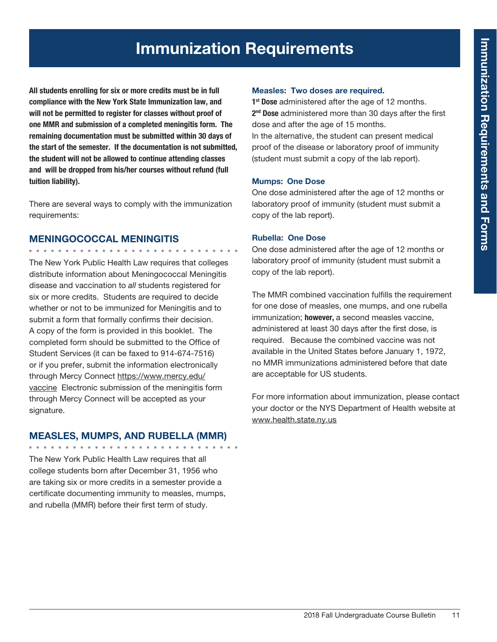# Immunization Requirements

All students enrolling for six or more credits must be in full compliance with the New York State Immunization law, and will not be permitted to register for classes without proof of one MMR and submission of a completed meningitis form. The remaining documentation must be submitted within 30 days of the start of the semester. If the documentation is not submitted, the student will not be allowed to continue attending classes and will be dropped from his/her courses without refund (full tuition liability).

There are several ways to comply with the immunization requirements:

#### MENINGOCOCCAL MENINGITIS . . . . . . . . . . . . .

The New York Public Health Law requires that colleges distribute information about Meningococcal Meningitis disease and vaccination to *all* students registered for six or more credits. Students are required to decide whether or not to be immunized for Meningitis and to submit a form that formally confirms their decision. A copy of the form is provided in this booklet. The completed form should be submitted to the Office of Student Services (it can be faxed to 914-674-7516) or if you prefer, submit the information electronically through Mercy Connect https://www.mercy.edu/ vaccine Electronic submission of the meningitis form through Mercy Connect will be accepted as your signature.

# MEASLES, MUMPS, AND RUBELLA (MMR)

The New York Public Health Law requires that all college students born after December 31, 1956 who are taking six or more credits in a semester provide a certificate documenting immunity to measles, mumps, and rubella (MMR) before their first term of study.

## Measles: Two doses are required.

1<sup>st</sup> Dose administered after the age of 12 months. 2<sup>nd</sup> Dose administered more than 30 days after the first dose and after the age of 15 months. In the alternative, the student can present medical proof of the disease or laboratory proof of immunity (student must submit a copy of the lab report).

## Mumps: One Dose

One dose administered after the age of 12 months or laboratory proof of immunity (student must submit a copy of the lab report).

## Rubella: One Dose

One dose administered after the age of 12 months or laboratory proof of immunity (student must submit a copy of the lab report).

The MMR combined vaccination fulfills the requirement for one dose of measles, one mumps, and one rubella immunization; however, a second measles vaccine, administered at least 30 days after the first dose, is required. Because the combined vaccine was not available in the United States before January 1, 1972, no MMR immunizations administered before that date are acceptable for US students.

For more information about immunization, please contact your doctor or the NYS Department of Health website at www.health.state.ny.us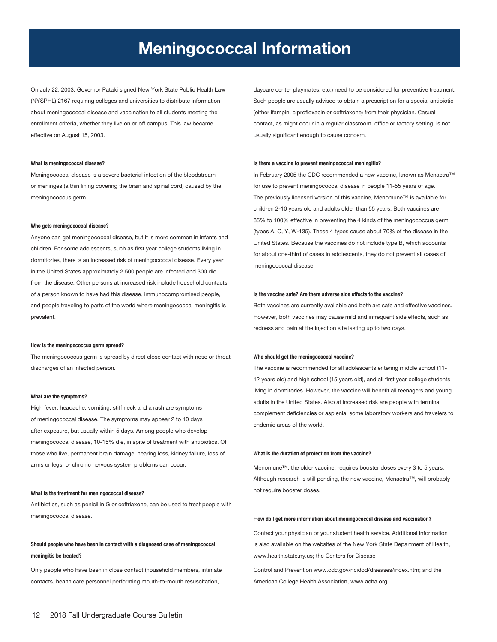# Meningococcal Information

On July 22, 2003, Governor Pataki signed New York State Public Health Law (NYSPHL) 2167 requiring colleges and universities to distribute information about meningococcal disease and vaccination to all students meeting the enrollment criteria, whether they live on or off campus. This law became effective on August 15, 2003.

#### What is meningococcal disease?

Meningococcal disease is a severe bacterial infection of the bloodstream or meninges (a thin lining covering the brain and spinal cord) caused by the meningococcus germ.

#### Who gets meningococcal disease?

Anyone can get meningococcal disease, but it is more common in infants and children. For some adolescents, such as first year college students living in dormitories, there is an increased risk of meningococcal disease. Every year in the United States approximately 2,500 people are infected and 300 die from the disease. Other persons at increased risk include household contacts of a person known to have had this disease, immunocompromised people, and people traveling to parts of the world where meningococcal meningitis is prevalent.

#### How is the meningococcus germ spread?

The meningococcus germ is spread by direct close contact with nose or throat discharges of an infected person.

#### What are the symptoms?

High fever, headache, vomiting, stiff neck and a rash are symptoms of meningococcal disease. The symptoms may appear 2 to 10 days after exposure, but usually within 5 days. Among people who develop meningococcal disease, 10-15% die, in spite of treatment with antibiotics. Of those who live, permanent brain damage, hearing loss, kidney failure, loss of arms or legs, or chronic nervous system problems can occur.

#### What is the treatment for meningococcal disease?

Antibiotics, such as penicillin G or ceftriaxone, can be used to treat people with meningococcal disease.

## Should people who have been in contact with a diagnosed case of meningococcal meningitis be treated?

Only people who have been in close contact (household members, intimate contacts, health care personnel performing mouth-to-mouth resuscitation,

daycare center playmates, etc.) need to be considered for preventive treatment. Such people are usually advised to obtain a prescription for a special antibiotic (either ifampin, ciprofloxacin or ceftriaxone) from their physician. Casual contact, as might occur in a regular classroom, office or factory setting, is not usually significant enough to cause concern.

#### Is there a vaccine to prevent meningococcal meningitis?

In February 2005 the CDC recommended a new vaccine, known as Menactra™ for use to prevent meningococcal disease in people 11-55 years of age. The previously licensed version of this vaccine, Menomune™ is available for children 2-10 years old and adults older than 55 years. Both vaccines are 85% to 100% effective in preventing the 4 kinds of the meningococcus germ (types A, C, Y, W-135). These 4 types cause about 70% of the disease in the United States. Because the vaccines do not include type B, which accounts for about one-third of cases in adolescents, they do not prevent all cases of meningococcal disease.

#### Is the vaccine safe? Are there adverse side effects to the vaccine?

Both vaccines are currently available and both are safe and effective vaccines. However, both vaccines may cause mild and infrequent side effects, such as redness and pain at the injection site lasting up to two days.

#### Who should get the meningococcal vaccine?

The vaccine is recommended for all adolescents entering middle school (11- 12 years old) and high school (15 years old), and all first year college students living in dormitories. However, the vaccine will benefit all teenagers and young adults in the United States. Also at increased risk are people with terminal complement deficiencies or asplenia, some laboratory workers and travelers to endemic areas of the world.

#### What is the duration of protection from the vaccine?

Menomune™, the older vaccine, requires booster doses every 3 to 5 years. Although research is still pending, the new vaccine, Menactra™, will probably not require booster doses.

#### How do I get more information about meningococcal disease and vaccination?

Contact your physician or your student health service. Additional information is also available on the websites of the New York State Department of Health, www.health.state.ny.us; the Centers for Disease

Control and Prevention www.cdc.gov/ncidod/diseases/index.htm; and the American College Health Association, www.acha.org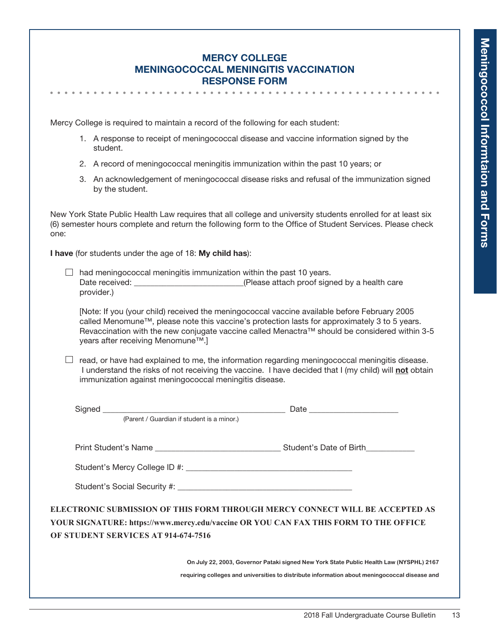# Mercy College Meningococcal Meningitis Vaccination Response Form

Mercy College is required to maintain a record of the following for each student:

- 1. A response to receipt of meningococcal disease and vaccine information signed by the student.
- 2. A record of meningococcal meningitis immunization within the past 10 years; or
- 3. An acknowledgement of meningococcal disease risks and refusal of the immunization signed by the student.

New York State Public Health Law requires that all college and university students enrolled for at least six (6) semester hours complete and return the following form to the Office of Student Services. Please check one:

I have (for students under the age of 18: My child has):

 $\Box$  had meningococcal meningitis immunization within the past 10 years. Date received: <br>  $(Please attach proof signed by a health care)$ provider.)

[Note: If you (your child) received the meningococcal vaccine available before February 2005 called Menomune™, please note this vaccine's protection lasts for approximately 3 to 5 years. Revaccination with the new conjugate vaccine called Menactra™ should be considered within 3-5 years after receiving Menomune™.]

 $\Box$  read, or have had explained to me, the information regarding meningococcal meningitis disease. I understand the risks of not receiving the vaccine. I have decided that I (my child) will not obtain immunization against meningococcal meningitis disease.

| (Parent / Guardian if student is a minor.) |                                                                                                                                                                      |
|--------------------------------------------|----------------------------------------------------------------------------------------------------------------------------------------------------------------------|
|                                            |                                                                                                                                                                      |
|                                            |                                                                                                                                                                      |
| OF STUDENT SERVICES AT 914-674-7516        | ELECTRONIC SUBMISSION OF THIS FORM THROUGH MERCY CONNECT WILL BE ACCEPTED AS<br>YOUR SIGNATURE: https://www.mercy.edu/vaccine OR YOU CAN FAX THIS FORM TO THE OFFICE |
|                                            | On July 22, 2003, Governor Pataki signed New York State Public Health Law (NYSPHL) 2167                                                                              |
|                                            | requiring colleges and universities to distribute information about meningococcal disease and                                                                        |
|                                            |                                                                                                                                                                      |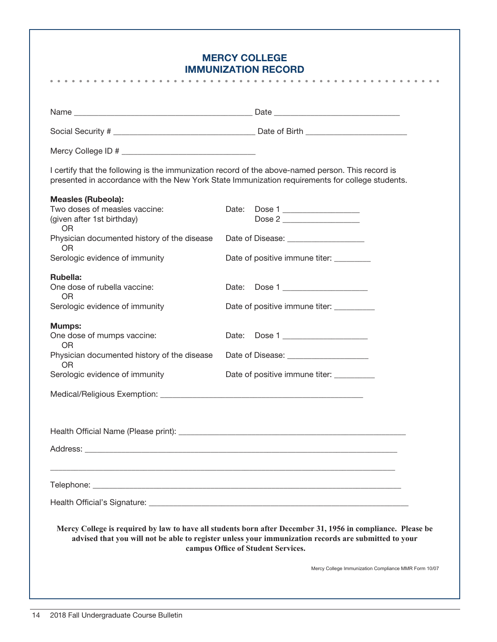# Mercy College **IMMUNIZATION REC**

|                                                                          | <b>IMMUNIZATION RECORD</b><br>.                                                                                                                                                                                                                           |
|--------------------------------------------------------------------------|-----------------------------------------------------------------------------------------------------------------------------------------------------------------------------------------------------------------------------------------------------------|
|                                                                          |                                                                                                                                                                                                                                                           |
|                                                                          |                                                                                                                                                                                                                                                           |
|                                                                          |                                                                                                                                                                                                                                                           |
|                                                                          |                                                                                                                                                                                                                                                           |
|                                                                          | I certify that the following is the immunization record of the above-named person. This record is<br>presented in accordance with the New York State Immunization requirements for college students.                                                      |
| <b>Measles (Rubeola):</b>                                                |                                                                                                                                                                                                                                                           |
| Two doses of measles vaccine:<br>(given after 1st birthday)<br><b>OR</b> | Date:<br>Dose 1                                                                                                                                                                                                                                           |
| Physician documented history of the disease<br>0R                        | Date of Disease: _____________________                                                                                                                                                                                                                    |
| Serologic evidence of immunity                                           | Date of positive immune titer:                                                                                                                                                                                                                            |
| Rubella:<br>One dose of rubella vaccine:<br><b>OR</b>                    | Date: Dose 1                                                                                                                                                                                                                                              |
| Serologic evidence of immunity                                           | Date of positive immune titer: __________                                                                                                                                                                                                                 |
| <b>Mumps:</b><br>One dose of mumps vaccine:<br><b>OR</b>                 | Date: Dose 1                                                                                                                                                                                                                                              |
| Physician documented history of the disease<br><b>OR</b>                 | Date of Disease: _______________________                                                                                                                                                                                                                  |
| Serologic evidence of immunity                                           | Date of positive immune titer: __________                                                                                                                                                                                                                 |
|                                                                          |                                                                                                                                                                                                                                                           |
|                                                                          |                                                                                                                                                                                                                                                           |
|                                                                          |                                                                                                                                                                                                                                                           |
|                                                                          |                                                                                                                                                                                                                                                           |
|                                                                          |                                                                                                                                                                                                                                                           |
|                                                                          |                                                                                                                                                                                                                                                           |
|                                                                          | Mercy College is required by law to have all students born after December 31, 1956 in compliance. Please be<br>advised that you will not be able to register unless your immunization records are submitted to your<br>campus Office of Student Services. |
|                                                                          | Mercy College Immunization Compliance MMR Form 10/07                                                                                                                                                                                                      |
|                                                                          |                                                                                                                                                                                                                                                           |
|                                                                          |                                                                                                                                                                                                                                                           |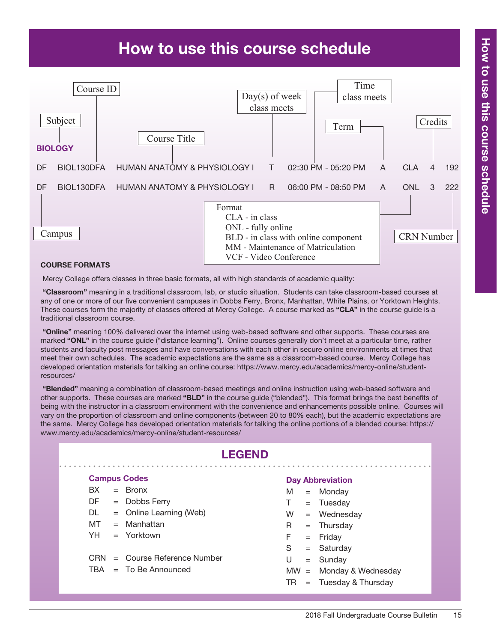# How to use this course schedule



#### Course Formats

Mercy College offers classes in three basic formats, all with high standards of academic quality:

 "Classroom" meaning in a traditional classroom, lab, or studio situation. Students can take classroom-based courses at any of one or more of our five convenient campuses in Dobbs Ferry, Bronx, Manhattan, White Plains, or Yorktown Heights. These courses form the majority of classes offered at Mercy College. A course marked as "CLA" in the course guide is a traditional classroom course.

"Online" meaning 100% delivered over the internet using web-based software and other supports. These courses are marked "ONL" in the course quide ("distance learning"). Online courses generally don't meet at a particular time, rather students and faculty post messages and have conversations with each other in secure online environments at times that meet their own schedules. The academic expectations are the same as a classroom-based course. Mercy College has developed orientation materials for talking an online course: https://www.mercy.edu/academics/mercy-online/studentresources/

 "Blended" meaning a combination of classroom-based meetings and online instruction using web-based software and other supports. These courses are marked "BLD" in the course guide ("blended"). This format brings the best benefits of being with the instructor in a classroom environment with the convenience and enhancements possible online. Courses will vary on the proportion of classroom and online components (between 20 to 80% each), but the academic expectations are the same. Mercy College has developed orientation materials for talking the online portions of a blended course: https:// www.mercy.edu/academics/mercy-online/student-resources/

|     |                     | <b>LEGEND</b>               |                         |     |                           |
|-----|---------------------|-----------------------------|-------------------------|-----|---------------------------|
|     | <b>Campus Codes</b> |                             | <b>Day Abbreviation</b> |     |                           |
| BX. |                     | $=$ Bronx                   | M                       |     | $=$ Monday                |
| DF  |                     | $=$ Dobbs Ferry             | T.                      |     | $=$ Tuesday               |
| DL. |                     | $=$ Online Learning (Web)   | W                       |     | $=$ Wednesday             |
| MT  |                     | $=$ Manhattan               | R.                      |     | $=$ Thursday              |
| YH  |                     | $=$ Yorktown                | F                       |     | $=$ Friday                |
|     |                     |                             | S                       |     | $=$ Saturday              |
| CRN |                     | $=$ Course Reference Number | U                       |     | $=$ Sunday                |
| TBA |                     | $=$ To Be Announced         |                         |     | $MW = Monday & Wednesday$ |
|     |                     |                             | TR                      | $=$ | Tuesday & Thursday        |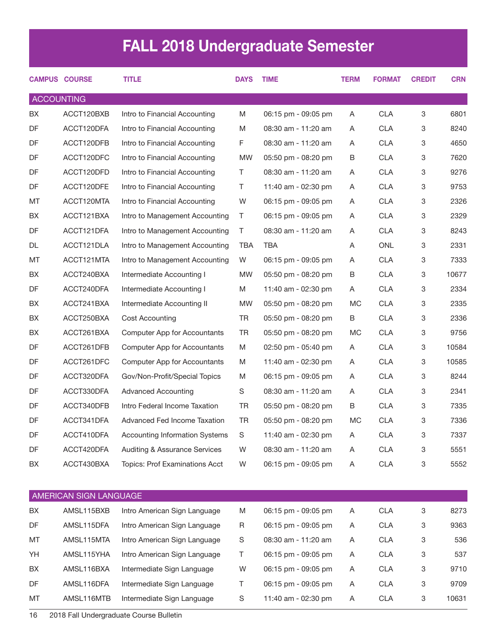# FALL 2018 Undergraduate Semester

|                   | <b>CAMPUS COURSE</b>   | <b>TITLE</b>                             | <b>DAYS</b> | <b>TIME</b>         | <b>TERM</b> | <b>FORMAT</b> | <b>CREDIT</b> | <b>CRN</b> |
|-------------------|------------------------|------------------------------------------|-------------|---------------------|-------------|---------------|---------------|------------|
| <b>ACCOUNTING</b> |                        |                                          |             |                     |             |               |               |            |
| BX                | ACCT120BXB             | Intro to Financial Accounting            | M           | 06:15 pm - 09:05 pm | A           | <b>CLA</b>    | 3             | 6801       |
| <b>DF</b>         | ACCT120DFA             | Intro to Financial Accounting            | M           | 08:30 am - 11:20 am | A           | <b>CLA</b>    | 3             | 8240       |
| DF                | ACCT120DFB             | Intro to Financial Accounting            | F.          | 08:30 am - 11:20 am | A           | <b>CLA</b>    | 3             | 4650       |
| DF                | ACCT120DFC             | Intro to Financial Accounting            | <b>MW</b>   | 05:50 pm - 08:20 pm | B           | <b>CLA</b>    | 3             | 7620       |
| DF                | ACCT120DFD             | Intro to Financial Accounting            | Τ           | 08:30 am - 11:20 am | A           | <b>CLA</b>    | 3             | 9276       |
| DF                | ACCT120DFE             | Intro to Financial Accounting            | Τ           | 11:40 am - 02:30 pm | A           | <b>CLA</b>    | 3             | 9753       |
| MT                | ACCT120MTA             | Intro to Financial Accounting            | W           | 06:15 pm - 09:05 pm | A           | <b>CLA</b>    | 3             | 2326       |
| BX                | ACCT121BXA             | Intro to Management Accounting           | Τ           | 06:15 pm - 09:05 pm | A           | <b>CLA</b>    | 3             | 2329       |
| DF                | ACCT121DFA             | Intro to Management Accounting           | Τ           | 08:30 am - 11:20 am | A           | <b>CLA</b>    | 3             | 8243       |
| DL                | ACCT121DLA             | Intro to Management Accounting           | <b>TBA</b>  | <b>TBA</b>          | A           | <b>ONL</b>    | 3             | 2331       |
| MT                | ACCT121MTA             | Intro to Management Accounting           | W           | 06:15 pm - 09:05 pm | A           | <b>CLA</b>    | 3             | 7333       |
| BX                | ACCT240BXA             | Intermediate Accounting I                | <b>MW</b>   | 05:50 pm - 08:20 pm | B           | <b>CLA</b>    | 3             | 10677      |
| DF                | ACCT240DFA             | Intermediate Accounting I                | M           | 11:40 am - 02:30 pm | A           | <b>CLA</b>    | 3             | 2334       |
| BX                | ACCT241BXA             | Intermediate Accounting II               | <b>MW</b>   | 05:50 pm - 08:20 pm | <b>MC</b>   | <b>CLA</b>    | 3             | 2335       |
| BX                | ACCT250BXA             | Cost Accounting                          | <b>TR</b>   | 05:50 pm - 08:20 pm | B           | <b>CLA</b>    | 3             | 2336       |
| BX                | ACCT261BXA             | Computer App for Accountants             | TR          | 05:50 pm - 08:20 pm | <b>MC</b>   | <b>CLA</b>    | 3             | 9756       |
| DF                | ACCT261DFB             | Computer App for Accountants             | M           | 02:50 pm - 05:40 pm | A           | <b>CLA</b>    | 3             | 10584      |
| DF                | ACCT261DFC             | Computer App for Accountants             | M           | 11:40 am - 02:30 pm | A           | <b>CLA</b>    | 3             | 10585      |
| DF                | ACCT320DFA             | Gov/Non-Profit/Special Topics            | M           | 06:15 pm - 09:05 pm | A           | <b>CLA</b>    | 3             | 8244       |
| DF                | ACCT330DFA             | <b>Advanced Accounting</b>               | S           | 08:30 am - 11:20 am | A           | <b>CLA</b>    | 3             | 2341       |
| DF                | ACCT340DFB             | Intro Federal Income Taxation            | <b>TR</b>   | 05:50 pm - 08:20 pm | B           | <b>CLA</b>    | 3             | 7335       |
| DF                | ACCT341DFA             | <b>Advanced Fed Income Taxation</b>      | <b>TR</b>   | 05:50 pm - 08:20 pm | <b>MC</b>   | <b>CLA</b>    | 3             | 7336       |
| DF                | ACCT410DFA             | <b>Accounting Information Systems</b>    | S           | 11:40 am - 02:30 pm | Α           | <b>CLA</b>    | 3             | 7337       |
| DF                | ACCT420DFA             | <b>Auditing &amp; Assurance Services</b> | W           | 08:30 am - 11:20 am | Α           | <b>CLA</b>    | 3             | 5551       |
| ВX                | ACCT430BXA             | Topics: Prof Examinations Acct           | W           | 06:15 pm - 09:05 pm | Α           | <b>CLA</b>    | 3             | 5552       |
|                   | AMERICAN SIGN LANGUAGE |                                          |             |                     |             |               |               |            |
| ВX                | AMSL115BXB             | Intro American Sign Language             | M           | 06:15 pm - 09:05 pm | Α           | <b>CLA</b>    | 3             | 8273       |
| DF                | AMSL115DFA             | Intro American Sign Language             | R           | 06:15 pm - 09:05 pm | A           | <b>CLA</b>    | 3             | 9363       |

MT AMSL115MTA Intro American Sign Language S 08:30 am - 11:20 am A CLA 3 536 YH AMSL115YHA Intro American Sign Language T 06:15 pm - 09:05 pm A CLA 3 537 BX AMSL116BXA Intermediate Sign Language W 06:15 pm - 09:05 pm A CLA 3 9710 DF AMSL116DFA Intermediate Sign Language T 06:15 pm - 09:05 pm A CLA 3 9709 MT AMSL116MTB Intermediate Sign Language S 11:40 am - 02:30 pm A CLA 3 10631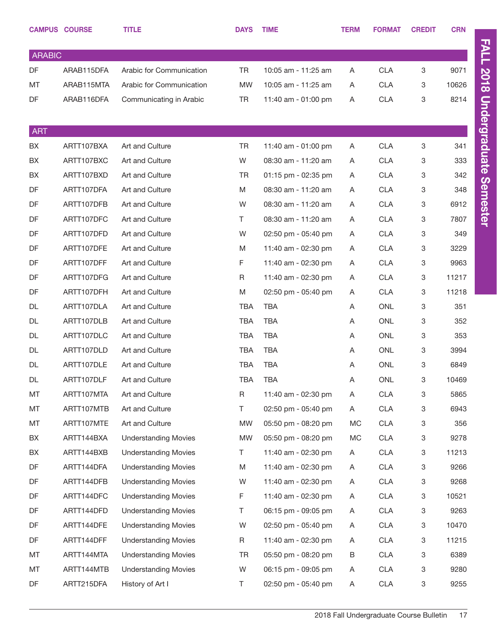|               | <b>CAMPUS COURSE</b> | <b>TITLE</b>                | <b>DAYS</b> | <b>TIME</b>         | <b>TERM</b> | <b>FORMAT</b> | <b>CREDIT</b> | <b>CRN</b> |
|---------------|----------------------|-----------------------------|-------------|---------------------|-------------|---------------|---------------|------------|
| <b>ARABIC</b> |                      |                             |             |                     |             |               |               |            |
| DF            | ARAB115DFA           | Arabic for Communication    | TR          | 10:05 am - 11:25 am | A           | <b>CLA</b>    | 3             | 9071       |
| MT            | ARAB115MTA           | Arabic for Communication    | <b>MW</b>   | 10:05 am - 11:25 am | A           | <b>CLA</b>    | 3             | 10626      |
| DF            | ARAB116DFA           | Communicating in Arabic     | <b>TR</b>   | 11:40 am - 01:00 pm | A           | <b>CLA</b>    | 3             | 8214       |
|               |                      |                             |             |                     |             |               |               |            |
| <b>ART</b>    |                      |                             |             |                     |             |               |               |            |
| BX            | ARTT107BXA           | Art and Culture             | <b>TR</b>   | 11:40 am - 01:00 pm | A           | <b>CLA</b>    | 3             | 341        |
| BX            | ARTT107BXC           | Art and Culture             | W           | 08:30 am - 11:20 am | A           | <b>CLA</b>    | 3             | 333        |
| BX            | ARTT107BXD           | Art and Culture             | TR          | 01:15 pm - 02:35 pm | A           | <b>CLA</b>    | 3             | 342        |
| DF            | ARTT107DFA           | Art and Culture             | M           | 08:30 am - 11:20 am | A           | <b>CLA</b>    | 3             | 348        |
| DF            | ARTT107DFB           | Art and Culture             | W           | 08:30 am - 11:20 am | A           | CLA           | 3             | 6912       |
| DF            | ARTT107DFC           | Art and Culture             | T.          | 08:30 am - 11:20 am | A           | <b>CLA</b>    | 3             | 7807       |
| DF            | ARTT107DFD           | Art and Culture             | W           | 02:50 pm - 05:40 pm | A           | <b>CLA</b>    | 3             | 349        |
| DF            | ARTT107DFE           | Art and Culture             | M           | 11:40 am - 02:30 pm | A           | <b>CLA</b>    | 3             | 3229       |
| DF            | ARTT107DFF           | Art and Culture             | F           | 11:40 am - 02:30 pm | A           | CLA           | 3             | 9963       |
| DF            | ARTT107DFG           | Art and Culture             | R           | 11:40 am - 02:30 pm | A           | <b>CLA</b>    | 3             | 11217      |
| DF            | ARTT107DFH           | Art and Culture             | M           | 02:50 pm - 05:40 pm | A           | <b>CLA</b>    | 3             | 11218      |
| DL            | ARTT107DLA           | Art and Culture             | TBA         | <b>TBA</b>          | A           | <b>ONL</b>    | 3             | 351        |
| <b>DL</b>     | ARTT107DLB           | Art and Culture             | TBA         | <b>TBA</b>          | A           | <b>ONL</b>    | 3             | 352        |
| DL            | ARTT107DLC           | Art and Culture             | TBA         | <b>TBA</b>          | A           | <b>ONL</b>    | 3             | 353        |
| DL            | ARTT107DLD           | Art and Culture             | TBA         | <b>TBA</b>          | A           | <b>ONL</b>    | 3             | 3994       |
| DL            | ARTT107DLE           | Art and Culture             | TBA         | <b>TBA</b>          | A           | <b>ONL</b>    | 3             | 6849       |
| DL            | ARTT107DLF           | Art and Culture             | <b>TBA</b>  | <b>TBA</b>          | A           | <b>ONL</b>    | 3             | 10469      |
| MT            | ARTT107MTA           | Art and Culture             | R           | 11:40 am - 02:30 pm | A           | <b>CLA</b>    | 3             | 5865       |
| МT            | ARTT107MTB           | Art and Culture             | T.          | 02:50 pm - 05:40 pm | Α           | <b>CLA</b>    | 3             | 6943       |
| МT            | ARTT107MTE           | Art and Culture             | <b>MW</b>   | 05:50 pm - 08:20 pm | МC          | <b>CLA</b>    | 3             | 356        |
| BX            | ARTT144BXA           | <b>Understanding Movies</b> | <b>MW</b>   | 05:50 pm - 08:20 pm | MC          | <b>CLA</b>    | 3             | 9278       |
| BX            | ARTT144BXB           | <b>Understanding Movies</b> | T.          | 11:40 am - 02:30 pm | Α           | <b>CLA</b>    | 3             | 11213      |
| DF            | ARTT144DFA           | <b>Understanding Movies</b> | M           | 11:40 am - 02:30 pm | A           | <b>CLA</b>    | 3             | 9266       |
| DF            | ARTT144DFB           | <b>Understanding Movies</b> | W           | 11:40 am - 02:30 pm | Α           | <b>CLA</b>    | 3             | 9268       |
| DF            | ARTT144DFC           | <b>Understanding Movies</b> | F           | 11:40 am - 02:30 pm | A           | <b>CLA</b>    | 3             | 10521      |
| DF            | ARTT144DFD           | <b>Understanding Movies</b> | T.          | 06:15 pm - 09:05 pm | A           | <b>CLA</b>    | 3             | 9263       |
| DF            | ARTT144DFE           | <b>Understanding Movies</b> | W           | 02:50 pm - 05:40 pm | A           | <b>CLA</b>    | 3             | 10470      |
| DF            | ARTT144DFF           | <b>Understanding Movies</b> | R           | 11:40 am - 02:30 pm | A           | <b>CLA</b>    | 3             | 11215      |
| MT            | ARTT144MTA           | <b>Understanding Movies</b> | TR          | 05:50 pm - 08:20 pm | B           | <b>CLA</b>    | 3             | 6389       |
| MT            | ARTT144MTB           | <b>Understanding Movies</b> | W           | 06:15 pm - 09:05 pm | A           | <b>CLA</b>    | 3             | 9280       |
| DF            | ARTT215DFA           | History of Art I            | T.          | 02:50 pm - 05:40 pm | A           | <b>CLA</b>    | 3             | 9255       |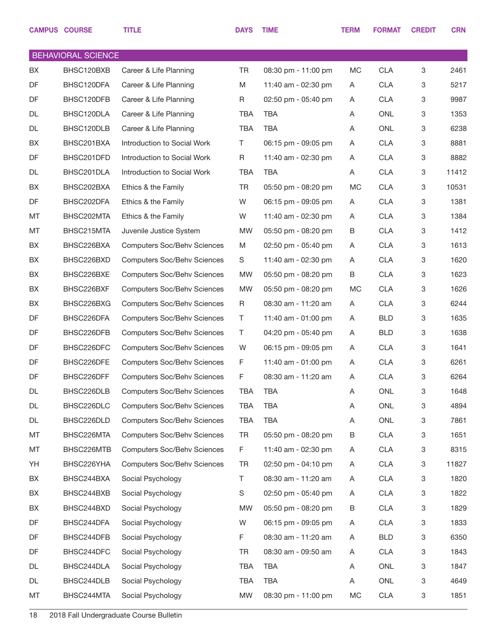|    | <b>CAMPUS COURSE</b>      | <b>TITLE</b>                       | <b>DAYS</b> | <b>TIME</b>         | <b>TERM</b> | <b>FORMAT</b> | <b>CREDIT</b> | <b>CRN</b> |
|----|---------------------------|------------------------------------|-------------|---------------------|-------------|---------------|---------------|------------|
|    | <b>BEHAVIORAL SCIENCE</b> |                                    |             |                     |             |               |               |            |
| BX | BHSC120BXB                | Career & Life Planning             | <b>TR</b>   | 08:30 pm - 11:00 pm | MC          | <b>CLA</b>    | 3             | 2461       |
| DF | BHSC120DFA                | Career & Life Planning             | M           | 11:40 am - 02:30 pm | A           | <b>CLA</b>    | 3             | 5217       |
| DF | BHSC120DFB                | Career & Life Planning             | R           | 02:50 pm - 05:40 pm | A           | <b>CLA</b>    | 3             | 9987       |
| DL | BHSC120DLA                | Career & Life Planning             | <b>TBA</b>  | <b>TBA</b>          | A           | <b>ONL</b>    | 3             | 1353       |
| DL | BHSC120DLB                | Career & Life Planning             | <b>TBA</b>  | TBA                 | A           | <b>ONL</b>    | 3             | 6238       |
| BX | BHSC201BXA                | Introduction to Social Work        | T           | 06:15 pm - 09:05 pm | Α           | <b>CLA</b>    | 3             | 8881       |
| DF | BHSC201DFD                | Introduction to Social Work        | R           | 11:40 am - 02:30 pm | A           | <b>CLA</b>    | 3             | 8882       |
| DL | BHSC201DLA                | Introduction to Social Work        | <b>TBA</b>  | <b>TBA</b>          | Α           | <b>CLA</b>    | 3             | 11412      |
| BX | BHSC202BXA                | Ethics & the Family                | <b>TR</b>   | 05:50 pm - 08:20 pm | MC          | <b>CLA</b>    | 3             | 10531      |
| DF | BHSC202DFA                | Ethics & the Family                | W           | 06:15 pm - 09:05 pm | Α           | <b>CLA</b>    | 3             | 1381       |
| MT | BHSC202MTA                | Ethics & the Family                | W           | 11:40 am - 02:30 pm | A           | <b>CLA</b>    | 3             | 1384       |
| MT | BHSC215MTA                | Juvenile Justice System            | <b>MW</b>   | 05:50 pm - 08:20 pm | B           | <b>CLA</b>    | 3             | 1412       |
| BX | BHSC226BXA                | <b>Computers Soc/Behv Sciences</b> | M           | 02:50 pm - 05:40 pm | A           | <b>CLA</b>    | 3             | 1613       |
| BX | BHSC226BXD                | <b>Computers Soc/Behv Sciences</b> | S           | 11:40 am - 02:30 pm | A           | <b>CLA</b>    | 3             | 1620       |
| BX | BHSC226BXE                | <b>Computers Soc/Behv Sciences</b> | <b>MW</b>   | 05:50 pm - 08:20 pm | B           | <b>CLA</b>    | 3             | 1623       |
| BX | BHSC226BXF                | <b>Computers Soc/Behv Sciences</b> | <b>MW</b>   | 05:50 pm - 08:20 pm | МC          | <b>CLA</b>    | 3             | 1626       |
| BX | BHSC226BXG                | <b>Computers Soc/Behv Sciences</b> | R           | 08:30 am - 11:20 am | Α           | <b>CLA</b>    | 3             | 6244       |
| DF | BHSC226DFA                | <b>Computers Soc/Behv Sciences</b> | T           | 11:40 am - 01:00 pm | A           | <b>BLD</b>    | 3             | 1635       |
| DF | BHSC226DFB                | <b>Computers Soc/Behv Sciences</b> | T           | 04:20 pm - 05:40 pm | A           | <b>BLD</b>    | 3             | 1638       |
| DF | BHSC226DFC                | <b>Computers Soc/Behv Sciences</b> | W           | 06:15 pm - 09:05 pm | A           | <b>CLA</b>    | 3             | 1641       |
| DF | BHSC226DFE                | <b>Computers Soc/Behv Sciences</b> | F           | 11:40 am - 01:00 pm | A           | <b>CLA</b>    | 3             | 6261       |
| DF | BHSC226DFF                | <b>Computers Soc/Behv Sciences</b> | F           | 08:30 am - 11:20 am | Α           | <b>CLA</b>    | 3             | 6264       |
| DL | BHSC226DLB                | <b>Computers Soc/Behv Sciences</b> | TBA         | TBA                 | Α           | <b>ONL</b>    | 3             | 1648       |
| DL | BHSC226DLC                | <b>Computers Soc/Behv Sciences</b> | <b>TBA</b>  | <b>TBA</b>          | Α           | ONL           | 3             | 4894       |
| DL | BHSC226DLD                | <b>Computers Soc/Behv Sciences</b> | <b>TBA</b>  | <b>TBA</b>          | Α           | ONL           | 3             | 7861       |
| MT | BHSC226MTA                | <b>Computers Soc/Behv Sciences</b> | <b>TR</b>   | 05:50 pm - 08:20 pm | В           | <b>CLA</b>    | 3             | 1651       |
| MT | BHSC226MTB                | <b>Computers Soc/Behv Sciences</b> | F           | 11:40 am - 02:30 pm | A           | <b>CLA</b>    | 3             | 8315       |
| YH | BHSC226YHA                | <b>Computers Soc/Behv Sciences</b> | TR          | 02:50 pm - 04:10 pm | A           | <b>CLA</b>    | 3             | 11827      |
| BX | BHSC244BXA                | Social Psychology                  | T           | 08:30 am - 11:20 am | A           | <b>CLA</b>    | 3             | 1820       |
| BX | BHSC244BXB                | Social Psychology                  | S           | 02:50 pm - 05:40 pm | A           | <b>CLA</b>    | 3             | 1822       |
| BX | BHSC244BXD                | Social Psychology                  | MW          | 05:50 pm - 08:20 pm | В           | <b>CLA</b>    | 3             | 1829       |
| DF | BHSC244DFA                | Social Psychology                  | W           | 06:15 pm - 09:05 pm | A           | <b>CLA</b>    | 3             | 1833       |
| DF | BHSC244DFB                | Social Psychology                  | F           | 08:30 am - 11:20 am | Α           | <b>BLD</b>    | 3             | 6350       |
| DF | BHSC244DFC                | Social Psychology                  | TR          | 08:30 am - 09:50 am | Α           | <b>CLA</b>    | 3             | 1843       |
| DL | BHSC244DLA                | Social Psychology                  | TBA         | <b>TBA</b>          | Α           | ONL           | 3             | 1847       |
| DL | BHSC244DLB                | Social Psychology                  | <b>TBA</b>  | <b>TBA</b>          | Α           | ONL           | 3             | 4649       |
| MT | BHSC244MTA                | Social Psychology                  | MW          | 08:30 pm - 11:00 pm | MC          | <b>CLA</b>    | 3             | 1851       |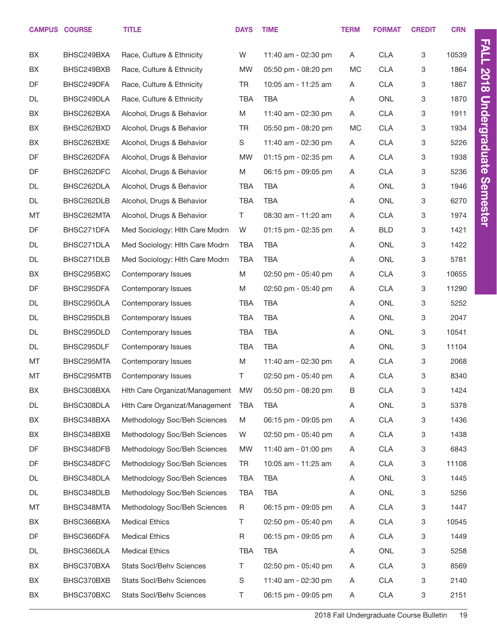|    | <b>CAMPUS COURSE</b> | <b>TITLE</b>                    | <b>DAYS</b> | <b>TIME</b>         | <b>TERM</b> | <b>FORMAT</b> | <b>CREDIT</b> | <b>CRN</b> |
|----|----------------------|---------------------------------|-------------|---------------------|-------------|---------------|---------------|------------|
| BX | BHSC249BXA           | Race, Culture & Ethnicity       | W           | 11:40 am - 02:30 pm | A           | <b>CLA</b>    | 3             | 10539      |
| BX | BHSC249BXB           | Race, Culture & Ethnicity       | MW          | 05:50 pm - 08:20 pm | <b>MC</b>   | <b>CLA</b>    | 3             | 1864       |
| DF | BHSC249DFA           | Race, Culture & Ethnicity       | <b>TR</b>   | 10:05 am - 11:25 am | A           | <b>CLA</b>    | 3             | 1867       |
| DL | BHSC249DLA           | Race, Culture & Ethnicity       | <b>TBA</b>  | <b>TBA</b>          | A           | <b>ONL</b>    | 3             | 1870       |
| BX | BHSC262BXA           | Alcohol, Drugs & Behavior       | M           | 11:40 am - 02:30 pm | Α           | <b>CLA</b>    | 3             | 1911       |
| BX | BHSC262BXD           | Alcohol, Drugs & Behavior       | <b>TR</b>   | 05:50 pm - 08:20 pm | <b>MC</b>   | <b>CLA</b>    | 3             | 1934       |
| BX | BHSC262BXE           | Alcohol, Drugs & Behavior       | S           | 11:40 am - 02:30 pm | A           | <b>CLA</b>    | 3             | 5226       |
| DF | BHSC262DFA           | Alcohol, Drugs & Behavior       | <b>MW</b>   | 01:15 pm - 02:35 pm | Α           | <b>CLA</b>    | 3             | 1938       |
| DF | BHSC262DFC           | Alcohol, Drugs & Behavior       | M           | 06:15 pm - 09:05 pm | A           | <b>CLA</b>    | 3             | 5236       |
| DL | BHSC262DLA           | Alcohol, Drugs & Behavior       | <b>TBA</b>  | <b>TBA</b>          | A           | <b>ONL</b>    | 3             | 1946       |
| DL | BHSC262DLB           | Alcohol, Drugs & Behavior       | <b>TBA</b>  | <b>TBA</b>          | Α           | <b>ONL</b>    | 3             | 6270       |
| MT | BHSC262MTA           | Alcohol, Drugs & Behavior       | T.          | 08:30 am - 11:20 am | Α           | <b>CLA</b>    | 3             | 1974       |
| DF | BHSC271DFA           | Med Sociology: Hith Care Modrn  | W           | 01:15 pm - 02:35 pm | A           | <b>BLD</b>    | 3             | 1421       |
| DL | BHSC271DLA           | Med Sociology: Hlth Care Modrn  | <b>TBA</b>  | <b>TBA</b>          | A           | <b>ONL</b>    | 3             | 1422       |
| DL | BHSC271DLB           | Med Sociology: Hith Care Modrn  | <b>TBA</b>  | <b>TBA</b>          | A           | <b>ONL</b>    | 3             | 5781       |
| BX | BHSC295BXC           | Contemporary Issues             | M           | 02:50 pm - 05:40 pm | Α           | <b>CLA</b>    | 3             | 10655      |
| DF | BHSC295DFA           | Contemporary Issues             | M           | 02:50 pm - 05:40 pm | A           | <b>CLA</b>    | 3             | 11290      |
| DL | BHSC295DLA           | Contemporary Issues             | <b>TBA</b>  | <b>TBA</b>          | A           | <b>ONL</b>    | 3             | 5252       |
| DL | BHSC295DLB           | Contemporary Issues             | <b>TBA</b>  | <b>TBA</b>          | A           | <b>ONL</b>    | 3             | 2047       |
| DL | BHSC295DLD           | Contemporary Issues             | <b>TBA</b>  | <b>TBA</b>          | A           | <b>ONL</b>    | 3             | 10541      |
| DL | BHSC295DLF           | Contemporary Issues             | <b>TBA</b>  | <b>TBA</b>          | A           | <b>ONL</b>    | 3             | 11104      |
| MT | BHSC295MTA           | Contemporary Issues             | M           | 11:40 am - 02:30 pm | A           | <b>CLA</b>    | 3             | 2068       |
| MT | BHSC295MTB           | Contemporary Issues             | Τ           | 02:50 pm - 05:40 pm | Α           | <b>CLA</b>    | 3             | 8340       |
| BX | BHSC308BXA           | Hith Care Organizat/Management  | <b>MW</b>   | 05:50 pm - 08:20 pm | B           | <b>CLA</b>    | 3             | 1424       |
| DL | BHSC308DLA           | Hith Care Organizat/Management  | <b>TBA</b>  | TBA                 | A           | ONL           | 3             | 5378       |
| BX | BHSC348BXA           | Methodology Soc/Beh Sciences    | M           | 06:15 pm - 09:05 pm | A           | <b>CLA</b>    | 3             | 1436       |
| BX | BHSC348BXB           | Methodology Soc/Beh Sciences    | W           | 02:50 pm - 05:40 pm | A           | <b>CLA</b>    | 3             | 1438       |
| DF | BHSC348DFB           | Methodology Soc/Beh Sciences    | MW          | 11:40 am - 01:00 pm | A           | <b>CLA</b>    | 3             | 6843       |
| DF | BHSC348DFC           | Methodology Soc/Beh Sciences    | TR          | 10:05 am - 11:25 am | A           | <b>CLA</b>    | 3             | 11108      |
| DL | BHSC348DLA           | Methodology Soc/Beh Sciences    | <b>TBA</b>  | <b>TBA</b>          | A           | ONL           | 3             | 1445       |
| DL | BHSC348DLB           | Methodology Soc/Beh Sciences    | <b>TBA</b>  | <b>TBA</b>          | A           | ONL           | 3             | 5256       |
| MT | BHSC348MTA           | Methodology Soc/Beh Sciences    | R           | 06:15 pm - 09:05 pm | A           | <b>CLA</b>    | 3             | 1447       |
| BX | BHSC366BXA           | <b>Medical Ethics</b>           | T           | 02:50 pm - 05:40 pm | A           | <b>CLA</b>    | 3             | 10545      |
| DF | BHSC366DFA           | <b>Medical Ethics</b>           | R           | 06:15 pm - 09:05 pm | A           | <b>CLA</b>    | 3             | 1449       |
| DL | BHSC366DLA           | <b>Medical Ethics</b>           | <b>TBA</b>  | <b>TBA</b>          | A           | ONL           | 3             | 5258       |
| BX | BHSC370BXA           | <b>Stats Socl/Behv Sciences</b> | T.          | 02:50 pm - 05:40 pm | A           | <b>CLA</b>    | 3             | 8569       |
| BX | BHSC370BXB           | <b>Stats Socl/Behv Sciences</b> | $\mathbb S$ | 11:40 am - 02:30 pm | A           | <b>CLA</b>    | 3             | 2140       |
| BX | BHSC370BXC           | <b>Stats Socl/Behv Sciences</b> | Τ           | 06:15 pm - 09:05 pm | A           | <b>CLA</b>    | 3             | 2151       |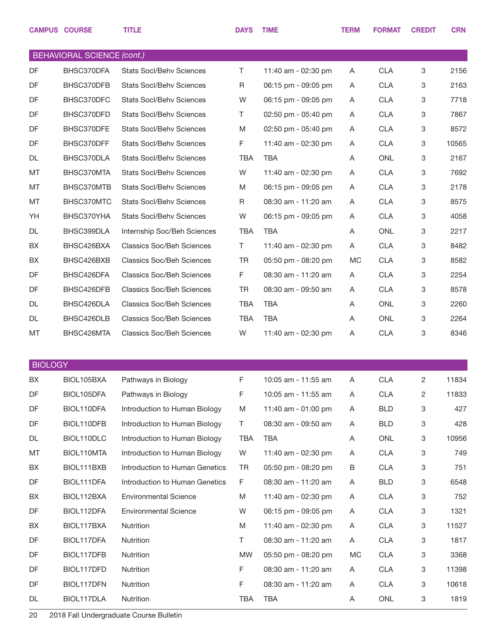|                | <b>CAMPUS COURSE</b>              | <b>TITLE</b>                     | <b>DAYS</b> | <b>TIME</b>         | <b>TERM</b> | <b>FORMAT</b> | <b>CREDIT</b> | <b>CRN</b> |
|----------------|-----------------------------------|----------------------------------|-------------|---------------------|-------------|---------------|---------------|------------|
|                | <b>BEHAVIORAL SCIENCE (cont.)</b> |                                  |             |                     |             |               |               |            |
| DF             | BHSC370DFA                        | <b>Stats Socl/Behv Sciences</b>  | T.          | 11:40 am - 02:30 pm | A           | <b>CLA</b>    | 3             | 2156       |
| DF             | BHSC370DFB                        | <b>Stats Socl/Behv Sciences</b>  | R           | 06:15 pm - 09:05 pm | A           | <b>CLA</b>    | 3             | 2163       |
| DF             | BHSC370DFC                        | <b>Stats Socl/Behv Sciences</b>  | W           | 06:15 pm - 09:05 pm | A           | <b>CLA</b>    | 3             | 7718       |
| DF             | BHSC370DFD                        | <b>Stats Socl/Behv Sciences</b>  | Τ           | 02:50 pm - 05:40 pm | A           | <b>CLA</b>    | 3             | 7867       |
| DF             | BHSC370DFE                        | <b>Stats Socl/Behv Sciences</b>  | M           | 02:50 pm - 05:40 pm | A           | <b>CLA</b>    | 3             | 8572       |
| DF             | BHSC370DFF                        | <b>Stats Socl/Behv Sciences</b>  | F           | 11:40 am - 02:30 pm | A           | <b>CLA</b>    | 3             | 10565      |
| DL             | BHSC370DLA                        | <b>Stats Socl/Behv Sciences</b>  | TBA         | <b>TBA</b>          | A           | <b>ONL</b>    | 3             | 2167       |
| MT             | BHSC370MTA                        | <b>Stats Socl/Behv Sciences</b>  | W           | 11:40 am - 02:30 pm | A           | <b>CLA</b>    | 3             | 7692       |
| MT             | BHSC370MTB                        | <b>Stats Socl/Behv Sciences</b>  | M           | 06:15 pm - 09:05 pm | A           | <b>CLA</b>    | 3             | 2178       |
| MT             | BHSC370MTC                        | <b>Stats Socl/Behv Sciences</b>  | $\mathsf R$ | 08:30 am - 11:20 am | A           | <b>CLA</b>    | 3             | 8575       |
| YH             | BHSC370YHA                        | <b>Stats Socl/Behv Sciences</b>  | W           | 06:15 pm - 09:05 pm | A           | <b>CLA</b>    | 3             | 4058       |
| DL             | BHSC399DLA                        | Internship Soc/Beh Sciences      | TBA         | <b>TBA</b>          | A           | <b>ONL</b>    | 3             | 2217       |
| BX             | BHSC426BXA                        | <b>Classics Soc/Beh Sciences</b> | T.          | 11:40 am - 02:30 pm | A           | <b>CLA</b>    | 3             | 8482       |
| BX             | BHSC426BXB                        | <b>Classics Soc/Beh Sciences</b> | <b>TR</b>   | 05:50 pm - 08:20 pm | МC          | <b>CLA</b>    | 3             | 8582       |
| DF             | BHSC426DFA                        | <b>Classics Soc/Beh Sciences</b> | F           | 08:30 am - 11:20 am | A           | <b>CLA</b>    | 3             | 2254       |
| DF             | BHSC426DFB                        | <b>Classics Soc/Beh Sciences</b> | <b>TR</b>   | 08:30 am - 09:50 am | Α           | <b>CLA</b>    | 3             | 8578       |
| DL             | BHSC426DLA                        | <b>Classics Soc/Beh Sciences</b> | <b>TBA</b>  | <b>TBA</b>          | A           | <b>ONL</b>    | 3             | 2260       |
| DL             | BHSC426DLB                        | <b>Classics Soc/Beh Sciences</b> | TBA         | <b>TBA</b>          | A           | <b>ONL</b>    | 3             | 2264       |
| MT             | BHSC426MTA                        | <b>Classics Soc/Beh Sciences</b> | W           | 11:40 am - 02:30 pm | Α           | <b>CLA</b>    | 3             | 8346       |
|                |                                   |                                  |             |                     |             |               |               |            |
| <b>BIOLOGY</b> |                                   |                                  |             |                     |             |               |               |            |
| BX             | BIOL105BXA                        | Pathways in Biology              | F           | 10:05 am - 11:55 am | A           | <b>CLA</b>    | $\mathbf{2}$  | 11834      |
| DF             | BIOL105DFA                        | Pathways in Biology              | F           | 10:05 am - 11:55 am | A           | <b>CLA</b>    | 2             | 11833      |
| DF             | BIOL110DFA                        | Introduction to Human Biology    | M           | 11:40 am - 01:00 pm | A           | BLD           | 3             | 427        |
| DF             | BIOL110DFB                        | Introduction to Human Biology    | Τ           | 08:30 am - 09:50 am | A           | BLD           | 3             | 428        |
| DL             | BIOL110DLC                        | Introduction to Human Biology    | TBA         | TBA                 | A           | ONL           | 3             | 10956      |
| МT             | BIOL110MTA                        | Introduction to Human Biology    | W           | 11:40 am - 02:30 pm | A           | <b>CLA</b>    | 3             | 749        |
| BX             | BIOL111BXB                        | Introduction to Human Genetics   | TR          | 05:50 pm - 08:20 pm | Β           | <b>CLA</b>    | 3             | 751        |
| DF             | BIOL111DFA                        | Introduction to Human Genetics   | F           | 08:30 am - 11:20 am | A           | <b>BLD</b>    | 3             | 6548       |
| BX             | BIOL112BXA                        | <b>Environmental Science</b>     | M           | 11:40 am - 02:30 pm | A           | <b>CLA</b>    | 3             | 752        |
| DF             | BIOL112DFA                        | <b>Environmental Science</b>     | W           | 06:15 pm - 09:05 pm | A           | <b>CLA</b>    | 3             | 1321       |
| BX             | BIOL117BXA                        | Nutrition                        | M           | 11:40 am - 02:30 pm | A           | <b>CLA</b>    | 3             | 11527      |
| DF             | BIOL117DFA                        | Nutrition                        | T.          | 08:30 am - 11:20 am | A           | <b>CLA</b>    | 3             | 1817       |
| DF             | BIOL117DFB                        | Nutrition                        | <b>MW</b>   | 05:50 pm - 08:20 pm | МC          | <b>CLA</b>    | 3             | 3368       |
| DF             | BIOL117DFD                        | Nutrition                        | F           | 08:30 am - 11:20 am | A           | <b>CLA</b>    | 3             | 11398      |
| DF             | BIOL117DFN                        | Nutrition                        | F           | 08:30 am - 11:20 am | A           | <b>CLA</b>    | 3             | 10618      |
| DL             | BIOL117DLA                        | Nutrition                        | TBA         | <b>TBA</b>          | A           | ONL           | 3             | 1819       |
|                |                                   |                                  |             |                     |             |               |               |            |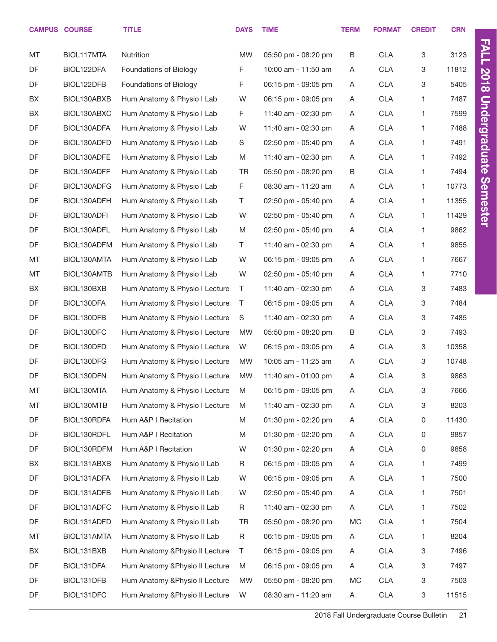|    | <b>CAMPUS COURSE</b> | <b>TITLE</b>                    | <b>DAYS</b> | <b>TIME</b>             | <b>TERM</b> | <b>FORMAT</b> | <b>CREDIT</b> | <b>CRN</b> |
|----|----------------------|---------------------------------|-------------|-------------------------|-------------|---------------|---------------|------------|
| MT | BIOL117MTA           | Nutrition                       | <b>MW</b>   | 05:50 pm - 08:20 pm     | B           | <b>CLA</b>    | 3             | 3123       |
| DF | BIOL122DFA           | Foundations of Biology          | F           | 10:00 am - 11:50 am     | A           | <b>CLA</b>    | 3             | 11812      |
| DF | BIOL122DFB           | Foundations of Biology          | F           | 06:15 pm - 09:05 pm     | A           | <b>CLA</b>    | 3             | 5405       |
| BX | BIOL130ABXB          | Hum Anatomy & Physio I Lab      | W           | 06:15 pm - 09:05 pm     | A           | <b>CLA</b>    | 1             | 7487       |
| BX | BIOL130ABXC          | Hum Anatomy & Physio I Lab      | F.          | 11:40 am - 02:30 pm     | A           | <b>CLA</b>    | 1             | 7599       |
| DF | BIOL130ADFA          | Hum Anatomy & Physio I Lab      | W           | 11:40 am - 02:30 pm     | A           | <b>CLA</b>    | 1             | 7488       |
| DF | BIOL130ADFD          | Hum Anatomy & Physio I Lab      | S           | 02:50 pm - 05:40 pm     | A           | <b>CLA</b>    | 1             | 7491       |
| DF | BIOL130ADFE          | Hum Anatomy & Physio I Lab      | M           | 11:40 am - 02:30 pm     | A           | <b>CLA</b>    | 1             | 7492       |
| DF | BIOL130ADFF          | Hum Anatomy & Physio I Lab      | <b>TR</b>   | 05:50 pm - 08:20 pm     | B           | <b>CLA</b>    | $\mathbf{1}$  | 7494       |
| DF | BIOL130ADFG          | Hum Anatomy & Physio I Lab      | F           | 08:30 am - 11:20 am     | A           | <b>CLA</b>    | 1             | 10773      |
| DF | BIOL130ADFH          | Hum Anatomy & Physio I Lab      | T.          | 02:50 pm - 05:40 pm     | A           | <b>CLA</b>    | 1             | 11355      |
| DF | BIOL130ADFI          | Hum Anatomy & Physio I Lab      | W           | 02:50 pm - 05:40 pm     | A           | <b>CLA</b>    | 1             | 11429      |
| DF | BIOL130ADFL          | Hum Anatomy & Physio I Lab      | M           | $02:50$ pm - $05:40$ pm | A           | <b>CLA</b>    | 1             | 9862       |
| DF | BIOL130ADFM          | Hum Anatomy & Physio I Lab      | T.          | 11:40 am - 02:30 pm     | A           | <b>CLA</b>    | 1             | 9855       |
| MT | BIOL130AMTA          | Hum Anatomy & Physio I Lab      | W           | 06:15 pm - 09:05 pm     | A           | <b>CLA</b>    | 1             | 7667       |
| МT | BIOL130AMTB          | Hum Anatomy & Physio I Lab      | W           | 02:50 pm - 05:40 pm     | A           | <b>CLA</b>    | 1             | 7710       |
| BX | BIOL130BXB           | Hum Anatomy & Physio I Lecture  | T           | 11:40 am - 02:30 pm     | A           | <b>CLA</b>    | 3             | 7483       |
| DF | BIOL130DFA           | Hum Anatomy & Physio I Lecture  | T           | 06:15 pm - 09:05 pm     | A           | <b>CLA</b>    | 3             | 7484       |
| DF | BIOL130DFB           | Hum Anatomy & Physio I Lecture  | S           | 11:40 am - 02:30 pm     | A           | <b>CLA</b>    | 3             | 7485       |
| DF | BIOL130DFC           | Hum Anatomy & Physio I Lecture  | <b>MW</b>   | 05:50 pm - 08:20 pm     | B           | <b>CLA</b>    | 3             | 7493       |
| DF | BIOL130DFD           | Hum Anatomy & Physio I Lecture  | W           | 06:15 pm - 09:05 pm     | A           | <b>CLA</b>    | 3             | 10358      |
| DF | BIOL130DFG           | Hum Anatomy & Physio I Lecture  | <b>MW</b>   | 10:05 am - 11:25 am     | A           | <b>CLA</b>    | 3             | 10748      |
| DF | BIOL130DFN           | Hum Anatomy & Physio I Lecture  | <b>MW</b>   | 11:40 am - 01:00 pm     | A           | <b>CLA</b>    | 3             | 9863       |
| MT | BIOL130MTA           | Hum Anatomy & Physio I Lecture  | M           | 06:15 pm - 09:05 pm     | A           | CLA           | 3             | 7666       |
| MT | BIOL130MTB           | Hum Anatomy & Physio I Lecture  | M           | 11:40 am - 02:30 pm     | A           | <b>CLA</b>    | 3             | 8203       |
| DF | BIOL130RDFA          | Hum A&P I Recitation            | M           | 01:30 pm - 02:20 pm     | A           | <b>CLA</b>    | 0             | 11430      |
| DF | BIOL130RDFL          | Hum A&P I Recitation            | M           | 01:30 pm - 02:20 pm     | A           | <b>CLA</b>    | 0             | 9857       |
| DF | BIOL130RDFM          | Hum A&P I Recitation            | W           | 01:30 pm - 02:20 pm     | A           | <b>CLA</b>    | 0             | 9858       |
| BX | BIOL131ABXB          | Hum Anatomy & Physio II Lab     | R           | 06:15 pm - 09:05 pm     | A           | <b>CLA</b>    | 1             | 7499       |
| DF | BIOL131ADFA          | Hum Anatomy & Physio II Lab     | W           | 06:15 pm - 09:05 pm     | A           | <b>CLA</b>    | 1             | 7500       |
| DF | BIOL131ADFB          | Hum Anatomy & Physio II Lab     | W           | 02:50 pm - 05:40 pm     | A           | <b>CLA</b>    | 1             | 7501       |
| DF | BIOL131ADFC          | Hum Anatomy & Physio II Lab     | R           | 11:40 am - 02:30 pm     | A           | <b>CLA</b>    | 1             | 7502       |
| DF | BIOL131ADFD          | Hum Anatomy & Physio II Lab     | <b>TR</b>   | 05:50 pm - 08:20 pm     | МC          | <b>CLA</b>    | 1             | 7504       |
| MT | BIOL131AMTA          | Hum Anatomy & Physio II Lab     | R           | 06:15 pm - 09:05 pm     | A           | <b>CLA</b>    | 1             | 8204       |
| BX | BIOL131BXB           | Hum Anatomy & Physio II Lecture | Τ           | 06:15 pm - 09:05 pm     | A           | <b>CLA</b>    | 3             | 7496       |
| DF | BIOL131DFA           | Hum Anatomy & Physio II Lecture | M           | 06:15 pm - 09:05 pm     | A           | <b>CLA</b>    | 3             | 7497       |
| DF | BIOL131DFB           | Hum Anatomy & Physio II Lecture | <b>MW</b>   | 05:50 pm - 08:20 pm     | МC          | <b>CLA</b>    | 3             | 7503       |
| DF | BIOL131DFC           | Hum Anatomy & Physio II Lecture | W           | 08:30 am - 11:20 am     | A           | <b>CLA</b>    | 3             | 11515      |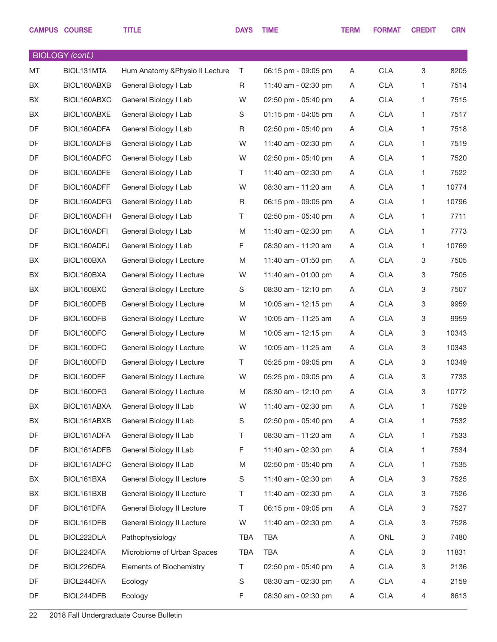|    | <b>CAMPUS COURSE</b>   | <b>TITLE</b>                    | <b>DAYS</b> | <b>TIME</b>         | <b>TERM</b> | <b>FORMAT</b> | <b>CREDIT</b> | <b>CRN</b> |
|----|------------------------|---------------------------------|-------------|---------------------|-------------|---------------|---------------|------------|
|    | <b>BIOLOGY</b> (cont.) |                                 |             |                     |             |               |               |            |
| MT | BIOL131MTA             | Hum Anatomy & Physio II Lecture | T           | 06:15 pm - 09:05 pm | A           | <b>CLA</b>    | 3             | 8205       |
| BX | BIOL160ABXB            | General Biology I Lab           | R           | 11:40 am - 02:30 pm | A           | <b>CLA</b>    | 1             | 7514       |
| BX | BIOL160ABXC            | General Biology I Lab           | W           | 02:50 pm - 05:40 pm | A           | <b>CLA</b>    | 1             | 7515       |
| BX | BIOL160ABXE            | General Biology I Lab           | S           | 01:15 pm - 04:05 pm | A           | <b>CLA</b>    | 1             | 7517       |
| DF | BIOL160ADFA            | General Biology I Lab           | R           | 02:50 pm - 05:40 pm | A           | <b>CLA</b>    | 1             | 7518       |
| DF | BIOL160ADFB            | General Biology I Lab           | W           | 11:40 am - 02:30 pm | A           | <b>CLA</b>    | 1             | 7519       |
| DF | BIOL160ADFC            | General Biology I Lab           | W           | 02:50 pm - 05:40 pm | A           | <b>CLA</b>    | 1             | 7520       |
| DF | BIOL160ADFE            | General Biology I Lab           | T.          | 11:40 am - 02:30 pm | A           | <b>CLA</b>    | 1             | 7522       |
| DF | BIOL160ADFF            | General Biology I Lab           | W           | 08:30 am - 11:20 am | A           | <b>CLA</b>    | $\mathbf{1}$  | 10774      |
| DF | BIOL160ADFG            | General Biology I Lab           | R           | 06:15 pm - 09:05 pm | A           | <b>CLA</b>    | 1             | 10796      |
| DF | BIOL160ADFH            | General Biology I Lab           | T.          | 02:50 pm - 05:40 pm | A           | <b>CLA</b>    | 1             | 7711       |
| DF | BIOL160ADFI            | General Biology I Lab           | M           | 11:40 am - 02:30 pm | A           | <b>CLA</b>    | 1             | 7773       |
| DF | BIOL160ADFJ            | General Biology I Lab           | F           | 08:30 am - 11:20 am | A           | <b>CLA</b>    | $\mathbf{1}$  | 10769      |
| BX | BIOL160BXA             | General Biology I Lecture       | M           | 11:40 am - 01:50 pm | A           | <b>CLA</b>    | 3             | 7505       |
| BX | BIOL160BXA             | General Biology I Lecture       | W           | 11:40 am - 01:00 pm | A           | <b>CLA</b>    | 3             | 7505       |
| BX | BIOL160BXC             | General Biology I Lecture       | S           | 08:30 am - 12:10 pm | A           | <b>CLA</b>    | 3             | 7507       |
| DF | BIOL160DFB             | General Biology I Lecture       | M           | 10:05 am - 12:15 pm | A           | <b>CLA</b>    | 3             | 9959       |
| DF | BIOL160DFB             | General Biology I Lecture       | W           | 10:05 am - 11:25 am | A           | <b>CLA</b>    | $\mathbf 3$   | 9959       |
| DF | BIOL160DFC             | General Biology I Lecture       | M           | 10:05 am - 12:15 pm | A           | <b>CLA</b>    | 3             | 10343      |
| DF | BIOL160DFC             | General Biology I Lecture       | W           | 10:05 am - 11:25 am | A           | <b>CLA</b>    | 3             | 10343      |
| DF | BIOL160DFD             | General Biology I Lecture       | T           | 05:25 pm - 09:05 pm | A           | <b>CLA</b>    | 3             | 10349      |
| DF | BIOL160DFF             | General Biology I Lecture       | W           | 05:25 pm - 09:05 pm | A           | <b>CLA</b>    | 3             | 7733       |
| DF | BIOL160DFG             | General Biology I Lecture       | M           | 08:30 am - 12:10 pm | A           | <b>CLA</b>    | $\mathbf 3$   | 10772      |
| BX | BIOL161ABXA            | General Biology II Lab          | W           | 11:40 am - 02:30 pm | A           | <b>CLA</b>    | 1             | 7529       |
| BX | BIOL161ABXB            | General Biology II Lab          | S           | 02:50 pm - 05:40 pm | A           | <b>CLA</b>    | 1             | 7532       |
| DF | BIOL161ADFA            | General Biology II Lab          | Τ           | 08:30 am - 11:20 am | A           | <b>CLA</b>    | 1             | 7533       |
| DF | BIOL161ADFB            | General Biology II Lab          | F           | 11:40 am - 02:30 pm | A           | <b>CLA</b>    | 1             | 7534       |
| DF | BIOL161ADFC            | General Biology II Lab          | M           | 02:50 pm - 05:40 pm | A           | <b>CLA</b>    | 1             | 7535       |
| BX | BIOL161BXA             | General Biology II Lecture      | S           | 11:40 am - 02:30 pm | A           | <b>CLA</b>    | 3             | 7525       |
| BX | BIOL161BXB             | General Biology II Lecture      | Τ           | 11:40 am - 02:30 pm | A           | <b>CLA</b>    | 3             | 7526       |
| DF | BIOL161DFA             | General Biology II Lecture      | T.          | 06:15 pm - 09:05 pm | A           | <b>CLA</b>    | 3             | 7527       |
| DF | BIOL161DFB             | General Biology II Lecture      | W           | 11:40 am - 02:30 pm | A           | <b>CLA</b>    | 3             | 7528       |
| DL | BIOL222DLA             | Pathophysiology                 | TBA         | <b>TBA</b>          | Α           | ONL           | 3             | 7480       |
| DF | BIOL224DFA             | Microbiome of Urban Spaces      | <b>TBA</b>  | TBA                 | Α           | <b>CLA</b>    | 3             | 11831      |
| DF | BIOL226DFA             | Elements of Biochemistry        | $\top$      | 02:50 pm - 05:40 pm | A           | <b>CLA</b>    | 3             | 2136       |
| DF | BIOL244DFA             | Ecology                         | S           | 08:30 am - 02:30 pm | A           | <b>CLA</b>    | 4             | 2159       |
| DF | BIOL244DFB             | Ecology                         | F           | 08:30 am - 02:30 pm | A           | <b>CLA</b>    | 4             | 8613       |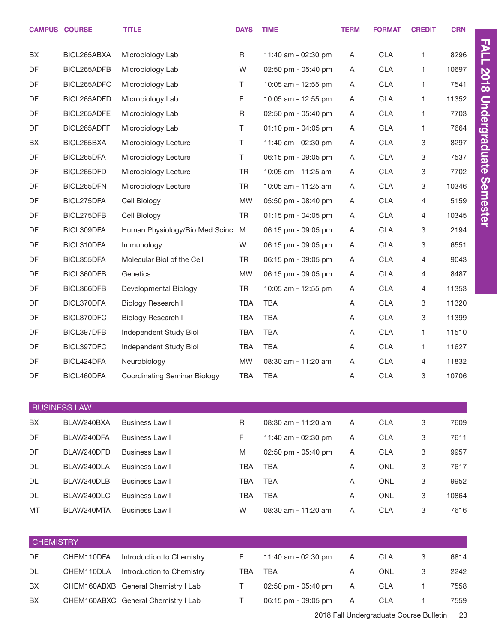|                  | <b>CAMPUS COURSE</b> | <b>TITLE</b>                        | <b>DAYS</b> | <b>TIME</b>         | <b>TERM</b> | <b>FORMAT</b> | <b>CREDIT</b> | <b>CRN</b> |
|------------------|----------------------|-------------------------------------|-------------|---------------------|-------------|---------------|---------------|------------|
| BX               | BIOL265ABXA          | Microbiology Lab                    | R           | 11:40 am - 02:30 pm | A           | <b>CLA</b>    | 1.            | 8296       |
| DF               | BIOL265ADFB          | Microbiology Lab                    | W           | 02:50 pm - 05:40 pm | A           | <b>CLA</b>    | 1.            | 10697      |
| DF               | BIOL265ADFC          | Microbiology Lab                    | T.          | 10:05 am - 12:55 pm | A           | <b>CLA</b>    | 1             | 7541       |
| DF               | BIOL265ADFD          | Microbiology Lab                    | F           | 10:05 am - 12:55 pm | A           | <b>CLA</b>    | 1.            | 11352      |
| DF               | BIOL265ADFE          | Microbiology Lab                    | R           | 02:50 pm - 05:40 pm | A           | <b>CLA</b>    | 1             | 7703       |
| DF               | BIOL265ADFF          | Microbiology Lab                    | T.          | 01:10 pm - 04:05 pm | A           | <b>CLA</b>    | 1.            | 7664       |
| BX               | BIOL265BXA           | Microbiology Lecture                | T.          | 11:40 am - 02:30 pm | A           | <b>CLA</b>    | 3             | 8297       |
| DF               | BIOL265DFA           | Microbiology Lecture                | T.          | 06:15 pm - 09:05 pm | A           | <b>CLA</b>    | 3             | 7537       |
| DF               | BIOL265DFD           | Microbiology Lecture                | <b>TR</b>   | 10:05 am - 11:25 am | A           | <b>CLA</b>    | 3             | 7702       |
| DF               | BIOL265DFN           | Microbiology Lecture                | <b>TR</b>   | 10:05 am - 11:25 am | A           | <b>CLA</b>    | 3             | 10346      |
| DF               | BIOL275DFA           | Cell Biology                        | <b>MW</b>   | 05:50 pm - 08:40 pm | A           | <b>CLA</b>    | 4             | 5159       |
| DF               | BIOL275DFB           | Cell Biology                        | <b>TR</b>   | 01:15 pm - 04:05 pm | A           | <b>CLA</b>    | 4             | 10345      |
| DF               | BIOL309DFA           | Human Physiology/Bio Med Scinc      | M           | 06:15 pm - 09:05 pm | A           | <b>CLA</b>    | 3             | 2194       |
| DF               | BIOL310DFA           | Immunology                          | W           | 06:15 pm - 09:05 pm | A           | <b>CLA</b>    | 3             | 6551       |
| DF               | BIOL355DFA           | Molecular Biol of the Cell          | <b>TR</b>   | 06:15 pm - 09:05 pm | A           | <b>CLA</b>    | 4             | 9043       |
| DF               | BIOL360DFB           | Genetics                            | <b>MW</b>   | 06:15 pm - 09:05 pm | A           | <b>CLA</b>    | 4             | 8487       |
| DF               | BIOL366DFB           | Developmental Biology               | TR          | 10:05 am - 12:55 pm | A           | <b>CLA</b>    | 4             | 11353      |
| DF               | BIOL370DFA           | Biology Research I                  | <b>TBA</b>  | <b>TBA</b>          | A           | <b>CLA</b>    | 3             | 11320      |
| DF               | BIOL370DFC           | Biology Research I                  | <b>TBA</b>  | <b>TBA</b>          | Α           | <b>CLA</b>    | 3             | 11399      |
| DF               | BIOL397DFB           | Independent Study Biol              | <b>TBA</b>  | <b>TBA</b>          | A           | <b>CLA</b>    | 1.            | 11510      |
| DF               | BIOL397DFC           | Independent Study Biol              | TBA         | <b>TBA</b>          | A           | <b>CLA</b>    | 1             | 11627      |
| DF               | BIOL424DFA           | Neurobiology                        | MW          | 08:30 am - 11:20 am | A           | <b>CLA</b>    | 4             | 11832      |
| DF               | BIOL460DFA           | <b>Coordinating Seminar Biology</b> | <b>TBA</b>  | <b>TBA</b>          | A           | <b>CLA</b>    | 3             | 10706      |
|                  | <b>BUSINESS LAW</b>  |                                     |             |                     |             |               |               |            |
| <b>BX</b>        | BLAW240BXA           | Business Law I                      | R           | 08:30 am - 11:20 am | A           | <b>CLA</b>    | 3             | 7609       |
| <b>DF</b>        | BLAW240DFA           | Business Law I                      | F.          | 11:40 am - 02:30 pm | A           | <b>CLA</b>    | 3             | 7611       |
| DF               | BLAW240DFD           | Business Law I                      | M           | 02:50 pm - 05:40 pm | A           | <b>CLA</b>    | 3             | 9957       |
| <b>DL</b>        | BLAW240DLA           | Business Law I                      | <b>TBA</b>  | <b>TBA</b>          | Α           | <b>ONL</b>    | 3             | 7617       |
| <b>DL</b>        | BLAW240DLB           | Business Law I                      | TBA         | <b>TBA</b>          | A           | <b>ONL</b>    | 3             | 9952       |
| <b>DL</b>        | BLAW240DLC           | Business Law I                      | <b>TBA</b>  | <b>TBA</b>          | A           | <b>ONL</b>    | 3             | 10864      |
| MT               | BLAW240MTA           | Business Law I                      | W           | 08:30 am - 11:20 am | A           | <b>CLA</b>    | 3             | 7616       |
|                  |                      |                                     |             |                     |             |               |               |            |
| <b>CHEMISTRY</b> |                      |                                     |             |                     |             |               |               |            |
| DF               | CHEM110DFA           | Introduction to Chemistry           | F           | 11:40 am - 02:30 pm | A           | <b>CLA</b>    | 3             | 6814       |
| DL.              | CHEM110DLA           | Introduction to Chemistry           | <b>TBA</b>  | <b>TBA</b>          | A           | ONL           | 3             | 2242       |
| BX               |                      | CHEM160ABXB General Chemistry I Lab | T.          | 02:50 pm - 05:40 pm | A           | <b>CLA</b>    | 1.            | 7558       |
| BX               |                      | CHEM160ABXC General Chemistry I Lab | T.          | 06:15 pm - 09:05 pm | A           | <b>CLA</b>    | 1             | 7559       |
|                  |                      |                                     |             |                     |             |               |               |            |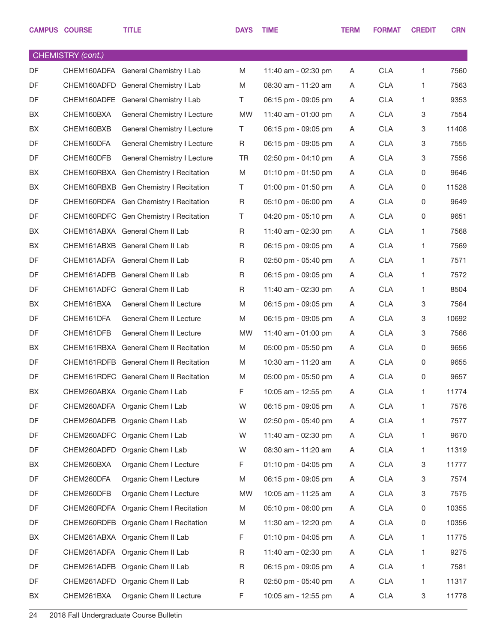|    | <b>CAMPUS COURSE</b> | <b>TITLE</b>                           | <b>DAYS</b> | <b>TIME</b>         | <b>TERM</b> | <b>FORMAT</b> | <b>CREDIT</b>             | <b>CRN</b> |
|----|----------------------|----------------------------------------|-------------|---------------------|-------------|---------------|---------------------------|------------|
|    | CHEMISTRY (cont.)    |                                        |             |                     |             |               |                           |            |
| DF |                      | CHEM160ADFA General Chemistry I Lab    | M           | 11:40 am - 02:30 pm | A           | <b>CLA</b>    | 1                         | 7560       |
| DF |                      | CHEM160ADFD General Chemistry I Lab    | M           | 08:30 am - 11:20 am | A           | <b>CLA</b>    | $\mathbf{1}$              | 7563       |
| DF |                      | CHEM160ADFE General Chemistry I Lab    | T.          | 06:15 pm - 09:05 pm | A           | <b>CLA</b>    | $\mathbf{1}$              | 9353       |
| BX | CHEM160BXA           | General Chemistry I Lecture            | <b>MW</b>   | 11:40 am - 01:00 pm | A           | <b>CLA</b>    | $\ensuremath{\mathsf{3}}$ | 7554       |
| BX | CHEM160BXB           | General Chemistry I Lecture            | T.          | 06:15 pm - 09:05 pm | A           | <b>CLA</b>    | 3                         | 11408      |
| DF | CHEM160DFA           | General Chemistry I Lecture            | R           | 06:15 pm - 09:05 pm | A           | <b>CLA</b>    | $\ensuremath{\mathsf{3}}$ | 7555       |
| DF | CHEM160DFB           | General Chemistry I Lecture            | <b>TR</b>   | 02:50 pm - 04:10 pm | A           | <b>CLA</b>    | 3                         | 7556       |
| BX |                      | CHEM160RBXA Gen Chemistry I Recitation | M           | 01:10 pm - 01:50 pm | A           | <b>CLA</b>    | 0                         | 9646       |
| BX |                      | CHEM160RBXB Gen Chemistry I Recitation | T.          | 01:00 pm - 01:50 pm | A           | <b>CLA</b>    | 0                         | 11528      |
| DF |                      | CHEM160RDFA Gen Chemistry I Recitation | R           | 05:10 pm - 06:00 pm | A           | <b>CLA</b>    | 0                         | 9649       |
| DF |                      | CHEM160RDFC Gen Chemistry I Recitation | T.          | 04:20 pm - 05:10 pm | A           | <b>CLA</b>    | 0                         | 9651       |
| BX |                      | CHEM161ABXA General Chem II Lab        | R           | 11:40 am - 02:30 pm | A           | <b>CLA</b>    | $\mathbf{1}$              | 7568       |
| BX |                      | CHEM161ABXB General Chem II Lab        | R           | 06:15 pm - 09:05 pm | A           | <b>CLA</b>    | $\mathbf{1}$              | 7569       |
| DF |                      | CHEM161ADFA General Chem II Lab        | R           | 02:50 pm - 05:40 pm | A           | <b>CLA</b>    | $\mathbf{1}$              | 7571       |
| DF |                      | CHEM161ADFB General Chem II Lab        | R           | 06:15 pm - 09:05 pm | A           | <b>CLA</b>    | $\mathbf{1}$              | 7572       |
| DF |                      | CHEM161ADFC General Chem II Lab        | R           | 11:40 am - 02:30 pm | A           | <b>CLA</b>    | $\mathbf{1}$              | 8504       |
| BX | CHEM161BXA           | General Chem II Lecture                | M           | 06:15 pm - 09:05 pm | A           | <b>CLA</b>    | 3                         | 7564       |
| DF | CHEM161DFA           | General Chem II Lecture                | M           | 06:15 pm - 09:05 pm | A           | <b>CLA</b>    | 3                         | 10692      |
| DF | CHEM161DFB           | General Chem II Lecture                | <b>MW</b>   | 11:40 am - 01:00 pm | A           | <b>CLA</b>    | 3                         | 7566       |
| BX |                      | CHEM161RBXA General Chem II Recitation | M           | 05:00 pm - 05:50 pm | A           | <b>CLA</b>    | 0                         | 9656       |
| DF |                      | CHEM161RDFB General Chem II Recitation | M           | 10:30 am - 11:20 am | A           | <b>CLA</b>    | 0                         | 9655       |
| DF |                      | CHEM161RDFC General Chem II Recitation | M           | 05:00 pm - 05:50 pm | A           | <b>CLA</b>    | 0                         | 9657       |
| BX |                      | CHEM260ABXA Organic Chem I Lab         | $\mathsf F$ | 10:05 am - 12:55 pm | A           | <b>CLA</b>    | $\mathbf{1}$              | 11774      |
| DF |                      | CHEM260ADFA Organic Chem I Lab         | W           | 06:15 pm - 09:05 pm | A           | <b>CLA</b>    | 1                         | 7576       |
| DF | CHEM260ADFB          | Organic Chem I Lab                     | W           | 02:50 pm - 05:40 pm | A           | <b>CLA</b>    | 1                         | 7577       |
| DF |                      | CHEM260ADFC Organic Chem I Lab         | W           | 11:40 am - 02:30 pm | A           | <b>CLA</b>    | 1                         | 9670       |
| DF |                      | CHEM260ADFD Organic Chem I Lab         | W           | 08:30 am - 11:20 am | A           | <b>CLA</b>    | 1                         | 11319      |
| BX | CHEM260BXA           | Organic Chem I Lecture                 | F           | 01:10 pm - 04:05 pm | A           | <b>CLA</b>    | 3                         | 11777      |
| DF | CHEM260DFA           | Organic Chem I Lecture                 | M           | 06:15 pm - 09:05 pm | A           | <b>CLA</b>    | 3                         | 7574       |
| DF | CHEM260DFB           | Organic Chem I Lecture                 | <b>MW</b>   | 10:05 am - 11:25 am | A           | <b>CLA</b>    | 3                         | 7575       |
| DF | CHEM260RDFA          | Organic Chem I Recitation              | M           | 05:10 pm - 06:00 pm | A           | <b>CLA</b>    | $\mathsf 0$               | 10355      |
| DF |                      | CHEM260RDFB Organic Chem I Recitation  | M           | 11:30 am - 12:20 pm | A           | <b>CLA</b>    | $\mathsf 0$               | 10356      |
| BX |                      | CHEM261ABXA Organic Chem II Lab        | F           | 01:10 pm - 04:05 pm | A           | <b>CLA</b>    | 1                         | 11775      |
| DF |                      | CHEM261ADFA Organic Chem II Lab        | R           | 11:40 am - 02:30 pm | A           | <b>CLA</b>    | 1                         | 9275       |
| DF | CHEM261ADFB          | Organic Chem II Lab                    | R           | 06:15 pm - 09:05 pm | A           | <b>CLA</b>    | 1                         | 7581       |
| DF |                      | CHEM261ADFD Organic Chem II Lab        | R           | 02:50 pm - 05:40 pm | A           | <b>CLA</b>    | 1                         | 11317      |
| BX | CHEM261BXA           | Organic Chem II Lecture                | F           | 10:05 am - 12:55 pm | A           | <b>CLA</b>    | $\mathbf 3$               | 11778      |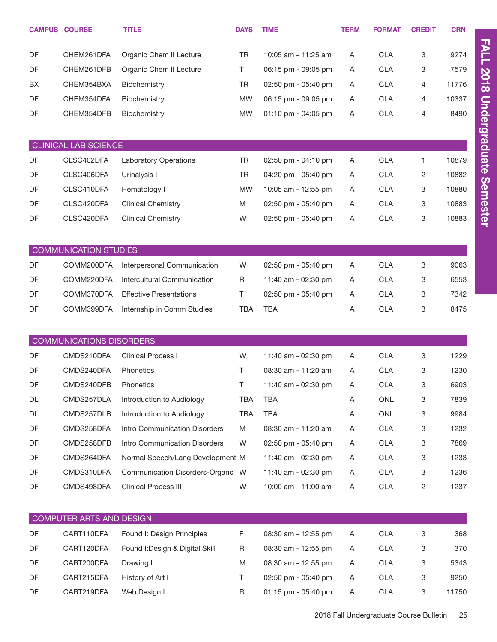| <b>CAMPUS COURSE</b> |                                 | <b>TITLE</b>                     | <b>DAYS</b> | <b>TIME</b>         | <b>TERM</b> | <b>FORMAT</b> | <b>CREDIT</b> | <b>CRN</b> |
|----------------------|---------------------------------|----------------------------------|-------------|---------------------|-------------|---------------|---------------|------------|
| DF                   | CHEM261DFA                      | Organic Chem II Lecture          | <b>TR</b>   | 10:05 am - 11:25 am | Α           | <b>CLA</b>    | 3             | 9274       |
| DF                   | CHEM261DFB                      | Organic Chem II Lecture          | T.          | 06:15 pm - 09:05 pm | Α           | <b>CLA</b>    | 3             | 7579       |
| BX                   | CHEM354BXA                      | Biochemistry                     | <b>TR</b>   | 02:50 pm - 05:40 pm | A           | <b>CLA</b>    | 4             | 11776      |
| DF                   | CHEM354DFA                      | Biochemistry                     | <b>MW</b>   | 06:15 pm - 09:05 pm | A           | <b>CLA</b>    | 4             | 10337      |
| DF                   | CHEM354DFB                      | Biochemistry                     | <b>MW</b>   | 01:10 pm - 04:05 pm | A           | <b>CLA</b>    | 4             | 8490       |
|                      | <b>CLINICAL LAB SCIENCE</b>     |                                  |             |                     |             |               |               |            |
| DF                   | CLSC402DFA                      | <b>Laboratory Operations</b>     | <b>TR</b>   | 02:50 pm - 04:10 pm | Α           | <b>CLA</b>    | 1             | 10879      |
| DF                   | CLSC406DFA                      | Urinalysis I                     | TR          | 04:20 pm - 05:40 pm | Α           | <b>CLA</b>    | 2             | 10882      |
| DF                   | CLSC410DFA                      | Hematology I                     | <b>MW</b>   | 10:05 am - 12:55 pm | Α           | <b>CLA</b>    | 3             | 10880      |
| DF                   | CLSC420DFA                      | <b>Clinical Chemistry</b>        | M           | 02:50 pm - 05:40 pm | Α           | <b>CLA</b>    | 3             | 10883      |
| DF                   | CLSC420DFA                      | <b>Clinical Chemistry</b>        | W           | 02:50 pm - 05:40 pm | Α           | <b>CLA</b>    | 3             | 10883      |
|                      |                                 |                                  |             |                     |             |               |               |            |
|                      | <b>COMMUNICATION STUDIES</b>    |                                  |             |                     |             |               |               |            |
| DF                   | COMM200DFA                      | Interpersonal Communication      | W           | 02:50 pm - 05:40 pm | A           | <b>CLA</b>    | 3             | 9063       |
| DF                   | COMM220DFA                      | Intercultural Communication      | R           | 11:40 am - 02:30 pm | A           | <b>CLA</b>    | 3             | 6553       |
| DF                   | COMM370DFA                      | <b>Effective Presentations</b>   | Τ           | 02:50 pm - 05:40 pm | A           | <b>CLA</b>    | 3             | 7342       |
| DF                   | COMM399DFA                      | Internship in Comm Studies       | <b>TBA</b>  | <b>TBA</b>          | Α           | <b>CLA</b>    | 3             | 8475       |
|                      |                                 |                                  |             |                     |             |               |               |            |
|                      | <b>COMMUNICATIONS DISORDERS</b> |                                  |             |                     |             |               |               |            |
| DF                   | CMDS210DFA                      | <b>Clinical Process I</b>        | W           | 11:40 am - 02:30 pm | Α           | <b>CLA</b>    | 3             | 1229       |
| DF                   | CMDS240DFA                      | Phonetics                        | Τ           | 08:30 am - 11:20 am | Α           | <b>CLA</b>    | 3             | 1230       |
| DF                   | CMDS240DFB                      | Phonetics                        | Τ           | 11:40 am - 02:30 pm | Α           | <b>CLA</b>    | 3             | 6903       |
| DL                   | CMDS257DLA                      | Introduction to Audiology        | <b>TBA</b>  | <b>TBA</b>          | A           | <b>ONL</b>    | 3             | 7839       |
| DL                   | CMDS257DLB                      | Introduction to Audiology        | TBA         | <b>TBA</b>          | A           | ONL           | 3             | 9984       |
| DF                   | CMDS258DFA                      | Intro Communication Disorders    | M           | 08:30 am - 11:20 am | A           | <b>CLA</b>    | 3             | 1232       |
| DF                   | CMDS258DFB                      | Intro Communication Disorders    | W           | 02:50 pm - 05:40 pm | A           | <b>CLA</b>    | 3             | 7869       |
| DF                   | CMDS264DFA                      | Normal Speech/Lang Development M |             | 11:40 am - 02:30 pm | A           | <b>CLA</b>    | 3             | 1233       |
| DF                   | CMDS310DFA                      | Communication Disorders-Organc W |             | 11:40 am - 02:30 pm | A           | <b>CLA</b>    | 3             | 1236       |
| DF                   | CMDS498DFA                      | Clinical Process III             | W           | 10:00 am - 11:00 am | Α           | <b>CLA</b>    | 2             | 1237       |
|                      | COMPUTER ARTS AND DESIGN        |                                  |             |                     |             |               |               |            |
| DF                   | CART110DFA                      | Found I: Design Principles       | F           | 08:30 am - 12:55 pm | Α           | <b>CLA</b>    | 3             | 368        |
| DF                   | CART120DFA                      | Found I: Design & Digital Skill  | R           | 08:30 am - 12:55 pm | A           | <b>CLA</b>    | 3             | 370        |
| DF                   | CART200DFA                      | Drawing I                        | M           | 08:30 am - 12:55 pm | A           | <b>CLA</b>    | 3             | 5343       |
| DF                   | CART215DFA                      | History of Art I                 | Τ           | 02:50 pm - 05:40 pm | A           | <b>CLA</b>    | 3             | 9250       |
| DF                   | CART219DFA                      | Web Design I                     | R           | 01:15 pm - 05:40 pm | A           | <b>CLA</b>    | 3             | 11750      |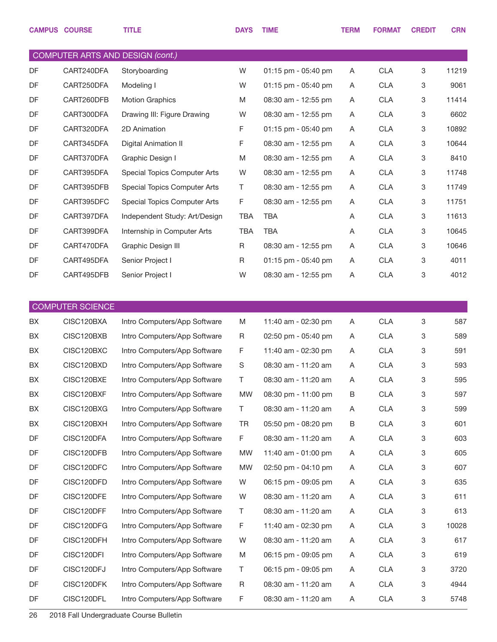|    | <b>CAMPUS COURSE</b>    | <b>TITLE</b>                     | <b>DAYS</b> | <b>TIME</b>         | <b>TERM</b> | <b>FORMAT</b> | <b>CREDIT</b> | <b>CRN</b> |
|----|-------------------------|----------------------------------|-------------|---------------------|-------------|---------------|---------------|------------|
|    |                         | COMPUTER ARTS AND DESIGN (cont.) |             |                     |             |               |               |            |
| DF | CART240DFA              | Storyboarding                    | W           | 01:15 pm - 05:40 pm | Α           | <b>CLA</b>    | 3             | 11219      |
| DF | CART250DFA              | Modeling I                       | W           | 01:15 pm - 05:40 pm | A           | <b>CLA</b>    | 3             | 9061       |
| DF | CART260DFB              | <b>Motion Graphics</b>           | M           | 08:30 am - 12:55 pm | A           | <b>CLA</b>    | 3             | 11414      |
| DF | CART300DFA              | Drawing III: Figure Drawing      | W           | 08:30 am - 12:55 pm | A           | <b>CLA</b>    | 3             | 6602       |
| DF | CART320DFA              | 2D Animation                     | F           | 01:15 pm - 05:40 pm | A           | <b>CLA</b>    | 3             | 10892      |
| DF | CART345DFA              | <b>Digital Animation II</b>      | F           | 08:30 am - 12:55 pm | A           | <b>CLA</b>    | 3             | 10644      |
| DF | CART370DFA              | Graphic Design I                 | M           | 08:30 am - 12:55 pm | A           | <b>CLA</b>    | 3             | 8410       |
| DF | CART395DFA              | Special Topics Computer Arts     | W           | 08:30 am - 12:55 pm | A           | <b>CLA</b>    | 3             | 11748      |
| DF | CART395DFB              | Special Topics Computer Arts     | Τ           | 08:30 am - 12:55 pm | A           | <b>CLA</b>    | 3             | 11749      |
| DF | CART395DFC              | Special Topics Computer Arts     | F           | 08:30 am - 12:55 pm | A           | <b>CLA</b>    | 3             | 11751      |
| DF | CART397DFA              | Independent Study: Art/Design    | <b>TBA</b>  | <b>TBA</b>          | A           | <b>CLA</b>    | 3             | 11613      |
| DF | CART399DFA              | Internship in Computer Arts      | <b>TBA</b>  | <b>TBA</b>          | A           | <b>CLA</b>    | 3             | 10645      |
| DF | CART470DFA              | Graphic Design III               | R           | 08:30 am - 12:55 pm | A           | <b>CLA</b>    | 3             | 10646      |
| DF | CART495DFA              | Senior Project I                 | R           | 01:15 pm - 05:40 pm | A           | <b>CLA</b>    | 3             | 4011       |
| DF | CART495DFB              | Senior Project I                 | W           | 08:30 am - 12:55 pm | A           | <b>CLA</b>    | 3             | 4012       |
|    |                         |                                  |             |                     |             |               |               |            |
|    | <b>COMPUTER SCIENCE</b> |                                  |             |                     |             |               |               |            |
| BX | CISC120BXA              | Intro Computers/App Software     | M           | 11:40 am - 02:30 pm | A           | <b>CLA</b>    | 3             | 587        |
| BX | CISC120BXB              | Intro Computers/App Software     | R           | 02:50 pm - 05:40 pm | A           | <b>CLA</b>    | 3             | 589        |
| BX | CISC120BXC              | Intro Computers/App Software     | F           | 11:40 am - 02:30 pm | A           | <b>CLA</b>    | 3             | 591        |
| BX | CISC120BXD              | Intro Computers/App Software     | S           | 08:30 am - 11:20 am | A           | <b>CLA</b>    | 3             | 593        |
| BX | CISC120BXE              | Intro Computers/App Software     | $\top$      | 08:30 am - 11:20 am | A           | <b>CLA</b>    | 3             | 595        |
| BX | CISC120BXF              | Intro Computers/App Software     | <b>MW</b>   | 08:30 pm - 11:00 pm | В           | <b>CLA</b>    | 3             | 597        |
| BX | CISC120BXG              | Intro Computers/App Software     | Τ           | 08:30 am - 11:20 am | Α           | <b>CLA</b>    | 3             | 599        |
| BX | CISC120BXH              | Intro Computers/App Software     | TR          | 05:50 pm - 08:20 pm | B           | <b>CLA</b>    | 3             | 601        |
| DF | CISC120DFA              | Intro Computers/App Software     | F           | 08:30 am - 11:20 am | Α           | <b>CLA</b>    | 3             | 603        |
| DF | CISC120DFB              | Intro Computers/App Software     | <b>MW</b>   | 11:40 am - 01:00 pm | Α           | <b>CLA</b>    | 3             | 605        |
| DF | CISC120DFC              | Intro Computers/App Software     | <b>MW</b>   | 02:50 pm - 04:10 pm | Α           | <b>CLA</b>    | 3             | 607        |
| DF | CISC120DFD              | Intro Computers/App Software     | W           | 06:15 pm - 09:05 pm | Α           | <b>CLA</b>    | 3             | 635        |
| DF | CISC120DFE              | Intro Computers/App Software     | W           | 08:30 am - 11:20 am | Α           | <b>CLA</b>    | 3             | 611        |
| DF | CISC120DFF              | Intro Computers/App Software     | Τ           | 08:30 am - 11:20 am | Α           | <b>CLA</b>    | 3             | 613        |
| DF | CISC120DFG              | Intro Computers/App Software     | F           | 11:40 am - 02:30 pm | Α           | <b>CLA</b>    | 3             | 10028      |
| DF | CISC120DFH              | Intro Computers/App Software     | W           | 08:30 am - 11:20 am | Α           | <b>CLA</b>    | 3             | 617        |
| DF | CISC120DFI              | Intro Computers/App Software     | M           | 06:15 pm - 09:05 pm | Α           | <b>CLA</b>    | 3             | 619        |
| DF | CISC120DFJ              | Intro Computers/App Software     | Τ           | 06:15 pm - 09:05 pm | Α           | <b>CLA</b>    | 3             | 3720       |
| DF | CISC120DFK              | Intro Computers/App Software     | R           | 08:30 am - 11:20 am | Α           | <b>CLA</b>    | 3             | 4944       |
| DF | CISC120DFL              | Intro Computers/App Software     | F           | 08:30 am - 11:20 am | A           | <b>CLA</b>    | 3             | 5748       |
|    |                         |                                  |             |                     |             |               |               |            |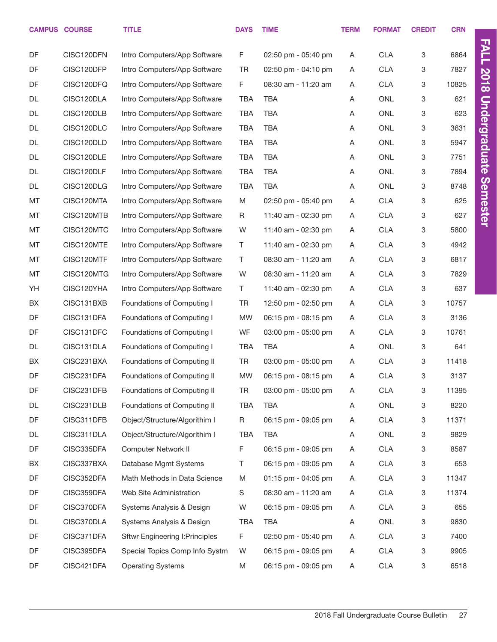|           | <b>CAMPUS COURSE</b> | <b>TITLE</b>                           | <b>DAYS</b> | <b>TIME</b>         | <b>TERM</b> | <b>FORMAT</b> | <b>CREDIT</b> | <b>CRN</b> |                      |
|-----------|----------------------|----------------------------------------|-------------|---------------------|-------------|---------------|---------------|------------|----------------------|
| DF        | CISC120DFN           | Intro Computers/App Software           | F           | 02:50 pm - 05:40 pm | Α           | <b>CLA</b>    | 3             | 6864       | <b>FALL</b>          |
| DF        | CISC120DFP           | Intro Computers/App Software           | <b>TR</b>   | 02:50 pm - 04:10 pm | Α           | <b>CLA</b>    | 3             | 7827       |                      |
| DF        | CISC120DFQ           | Intro Computers/App Software           | F           | 08:30 am - 11:20 am | Α           | <b>CLA</b>    | 3             | 10825      | <b>2018</b>          |
| DL        | CISC120DLA           | Intro Computers/App Software           | <b>TBA</b>  | <b>TBA</b>          | Α           | <b>ONL</b>    | 3             | 621        |                      |
| <b>DL</b> | CISC120DLB           | Intro Computers/App Software           | <b>TBA</b>  | <b>TBA</b>          | Α           | <b>ONL</b>    | 3             | 623        |                      |
| DL        | CISC120DLC           | Intro Computers/App Software           | <b>TBA</b>  | <b>TBA</b>          | Α           | <b>ONL</b>    | 3             | 3631       |                      |
| <b>DL</b> | CISC120DLD           | Intro Computers/App Software           | <b>TBA</b>  | <b>TBA</b>          | Α           | <b>ONL</b>    | 3             | 5947       |                      |
| DL        | CISC120DLE           | Intro Computers/App Software           | <b>TBA</b>  | <b>TBA</b>          | Α           | <b>ONL</b>    | 3             | 7751       | <b>Undergraduate</b> |
| DL        | CISC120DLF           | Intro Computers/App Software           | <b>TBA</b>  | <b>TBA</b>          | Α           | <b>ONL</b>    | 3             | 7894       |                      |
| DL        | CISC120DLG           | Intro Computers/App Software           | <b>TBA</b>  | <b>TBA</b>          | Α           | <b>ONL</b>    | 3             | 8748       | Semester             |
| MT        | CISC120MTA           | Intro Computers/App Software           | M           | 02:50 pm - 05:40 pm | Α           | <b>CLA</b>    | 3             | 625        |                      |
| MT        | CISC120MTB           | Intro Computers/App Software           | R           | 11:40 am - 02:30 pm | Α           | <b>CLA</b>    | 3             | 627        |                      |
| MT        | CISC120MTC           | Intro Computers/App Software           | W           | 11:40 am - 02:30 pm | Α           | <b>CLA</b>    | 3             | 5800       |                      |
| MT        | CISC120MTE           | Intro Computers/App Software           | T.          | 11:40 am - 02:30 pm | Α           | <b>CLA</b>    | 3             | 4942       |                      |
| MT        | CISC120MTF           | Intro Computers/App Software           | Τ           | 08:30 am - 11:20 am | Α           | <b>CLA</b>    | 3             | 6817       |                      |
| MT        | CISC120MTG           | Intro Computers/App Software           | W           | 08:30 am - 11:20 am | Α           | <b>CLA</b>    | 3             | 7829       |                      |
| YH        | CISC120YHA           | Intro Computers/App Software           | T.          | 11:40 am - 02:30 pm | Α           | <b>CLA</b>    | 3             | 637        |                      |
| BX        | CISC131BXB           | Foundations of Computing I             | <b>TR</b>   | 12:50 pm - 02:50 pm | Α           | <b>CLA</b>    | 3             | 10757      |                      |
| DF        | CISC131DFA           | Foundations of Computing I             | <b>MW</b>   | 06:15 pm - 08:15 pm | Α           | <b>CLA</b>    | 3             | 3136       |                      |
| DF        | CISC131DFC           | Foundations of Computing I             | WF          | 03:00 pm - 05:00 pm | Α           | <b>CLA</b>    | 3             | 10761      |                      |
| <b>DL</b> | CISC131DLA           | Foundations of Computing I             | <b>TBA</b>  | <b>TBA</b>          | Α           | <b>ONL</b>    | 3             | 641        |                      |
| BX        | CISC231BXA           | Foundations of Computing II            | TR          | 03:00 pm - 05:00 pm | Α           | <b>CLA</b>    | 3             | 11418      |                      |
| DF        | CISC231DFA           | Foundations of Computing II            | <b>MW</b>   | 06:15 pm - 08:15 pm | Α           | <b>CLA</b>    | 3             | 3137       |                      |
| DF        | CISC231DFB           | Foundations of Computing II            | TR          | 03:00 pm - 05:00 pm | Α           | <b>CLA</b>    | 3             | 11395      |                      |
| DL        | CISC231DLB           | Foundations of Computing II            | <b>TBA</b>  | <b>TBA</b>          | Α           | ONL           | 3             | 8220       |                      |
| DF        | CISC311DFB           | Object/Structure/Algorithim I          | R           | 06:15 pm - 09:05 pm | Α           | <b>CLA</b>    | 3             | 11371      |                      |
| DL        | CISC311DLA           | Object/Structure/Algorithim I          | <b>TBA</b>  | <b>TBA</b>          | Α           | ONL           | 3             | 9829       |                      |
| DF        | CISC335DFA           | Computer Network II                    | F.          | 06:15 pm - 09:05 pm | Α           | <b>CLA</b>    | 3             | 8587       |                      |
| BX        | CISC337BXA           | Database Mgmt Systems                  | Τ           | 06:15 pm - 09:05 pm | Α           | <b>CLA</b>    | 3             | 653        |                      |
| DF        | CISC352DFA           | Math Methods in Data Science           | M           | 01:15 pm - 04:05 pm | Α           | <b>CLA</b>    | 3             | 11347      |                      |
| DF        | CISC359DFA           | Web Site Administration                | S           | 08:30 am - 11:20 am | Α           | <b>CLA</b>    | 3             | 11374      |                      |
| DF        | CISC370DFA           | Systems Analysis & Design              | W           | 06:15 pm - 09:05 pm | A           | <b>CLA</b>    | 3             | 655        |                      |
| DL        | CISC370DLA           | Systems Analysis & Design              | <b>TBA</b>  | TBA                 | Α           | ONL           | 3             | 9830       |                      |
| DF        | CISC371DFA           | <b>Sftwr Engineering I: Principles</b> | F           | 02:50 pm - 05:40 pm | Α           | <b>CLA</b>    | 3             | 7400       |                      |
| DF        | CISC395DFA           | Special Topics Comp Info Systm         | W           | 06:15 pm - 09:05 pm | Α           | <b>CLA</b>    | 3             | 9905       |                      |
| DF        | CISC421DFA           | <b>Operating Systems</b>               | M           | 06:15 pm - 09:05 pm | Α           | <b>CLA</b>    | 3             | 6518       |                      |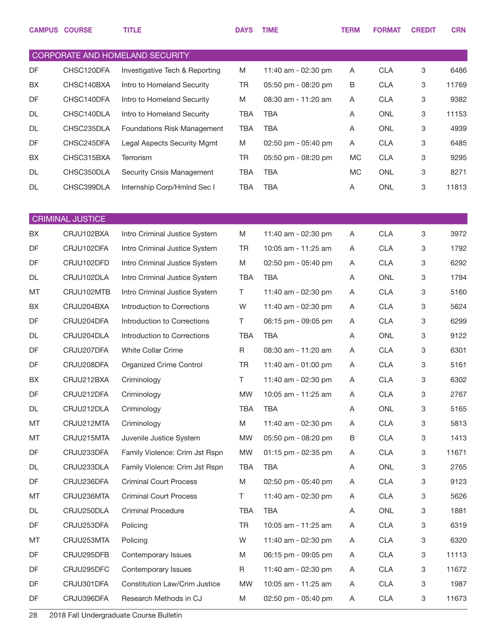|    | <b>CAMPUS COURSE</b>    | <b>TITLE</b>                       | <b>DAYS</b> | <b>TIME</b>         | <b>TERM</b> | <b>FORMAT</b> | <b>CREDIT</b> | <b>CRN</b> |
|----|-------------------------|------------------------------------|-------------|---------------------|-------------|---------------|---------------|------------|
|    |                         | CORPORATE AND HOMELAND SECURITY    |             |                     |             |               |               |            |
| DF | CHSC120DFA              | Investigative Tech & Reporting     | M           | 11:40 am - 02:30 pm | A           | <b>CLA</b>    | 3             | 6486       |
| BX | CHSC140BXA              | Intro to Homeland Security         | TR          | 05:50 pm - 08:20 pm | B           | <b>CLA</b>    | 3             | 11769      |
| DF | CHSC140DFA              | Intro to Homeland Security         | M           | 08:30 am - 11:20 am | A           | <b>CLA</b>    | 3             | 9382       |
| DL | CHSC140DLA              | Intro to Homeland Security         | <b>TBA</b>  | <b>TBA</b>          | Α           | <b>ONL</b>    | 3             | 11153      |
| DL | CHSC235DLA              | <b>Foundations Risk Management</b> | <b>TBA</b>  | <b>TBA</b>          | Α           | <b>ONL</b>    | 3             | 4939       |
| DF | CHSC245DFA              | Legal Aspects Security Mgmt        | M           | 02:50 pm - 05:40 pm | A           | <b>CLA</b>    | 3             | 6485       |
| BX | CHSC315BXA              | Terrorism                          | <b>TR</b>   | 05:50 pm - 08:20 pm | <b>MC</b>   | <b>CLA</b>    | 3             | 9295       |
| DL | CHSC350DLA              | Security Crisis Management         | <b>TBA</b>  | <b>TBA</b>          | MC          | <b>ONL</b>    | 3             | 8271       |
| DL | CHSC399DLA              | Internship Corp/Hmlnd Sec I        | <b>TBA</b>  | <b>TBA</b>          | Α           | <b>ONL</b>    | 3             | 11813      |
|    | <b>CRIMINAL JUSTICE</b> |                                    |             |                     |             |               |               |            |
| BX | CRJU102BXA              | Intro Criminal Justice System      | M           | 11:40 am - 02:30 pm | A           | <b>CLA</b>    | 3             | 3972       |
| DF | CRJU102DFA              | Intro Criminal Justice System      | TR          | 10:05 am - 11:25 am | A           | <b>CLA</b>    | 3             | 1792       |
| DF | CRJU102DFD              | Intro Criminal Justice System      | M           | 02:50 pm - 05:40 pm | Α           | <b>CLA</b>    | 3             | 6292       |
| DL | CRJU102DLA              | Intro Criminal Justice System      | <b>TBA</b>  | <b>TBA</b>          | Α           | <b>ONL</b>    | 3             | 1794       |
| MT | CRJU102MTB              | Intro Criminal Justice System      | Τ           | 11:40 am - 02:30 pm | Α           | <b>CLA</b>    | 3             | 5160       |
| BX | CRJU204BXA              | Introduction to Corrections        | W           | 11:40 am - 02:30 pm | Α           | <b>CLA</b>    | 3             | 5624       |
| DF | CRJU204DFA              | Introduction to Corrections        | Τ           | 06:15 pm - 09:05 pm | A           | <b>CLA</b>    | 3             | 6299       |
| DL | CRJU204DLA              | Introduction to Corrections        | <b>TBA</b>  | <b>TBA</b>          | Α           | <b>ONL</b>    | 3             | 9122       |
| DF | CRJU207DFA              | <b>White Collar Crime</b>          | R           | 08:30 am - 11:20 am | Α           | <b>CLA</b>    | 3             | 6301       |
| DF | CRJU208DFA              | Organized Crime Control            | TR          | 11:40 am - 01:00 pm | A           | <b>CLA</b>    | 3             | 5161       |
| BX | CRJU212BXA              | Criminology                        | Τ           | 11:40 am - 02:30 pm | Α           | <b>CLA</b>    | 3             | 6302       |
| DF | CRJU212DFA              | Criminology                        | <b>MW</b>   | 10:05 am - 11:25 am | Α           | <b>CLA</b>    | 3             | 2767       |
| DL | CRJU212DLA              | Criminology                        | TBA         | TBA                 | A           | ONL           | 3             | 5165       |
| MT | CRJU212MTA              | Criminology                        | M           | 11:40 am - 02:30 pm | A           | <b>CLA</b>    | 3             | 5813       |
| MT | CRJU215MTA              | Juvenile Justice System            | MW          | 05:50 pm - 08:20 pm | B           | <b>CLA</b>    | 3             | 1413       |
| DF | CRJU233DFA              | Family Violence: Crim Jst Rspn     | MW          | 01:15 pm - 02:35 pm | A           | <b>CLA</b>    | 3             | 11671      |
| DL | CRJU233DLA              | Family Violence: Crim Jst Rspn     | TBA         | TBA                 | A           | ONL           | 3             | 2765       |
| DF | CRJU236DFA              | <b>Criminal Court Process</b>      | M           | 02:50 pm - 05:40 pm | A           | <b>CLA</b>    | 3             | 9123       |
| MT | CRJU236MTA              | <b>Criminal Court Process</b>      | T           | 11:40 am - 02:30 pm | A           | <b>CLA</b>    | 3             | 5626       |
| DL | CRJU250DLA              | <b>Criminal Procedure</b>          | TBA         | <b>TBA</b>          | A           | ONL           | 3             | 1881       |
| DF | CRJU253DFA              | Policing                           | <b>TR</b>   | 10:05 am - 11:25 am | Α           | <b>CLA</b>    | 3             | 6319       |
| MT | CRJU253MTA              | Policing                           | W           | 11:40 am - 02:30 pm | A           | <b>CLA</b>    | 3             | 6320       |
| DF | CRJU295DFB              | Contemporary Issues                | M           | 06:15 pm - 09:05 pm | A           | <b>CLA</b>    | 3             | 11113      |
| DF | CRJU295DFC              | Contemporary Issues                | R           | 11:40 am - 02:30 pm | A           | <b>CLA</b>    | 3             | 11672      |
| DF | CRJU301DFA              | Constitution Law/Crim Justice      | MW          | 10:05 am - 11:25 am | Α           | <b>CLA</b>    | 3             | 1987       |
| DF | CRJU396DFA              | Research Methods in CJ             | M           | 02:50 pm - 05:40 pm | A           | <b>CLA</b>    | 3             | 11673      |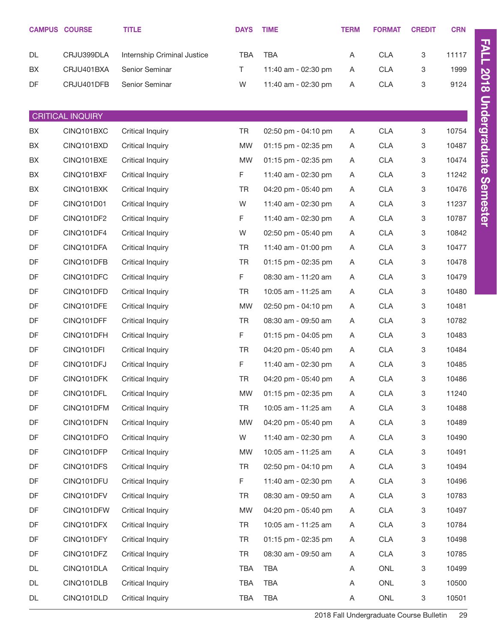|    | <b>CAMPUS COURSE</b>    | <b>TITLE</b>                | <b>DAYS</b> | <b>TIME</b>         | <b>TERM</b> | <b>FORMAT</b> | <b>CREDIT</b> | <b>CRN</b> |
|----|-------------------------|-----------------------------|-------------|---------------------|-------------|---------------|---------------|------------|
| DL | CRJU399DLA              | Internship Criminal Justice | <b>TBA</b>  | <b>TBA</b>          | Α           | <b>CLA</b>    | 3             | 11117      |
| BX | CRJU401BXA              | Senior Seminar              | T.          | 11:40 am - 02:30 pm | A           | <b>CLA</b>    | 3             | 1999       |
| DF | CRJU401DFB              | Senior Seminar              | W           | 11:40 am - 02:30 pm | Α           | CLA           | 3             | 9124       |
|    |                         |                             |             |                     |             |               |               |            |
|    | <b>CRITICAL INQUIRY</b> |                             |             |                     |             |               |               |            |
| BX | CINQ101BXC              | Critical Inquiry            | TR          | 02:50 pm - 04:10 pm | Α           | <b>CLA</b>    | 3             | 10754      |
| BX | CINQ101BXD              | Critical Inquiry            | <b>MW</b>   | 01:15 pm - 02:35 pm | A           | <b>CLA</b>    | 3             | 10487      |
| BX | CINQ101BXE              | <b>Critical Inquiry</b>     | <b>MW</b>   | 01:15 pm - 02:35 pm | Α           | <b>CLA</b>    | 3             | 10474      |
| BX | CINQ101BXF              | Critical Inquiry            | F           | 11:40 am - 02:30 pm | Α           | <b>CLA</b>    | 3             | 11242      |
| BX | CINQ101BXK              | Critical Inquiry            | <b>TR</b>   | 04:20 pm - 05:40 pm | Α           | <b>CLA</b>    | 3             | 10476      |
| DF | CINQ101D01              | Critical Inquiry            | W           | 11:40 am - 02:30 pm | Α           | <b>CLA</b>    | 3             | 11237      |
| DF | CINQ101DF2              | Critical Inquiry            | F           | 11:40 am - 02:30 pm | Α           | <b>CLA</b>    | 3             | 10787      |
| DF | CINQ101DF4              | Critical Inquiry            | W           | 02:50 pm - 05:40 pm | Α           | <b>CLA</b>    | 3             | 10842      |
| DF | CINQ101DFA              | <b>Critical Inquiry</b>     | <b>TR</b>   | 11:40 am - 01:00 pm | Α           | <b>CLA</b>    | 3             | 10477      |
| DF | CINQ101DFB              | Critical Inquiry            | <b>TR</b>   | 01:15 pm - 02:35 pm | Α           | <b>CLA</b>    | 3             | 10478      |
| DF | CINQ101DFC              | <b>Critical Inquiry</b>     | F.          | 08:30 am - 11:20 am | Α           | <b>CLA</b>    | 3             | 10479      |
| DF | CINQ101DFD              | Critical Inquiry            | TR          | 10:05 am - 11:25 am | A           | <b>CLA</b>    | 3             | 10480      |
| DF | CINQ101DFE              | Critical Inquiry            | <b>MW</b>   | 02:50 pm - 04:10 pm | Α           | <b>CLA</b>    | 3             | 10481      |
| DF | CINQ101DFF              | Critical Inquiry            | <b>TR</b>   | 08:30 am - 09:50 am | Α           | <b>CLA</b>    | 3             | 10782      |
| DF | CINQ101DFH              | <b>Critical Inquiry</b>     | F.          | 01:15 pm - 04:05 pm | Α           | <b>CLA</b>    | 3             | 10483      |
| DF | CINQ101DFI              | Critical Inquiry            | <b>TR</b>   | 04:20 pm - 05:40 pm | Α           | <b>CLA</b>    | 3             | 10484      |
| DF | CINQ101DFJ              | Critical Inquiry            | F           | 11:40 am - 02:30 pm | Α           | <b>CLA</b>    | 3             | 10485      |
| DF | CINQ101DFK              | <b>Critical Inquiry</b>     | <b>TR</b>   | 04:20 pm - 05:40 pm | Α           | <b>CLA</b>    | 3             | 10486      |
| DF | CINQ101DFL              | <b>Critical Inquiry</b>     | <b>MW</b>   | 01:15 pm - 02:35 pm | A           | <b>CLA</b>    | 3             | 11240      |
| DF | CINQ101DFM              | <b>Critical Inquiry</b>     | TR          | 10:05 am - 11:25 am | Α           | <b>CLA</b>    | 3             | 10488      |
| DF | CINQ101DFN              | <b>Critical Inquiry</b>     | <b>MW</b>   | 04:20 pm - 05:40 pm | A           | <b>CLA</b>    | 3             | 10489      |
| DF | CINQ101DFO              | <b>Critical Inquiry</b>     | W           | 11:40 am - 02:30 pm | Α           | <b>CLA</b>    | 3             | 10490      |
| DF | CINQ101DFP              | <b>Critical Inquiry</b>     | <b>MW</b>   | 10:05 am - 11:25 am | A           | <b>CLA</b>    | 3             | 10491      |
| DF | CINQ101DFS              | <b>Critical Inquiry</b>     | TR          | 02:50 pm - 04:10 pm | Α           | <b>CLA</b>    | 3             | 10494      |
| DF | CINQ101DFU              | <b>Critical Inquiry</b>     | F.          | 11:40 am - 02:30 pm | A           | <b>CLA</b>    | 3             | 10496      |
| DF | CINQ101DFV              | <b>Critical Inquiry</b>     | TR          | 08:30 am - 09:50 am | Α           | <b>CLA</b>    | 3             | 10783      |
| DF | CINQ101DFW              | <b>Critical Inquiry</b>     | <b>MW</b>   | 04:20 pm - 05:40 pm | A           | <b>CLA</b>    | 3             | 10497      |
| DF | CINQ101DFX              | <b>Critical Inquiry</b>     | TR          | 10:05 am - 11:25 am | Α           | <b>CLA</b>    | 3             | 10784      |
| DF | CINQ101DFY              | <b>Critical Inquiry</b>     | TR          | 01:15 pm - 02:35 pm | A           | <b>CLA</b>    | 3             | 10498      |
| DF | CINQ101DFZ              | <b>Critical Inquiry</b>     | TR          | 08:30 am - 09:50 am | Α           | <b>CLA</b>    | 3             | 10785      |
| DL | CINQ101DLA              | <b>Critical Inquiry</b>     | <b>TBA</b>  | <b>TBA</b>          | A           | ONL           | 3             | 10499      |
| DL | CINQ101DLB              | <b>Critical Inquiry</b>     | TBA         | <b>TBA</b>          | Α           | ONL           | 3             | 10500      |
| DL | CINQ101DLD              | Critical Inquiry            | <b>TBA</b>  | TBA                 | Α           | ONL           | 3             | 10501      |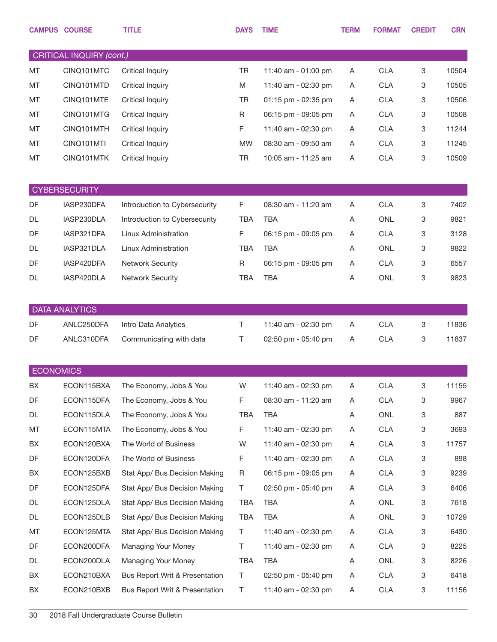|                  | <b>CAMPUS COURSE</b>     | <b>TITLE</b>                   | <b>DAYS</b> | <b>TIME</b>         | <b>TERM</b> | <b>FORMAT</b> | <b>CREDIT</b> | <b>CRN</b> |
|------------------|--------------------------|--------------------------------|-------------|---------------------|-------------|---------------|---------------|------------|
|                  | CRITICAL INQUIRY (cont.) |                                |             |                     |             |               |               |            |
| MT               | CINQ101MTC               | <b>Critical Inquiry</b>        | <b>TR</b>   | 11:40 am - 01:00 pm | Α           | <b>CLA</b>    | 3             | 10504      |
| MT               | CINQ101MTD               | <b>Critical Inquiry</b>        | M           | 11:40 am - 02:30 pm | A           | <b>CLA</b>    | 3             | 10505      |
| MT               | CINQ101MTE               | <b>Critical Inquiry</b>        | <b>TR</b>   | 01:15 pm - 02:35 pm | Α           | <b>CLA</b>    | 3             | 10506      |
| MT               | CINQ101MTG               | <b>Critical Inquiry</b>        | R           | 06:15 pm - 09:05 pm | Α           | <b>CLA</b>    | 3             | 10508      |
| MT               | CINQ101MTH               | <b>Critical Inquiry</b>        | F           | 11:40 am - 02:30 pm | Α           | <b>CLA</b>    | 3             | 11244      |
| MT               | CINQ101MTI               | <b>Critical Inquiry</b>        | <b>MW</b>   | 08:30 am - 09:50 am | A           | <b>CLA</b>    | 3             | 11245      |
| MT               | CINQ101MTK               | <b>Critical Inquiry</b>        | <b>TR</b>   | 10:05 am - 11:25 am | Α           | <b>CLA</b>    | 3             | 10509      |
|                  |                          |                                |             |                     |             |               |               |            |
|                  | <b>CYBERSECURITY</b>     |                                |             |                     |             |               |               |            |
| DF               | IASP230DFA               | Introduction to Cybersecurity  | F           | 08:30 am - 11:20 am | Α           | <b>CLA</b>    | 3             | 7402       |
| <b>DL</b>        | IASP230DLA               | Introduction to Cybersecurity  | <b>TBA</b>  | <b>TBA</b>          | Α           | <b>ONL</b>    | 3             | 9821       |
| DF               | IASP321DFA               | Linux Administration           | F           | 06:15 pm - 09:05 pm | A           | <b>CLA</b>    | 3             | 3128       |
| <b>DL</b>        | IASP321DLA               | Linux Administration           | <b>TBA</b>  | <b>TBA</b>          | Α           | <b>ONL</b>    | 3             | 9822       |
| DF               | IASP420DFA               | <b>Network Security</b>        | R           | 06:15 pm - 09:05 pm | Α           | <b>CLA</b>    | 3             | 6557       |
| <b>DL</b>        | IASP420DLA               | <b>Network Security</b>        | <b>TBA</b>  | <b>TBA</b>          | Α           | <b>ONL</b>    | 3             | 9823       |
|                  | <b>DATA ANALYTICS</b>    |                                |             |                     |             |               |               |            |
| <b>DF</b>        | ANLC250DFA               | Intro Data Analytics           | $\top$      | 11:40 am - 02:30 pm | A           | <b>CLA</b>    | 3             | 11836      |
| DF               | ANLC310DFA               | Communicating with data        | т           | 02:50 pm - 05:40 pm | A           | <b>CLA</b>    | 3             | 11837      |
|                  |                          |                                |             |                     |             |               |               |            |
| <b>ECONOMICS</b> |                          |                                |             |                     |             |               |               |            |
| BX               | ECON115BXA               | The Economy, Jobs & You        | W           | 11:40 am - 02:30 pm | Α           | <b>CLA</b>    | 3             | 11155      |
| DF               | ECON115DFA               | The Economy, Jobs & You        | F           | 08:30 am - 11:20 am | Α           | <b>CLA</b>    | 3             | 9967       |
| DL               | ECON115DLA               | The Economy, Jobs & You        | TBA         | TBA                 | A           | ONL           | 3             | 887        |
| MT               | ECON115MTA               | The Economy, Jobs & You        | F           | 11:40 am - 02:30 pm | A           | <b>CLA</b>    | 3             | 3693       |
| BX               | ECON120BXA               | The World of Business          | W           | 11:40 am - 02:30 pm | A           | <b>CLA</b>    | 3             | 11757      |
| DF               | ECON120DFA               | The World of Business          | F           | 11:40 am - 02:30 pm | A           | <b>CLA</b>    | 3             | 898        |
| BX               | ECON125BXB               | Stat App/ Bus Decision Making  | R           | 06:15 pm - 09:05 pm | A           | <b>CLA</b>    | 3             | 9239       |
| DF               | ECON125DFA               | Stat App/ Bus Decision Making  | Τ           | 02:50 pm - 05:40 pm | A           | <b>CLA</b>    | 3             | 6406       |
| DL               | ECON125DLA               | Stat App/ Bus Decision Making  | TBA         | <b>TBA</b>          | A           | ONL           | 3             | 7618       |
| DL               | ECON125DLB               | Stat App/ Bus Decision Making  | <b>TBA</b>  | TBA                 | A           | ONL           | 3             | 10729      |
| MT               | ECON125MTA               | Stat App/ Bus Decision Making  | T           | 11:40 am - 02:30 pm | A           | <b>CLA</b>    | 3             | 6430       |
| DF               | ECON200DFA               | Managing Your Money            | Τ           | 11:40 am - 02:30 pm | A           | <b>CLA</b>    | 3             | 8225       |
| DL               | ECON200DLA               | Managing Your Money            | TBA         | <b>TBA</b>          | A           | ONL           | 3             | 8226       |
| BX               | ECON210BXA               | Bus Report Writ & Presentation | T           | 02:50 pm - 05:40 pm | A           | <b>CLA</b>    | 3             | 6418       |
| BX               | ECON210BXB               | Bus Report Writ & Presentation | $\top$      | 11:40 am - 02:30 pm | A           | <b>CLA</b>    | 3             | 11156      |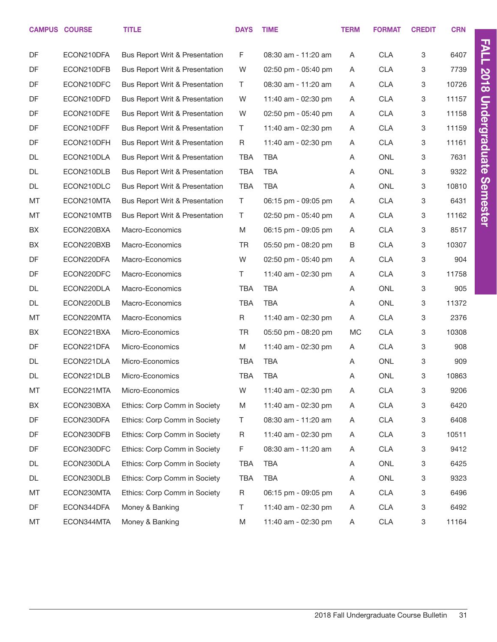|    | <b>CAMPUS COURSE</b> | <b>TITLE</b>                              | <b>DAYS</b> | <b>TIME</b>         | <b>TERM</b> | <b>FORMAT</b> | <b>CREDIT</b> | <b>CRN</b> |  |
|----|----------------------|-------------------------------------------|-------------|---------------------|-------------|---------------|---------------|------------|--|
| DF | ECON210DFA           | Bus Report Writ & Presentation            | F           | 08:30 am - 11:20 am | A           | <b>CLA</b>    | 3             | 6407       |  |
| DF | ECON210DFB           | Bus Report Writ & Presentation            | W           | 02:50 pm - 05:40 pm | A           | <b>CLA</b>    | 3             | 7739       |  |
| DF | ECON210DFC           | Bus Report Writ & Presentation            | $\top$      | 08:30 am - 11:20 am | A           | <b>CLA</b>    | 3             | 10726      |  |
| DF | ECON210DFD           | Bus Report Writ & Presentation            | W           | 11:40 am - 02:30 pm | A           | <b>CLA</b>    | 3             | 11157      |  |
| DF | ECON210DFE           | <b>Bus Report Writ &amp; Presentation</b> | W           | 02:50 pm - 05:40 pm | A           | <b>CLA</b>    | 3             | 11158      |  |
| DF | ECON210DFF           | Bus Report Writ & Presentation            | T.          | 11:40 am - 02:30 pm | Α           | <b>CLA</b>    | 3             | 11159      |  |
| DF | ECON210DFH           | Bus Report Writ & Presentation            | R           | 11:40 am - 02:30 pm | A           | <b>CLA</b>    | 3             | 11161      |  |
| DL | ECON210DLA           | Bus Report Writ & Presentation            | <b>TBA</b>  | <b>TBA</b>          | A           | <b>ONL</b>    | 3             | 7631       |  |
| DL | ECON210DLB           | Bus Report Writ & Presentation            | <b>TBA</b>  | <b>TBA</b>          | Α           | <b>ONL</b>    | 3             | 9322       |  |
| DL | ECON210DLC           | Bus Report Writ & Presentation            | <b>TBA</b>  | <b>TBA</b>          | Α           | <b>ONL</b>    | 3             | 10810      |  |
| MT | ECON210MTA           | <b>Bus Report Writ &amp; Presentation</b> | T           | 06:15 pm - 09:05 pm | A           | <b>CLA</b>    | 3             | 6431       |  |
| MT | ECON210MTB           | Bus Report Writ & Presentation            | T.          | 02:50 pm - 05:40 pm | A           | <b>CLA</b>    | 3             | 11162      |  |
| BX | ECON220BXA           | Macro-Economics                           | M           | 06:15 pm - 09:05 pm | A           | <b>CLA</b>    | 3             | 8517       |  |
| BX | ECON220BXB           | Macro-Economics                           | <b>TR</b>   | 05:50 pm - 08:20 pm | В           | <b>CLA</b>    | 3             | 10307      |  |
| DF | ECON220DFA           | Macro-Economics                           | W           | 02:50 pm - 05:40 pm | A           | <b>CLA</b>    | 3             | 904        |  |
| DF | ECON220DFC           | Macro-Economics                           | T.          | 11:40 am - 02:30 pm | A           | <b>CLA</b>    | 3             | 11758      |  |
| DL | ECON220DLA           | Macro-Economics                           | <b>TBA</b>  | <b>TBA</b>          | A           | <b>ONL</b>    | 3             | 905        |  |
| DL | ECON220DLB           | Macro-Economics                           | <b>TBA</b>  | <b>TBA</b>          | Α           | <b>ONL</b>    | 3             | 11372      |  |
| MT | ECON220MTA           | Macro-Economics                           | R           | 11:40 am - 02:30 pm | Α           | <b>CLA</b>    | 3             | 2376       |  |
| BX | ECON221BXA           | Micro-Economics                           | <b>TR</b>   | 05:50 pm - 08:20 pm | MC          | <b>CLA</b>    | 3             | 10308      |  |
| DF | ECON221DFA           | Micro-Economics                           | M           | 11:40 am - 02:30 pm | A           | <b>CLA</b>    | 3             | 908        |  |
| DL | ECON221DLA           | Micro-Economics                           | <b>TBA</b>  | <b>TBA</b>          | A           | <b>ONL</b>    | 3             | 909        |  |
| DL | ECON221DLB           | Micro-Economics                           | <b>TBA</b>  | <b>TBA</b>          | Α           | <b>ONL</b>    | 3             | 10863      |  |
| MT | ECON221MTA           | Micro-Economics                           | W           | 11:40 am - 02:30 pm | A           | <b>CLA</b>    | 3             | 9206       |  |
| BX | ECON230BXA           | Ethics: Corp Comm in Society              | M           | 11:40 am - 02:30 pm | A           | <b>CLA</b>    | 3             | 6420       |  |
| DF | ECON230DFA           | Ethics: Corp Comm in Society              | T           | 08:30 am - 11:20 am | A           | CLA           | 3             | 6408       |  |
| DF | ECON230DFB           | Ethics: Corp Comm in Society              | R           | 11:40 am - 02:30 pm | A           | CLA           | 3             | 10511      |  |
| DF | ECON230DFC           | Ethics: Corp Comm in Society              | F           | 08:30 am - 11:20 am | A           | CLA           | 3             | 9412       |  |
| DL | ECON230DLA           | Ethics: Corp Comm in Society              | <b>TBA</b>  | TBA                 | A           | ONL           | 3             | 6425       |  |
| DL | ECON230DLB           | Ethics: Corp Comm in Society              | <b>TBA</b>  | <b>TBA</b>          | A           | ONL           | 3             | 9323       |  |
| МT | ECON230MTA           | Ethics: Corp Comm in Society              | $\mathsf R$ | 06:15 pm - 09:05 pm | A           | CLA           | 3             | 6496       |  |
| DF | ECON344DFA           | Money & Banking                           | T.          | 11:40 am - 02:30 pm | A           | CLA           | 3             | 6492       |  |
| МT | ECON344MTA           | Money & Banking                           | M           | 11:40 am - 02:30 pm | A           | CLA           | 3             | 11164      |  |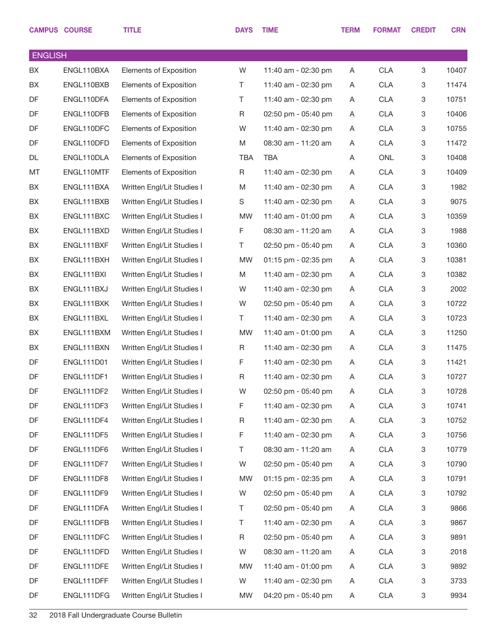|                | <b>CAMPUS COURSE</b> | <b>TITLE</b>                  | <b>DAYS</b> | <b>TIME</b>           | <b>TERM</b> | <b>FORMAT</b> | <b>CREDIT</b>             | <b>CRN</b> |
|----------------|----------------------|-------------------------------|-------------|-----------------------|-------------|---------------|---------------------------|------------|
| <b>ENGLISH</b> |                      |                               |             |                       |             |               |                           |            |
| BX             | ENGL110BXA           | Elements of Exposition        | W           | 11:40 am - 02:30 pm   | A           | <b>CLA</b>    | 3                         | 10407      |
| BX             | ENGL110BXB           | Elements of Exposition        | Τ           | 11:40 am - 02:30 pm   | A           | <b>CLA</b>    | 3                         | 11474      |
| DF             | ENGL110DFA           | Elements of Exposition        | Τ           | 11:40 am - 02:30 pm   | Α           | <b>CLA</b>    | 3                         | 10751      |
| DF             | ENGL110DFB           | <b>Elements of Exposition</b> | R           | 02:50 pm - 05:40 pm   | A           | <b>CLA</b>    | $\ensuremath{\mathsf{3}}$ | 10406      |
| DF             | ENGL110DFC           | Elements of Exposition        | W           | 11:40 am - 02:30 pm   | A           | <b>CLA</b>    | 3                         | 10755      |
| DF             | ENGL110DFD           | Elements of Exposition        | M           | 08:30 am - 11:20 am   | Α           | <b>CLA</b>    | $\ensuremath{\mathsf{3}}$ | 11472      |
| DL             | ENGL110DLA           | Elements of Exposition        | <b>TBA</b>  | <b>TBA</b>            | Α           | <b>ONL</b>    | 3                         | 10408      |
| MT             | ENGL110MTF           | Elements of Exposition        | R           | 11:40 am - 02:30 pm   | Α           | <b>CLA</b>    | 3                         | 10409      |
| BX             | ENGL111BXA           | Written Engl/Lit Studies I    | M           | 11:40 am - 02:30 pm   | A           | <b>CLA</b>    | 3                         | 1982       |
| BX             | ENGL111BXB           | Written Engl/Lit Studies I    | S           | 11:40 am - 02:30 pm   | Α           | <b>CLA</b>    | 3                         | 9075       |
| BX             | ENGL111BXC           | Written Engl/Lit Studies I    | <b>MW</b>   | 11:40 am - 01:00 pm   | Α           | <b>CLA</b>    | 3                         | 10359      |
| BX             | ENGL111BXD           | Written Engl/Lit Studies I    | F           | 08:30 am - 11:20 am   | A           | <b>CLA</b>    | 3                         | 1988       |
| BX             | ENGL111BXF           | Written Engl/Lit Studies I    | T.          | 02:50 pm - 05:40 pm   | A           | <b>CLA</b>    | 3                         | 10360      |
| BX             | ENGL111BXH           | Written Engl/Lit Studies I    | <b>MW</b>   | 01:15 pm - 02:35 pm   | A           | <b>CLA</b>    | 3                         | 10381      |
| BX             | ENGL111BXI           | Written Engl/Lit Studies I    | M           | 11:40 am - 02:30 pm   | A           | <b>CLA</b>    | 3                         | 10382      |
| BX             | ENGL111BXJ           | Written Engl/Lit Studies I    | W           | 11:40 am - 02:30 pm   | Α           | <b>CLA</b>    | $\ensuremath{\mathsf{3}}$ | 2002       |
| BX             | ENGL111BXK           | Written Engl/Lit Studies I    | W           | 02:50 pm - 05:40 pm   | A           | <b>CLA</b>    | 3                         | 10722      |
| BX             | ENGL111BXL           | Written Engl/Lit Studies I    | T.          | 11:40 am - 02:30 pm   | Α           | <b>CLA</b>    | 3                         | 10723      |
| BX             | ENGL111BXM           | Written Engl/Lit Studies I    | <b>MW</b>   | 11:40 am - 01:00 pm   | A           | <b>CLA</b>    | 3                         | 11250      |
| BX             | ENGL111BXN           | Written Engl/Lit Studies I    | R           | 11:40 am - 02:30 pm   | A           | <b>CLA</b>    | 3                         | 11475      |
| DF             | <b>ENGL111D01</b>    | Written Engl/Lit Studies I    | F           | 11:40 am - 02:30 pm   | A           | <b>CLA</b>    | 3                         | 11421      |
| DF             | ENGL111DF1           | Written Engl/Lit Studies I    | R           | 11:40 am - 02:30 pm   | A           | <b>CLA</b>    | $\ensuremath{\mathsf{3}}$ | 10727      |
| DF             | ENGL111DF2           | Written Engl/Lit Studies I    | W           | 02:50 pm - 05:40 pm   | A           | CLA           | 3                         | 10728      |
| DF             | ENGL111DF3           | Written Engl/Lit Studies I    | F           | 11:40 am - 02:30 pm   | A           | <b>CLA</b>    | 3                         | 10741      |
| DF             | ENGL111DF4           | Written Engl/Lit Studies I    | R           | 11:40 am - 02:30 pm   | A           | <b>CLA</b>    | 3                         | 10752      |
| DF             | ENGL111DF5           | Written Engl/Lit Studies I    | F           | 11:40 am - 02:30 pm   | A           | <b>CLA</b>    | 3                         | 10756      |
| DF             | ENGL111DF6           | Written Engl/Lit Studies I    | Τ           | 08:30 am - 11:20 am   | A           | <b>CLA</b>    | 3                         | 10779      |
| DF             | ENGL111DF7           | Written Engl/Lit Studies I    | W           | 02:50 pm - 05:40 pm   | A           | <b>CLA</b>    | 3                         | 10790      |
| DF             | ENGL111DF8           | Written Engl/Lit Studies I    | <b>MW</b>   | $01:15$ pm - 02:35 pm | A           | <b>CLA</b>    | 3                         | 10791      |
| DF             | ENGL111DF9           | Written Engl/Lit Studies I    | W           | 02:50 pm - 05:40 pm   | A           | <b>CLA</b>    | 3                         | 10792      |
| DF             | ENGL111DFA           | Written Engl/Lit Studies I    | Τ           | 02:50 pm - 05:40 pm   | A           | <b>CLA</b>    | 3                         | 9866       |
| DF             | ENGL111DFB           | Written Engl/Lit Studies I    | Τ           | 11:40 am - 02:30 pm   | A           | <b>CLA</b>    | 3                         | 9867       |
| DF             | ENGL111DFC           | Written Engl/Lit Studies I    | R           | 02:50 pm - 05:40 pm   | A           | <b>CLA</b>    | 3                         | 9891       |
| DF             | ENGL111DFD           | Written Engl/Lit Studies I    | W           | 08:30 am - 11:20 am   | A           | <b>CLA</b>    | 3                         | 2018       |
| DF             | ENGL111DFE           | Written Engl/Lit Studies I    | <b>MW</b>   | 11:40 am - 01:00 pm   | A           | <b>CLA</b>    | 3                         | 9892       |
| DF             | ENGL111DFF           | Written Engl/Lit Studies I    | W           | 11:40 am - 02:30 pm   | A           | <b>CLA</b>    | 3                         | 3733       |
| DF             | ENGL111DFG           | Written Engl/Lit Studies I    | MW          | 04:20 pm - 05:40 pm   | A           | <b>CLA</b>    | 3                         | 9934       |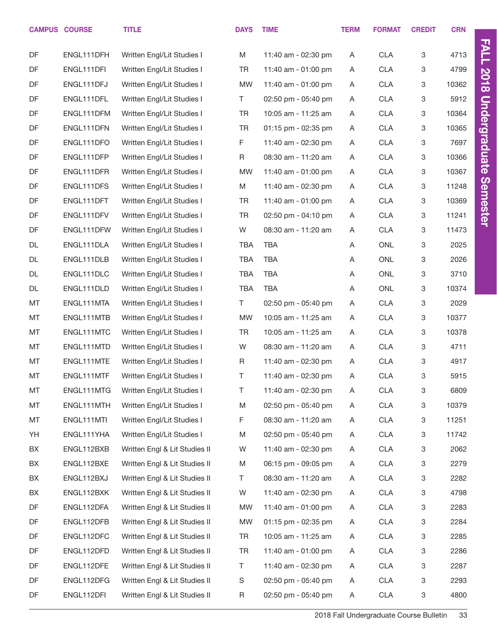|    | <b>CAMPUS COURSE</b> | <b>TITLE</b>                  | <b>DAYS</b> | <b>TIME</b>         | <b>TERM</b> | <b>FORMAT</b> | <b>CREDIT</b> | <b>CRN</b> |                      |
|----|----------------------|-------------------------------|-------------|---------------------|-------------|---------------|---------------|------------|----------------------|
| DF | ENGL111DFH           | Written Engl/Lit Studies I    | M           | 11:40 am - 02:30 pm | Α           | <b>CLA</b>    | 3             | 4713       | <b>FALL</b>          |
| DF | ENGL111DFI           | Written Engl/Lit Studies I    | TR          | 11:40 am - 01:00 pm | A           | <b>CLA</b>    | 3             | 4799       |                      |
| DF | ENGL111DFJ           | Written Engl/Lit Studies I    | <b>MW</b>   | 11:40 am - 01:00 pm | A           | <b>CLA</b>    | 3             | 10362      | <b>2018</b>          |
| DF | ENGL111DFL           | Written Engl/Lit Studies I    | T.          | 02:50 pm - 05:40 pm | Α           | <b>CLA</b>    | 3             | 5912       |                      |
| DF | ENGL111DFM           | Written Engl/Lit Studies I    | <b>TR</b>   | 10:05 am - 11:25 am | A           | <b>CLA</b>    | 3             | 10364      |                      |
| DF | ENGL111DFN           | Written Engl/Lit Studies I    | <b>TR</b>   | 01:15 pm - 02:35 pm | Α           | <b>CLA</b>    | 3             | 10365      |                      |
| DF | ENGL111DFO           | Written Engl/Lit Studies I    | F           | 11:40 am - 02:30 pm | A           | <b>CLA</b>    | 3             | 7697       |                      |
| DF | ENGL111DFP           | Written Engl/Lit Studies I    | $\mathsf R$ | 08:30 am - 11:20 am | Α           | <b>CLA</b>    | 3             | 10366      | <b>Undergraduate</b> |
| DF | ENGL111DFR           | Written Engl/Lit Studies I    | <b>MW</b>   | 11:40 am - 01:00 pm | A           | <b>CLA</b>    | 3             | 10367      |                      |
| DF | ENGL111DFS           | Written Engl/Lit Studies I    | M           | 11:40 am - 02:30 pm | Α           | <b>CLA</b>    | 3             | 11248      | <b>Semester</b>      |
| DF | ENGL111DFT           | Written Engl/Lit Studies I    | <b>TR</b>   | 11:40 am - 01:00 pm | A           | <b>CLA</b>    | 3             | 10369      |                      |
| DF | ENGL111DFV           | Written Engl/Lit Studies I    | <b>TR</b>   | 02:50 pm - 04:10 pm | Α           | <b>CLA</b>    | 3             | 11241      |                      |
| DF | ENGL111DFW           | Written Engl/Lit Studies I    | W           | 08:30 am - 11:20 am | Α           | <b>CLA</b>    | 3             | 11473      |                      |
| DL | ENGL111DLA           | Written Engl/Lit Studies I    | TBA         | <b>TBA</b>          | Α           | ONL           | 3             | 2025       |                      |
| DL | ENGL111DLB           | Written Engl/Lit Studies I    | TBA         | <b>TBA</b>          | Α           | ONL           | 3             | 2026       |                      |
| DL | ENGL111DLC           | Written Engl/Lit Studies I    | <b>TBA</b>  | <b>TBA</b>          | Α           | ONL           | 3             | 3710       |                      |
| DL | ENGL111DLD           | Written Engl/Lit Studies I    | TBA         | <b>TBA</b>          | Α           | ONL           | 3             | 10374      |                      |
| MT | ENGL111MTA           | Written Engl/Lit Studies I    | T.          | 02:50 pm - 05:40 pm | Α           | <b>CLA</b>    | 3             | 2029       |                      |
| MT | ENGL111MTB           | Written Engl/Lit Studies I    | <b>MW</b>   | 10:05 am - 11:25 am | A           | <b>CLA</b>    | 3             | 10377      |                      |
| MT | ENGL111MTC           | Written Engl/Lit Studies I    | <b>TR</b>   | 10:05 am - 11:25 am | A           | <b>CLA</b>    | 3             | 10378      |                      |
| MT | ENGL111MTD           | Written Engl/Lit Studies I    | W           | 08:30 am - 11:20 am | A           | <b>CLA</b>    | 3             | 4711       |                      |
| MT | ENGL111MTE           | Written Engl/Lit Studies I    | $\mathsf R$ | 11:40 am - 02:30 pm | A           | <b>CLA</b>    | 3             | 4917       |                      |
| MT | ENGL111MTF           | Written Engl/Lit Studies I    | Τ           | 11:40 am - 02:30 pm | Α           | <b>CLA</b>    | 3             | 5915       |                      |
| MT | ENGL111MTG           | Written Engl/Lit Studies I    | Τ           | 11:40 am - 02:30 pm | A           | <b>CLA</b>    | 3             | 6809       |                      |
| MT | ENGL111MTH           | Written Engl/Lit Studies I    | M           | 02:50 pm - 05:40 pm | A           | <b>CLA</b>    | 3             | 10379      |                      |
| MT | ENGL111MTI           | Written Engl/Lit Studies I    | F           | 08:30 am - 11:20 am | A           | CLA           | 3             | 11251      |                      |
| YH | ENGL111YHA           | Written Engl/Lit Studies I    | M           | 02:50 pm - 05:40 pm | A           | <b>CLA</b>    | 3             | 11742      |                      |
| BX | ENGL112BXB           | Written Engl & Lit Studies II | W           | 11:40 am - 02:30 pm | A           | CLA           | 3             | 2062       |                      |
| BX | ENGL112BXE           | Written Engl & Lit Studies II | M           | 06:15 pm - 09:05 pm | A           | CLA           | 3             | 2279       |                      |
| BX | ENGL112BXJ           | Written Engl & Lit Studies II | T.          | 08:30 am - 11:20 am | A           | CLA           | 3             | 2282       |                      |
| BX | ENGL112BXK           | Written Engl & Lit Studies II | W           | 11:40 am - 02:30 pm | A           | CLA           | 3             | 4798       |                      |
| DF | ENGL112DFA           | Written Engl & Lit Studies II | MW          | 11:40 am - 01:00 pm | A           | CLA           | 3             | 2283       |                      |
| DF | ENGL112DFB           | Written Engl & Lit Studies II | MW          | 01:15 pm - 02:35 pm | A           | CLA           | 3             | 2284       |                      |
| DF | ENGL112DFC           | Written Engl & Lit Studies II | TR          | 10:05 am - 11:25 am | A           | CLA           | 3             | 2285       |                      |
| DF | ENGL112DFD           | Written Engl & Lit Studies II | TR          | 11:40 am - 01:00 pm | A           | CLA           | 3             | 2286       |                      |
| DF | ENGL112DFE           | Written Engl & Lit Studies II | T.          | 11:40 am - 02:30 pm | A           | CLA           | 3             | 2287       |                      |
| DF | ENGL112DFG           | Written Engl & Lit Studies II | S           | 02:50 pm - 05:40 pm | A           | CLA           | 3             | 2293       |                      |
| DF | ENGL112DFI           | Written Engl & Lit Studies II | $\mathsf R$ | 02:50 pm - 05:40 pm | A           | CLA           | 3             | 4800       |                      |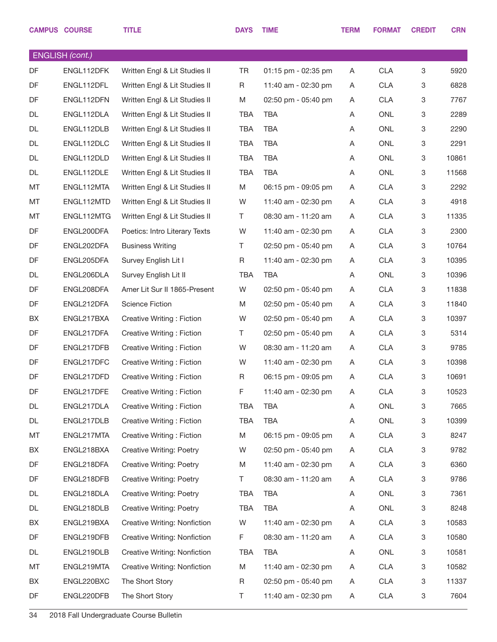|    | <b>CAMPUS COURSE</b>   | <b>TITLE</b>                    | <b>DAYS</b> | <b>TIME</b>         | <b>TERM</b> | <b>FORMAT</b> | <b>CREDIT</b> | <b>CRN</b> |
|----|------------------------|---------------------------------|-------------|---------------------|-------------|---------------|---------------|------------|
|    | <b>ENGLISH</b> (cont.) |                                 |             |                     |             |               |               |            |
| DF | ENGL112DFK             | Written Engl & Lit Studies II   | <b>TR</b>   | 01:15 pm - 02:35 pm | A           | <b>CLA</b>    | 3             | 5920       |
| DF | ENGL112DFL             | Written Engl & Lit Studies II   | R           | 11:40 am - 02:30 pm | A           | <b>CLA</b>    | 3             | 6828       |
| DF | ENGL112DFN             | Written Engl & Lit Studies II   | M           | 02:50 pm - 05:40 pm | A           | <b>CLA</b>    | 3             | 7767       |
| DL | ENGL112DLA             | Written Engl & Lit Studies II   | TBA         | <b>TBA</b>          | A           | <b>ONL</b>    | 3             | 2289       |
| DL | ENGL112DLB             | Written Engl & Lit Studies II   | <b>TBA</b>  | <b>TBA</b>          | A           | ONL           | 3             | 2290       |
| DL | ENGL112DLC             | Written Engl & Lit Studies II   | <b>TBA</b>  | <b>TBA</b>          | A           | <b>ONL</b>    | $\mathbf 3$   | 2291       |
| DL | ENGL112DLD             | Written Engl & Lit Studies II   | TBA         | <b>TBA</b>          | A           | ONL           | 3             | 10861      |
| DL | ENGL112DLE             | Written Engl & Lit Studies II   | <b>TBA</b>  | <b>TBA</b>          | A           | <b>ONL</b>    | 3             | 11568      |
| МT | ENGL112MTA             | Written Engl & Lit Studies II   | M           | 06:15 pm - 09:05 pm | A           | <b>CLA</b>    | 3             | 2292       |
| MT | ENGL112MTD             | Written Engl & Lit Studies II   | W           | 11:40 am - 02:30 pm | A           | <b>CLA</b>    | 3             | 4918       |
| МT | ENGL112MTG             | Written Engl & Lit Studies II   | T.          | 08:30 am - 11:20 am | A           | <b>CLA</b>    | 3             | 11335      |
| DF | ENGL200DFA             | Poetics: Intro Literary Texts   | W           | 11:40 am - 02:30 pm | A           | <b>CLA</b>    | $\mathbf 3$   | 2300       |
| DF | ENGL202DFA             | <b>Business Writing</b>         | T.          | 02:50 pm - 05:40 pm | A           | <b>CLA</b>    | 3             | 10764      |
| DF | ENGL205DFA             | Survey English Lit I            | R           | 11:40 am - 02:30 pm | A           | <b>CLA</b>    | 3             | 10395      |
| DL | ENGL206DLA             | Survey English Lit II           | TBA         | <b>TBA</b>          | A           | ONL           | 3             | 10396      |
| DF | ENGL208DFA             | Amer Lit Sur II 1865-Present    | W           | 02:50 pm - 05:40 pm | A           | <b>CLA</b>    | 3             | 11838      |
| DF | ENGL212DFA             | <b>Science Fiction</b>          | M           | 02:50 pm - 05:40 pm | A           | <b>CLA</b>    | 3             | 11840      |
| BX | ENGL217BXA             | Creative Writing: Fiction       | W           | 02:50 pm - 05:40 pm | A           | <b>CLA</b>    | 3             | 10397      |
| DF | ENGL217DFA             | Creative Writing: Fiction       | T.          | 02:50 pm - 05:40 pm | A           | <b>CLA</b>    | 3             | 5314       |
| DF | ENGL217DFB             | Creative Writing: Fiction       | W           | 08:30 am - 11:20 am | A           | <b>CLA</b>    | 3             | 9785       |
| DF | ENGL217DFC             | Creative Writing: Fiction       | W           | 11:40 am - 02:30 pm | A           | <b>CLA</b>    | 3             | 10398      |
| DF | ENGL217DFD             | Creative Writing: Fiction       | R           | 06:15 pm - 09:05 pm | A           | <b>CLA</b>    | 3             | 10691      |
| DF | ENGL217DFE             | Creative Writing: Fiction       | F           | 11:40 am - 02:30 pm | A           | <b>CLA</b>    | $\mathbf 3$   | 10523      |
| DL | ENGL217DLA             | Creative Writing: Fiction       | TBA         | <b>TBA</b>          | A           | ONL           | 3             | 7665       |
| DL | ENGL217DLB             | Creative Writing: Fiction       | TBA         | <b>TBA</b>          | A           | ONL           | $\mathbf 3$   | 10399      |
| МT | ENGL217MTA             | Creative Writing: Fiction       | M           | 06:15 pm - 09:05 pm | A           | <b>CLA</b>    | 3             | 8247       |
| BX | ENGL218BXA             | Creative Writing: Poetry        | W           | 02:50 pm - 05:40 pm | A           | <b>CLA</b>    | 3             | 9782       |
| DF | ENGL218DFA             | Creative Writing: Poetry        | Μ           | 11:40 am - 02:30 pm | A           | <b>CLA</b>    | 3             | 6360       |
| DF | ENGL218DFB             | <b>Creative Writing: Poetry</b> | T.          | 08:30 am - 11:20 am | A           | <b>CLA</b>    | 3             | 9786       |
| DL | ENGL218DLA             | Creative Writing: Poetry        | TBA         | TBA                 | A           | ONL           | $\mathbf 3$   | 7361       |
| DL | ENGL218DLB             | <b>Creative Writing: Poetry</b> | TBA         | <b>TBA</b>          | A           | ONL           | $\mathbf 3$   | 8248       |
| BX | ENGL219BXA             | Creative Writing: Nonfiction    | W           | 11:40 am - 02:30 pm | A           | <b>CLA</b>    | 3             | 10583      |
| DF | ENGL219DFB             | Creative Writing: Nonfiction    | F           | 08:30 am - 11:20 am | A           | <b>CLA</b>    | $\mathbf 3$   | 10580      |
| DL | ENGL219DLB             | Creative Writing: Nonfiction    | TBA         | TBA                 | A           | ONL           | $\mathbf 3$   | 10581      |
| МT | ENGL219MTA             | Creative Writing: Nonfiction    | M           | 11:40 am - 02:30 pm | A           | <b>CLA</b>    | $\mathbf 3$   | 10582      |
| BX | ENGL220BXC             | The Short Story                 | R           | 02:50 pm - 05:40 pm | A           | <b>CLA</b>    | 3             | 11337      |
| DF | ENGL220DFB             | The Short Story                 | Τ           | 11:40 am - 02:30 pm | A           | <b>CLA</b>    | $\mathbf 3$   | 7604       |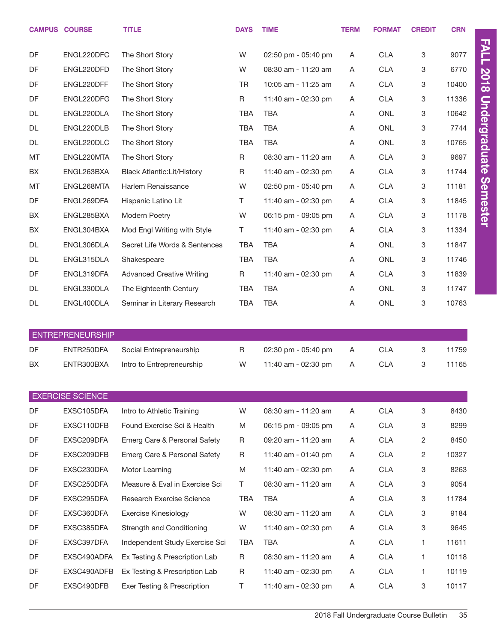|           | <b>CAMPUS COURSE</b>    | <b>TITLE</b>                      | <b>DAYS</b> | <b>TIME</b>         | <b>TERM</b> | <b>FORMAT</b> | <b>CREDIT</b> | <b>CRN</b> |                      |
|-----------|-------------------------|-----------------------------------|-------------|---------------------|-------------|---------------|---------------|------------|----------------------|
| DF        | ENGL220DFC              | The Short Story                   | W           | 02:50 pm - 05:40 pm | A           | <b>CLA</b>    | 3             | 9077       | <b>FALL</b>          |
| DF        | ENGL220DFD              | The Short Story                   | W           | 08:30 am - 11:20 am | Α           | <b>CLA</b>    | 3             | 6770       |                      |
| DF        | ENGL220DFF              | The Short Story                   | <b>TR</b>   | 10:05 am - 11:25 am | Α           | <b>CLA</b>    | 3             | 10400      | <b>2018</b>          |
| DF        | ENGL220DFG              | The Short Story                   | $\mathsf R$ | 11:40 am - 02:30 pm | Α           | <b>CLA</b>    | 3             | 11336      |                      |
| <b>DL</b> | ENGL220DLA              | The Short Story                   | <b>TBA</b>  | <b>TBA</b>          | A           | <b>ONL</b>    | 3             | 10642      |                      |
| DL        | ENGL220DLB              | The Short Story                   | <b>TBA</b>  | <b>TBA</b>          | Α           | <b>ONL</b>    | 3             | 7744       |                      |
| <b>DL</b> | ENGL220DLC              | The Short Story                   | <b>TBA</b>  | <b>TBA</b>          | Α           | <b>ONL</b>    | 3             | 10765      |                      |
| MT        | ENGL220MTA              | The Short Story                   | $\mathsf R$ | 08:30 am - 11:20 am | Α           | <b>CLA</b>    | 3             | 9697       | <b>Undergraduate</b> |
| BX        | ENGL263BXA              | <b>Black Atlantic:Lit/History</b> | R           | 11:40 am - 02:30 pm | Α           | <b>CLA</b>    | 3             | 11744      |                      |
| MT        | ENGL268MTA              | Harlem Renaissance                | W           | 02:50 pm - 05:40 pm | Α           | <b>CLA</b>    | 3             | 11181      |                      |
| DF        | ENGL269DFA              | Hispanic Latino Lit               | T.          | 11:40 am - 02:30 pm | Α           | <b>CLA</b>    | 3             | 11845      | <b>Semester</b>      |
| BX        | ENGL285BXA              | Modern Poetry                     | W           | 06:15 pm - 09:05 pm | A           | <b>CLA</b>    | 3             | 11178      |                      |
| BX        | ENGL304BXA              | Mod Engl Writing with Style       | T.          | 11:40 am - 02:30 pm | Α           | <b>CLA</b>    | 3             | 11334      |                      |
| DL        | ENGL306DLA              | Secret Life Words & Sentences     | <b>TBA</b>  | <b>TBA</b>          | A           | <b>ONL</b>    | 3             | 11847      |                      |
| <b>DL</b> | ENGL315DLA              | Shakespeare                       | <b>TBA</b>  | <b>TBA</b>          | Α           | <b>ONL</b>    | 3             | 11746      |                      |
| DF        | ENGL319DFA              | <b>Advanced Creative Writing</b>  | $\mathsf R$ | 11:40 am - 02:30 pm | Α           | <b>CLA</b>    | 3             | 11839      |                      |
| <b>DL</b> | ENGL330DLA              | The Eighteenth Century            | <b>TBA</b>  | <b>TBA</b>          | A           | <b>ONL</b>    | 3             | 11747      |                      |
| <b>DL</b> | ENGL400DLA              | Seminar in Literary Research      | <b>TBA</b>  | <b>TBA</b>          | A           | <b>ONL</b>    | 3             | 10763      |                      |
|           |                         |                                   |             |                     |             |               |               |            |                      |
|           | <b>ENTREPRENEURSHIP</b> |                                   |             |                     |             |               |               |            |                      |
| DF        | ENTR250DFA              | Social Entrepreneurship           | R           | 02:30 pm - 05:40 pm | Α           | <b>CLA</b>    | 3             | 11759      |                      |
| BX        | ENTR300BXA              | Intro to Entrepreneurship         | W           | 11:40 am - 02:30 pm | A           | <b>CLA</b>    | 3             | 11165      |                      |
|           |                         |                                   |             |                     |             |               |               |            |                      |
|           | <b>EXERCISE SCIENCE</b> |                                   |             |                     |             |               |               |            |                      |
| DF        | EXSC105DFA              | Intro to Athletic Training        | W           | 08:30 am - 11:20 am | Α           | <b>CLA</b>    | 3             | 8430       |                      |
| DF        | EXSC110DFB              | Found Exercise Sci & Health       | M           | 06:15 pm - 09:05 pm | A           | <b>CLA</b>    | 3             | 8299       |                      |
| DF        | EXSC209DFA              | Emerg Care & Personal Safety      | R           | 09:20 am - 11:20 am | Α           | <b>CLA</b>    | 2             | 8450       |                      |
| DF        | EXSC209DFB              | Emerg Care & Personal Safety      | R           | 11:40 am - 01:40 pm | A           | <b>CLA</b>    | 2             | 10327      |                      |
| DF        | EXSC230DFA              | Motor Learning                    | M           | 11:40 am - 02:30 pm | Α           | <b>CLA</b>    | 3             | 8263       |                      |
| DF        | EXSC250DFA              | Measure & Eval in Exercise Sci    | T.          | 08:30 am - 11:20 am | Α           | <b>CLA</b>    | 3             | 9054       |                      |
| DF        | EXSC295DFA              | Research Exercise Science         | <b>TBA</b>  | <b>TBA</b>          | Α           | <b>CLA</b>    | 3             | 11784      |                      |
| DF        | EXSC360DFA              | <b>Exercise Kinesiology</b>       | W           | 08:30 am - 11:20 am | Α           | <b>CLA</b>    | 3             | 9184       |                      |
| DF        | EXSC385DFA              | Strength and Conditioning         | W           | 11:40 am - 02:30 pm | Α           | <b>CLA</b>    | 3             | 9645       |                      |
| DF        | EXSC397DFA              | Independent Study Exercise Sci    | <b>TBA</b>  | <b>TBA</b>          | Α           | <b>CLA</b>    | 1             | 11611      |                      |
| DF        | EXSC490ADFA             | Ex Testing & Prescription Lab     | R           | 08:30 am - 11:20 am | Α           | <b>CLA</b>    | 1             | 10118      |                      |
| DF        | EXSC490ADFB             | Ex Testing & Prescription Lab     | R           | 11:40 am - 02:30 pm | A           | <b>CLA</b>    | 1             | 10119      |                      |
| DF        | EXSC490DFB              | Exer Testing & Prescription       | T.          | 11:40 am - 02:30 pm | A           | <b>CLA</b>    | 3             | 10117      |                      |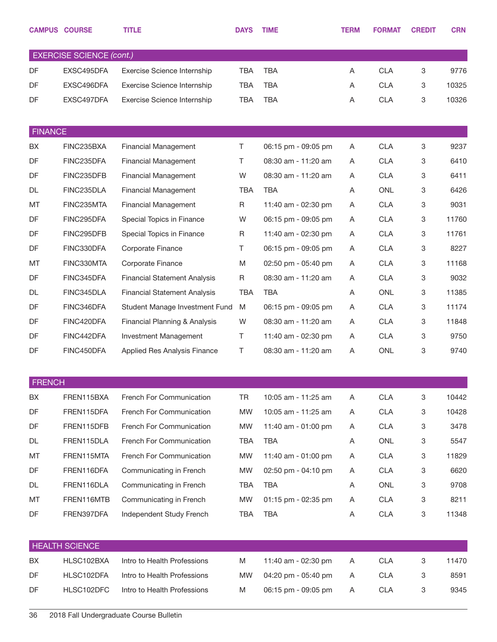|                | <b>CAMPUS COURSE</b>            | <b>TITLE</b>                        | <b>DAYS</b> | <b>TIME</b>         | <b>TERM</b> | <b>FORMAT</b> | <b>CREDIT</b> | <b>CRN</b> |
|----------------|---------------------------------|-------------------------------------|-------------|---------------------|-------------|---------------|---------------|------------|
|                | <b>EXERCISE SCIENCE (cont.)</b> |                                     |             |                     |             |               |               |            |
| DF             | EXSC495DFA                      | Exercise Science Internship         | <b>TBA</b>  | <b>TBA</b>          | Α           | <b>CLA</b>    | 3             | 9776       |
| DF             | EXSC496DFA                      | Exercise Science Internship         | <b>TBA</b>  | <b>TBA</b>          | Α           | <b>CLA</b>    | 3             | 10325      |
| DF             | EXSC497DFA                      | Exercise Science Internship         | <b>TBA</b>  | <b>TBA</b>          | Α           | <b>CLA</b>    | 3             | 10326      |
| <b>FINANCE</b> |                                 |                                     |             |                     |             |               |               |            |
| BX             | FINC235BXA                      | <b>Financial Management</b>         | T.          | 06:15 pm - 09:05 pm | A           | <b>CLA</b>    | 3             | 9237       |
| DF             | FINC235DFA                      | <b>Financial Management</b>         | Τ           | 08:30 am - 11:20 am | Α           | <b>CLA</b>    | 3             | 6410       |
| DF             | FINC235DFB                      | <b>Financial Management</b>         | W           | 08:30 am - 11:20 am | Α           | <b>CLA</b>    | 3             | 6411       |
| <b>DL</b>      | FINC235DLA                      | <b>Financial Management</b>         | <b>TBA</b>  | <b>TBA</b>          | Α           | <b>ONL</b>    | 3             | 6426       |
| MT             | FINC235MTA                      | <b>Financial Management</b>         | R           | 11:40 am - 02:30 pm | Α           | <b>CLA</b>    | 3             | 9031       |
| DF             | FINC295DFA                      | Special Topics in Finance           | W           | 06:15 pm - 09:05 pm | Α           | <b>CLA</b>    | 3             | 11760      |
| DF             | FINC295DFB                      | Special Topics in Finance           | $\mathsf R$ | 11:40 am - 02:30 pm | Α           | <b>CLA</b>    | 3             | 11761      |
| DF             | FINC330DFA                      | Corporate Finance                   | Τ           | 06:15 pm - 09:05 pm | A           | <b>CLA</b>    | 3             | 8227       |
| MT             | FINC330MTA                      | Corporate Finance                   | M           | 02:50 pm - 05:40 pm | Α           | <b>CLA</b>    | 3             | 11168      |
| DF             | FINC345DFA                      | <b>Financial Statement Analysis</b> | R           | 08:30 am - 11:20 am | Α           | <b>CLA</b>    | 3             | 9032       |
| DL             | FINC345DLA                      | <b>Financial Statement Analysis</b> | <b>TBA</b>  | <b>TBA</b>          | Α           | <b>ONL</b>    | 3             | 11385      |
| DF             | FINC346DFA                      | Student Manage Investment Fund      | M           | 06:15 pm - 09:05 pm | Α           | <b>CLA</b>    | 3             | 11174      |
| DF             | FINC420DFA                      | Financial Planning & Analysis       | W           | 08:30 am - 11:20 am | Α           | <b>CLA</b>    | 3             | 11848      |
| DF             | FINC442DFA                      | Investment Management               | Τ           | 11:40 am - 02:30 pm | Α           | <b>CLA</b>    | 3             | 9750       |
| DF             | FINC450DFA                      | Applied Res Analysis Finance        | Τ           | 08:30 am - 11:20 am | Α           | <b>ONL</b>    | 3             | 9740       |
| <b>FRENCH</b>  |                                 |                                     |             |                     |             |               |               |            |
| BX             | FREN115BXA                      | French For Communication            | <b>TR</b>   | 10:05 am - 11:25 am | Α           | <b>CLA</b>    | 3             | 10442      |
| DF             | FREN115DFA                      | French For Communication            | <b>MW</b>   | 10:05 am - 11:25 am | Α           | <b>CLA</b>    | 3             | 10428      |
| DF             | FREN115DFB                      | French For Communication            | <b>MW</b>   | 11:40 am - 01:00 pm | Α           | <b>CLA</b>    | 3             | 3478       |
| <b>DL</b>      | FREN115DLA                      | French For Communication            | <b>TBA</b>  | <b>TBA</b>          | Α           | ONL           | 3             | 5547       |
| MT             | FREN115MTA                      | French For Communication            | <b>MW</b>   | 11:40 am - 01:00 pm | A           | <b>CLA</b>    | 3             | 11829      |
| DF             | FREN116DFA                      | Communicating in French             | <b>MW</b>   | 02:50 pm - 04:10 pm | Α           | <b>CLA</b>    | 3             | 6620       |
| DL             | FREN116DLA                      | Communicating in French             | <b>TBA</b>  | <b>TBA</b>          | Α           | ONL           | 3             | 9708       |
| MT             | FREN116MTB                      | Communicating in French             | <b>MW</b>   | 01:15 pm - 02:35 pm | Α           | <b>CLA</b>    | 3             | 8211       |
| DF             | FREN397DFA                      | Independent Study French            | <b>TBA</b>  | <b>TBA</b>          | Α           | <b>CLA</b>    | 3             | 11348      |
|                | <b>HEALTH SCIENCE</b>           |                                     |             |                     |             |               |               |            |
| BX             | HLSC102BXA                      | Intro to Health Professions         | M           | 11:40 am - 02:30 pm | Α           | <b>CLA</b>    | 3             | 11470      |
| DF             | HLSC102DFA                      | Intro to Health Professions         | <b>MW</b>   | 04:20 pm - 05:40 pm | A           | <b>CLA</b>    | 3             | 8591       |
| DF             | HLSC102DFC                      | Intro to Health Professions         | M           | 06:15 pm - 09:05 pm | Α           | <b>CLA</b>    | 3             | 9345       |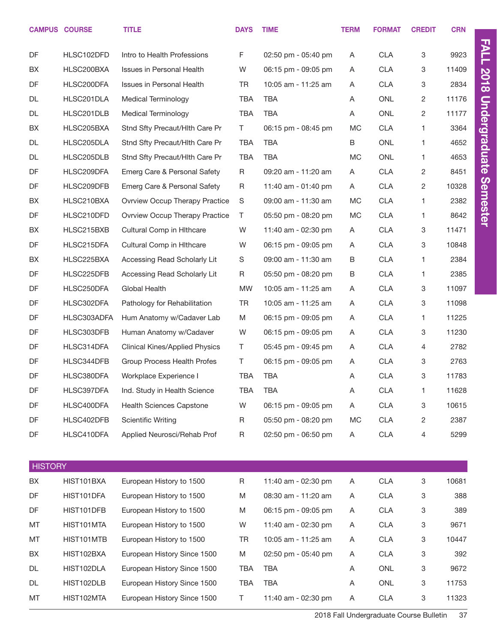|                | <b>CAMPUS COURSE</b> | <b>TITLE</b>                          | <b>DAYS</b> | <b>TIME</b>         | <b>TERM</b> | <b>FORMAT</b> | <b>CREDIT</b>             | <b>CRN</b> |
|----------------|----------------------|---------------------------------------|-------------|---------------------|-------------|---------------|---------------------------|------------|
| DF             | HLSC102DFD           | Intro to Health Professions           | F           | 02:50 pm - 05:40 pm | A           | <b>CLA</b>    | 3                         | 9923       |
| BX             | HLSC200BXA           | <b>Issues in Personal Health</b>      | W           | 06:15 pm - 09:05 pm | A           | <b>CLA</b>    | 3                         | 11409      |
| <b>DF</b>      | HLSC200DFA           | <b>Issues in Personal Health</b>      | <b>TR</b>   | 10:05 am - 11:25 am | A           | <b>CLA</b>    | 3                         | 2834       |
| DL             | HLSC201DLA           | <b>Medical Terminology</b>            | <b>TBA</b>  | <b>TBA</b>          | A           | ONL           | $\overline{c}$            | 11176      |
| DL             | HLSC201DLB           | <b>Medical Terminology</b>            | <b>TBA</b>  | TBA                 | A           | ONL           | $\overline{2}$            | 11177      |
| BX             | HLSC205BXA           | Stnd Sfty Precaut/Hith Care Pr        | T.          | 06:15 pm - 08:45 pm | МC          | <b>CLA</b>    | 1.                        | 3364       |
| <b>DL</b>      | HLSC205DLA           | Stnd Sfty Precaut/Hith Care Pr        | <b>TBA</b>  | <b>TBA</b>          | B           | <b>ONL</b>    | 1.                        | 4652       |
| DL             | HLSC205DLB           | Stnd Sfty Precaut/Hith Care Pr        | <b>TBA</b>  | TBA                 | <b>MC</b>   | ONL           | 1.                        | 4653       |
| DF             | HLSC209DFA           | Emerg Care & Personal Safety          | R           | 09:20 am - 11:20 am | A           | <b>CLA</b>    | $\overline{2}$            | 8451       |
| DF             | HLSC209DFB           | Emerg Care & Personal Safety          | R           | 11:40 am - 01:40 pm | A           | <b>CLA</b>    | $\overline{c}$            | 10328      |
| BX             | HLSC210BXA           | <b>Ovrview Occup Therapy Practice</b> | S           | 09:00 am - 11:30 am | МC          | <b>CLA</b>    | 1.                        | 2382       |
| DF             | HLSC210DFD           | <b>Ovrview Occup Therapy Practice</b> | $\top$      | 05:50 pm - 08:20 pm | МC          | <b>CLA</b>    | 1.                        | 8642       |
| BX             | HLSC215BXB           | <b>Cultural Comp in Hithcare</b>      | W           | 11:40 am - 02:30 pm | A           | <b>CLA</b>    | 3                         | 11471      |
| DF             | HLSC215DFA           | <b>Cultural Comp in Hithcare</b>      | W           | 06:15 pm - 09:05 pm | A           | <b>CLA</b>    | 3                         | 10848      |
| BX             | HLSC225BXA           | Accessing Read Scholarly Lit          | S           | 09:00 am - 11:30 am | В           | <b>CLA</b>    | 1.                        | 2384       |
| DF             | HLSC225DFB           | Accessing Read Scholarly Lit          | $\mathsf R$ | 05:50 pm - 08:20 pm | В           | <b>CLA</b>    | 1.                        | 2385       |
| DF             | HLSC250DFA           | Global Health                         | <b>MW</b>   | 10:05 am - 11:25 am | A           | <b>CLA</b>    | 3                         | 11097      |
| DF             | HLSC302DFA           | Pathology for Rehabilitation          | <b>TR</b>   | 10:05 am - 11:25 am | A           | <b>CLA</b>    | 3                         | 11098      |
| DF             | HLSC303ADFA          | Hum Anatomy w/Cadaver Lab             | M           | 06:15 pm - 09:05 pm | A           | <b>CLA</b>    | 1.                        | 11225      |
| DF             | HLSC303DFB           | Human Anatomy w/Cadaver               | W           | 06:15 pm - 09:05 pm | A           | <b>CLA</b>    | 3                         | 11230      |
| DF             | HLSC314DFA           | <b>Clinical Kines/Applied Physics</b> | T.          | 05:45 pm - 09:45 pm | A           | <b>CLA</b>    | 4                         | 2782       |
| DF             | HLSC344DFB           | Group Process Health Profes           | T.          | 06:15 pm - 09:05 pm | A           | <b>CLA</b>    | 3                         | 2763       |
| DF             | HLSC380DFA           | Workplace Experience I                | <b>TBA</b>  | TBA                 | A           | <b>CLA</b>    | 3                         | 11783      |
| DF             | HLSC397DFA           | Ind. Study in Health Science          | <b>TBA</b>  | <b>TBA</b>          | A           | <b>CLA</b>    | 1                         | 11628      |
| DF             | HLSC400DFA           | <b>Health Sciences Capstone</b>       | W           | 06:15 pm - 09:05 pm | Α           | CLA           | 3                         | 10615      |
| DF             | HLSC402DFB           | Scientific Writing                    | R           | 05:50 pm - 08:20 pm | МC          | <b>CLA</b>    | $\overline{c}$            | 2387       |
| DF             | HLSC410DFA           | Applied Neurosci/Rehab Prof           | $\mathsf R$ | 02:50 pm - 06:50 pm | A           | CLA           | 4                         | 5299       |
| <b>HISTORY</b> |                      |                                       |             |                     |             |               |                           |            |
| BX             | HIST101BXA           | European History to 1500              | $\mathsf R$ | 11:40 am - 02:30 pm | Α           | CLA           | $\ensuremath{\mathsf{3}}$ | 10681      |
| DF             | HIST101DFA           | European History to 1500              | M           | 08:30 am - 11:20 am | A           | <b>CLA</b>    | 3                         | 388        |
| DF             | HIST101DFB           | European History to 1500              | M           | 06:15 pm - 09:05 pm | Α           | <b>CLA</b>    | 3                         | 389        |
| МT             | HIST101MTA           | European History to 1500              | W           | 11:40 am - 02:30 pm | A           | <b>CLA</b>    | 3                         | 9671       |
| МT             | HIST101MTB           | European History to 1500              | <b>TR</b>   | 10:05 am - 11:25 am | Α           | <b>CLA</b>    | 3                         | 10447      |
| BX             | HIST102BXA           | European History Since 1500           | M           | 02:50 pm - 05:40 pm | A           | <b>CLA</b>    | 3                         | 392        |
| DL             | HIST102DLA           | European History Since 1500           | TBA         | <b>TBA</b>          | A           | ONL           | 3                         | 9672       |
| DL             | HIST102DLB           | European History Since 1500           | <b>TBA</b>  | TBA                 | A           | ONL           | 3                         | 11753      |
| MT             | HIST102MTA           | European History Since 1500           | T.          | 11:40 am - 02:30 pm | Α           | CLA           | 3                         | 11323      |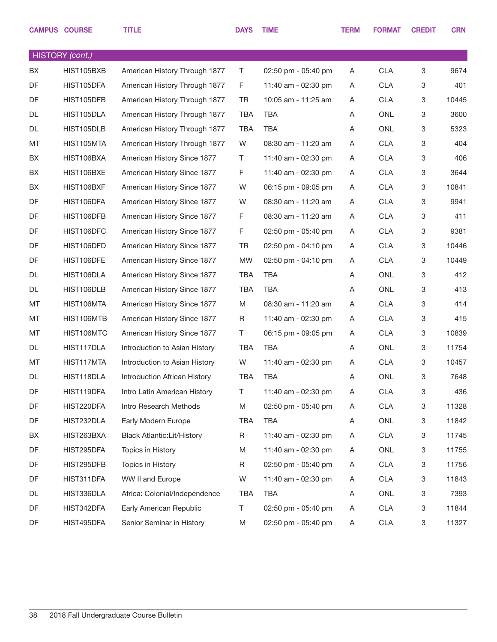|    | <b>CAMPUS COURSE</b> | <b>TITLE</b>                       | <b>DAYS</b> | <b>TIME</b>         | <b>TERM</b> | <b>FORMAT</b> | <b>CREDIT</b>             | <b>CRN</b> |
|----|----------------------|------------------------------------|-------------|---------------------|-------------|---------------|---------------------------|------------|
|    |                      |                                    |             |                     |             |               |                           |            |
|    | HISTORY (cont.)      |                                    |             |                     |             |               |                           |            |
| BX | HIST105BXB           | American History Through 1877      | T           | 02:50 pm - 05:40 pm | A           | <b>CLA</b>    | 3                         | 9674       |
| DF | HIST105DFA           | American History Through 1877      | F           | 11:40 am - 02:30 pm | A           | <b>CLA</b>    | $\ensuremath{\mathsf{3}}$ | 401        |
| DF | HIST105DFB           | American History Through 1877      | <b>TR</b>   | 10:05 am - 11:25 am | A           | <b>CLA</b>    | 3                         | 10445      |
| DL | HIST105DLA           | American History Through 1877      | <b>TBA</b>  | <b>TBA</b>          | Α           | <b>ONL</b>    | $\ensuremath{\mathsf{3}}$ | 3600       |
| DL | HIST105DLB           | American History Through 1877      | <b>TBA</b>  | <b>TBA</b>          | Α           | <b>ONL</b>    | 3                         | 5323       |
| MT | HIST105MTA           | American History Through 1877      | W           | 08:30 am - 11:20 am | A           | <b>CLA</b>    | $\ensuremath{\mathsf{3}}$ | 404        |
| BX | HIST106BXA           | American History Since 1877        | T           | 11:40 am - 02:30 pm | A           | <b>CLA</b>    | $\ensuremath{\mathsf{3}}$ | 406        |
| BX | HIST106BXE           | American History Since 1877        | F           | 11:40 am - 02:30 pm | A           | <b>CLA</b>    | $\ensuremath{\mathsf{3}}$ | 3644       |
| BX | HIST106BXF           | American History Since 1877        | W           | 06:15 pm - 09:05 pm | A           | <b>CLA</b>    | 3                         | 10841      |
| DF | HIST106DFA           | American History Since 1877        | W           | 08:30 am - 11:20 am | A           | <b>CLA</b>    | $\ensuremath{\mathsf{3}}$ | 9941       |
| DF | HIST106DFB           | American History Since 1877        | F           | 08:30 am - 11:20 am | A           | <b>CLA</b>    | 3                         | 411        |
| DF | HIST106DFC           | American History Since 1877        | F           | 02:50 pm - 05:40 pm | A           | <b>CLA</b>    | $\ensuremath{\mathsf{3}}$ | 9381       |
| DF | HIST106DFD           | American History Since 1877        | TR          | 02:50 pm - 04:10 pm | A           | <b>CLA</b>    | 3                         | 10446      |
| DF | HIST106DFE           | American History Since 1877        | <b>MW</b>   | 02:50 pm - 04:10 pm | A           | <b>CLA</b>    | $\ensuremath{\mathsf{3}}$ | 10449      |
| DL | HIST106DLA           | American History Since 1877        | <b>TBA</b>  | <b>TBA</b>          | Α           | <b>ONL</b>    | $\ensuremath{\mathsf{3}}$ | 412        |
| DL | HIST106DLB           | American History Since 1877        | <b>TBA</b>  | <b>TBA</b>          | Α           | <b>ONL</b>    | $\ensuremath{\mathsf{3}}$ | 413        |
| MT | HIST106MTA           | American History Since 1877        | M           | 08:30 am - 11:20 am | A           | <b>CLA</b>    | $\ensuremath{\mathsf{3}}$ | 414        |
| MT | HIST106MTB           | American History Since 1877        | R           | 11:40 am - 02:30 pm | A           | <b>CLA</b>    | $\ensuremath{\mathsf{3}}$ | 415        |
| MT | HIST106MTC           | American History Since 1877        | T           | 06:15 pm - 09:05 pm | Α           | <b>CLA</b>    | 3                         | 10839      |
| DL | HIST117DLA           | Introduction to Asian History      | <b>TBA</b>  | <b>TBA</b>          | A           | <b>ONL</b>    | $\ensuremath{\mathsf{3}}$ | 11754      |
| MT | HIST117MTA           | Introduction to Asian History      | W           | 11:40 am - 02:30 pm | A           | <b>CLA</b>    | 3                         | 10457      |
| DL | HIST118DLA           | Introduction African History       | <b>TBA</b>  | <b>TBA</b>          | Α           | <b>ONL</b>    | $\ensuremath{\mathsf{3}}$ | 7648       |
| DF | HIST119DFA           | Intro Latin American History       | T.          | 11:40 am - 02:30 pm | A           | <b>CLA</b>    | 3                         | 436        |
| DF | HIST220DFA           | Intro Research Methods             | M           | 02:50 pm - 05:40 pm | A           | CLA           | $\mathbf 3$               | 11328      |
| DF | HIST232DLA           | Early Modern Europe                | TBA         | <b>TBA</b>          | Α           | ONL           | $\mathbf 3$               | 11842      |
| BX | HIST263BXA           | <b>Black Atlantic: Lit/History</b> | R           | 11:40 am - 02:30 pm | A           | <b>CLA</b>    | $\mathbf 3$               | 11745      |
| DF | HIST295DFA           | Topics in History                  | M           | 11:40 am - 02:30 pm | A           | ONL           | $\mathbf 3$               | 11755      |
| DF | HIST295DFB           | Topics in History                  | R           | 02:50 pm - 05:40 pm | A           | <b>CLA</b>    | $\mathbf 3$               | 11756      |
| DF | HIST311DFA           | WW II and Europe                   | W           | 11:40 am - 02:30 pm | A           | <b>CLA</b>    | $\mathbf 3$               | 11843      |
| DL | HIST336DLA           | Africa: Colonial/Independence      | TBA         | TBA                 | A           | ONL           | $\mathbf 3$               | 7393       |
| DF | HIST342DFA           | Early American Republic            | T.          | 02:50 pm - 05:40 pm | A           | <b>CLA</b>    | $\mathbf 3$               | 11844      |
| DF | HIST495DFA           | Senior Seminar in History          | M           | 02:50 pm - 05:40 pm | A           | <b>CLA</b>    | $\mathbf 3$               | 11327      |
|    |                      |                                    |             |                     |             |               |                           |            |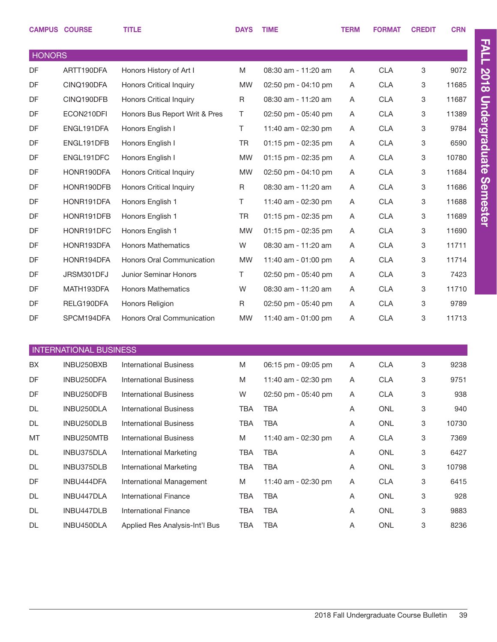|               | <b>CAMPUS COURSE</b>          | <b>TITLE</b>                   | <b>DAYS</b> | <b>TIME</b>         | <b>TERM</b> | <b>FORMAT</b>  | <b>CREDIT</b> | <b>CRN</b> |
|---------------|-------------------------------|--------------------------------|-------------|---------------------|-------------|----------------|---------------|------------|
| <b>HONORS</b> |                               |                                |             |                     |             |                |               |            |
| DF            | ARTT190DFA                    | Honors History of Art I        | M           | 08:30 am - 11:20 am | Α           | <b>CLA</b>     | 3             | 9072       |
| DF            | CINQ190DFA                    | <b>Honors Critical Inquiry</b> | <b>MW</b>   | 02:50 pm - 04:10 pm | A           | <b>CLA</b>     | 3             | 11685      |
| DF            | CINQ190DFB                    | <b>Honors Critical Inquiry</b> | R           | 08:30 am - 11:20 am | Α           | <b>CLA</b>     | 3             | 11687      |
| DF            | ECON210DFI                    | Honors Bus Report Writ & Pres  | T.          | 02:50 pm - 05:40 pm | Α           | <b>CLA</b>     | 3             | 11389      |
| DF            | ENGL191DFA                    | Honors English I               | T.          | 11:40 am - 02:30 pm | Α           | <b>CLA</b>     | 3             | 9784       |
| DF            | ENGL191DFB                    | Honors English I               | <b>TR</b>   | 01:15 pm - 02:35 pm | Α           | <b>CLA</b>     | 3             | 6590       |
| DF            | ENGL191DFC                    | Honors English I               | <b>MW</b>   | 01:15 pm - 02:35 pm | A           | <b>CLA</b>     | 3             | 10780      |
| DF            | HONR190DFA                    | <b>Honors Critical Inquiry</b> | <b>MW</b>   | 02:50 pm - 04:10 pm | A           | <b>CLA</b>     | 3             | 11684      |
| DF            | HONR190DFB                    | <b>Honors Critical Inquiry</b> | R           | 08:30 am - 11:20 am | A           | <b>CLA</b>     | 3             | 11686      |
| DF            | HONR191DFA                    | Honors English 1               | T.          | 11:40 am - 02:30 pm | Α           | <b>CLA</b>     | 3             | 11688      |
| DF            | HONR191DFB                    | Honors English 1               | <b>TR</b>   | 01:15 pm - 02:35 pm | Α           | <b>CLA</b>     | 3             | 11689      |
| DF            | HONR191DFC                    | Honors English 1               | <b>MW</b>   | 01:15 pm - 02:35 pm | Α           | <b>CLA</b>     | 3             | 11690      |
| DF            | HONR193DFA                    | <b>Honors Mathematics</b>      | W           | 08:30 am - 11:20 am | A           | <b>CLA</b>     | 3             | 11711      |
| DF            | HONR194DFA                    | Honors Oral Communication      | <b>MW</b>   | 11:40 am - 01:00 pm | Α           | <b>CLA</b>     | 3             | 11714      |
| DF            | JRSM301DFJ                    | Junior Seminar Honors          | T.          | 02:50 pm - 05:40 pm | A           | <b>CLA</b>     | 3             | 7423       |
| DF            | MATH193DFA                    | <b>Honors Mathematics</b>      | W           | 08:30 am - 11:20 am | A           | <b>CLA</b>     | 3             | 11710      |
| DF            | RELG190DFA                    | Honors Religion                | R           | 02:50 pm - 05:40 pm | A           | <b>CLA</b>     | 3             | 9789       |
| DF            | SPCM194DFA                    | Honors Oral Communication      | <b>MW</b>   | 11:40 am - 01:00 pm | A           | <b>CLA</b>     | 3             | 11713      |
|               |                               |                                |             |                     |             |                |               |            |
|               | <b>INTERNATIONAL BUSINESS</b> |                                |             |                     |             |                |               |            |
| BX            | INBU250BXB                    | <b>International Business</b>  | M           | 06:15 pm - 09:05 pm | A           | <b>CLA</b>     | 3             | 9238       |
| DF            | INBU250DFA                    | <b>International Business</b>  | M           | 11:40 am - 02:30 pm | A           | <b>CLA</b>     | 3             | 9751       |
| DF            | INBU250DFB                    | <b>International Business</b>  | W           | 02:50 pm - 05:40 pm | Α           | <b>CLA</b>     | 3             | 938        |
| DL            | INBU250DLA                    | <b>International Business</b>  | TBA         | TBA                 | Α           | ONL            | 3             | 940        |
| DL            | INBU250DLB                    | <b>International Business</b>  | TBA         | TBA                 | Α           | ONL            | 3             | 10730      |
| MT            | INBU250MTB                    | <b>International Business</b>  | M           | 11:40 am - 02:30 pm | Α           | <b>CLA</b>     | 3             | 7369       |
| DL            | INBU375DLA                    | <b>International Marketing</b> | TBA         | TBA                 | Α           | ONL            | 3             | 6427       |
| DL            | INBU375DLB                    | International Marketing        | TBA         | TBA                 | A           | ONL            | 3             | 10798      |
| DF            | INBU444DFA                    | International Management       | M           | 11:40 am - 02:30 pm | Α           | <b>CLA</b>     | 3             | 6415       |
| DL            | INBU447DLA                    | <b>International Finance</b>   | TBA         | TBA                 | A           | ONL            | 3             | 928        |
| DL            | INBU447DLB                    | <b>International Finance</b>   | TBA         | TBA                 | Α           | <b>ONL</b>     | 3             | 9883       |
| DL            | INBU450DLA                    | Applied Res Analysis-Int'l Bus | <b>TBA</b>  | TBA                 | A           | $\mathsf{ONL}$ | 3             | 8236       |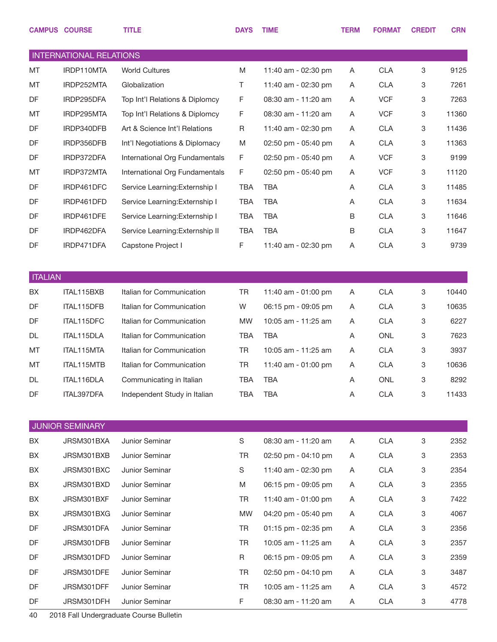|                | <b>CAMPUS COURSE</b>           | <b>TITLE</b>                            | <b>DAYS</b> | <b>TIME</b>         | <b>TERM</b> | <b>FORMAT</b> | <b>CREDIT</b> | <b>CRN</b> |
|----------------|--------------------------------|-----------------------------------------|-------------|---------------------|-------------|---------------|---------------|------------|
|                | <b>INTERNATIONAL RELATIONS</b> |                                         |             |                     |             |               |               |            |
| MT             | IRDP110MTA                     | <b>World Cultures</b>                   | M           | 11:40 am - 02:30 pm | A           | <b>CLA</b>    | 3             | 9125       |
| MT             | IRDP252MTA                     | Globalization                           | Τ           | 11:40 am - 02:30 pm | Α           | <b>CLA</b>    | 3             | 7261       |
| DF             | IRDP295DFA                     | Top Int'l Relations & Diplomcy          | F           | 08:30 am - 11:20 am | Α           | <b>VCF</b>    | 3             | 7263       |
| MT             | IRDP295MTA                     | Top Int'l Relations & Diplomcy          | F           | 08:30 am - 11:20 am | Α           | <b>VCF</b>    | 3             | 11360      |
| DF             | IRDP340DFB                     | Art & Science Int'l Relations           | R           | 11:40 am - 02:30 pm | A           | <b>CLA</b>    | 3             | 11436      |
| DF             | IRDP356DFB                     | Int'l Negotiations & Diplomacy          | M           | 02:50 pm - 05:40 pm | Α           | <b>CLA</b>    | 3             | 11363      |
| DF             | IRDP372DFA                     | International Org Fundamentals          | F           | 02:50 pm - 05:40 pm | Α           | <b>VCF</b>    | 3             | 9199       |
| MT             | IRDP372MTA                     | International Org Fundamentals          | F           | 02:50 pm - 05:40 pm | Α           | <b>VCF</b>    | 3             | 11120      |
| DF             | IRDP461DFC                     | Service Learning: Externship I          | <b>TBA</b>  | <b>TBA</b>          | Α           | <b>CLA</b>    | 3             | 11485      |
| DF             | IRDP461DFD                     | Service Learning: Externship I          | <b>TBA</b>  | <b>TBA</b>          | Α           | <b>CLA</b>    | 3             | 11634      |
| DF             | IRDP461DFE                     | Service Learning: Externship I          | <b>TBA</b>  | <b>TBA</b>          | B           | <b>CLA</b>    | 3             | 11646      |
| DF             | IRDP462DFA                     | Service Learning: Externship II         | <b>TBA</b>  | <b>TBA</b>          | B           | <b>CLA</b>    | 3             | 11647      |
| DF             | IRDP471DFA                     | Capstone Project I                      | F           | 11:40 am - 02:30 pm | Α           | <b>CLA</b>    | 3             | 9739       |
|                |                                |                                         |             |                     |             |               |               |            |
| <b>ITALIAN</b> |                                |                                         |             |                     |             |               |               |            |
| BX             | ITAL115BXB                     | Italian for Communication               | <b>TR</b>   | 11:40 am - 01:00 pm | A           | <b>CLA</b>    | 3             | 10440      |
| DF             | ITAL115DFB                     | Italian for Communication               | W           | 06:15 pm - 09:05 pm | Α           | <b>CLA</b>    | 3             | 10635      |
| DF             | ITAL115DFC                     | Italian for Communication               | <b>MW</b>   | 10:05 am - 11:25 am | Α           | <b>CLA</b>    | 3             | 6227       |
| DL             | ITAL115DLA                     | Italian for Communication               | <b>TBA</b>  | <b>TBA</b>          | Α           | <b>ONL</b>    | 3             | 7623       |
| MT             | ITAL115MTA                     | Italian for Communication               | <b>TR</b>   | 10:05 am - 11:25 am | Α           | <b>CLA</b>    | 3             | 3937       |
| MT             | ITAL115MTB                     | Italian for Communication               | <b>TR</b>   | 11:40 am - 01:00 pm | Α           | <b>CLA</b>    | 3             | 10636      |
| DL             | ITAL116DLA                     | Communicating in Italian                | <b>TBA</b>  | <b>TBA</b>          | A           | <b>ONL</b>    | 3             | 8292       |
| DF             | ITAL397DFA                     | Independent Study in Italian            | TBA         | <b>TBA</b>          | Α           | <b>CLA</b>    | 3             | 11433      |
|                |                                |                                         |             |                     |             |               |               |            |
|                | <b>JUNIOR SEMINARY</b>         |                                         |             |                     |             |               |               |            |
| BX             | JRSM301BXA                     | Junior Seminar                          | $\mathbb S$ | 08:30 am - 11:20 am | Α           | <b>CLA</b>    | 3             | 2352       |
| BX             | JRSM301BXB                     | Junior Seminar                          | TR          | 02:50 pm - 04:10 pm | A           | <b>CLA</b>    | 3             | 2353       |
| BX             | JRSM301BXC                     | Junior Seminar                          | S           | 11:40 am - 02:30 pm | A           | <b>CLA</b>    | 3             | 2354       |
| BX             | JRSM301BXD                     | Junior Seminar                          | M           | 06:15 pm - 09:05 pm | A           | <b>CLA</b>    | 3             | 2355       |
| BX             | JRSM301BXF                     | Junior Seminar                          | TR          | 11:40 am - 01:00 pm | A           | <b>CLA</b>    | 3             | 7422       |
| BX             | JRSM301BXG                     | Junior Seminar                          | <b>MW</b>   | 04:20 pm - 05:40 pm | A           | <b>CLA</b>    | 3             | 4067       |
| DF             | JRSM301DFA                     | Junior Seminar                          | <b>TR</b>   | 01:15 pm - 02:35 pm | A           | <b>CLA</b>    | 3             | 2356       |
| DF             | JRSM301DFB                     | Junior Seminar                          | <b>TR</b>   | 10:05 am - 11:25 am | A           | <b>CLA</b>    | 3             | 2357       |
| DF             | JRSM301DFD                     | Junior Seminar                          | R           | 06:15 pm - 09:05 pm | A           | <b>CLA</b>    | 3             | 2359       |
| DF             | JRSM301DFE                     | Junior Seminar                          | TR          | 02:50 pm - 04:10 pm | A           | <b>CLA</b>    | 3             | 3487       |
| DF             | JRSM301DFF                     | Junior Seminar                          | TR          | 10:05 am - 11:25 am | A           | <b>CLA</b>    | 3             | 4572       |
| DF             | JRSM301DFH                     | Junior Seminar                          | F           | 08:30 am - 11:20 am | A           | <b>CLA</b>    | 3             | 4778       |
| л∩             |                                | 2018 Fall Undergraduate Course Bulletin |             |                     |             |               |               |            |

40 2018 Fall Undergraduate Course Bulletin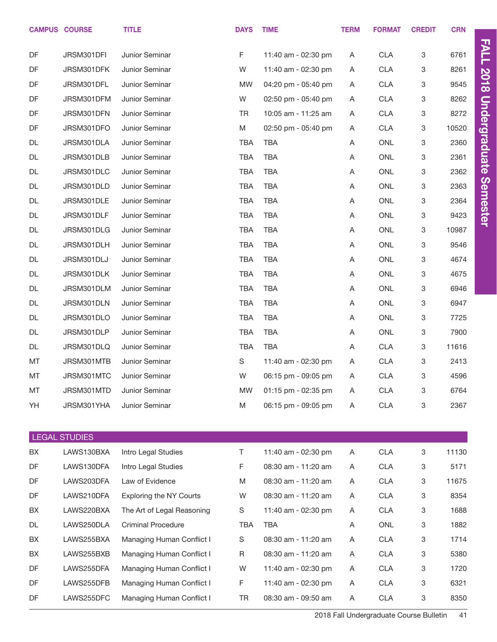|    | <b>CAMPUS COURSE</b> | <b>TITLE</b>                   | <b>DAYS</b> | <b>TIME</b>         | <b>TERM</b> | <b>FORMAT</b> | <b>CREDIT</b> | <b>CRN</b> |                      |
|----|----------------------|--------------------------------|-------------|---------------------|-------------|---------------|---------------|------------|----------------------|
| DF | JRSM301DFI           | Junior Seminar                 | $\mathsf F$ | 11:40 am - 02:30 pm | A           | <b>CLA</b>    | 3             | 6761       | <b>FALL</b>          |
| DF | JRSM301DFK           | Junior Seminar                 | W           | 11:40 am - 02:30 pm | A           | <b>CLA</b>    | 3             | 8261       |                      |
| DF | JRSM301DFL           | Junior Seminar                 | <b>MW</b>   | 04:20 pm - 05:40 pm | A           | <b>CLA</b>    | 3             | 9545       | <b>2018</b>          |
| DF | JRSM301DFM           | Junior Seminar                 | W           | 02:50 pm - 05:40 pm | A           | <b>CLA</b>    | 3             | 8262       |                      |
| DF | JRSM301DFN           | Junior Seminar                 | <b>TR</b>   | 10:05 am - 11:25 am | A           | <b>CLA</b>    | 3             | 8272       |                      |
| DF | JRSM301DFO           | Junior Seminar                 | M           | 02:50 pm - 05:40 pm | A           | <b>CLA</b>    | 3             | 10520      | <b>Undergraduate</b> |
| DL | JRSM301DLA           | Junior Seminar                 | <b>TBA</b>  | <b>TBA</b>          | Α           | <b>ONL</b>    | 3             | 2360       |                      |
| DL | JRSM301DLB           | Junior Seminar                 | <b>TBA</b>  | <b>TBA</b>          | Α           | <b>ONL</b>    | 3             | 2361       |                      |
| DL | JRSM301DLC           | Junior Seminar                 | <b>TBA</b>  | <b>TBA</b>          | Α           | <b>ONL</b>    | 3             | 2362       |                      |
| DL | JRSM301DLD           | Junior Seminar                 | <b>TBA</b>  | <b>TBA</b>          | Α           | <b>ONL</b>    | 3             | 2363       | <b>Semester</b>      |
| DL | JRSM301DLE           | Junior Seminar                 | <b>TBA</b>  | <b>TBA</b>          | Α           | <b>ONL</b>    | 3             | 2364       |                      |
| DL | JRSM301DLF           | Junior Seminar                 | <b>TBA</b>  | <b>TBA</b>          | Α           | <b>ONL</b>    | 3             | 9423       |                      |
| DL | JRSM301DLG           | Junior Seminar                 | <b>TBA</b>  | <b>TBA</b>          | Α           | <b>ONL</b>    | 3             | 10987      |                      |
| DL | JRSM301DLH           | Junior Seminar                 | <b>TBA</b>  | <b>TBA</b>          | Α           | <b>ONL</b>    | 3             | 9546       |                      |
| DL | JRSM301DLJ           | Junior Seminar                 | <b>TBA</b>  | <b>TBA</b>          | Α           | <b>ONL</b>    | 3             | 4674       |                      |
| DL | JRSM301DLK           | Junior Seminar                 | <b>TBA</b>  | <b>TBA</b>          | Α           | <b>ONL</b>    | 3             | 4675       |                      |
| DL | JRSM301DLM           | Junior Seminar                 | <b>TBA</b>  | <b>TBA</b>          | Α           | <b>ONL</b>    | 3             | 6946       |                      |
| DL | JRSM301DLN           | Junior Seminar                 | <b>TBA</b>  | <b>TBA</b>          | Α           | <b>ONL</b>    | 3             | 6947       |                      |
| DL | JRSM301DLO           | Junior Seminar                 | <b>TBA</b>  | <b>TBA</b>          | Α           | <b>ONL</b>    | 3             | 7725       |                      |
| DL | JRSM301DLP           | Junior Seminar                 | <b>TBA</b>  | <b>TBA</b>          | Α           | <b>ONL</b>    | 3             | 7900       |                      |
| DL | JRSM301DLQ           | Junior Seminar                 | <b>TBA</b>  | <b>TBA</b>          | Α           | <b>CLA</b>    | 3             | 11616      |                      |
| MT | JRSM301MTB           | Junior Seminar                 | S           | 11:40 am - 02:30 pm | A           | <b>CLA</b>    | 3             | 2413       |                      |
| MT | JRSM301MTC           | Junior Seminar                 | W           | 06:15 pm - 09:05 pm | Α           | <b>CLA</b>    | 3             | 4596       |                      |
| MT | JRSM301MTD           | Junior Seminar                 | <b>MW</b>   | 01:15 pm - 02:35 pm | A           | <b>CLA</b>    | 3             | 6764       |                      |
| YH | JRSM301YHA           | Junior Seminar                 | M           | 06:15 pm - 09:05 pm | A           | <b>CLA</b>    | 3             | 2367       |                      |
|    |                      |                                |             |                     |             |               |               |            |                      |
|    | <b>LEGAL STUDIES</b> |                                |             |                     |             |               |               |            |                      |
| BX | LAWS130BXA           | Intro Legal Studies            | T           | 11:40 am - 02:30 pm | A           | <b>CLA</b>    | 3             | 11130      |                      |
| DF | LAWS130DFA           | Intro Legal Studies            | F           | 08:30 am - 11:20 am | A           | <b>CLA</b>    | 3             | 5171       |                      |
| DF | LAWS203DFA           | Law of Evidence                | M           | 08:30 am - 11:20 am | A           | CLA           | 3             | 11675      |                      |
| DF | LAWS210DFA           | <b>Exploring the NY Courts</b> | W           | 08:30 am - 11:20 am | A           | <b>CLA</b>    | 3             | 8354       |                      |
| BX | LAWS220BXA           | The Art of Legal Reasoning     | S           | 11:40 am - 02:30 pm | A           | <b>CLA</b>    | 3             | 1688       |                      |
| DL | LAWS250DLA           | <b>Criminal Procedure</b>      | <b>TBA</b>  | <b>TBA</b>          | A           | ONL           | 3             | 1882       |                      |
| BX | LAWS255BXA           | Managing Human Conflict I      | S           | 08:30 am - 11:20 am | Α           | <b>CLA</b>    | 3             | 1714       |                      |

BX LAWS255BXB Managing Human Conflict I R 08:30 am - 11:20 am A CLA 3 5380 DF LAWS255DFA Managing Human Conflict I W 11:40 am - 02:30 pm A CLA 3 1720 DF LAWS255DFB Managing Human Conflict I F 11:40 am - 02:30 pm A CLA 3 6321 DF LAWS255DFC Managing Human Conflict I TR 08:30 am - 09:50 am A CLA 3 8350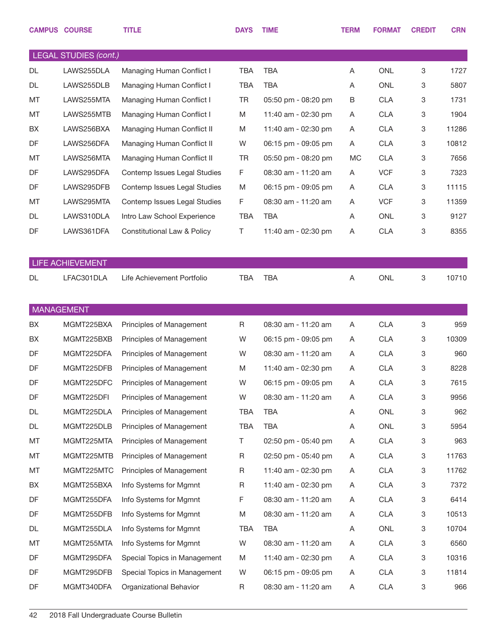|    | <b>CAMPUS COURSE</b>         | <b>TITLE</b>                        | <b>DAYS</b> | <b>TIME</b>         | <b>TERM</b> | <b>FORMAT</b> | <b>CREDIT</b> | <b>CRN</b> |
|----|------------------------------|-------------------------------------|-------------|---------------------|-------------|---------------|---------------|------------|
|    | <b>LEGAL STUDIES (cont.)</b> |                                     |             |                     |             |               |               |            |
| DL | LAWS255DLA                   | Managing Human Conflict I           | <b>TBA</b>  | <b>TBA</b>          | A           | <b>ONL</b>    | 3             | 1727       |
| DL | LAWS255DLB                   | Managing Human Conflict I           | <b>TBA</b>  | <b>TBA</b>          | Α           | <b>ONL</b>    | 3             | 5807       |
| MT | LAWS255MTA                   | Managing Human Conflict I           | <b>TR</b>   | 05:50 pm - 08:20 pm | B           | <b>CLA</b>    | 3             | 1731       |
| MT | LAWS255MTB                   | Managing Human Conflict I           | M           | 11:40 am - 02:30 pm | A           | <b>CLA</b>    | 3             | 1904       |
| BX | LAWS256BXA                   | Managing Human Conflict II          | M           | 11:40 am - 02:30 pm | Α           | <b>CLA</b>    | 3             | 11286      |
| DF | LAWS256DFA                   | Managing Human Conflict II          | W           | 06:15 pm - 09:05 pm | A           | <b>CLA</b>    | 3             | 10812      |
| MT | LAWS256MTA                   | Managing Human Conflict II          | <b>TR</b>   | 05:50 pm - 08:20 pm | <b>MC</b>   | <b>CLA</b>    | 3             | 7656       |
| DF | LAWS295DFA                   | Contemp Issues Legal Studies        | F           | 08:30 am - 11:20 am | A           | <b>VCF</b>    | 3             | 7323       |
| DF | LAWS295DFB                   | Contemp Issues Legal Studies        | M           | 06:15 pm - 09:05 pm | A           | <b>CLA</b>    | 3             | 11115      |
| MT | LAWS295MTA                   | Contemp Issues Legal Studies        | F           | 08:30 am - 11:20 am | Α           | <b>VCF</b>    | 3             | 11359      |
| DL | LAWS310DLA                   | Intro Law School Experience         | <b>TBA</b>  | <b>TBA</b>          | Α           | <b>ONL</b>    | 3             | 9127       |
| DF | LAWS361DFA                   | Constitutional Law & Policy         | Τ           | 11:40 am - 02:30 pm | Α           | <b>CLA</b>    | 3             | 8355       |
|    |                              |                                     |             |                     |             |               |               |            |
|    | <b>LIFE ACHIEVEMENT</b>      |                                     |             |                     |             |               |               |            |
| DL | LFAC301DLA                   | Life Achievement Portfolio          | TBA         | <b>TBA</b>          | A           | <b>ONL</b>    | 3             | 10710      |
|    |                              |                                     |             |                     |             |               |               |            |
|    | <b>MANAGEMENT</b>            |                                     |             |                     |             |               |               |            |
| BX | MGMT225BXA                   | Principles of Management            | R           | 08:30 am - 11:20 am | A           | <b>CLA</b>    | 3             | 959        |
| BX | MGMT225BXB                   | Principles of Management            | W           | 06:15 pm - 09:05 pm | A           | <b>CLA</b>    | 3             | 10309      |
| DF | MGMT225DFA                   | Principles of Management            | W           | 08:30 am - 11:20 am | A           | <b>CLA</b>    | 3             | 960        |
| DF | MGMT225DFB                   | Principles of Management            | M           | 11:40 am - 02:30 pm | Α           | <b>CLA</b>    | 3             | 8228       |
| DF |                              | MGMT225DFC Principles of Management | W           | 06:15 pm - 09:05 pm | A           | <b>CLA</b>    | 3             | 7615       |
| DF | MGMT225DFI                   | Principles of Management            | W           | 08:30 am - 11:20 am | A           | <b>CLA</b>    | 3             | 9956       |
| DL | MGMT225DLA                   | Principles of Management            | TBA         | TBA                 | A           | ONL           | 3             | 962        |
| DL | MGMT225DLB                   | Principles of Management            | <b>TBA</b>  | <b>TBA</b>          | A           | ONL           | 3             | 5954       |
| МT | MGMT225MTA                   | Principles of Management            | Τ           | 02:50 pm - 05:40 pm | A           | <b>CLA</b>    | 3             | 963        |
| МT | MGMT225MTB                   | Principles of Management            | R           | 02:50 pm - 05:40 pm | A           | <b>CLA</b>    | 3             | 11763      |
| МT | MGMT225MTC                   | Principles of Management            | R           | 11:40 am - 02:30 pm | A           | <b>CLA</b>    | 3             | 11762      |
| BX | MGMT255BXA                   | Info Systems for Mgmnt              | R           | 11:40 am - 02:30 pm | A           | <b>CLA</b>    | 3             | 7372       |
| DF | MGMT255DFA                   | Info Systems for Mgmnt              | F           | 08:30 am - 11:20 am | A           | <b>CLA</b>    | 3             | 6414       |
| DF | MGMT255DFB                   | Info Systems for Mgmnt              | M           | 08:30 am - 11:20 am | A           | <b>CLA</b>    | 3             | 10513      |
| DL | MGMT255DLA                   | Info Systems for Mgmnt              | TBA         | TBA                 | A           | ONL           | 3             | 10704      |
| MT | MGMT255MTA                   | Info Systems for Mgmnt              | W           | 08:30 am - 11:20 am | A           | <b>CLA</b>    | 3             | 6560       |
| DF | MGMT295DFA                   | Special Topics in Management        | M           | 11:40 am - 02:30 pm | A           | <b>CLA</b>    | 3             | 10316      |
| DF | MGMT295DFB                   | Special Topics in Management        | W           | 06:15 pm - 09:05 pm | A           | <b>CLA</b>    | 3             | 11814      |
| DF | MGMT340DFA                   | Organizational Behavior             | R           | 08:30 am - 11:20 am | A           | <b>CLA</b>    | 3             | 966        |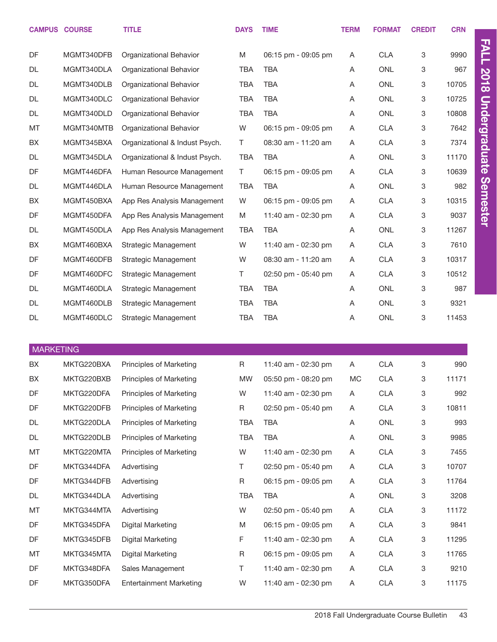|                  | <b>CAMPUS COURSE</b> | <b>TITLE</b>                   | <b>DAYS</b> | <b>TIME</b>         | <b>TERM</b> | <b>FORMAT</b> | <b>CREDIT</b> | <b>CRN</b> |                      |
|------------------|----------------------|--------------------------------|-------------|---------------------|-------------|---------------|---------------|------------|----------------------|
| DF               | MGMT340DFB           | Organizational Behavior        | M           | 06:15 pm - 09:05 pm | Α           | <b>CLA</b>    | 3             | 9990       | <b>FALL</b>          |
| DL               | MGMT340DLA           | Organizational Behavior        | <b>TBA</b>  | <b>TBA</b>          | Α           | <b>ONL</b>    | 3             | 967        |                      |
| DL               | MGMT340DLB           | Organizational Behavior        | <b>TBA</b>  | <b>TBA</b>          | Α           | <b>ONL</b>    | 3             | 10705      | <b>2018</b>          |
| DL               | MGMT340DLC           | Organizational Behavior        | <b>TBA</b>  | <b>TBA</b>          | Α           | <b>ONL</b>    | 3             | 10725      |                      |
| DL               | MGMT340DLD           | Organizational Behavior        | <b>TBA</b>  | <b>TBA</b>          | A           | <b>ONL</b>    | 3             | 10808      | <b>Undergraduate</b> |
| MT               | MGMT340MTB           | Organizational Behavior        | W           | 06:15 pm - 09:05 pm | Α           | <b>CLA</b>    | 3             | 7642       |                      |
| BX               | MGMT345BXA           | Organizational & Indust Psych. | T.          | 08:30 am - 11:20 am | Α           | <b>CLA</b>    | 3             | 7374       |                      |
| DL               | MGMT345DLA           | Organizational & Indust Psych. | <b>TBA</b>  | <b>TBA</b>          | A           | <b>ONL</b>    | 3             | 11170      |                      |
| DF               | MGMT446DFA           | Human Resource Management      | T.          | 06:15 pm - 09:05 pm | Α           | <b>CLA</b>    | 3             | 10639      |                      |
| DL               | MGMT446DLA           | Human Resource Management      | <b>TBA</b>  | <b>TBA</b>          | A           | <b>ONL</b>    | 3             | 982        | <b>Semester</b>      |
| BX               | MGMT450BXA           | App Res Analysis Management    | W           | 06:15 pm - 09:05 pm | Α           | <b>CLA</b>    | 3             | 10315      |                      |
| DF               | MGMT450DFA           | App Res Analysis Management    | M           | 11:40 am - 02:30 pm | Α           | <b>CLA</b>    | 3             | 9037       |                      |
| DL               | MGMT450DLA           | App Res Analysis Management    | <b>TBA</b>  | <b>TBA</b>          | Α           | <b>ONL</b>    | 3             | 11267      |                      |
| BX               | MGMT460BXA           | Strategic Management           | W           | 11:40 am - 02:30 pm | Α           | <b>CLA</b>    | 3             | 7610       |                      |
| DF               | MGMT460DFB           | Strategic Management           | W           | 08:30 am - 11:20 am | Α           | <b>CLA</b>    | 3             | 10317      |                      |
| DF               | MGMT460DFC           | Strategic Management           | T.          | 02:50 pm - 05:40 pm | Α           | <b>CLA</b>    | 3             | 10512      |                      |
| DL               | MGMT460DLA           | Strategic Management           | <b>TBA</b>  | <b>TBA</b>          | Α           | <b>ONL</b>    | 3             | 987        |                      |
| DL               | MGMT460DLB           | Strategic Management           | <b>TBA</b>  | <b>TBA</b>          | Α           | <b>ONL</b>    | 3             | 9321       |                      |
| DL               | MGMT460DLC           | Strategic Management           | <b>TBA</b>  | <b>TBA</b>          | A           | <b>ONL</b>    | 3             | 11453      |                      |
|                  |                      |                                |             |                     |             |               |               |            |                      |
| <b>MARKETING</b> |                      |                                |             |                     |             |               |               |            |                      |
| BX               | MKTG220BXA           | Principles of Marketing        | R           | 11:40 am - 02:30 pm | Α           | <b>CLA</b>    | 3             | 990        |                      |
| BX               | MKTG220BXB           | Principles of Marketing        | <b>MW</b>   | 05:50 pm - 08:20 pm | MC          | <b>CLA</b>    | 3             | 11171      |                      |
| DF               | MKTG220DFA           | Principles of Marketing        | W           | 11:40 am - 02:30 pm | Α           | <b>CLA</b>    | 3             | 992        |                      |
| DF               | MKTG220DFB           | Principles of Marketing        | R           | 02:50 pm - 05:40 pm | Α           | <b>CLA</b>    | 3             | 10811      |                      |
| DL               | MKTG220DLA           | Principles of Marketing        | <b>TBA</b>  | <b>TBA</b>          | Α           | ONL           | 3             | 993        |                      |
| DL               | MKTG220DLB           | Principles of Marketing        | <b>TBA</b>  | <b>TBA</b>          | Α           | ONL           | 3             | 9985       |                      |
| MT               | MKTG220MTA           | Principles of Marketing        | W           | 11:40 am - 02:30 pm | Α           | <b>CLA</b>    | 3             | 7455       |                      |
| DF               | MKTG344DFA           | Advertising                    | T           | 02:50 pm - 05:40 pm | Α           | <b>CLA</b>    | 3             | 10707      |                      |
| DF               | MKTG344DFB           | Advertising                    | $\mathsf R$ | 06:15 pm - 09:05 pm | A           | <b>CLA</b>    | 3             | 11764      |                      |
| DL               | MKTG344DLA           | Advertising                    | <b>TBA</b>  | <b>TBA</b>          | Α           | ONL           | 3             | 3208       |                      |
| MT               | MKTG344MTA           | Advertising                    | W           | 02:50 pm - 05:40 pm | Α           | <b>CLA</b>    | 3             | 11172      |                      |
| DF               | MKTG345DFA           | Digital Marketing              | M           | 06:15 pm - 09:05 pm | Α           | <b>CLA</b>    | 3             | 9841       |                      |
| DF               | MKTG345DFB           | Digital Marketing              | F           | 11:40 am - 02:30 pm | A           | <b>CLA</b>    | 3             | 11295      |                      |
| MT               | MKTG345MTA           | Digital Marketing              | R           | 06:15 pm - 09:05 pm | Α           | <b>CLA</b>    | 3             | 11765      |                      |
| DF               | MKTG348DFA           | Sales Management               | Τ           | 11:40 am - 02:30 pm | A           | <b>CLA</b>    | 3             | 9210       |                      |

DF MKTG350DFA Entertainment Marketing W 11:40 am - 02:30 pm A CLA 3 11175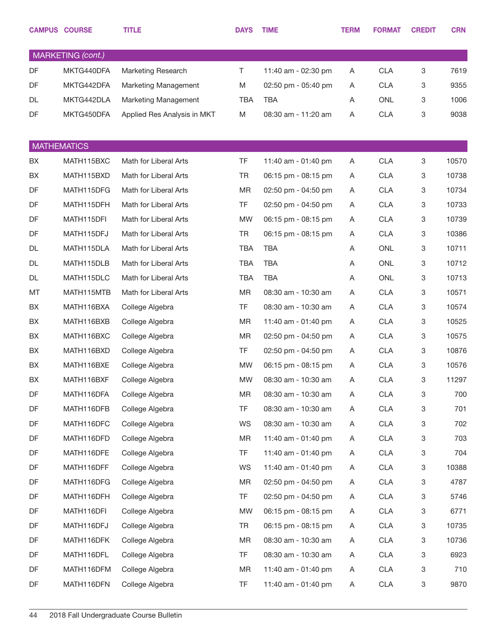|                    | <b>CAMPUS COURSE</b> | <b>TITLE</b>                | <b>DAYS</b> | <b>TIME</b>         | <b>TERM</b> | <b>FORMAT</b> | <b>CREDIT</b> | <b>CRN</b> |
|--------------------|----------------------|-----------------------------|-------------|---------------------|-------------|---------------|---------------|------------|
|                    | MARKETING (cont.)    |                             |             |                     |             |               |               |            |
| DF                 | MKTG440DFA           | Marketing Research          | $\top$      | 11:40 am - 02:30 pm | Α           | <b>CLA</b>    | 3             | 7619       |
| DF                 | MKTG442DFA           | Marketing Management        | M           | 02:50 pm - 05:40 pm | A           | <b>CLA</b>    | 3             | 9355       |
| DL                 | MKTG442DLA           | Marketing Management        | <b>TBA</b>  | <b>TBA</b>          | Α           | <b>ONL</b>    | 3             | 1006       |
| DF                 | MKTG450DFA           | Applied Res Analysis in MKT | M           | 08:30 am - 11:20 am | Α           | <b>CLA</b>    | 3             | 9038       |
|                    |                      |                             |             |                     |             |               |               |            |
| <b>MATHEMATICS</b> |                      |                             |             |                     |             |               |               |            |
| BX                 | MATH115BXC           | Math for Liberal Arts       | <b>TF</b>   | 11:40 am - 01:40 pm | Α           | <b>CLA</b>    | 3             | 10570      |
| BX                 | MATH115BXD           | Math for Liberal Arts       | <b>TR</b>   | 06:15 pm - 08:15 pm | Α           | <b>CLA</b>    | 3             | 10738      |
| DF                 | MATH115DFG           | Math for Liberal Arts       | <b>MR</b>   | 02:50 pm - 04:50 pm | Α           | <b>CLA</b>    | 3             | 10734      |
| DF                 | MATH115DFH           | Math for Liberal Arts       | <b>TF</b>   | 02:50 pm - 04:50 pm | Α           | <b>CLA</b>    | 3             | 10733      |
| DF                 | MATH115DFI           | Math for Liberal Arts       | <b>MW</b>   | 06:15 pm - 08:15 pm | Α           | <b>CLA</b>    | 3             | 10739      |
| DF                 | MATH115DFJ           | Math for Liberal Arts       | <b>TR</b>   | 06:15 pm - 08:15 pm | Α           | <b>CLA</b>    | 3             | 10386      |
| DL                 | MATH115DLA           | Math for Liberal Arts       | <b>TBA</b>  | <b>TBA</b>          | A           | <b>ONL</b>    | 3             | 10711      |
| DL                 | MATH115DLB           | Math for Liberal Arts       | <b>TBA</b>  | <b>TBA</b>          | Α           | <b>ONL</b>    | 3             | 10712      |
| DL                 | MATH115DLC           | Math for Liberal Arts       | <b>TBA</b>  | <b>TBA</b>          | Α           | <b>ONL</b>    | 3             | 10713      |
| MT                 | MATH115MTB           | Math for Liberal Arts       | <b>MR</b>   | 08:30 am - 10:30 am | Α           | <b>CLA</b>    | 3             | 10571      |
| BX                 | MATH116BXA           | College Algebra             | TF.         | 08:30 am - 10:30 am | A           | <b>CLA</b>    | 3             | 10574      |
| BX                 | MATH116BXB           | College Algebra             | <b>MR</b>   | 11:40 am - 01:40 pm | Α           | <b>CLA</b>    | 3             | 10525      |
| BX                 | MATH116BXC           | College Algebra             | <b>MR</b>   | 02:50 pm - 04:50 pm | A           | <b>CLA</b>    | 3             | 10575      |
| BX                 | MATH116BXD           | College Algebra             | TF.         | 02:50 pm - 04:50 pm | Α           | <b>CLA</b>    | 3             | 10876      |
| BX                 | MATH116BXE           | College Algebra             | <b>MW</b>   | 06:15 pm - 08:15 pm | A           | <b>CLA</b>    | 3             | 10576      |
| BX                 | MATH116BXF           | College Algebra             | <b>MW</b>   | 08:30 am - 10:30 am | Α           | <b>CLA</b>    | 3             | 11297      |
| DF                 | MATH116DFA           | College Algebra             | MR          | 08:30 am - 10:30 am | Α           | <b>CLA</b>    | 3             | 700        |
| DF                 | MATH116DFB           | College Algebra             | TF          | 08:30 am - 10:30 am | Α           | <b>CLA</b>    | 3             | 701        |
| DF                 | MATH116DFC           | College Algebra             | WS          | 08:30 am - 10:30 am | Α           | <b>CLA</b>    | 3             | 702        |
| DF                 | MATH116DFD           | College Algebra             | MR          | 11:40 am - 01:40 pm | Α           | <b>CLA</b>    | 3             | 703        |
| DF                 | MATH116DFE           | College Algebra             | TF.         | 11:40 am - 01:40 pm | Α           | <b>CLA</b>    | 3             | 704        |
| DF                 | MATH116DFF           | College Algebra             | WS          | 11:40 am - 01:40 pm | Α           | <b>CLA</b>    | 3             | 10388      |
| DF                 | MATH116DFG           | College Algebra             | MR          | 02:50 pm - 04:50 pm | Α           | <b>CLA</b>    | 3             | 4787       |
| DF                 | MATH116DFH           | College Algebra             | TF.         | 02:50 pm - 04:50 pm | A           | <b>CLA</b>    | 3             | 5746       |
| DF                 | MATH116DFI           | College Algebra             | MW          | 06:15 pm - 08:15 pm | Α           | <b>CLA</b>    | 3             | 6771       |
| DF                 | MATH116DFJ           | College Algebra             | TR          | 06:15 pm - 08:15 pm | Α           | <b>CLA</b>    | 3             | 10735      |
| DF                 | MATH116DFK           | College Algebra             | MR          | 08:30 am - 10:30 am | Α           | <b>CLA</b>    | 3             | 10736      |
| DF                 | MATH116DFL           | College Algebra             | TF.         | 08:30 am - 10:30 am | Α           | <b>CLA</b>    | 3             | 6923       |
| DF                 | MATH116DFM           | College Algebra             | MR          | 11:40 am - 01:40 pm | Α           | <b>CLA</b>    | 3             | 710        |
| DF                 | MATH116DFN           | College Algebra             | TF          | 11:40 am - 01:40 pm | A           | <b>CLA</b>    | 3             | 9870       |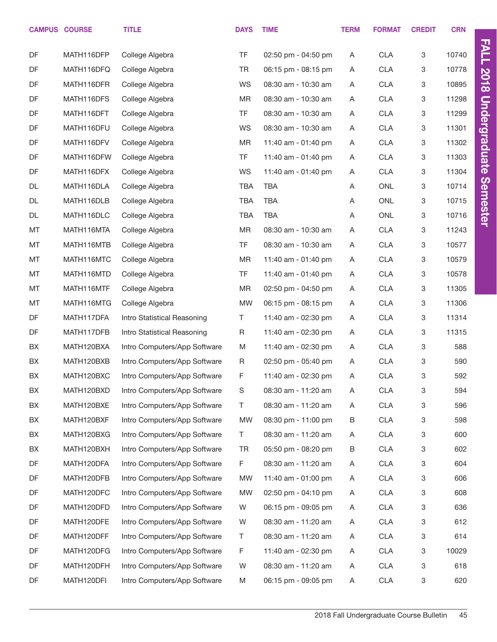|    | <b>CAMPUS COURSE</b> | <b>TITLE</b>                 | <b>DAYS</b> | <b>TIME</b>         | <b>TERM</b> | <b>FORMAT</b> | <b>CREDIT</b> | <b>CRN</b> |                      |
|----|----------------------|------------------------------|-------------|---------------------|-------------|---------------|---------------|------------|----------------------|
| DF | MATH116DFP           | College Algebra              | <b>TF</b>   | 02:50 pm - 04:50 pm | Α           | CLA           | 3             | 10740      | <b>FALL</b>          |
| DF | MATH116DFQ           | College Algebra              | <b>TR</b>   | 06:15 pm - 08:15 pm | A           | <b>CLA</b>    | 3             | 10778      |                      |
| DF | MATH116DFR           | College Algebra              | WS          | 08:30 am - 10:30 am | A           | <b>CLA</b>    | 3             | 10895      | <b>2018</b>          |
| DF | MATH116DFS           | College Algebra              | MR          | 08:30 am - 10:30 am | A           | <b>CLA</b>    | 3             | 11298      |                      |
| DF | MATH116DFT           | College Algebra              | <b>TF</b>   | 08:30 am - 10:30 am | A           | <b>CLA</b>    | 3             | 11299      |                      |
| DF | MATH116DFU           | College Algebra              | WS          | 08:30 am - 10:30 am | A           | <b>CLA</b>    | 3             | 11301      |                      |
| DF | MATH116DFV           | College Algebra              | <b>MR</b>   | 11:40 am - 01:40 pm | A           | <b>CLA</b>    | 3             | 11302      |                      |
| DF | MATH116DFW           | College Algebra              | <b>TF</b>   | 11:40 am - 01:40 pm | Α           | <b>CLA</b>    | 3             | 11303      | <b>Undergraduate</b> |
| DF | MATH116DFX           | College Algebra              | WS          | 11:40 am - 01:40 pm | A           | <b>CLA</b>    | 3             | 11304      |                      |
| DL | MATH116DLA           | College Algebra              | <b>TBA</b>  | <b>TBA</b>          | Α           | <b>ONL</b>    | 3             | 10714      | <b>Semester</b>      |
| DL | MATH116DLB           | College Algebra              | <b>TBA</b>  | <b>TBA</b>          | Α           | ONL           | 3             | 10715      |                      |
| DL | MATH116DLC           | College Algebra              | <b>TBA</b>  | <b>TBA</b>          | Α           | ONL           | 3             | 10716      |                      |
| MT | MATH116MTA           | College Algebra              | MR          | 08:30 am - 10:30 am | Α           | <b>CLA</b>    | 3             | 11243      |                      |
| MT | MATH116MTB           | College Algebra              | <b>TF</b>   | 08:30 am - 10:30 am | A           | <b>CLA</b>    | 3             | 10577      |                      |
| MT | MATH116MTC           | College Algebra              | MR          | 11:40 am - 01:40 pm | A           | <b>CLA</b>    | 3             | 10579      |                      |
| MT | MATH116MTD           | College Algebra              | <b>TF</b>   | 11:40 am - 01:40 pm | A           | <b>CLA</b>    | 3             | 10578      |                      |
| MT | MATH116MTF           | College Algebra              | MR          | 02:50 pm - 04:50 pm | A           | <b>CLA</b>    | 3             | 11305      |                      |
| MT | MATH116MTG           | College Algebra              | <b>MW</b>   | 06:15 pm - 08:15 pm | A           | <b>CLA</b>    | 3             | 11306      |                      |
| DF | MATH117DFA           | Intro Statistical Reasoning  | T.          | 11:40 am - 02:30 pm | A           | <b>CLA</b>    | 3             | 11314      |                      |
| DF | MATH117DFB           | Intro Statistical Reasoning  | R           | 11:40 am - 02:30 pm | A           | <b>CLA</b>    | 3             | 11315      |                      |
| BX | MATH120BXA           | Intro Computers/App Software | M           | 11:40 am - 02:30 pm | A           | <b>CLA</b>    | 3             | 588        |                      |
| BX | MATH120BXB           | Intro Computers/App Software | R           | 02:50 pm - 05:40 pm | A           | <b>CLA</b>    | 3             | 590        |                      |
| BX | MATH120BXC           | Intro Computers/App Software | F           | 11:40 am - 02:30 pm | Α           | <b>CLA</b>    | 3             | 592        |                      |
| BX | MATH120BXD           | Intro Computers/App Software | S           | 08:30 am - 11:20 am | Α           | <b>CLA</b>    | 3             | 594        |                      |
| BX | MATH120BXE           | Intro Computers/App Software | Τ           | 08:30 am - 11:20 am | A           | <b>CLA</b>    | 3             | 596        |                      |
| BX | MATH120BXF           | Intro Computers/App Software | MW          | 08:30 pm - 11:00 pm | B           | <b>CLA</b>    | 3             | 598        |                      |
| BX | MATH120BXG           | Intro Computers/App Software | Τ           | 08:30 am - 11:20 am | A           | <b>CLA</b>    | 3             | 600        |                      |
| BX | MATH120BXH           | Intro Computers/App Software | TR          | 05:50 pm - 08:20 pm | B           | <b>CLA</b>    | 3             | 602        |                      |
| DF | MATH120DFA           | Intro Computers/App Software | F           | 08:30 am - 11:20 am | A           | <b>CLA</b>    | 3             | 604        |                      |
| DF | MATH120DFB           | Intro Computers/App Software | MW          | 11:40 am - 01:00 pm | A           | <b>CLA</b>    | 3             | 606        |                      |
| DF | MATH120DFC           | Intro Computers/App Software | MW          | 02:50 pm - 04:10 pm | A           | <b>CLA</b>    | 3             | 608        |                      |
| DF | MATH120DFD           | Intro Computers/App Software | W           | 06:15 pm - 09:05 pm | A           | <b>CLA</b>    | 3             | 636        |                      |
| DF | MATH120DFE           | Intro Computers/App Software | W           | 08:30 am - 11:20 am | A           | <b>CLA</b>    | 3             | 612        |                      |
| DF | MATH120DFF           | Intro Computers/App Software | Τ           | 08:30 am - 11:20 am | A           | <b>CLA</b>    | 3             | 614        |                      |
| DF | MATH120DFG           | Intro Computers/App Software | F           | 11:40 am - 02:30 pm | Α           | <b>CLA</b>    | 3             | 10029      |                      |
| DF | MATH120DFH           | Intro Computers/App Software | W           | 08:30 am - 11:20 am | Α           | <b>CLA</b>    | 3             | 618        |                      |
| DF | MATH120DFI           | Intro Computers/App Software | M           | 06:15 pm - 09:05 pm | A           | <b>CLA</b>    | 3             | 620        |                      |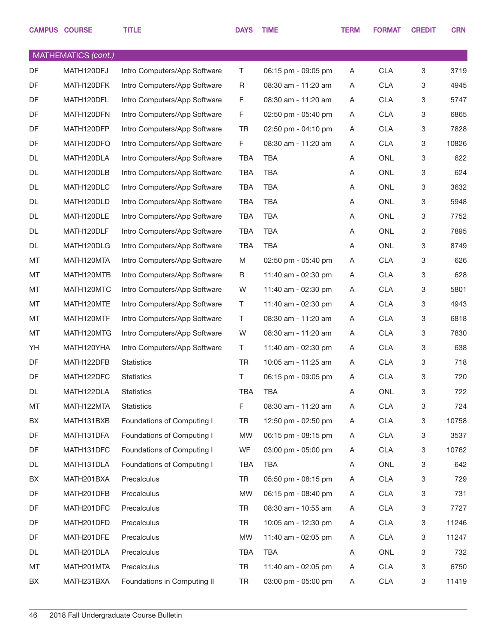|    | <b>CAMPUS COURSE</b> | <b>TITLE</b>                 | <b>DAYS</b> | <b>TIME</b>             | <b>TERM</b> | <b>FORMAT</b> | <b>CREDIT</b>             | <b>CRN</b> |
|----|----------------------|------------------------------|-------------|-------------------------|-------------|---------------|---------------------------|------------|
|    | MATHEMATICS (cont.)  |                              |             |                         |             |               |                           |            |
| DF | MATH120DFJ           | Intro Computers/App Software | T           | 06:15 pm - 09:05 pm     | A           | <b>CLA</b>    | 3                         | 3719       |
| DF | MATH120DFK           | Intro Computers/App Software | R           | 08:30 am - 11:20 am     | A           | <b>CLA</b>    | 3                         | 4945       |
| DF | MATH120DFL           | Intro Computers/App Software | F           | 08:30 am - 11:20 am     | A           | <b>CLA</b>    | 3                         | 5747       |
| DF | MATH120DFN           | Intro Computers/App Software | F           | 02:50 pm - 05:40 pm     | A           | <b>CLA</b>    | 3                         | 6865       |
| DF | MATH120DFP           | Intro Computers/App Software | <b>TR</b>   | 02:50 pm - 04:10 pm     | A           | <b>CLA</b>    | 3                         | 7828       |
| DF | MATH120DFQ           | Intro Computers/App Software | F           | 08:30 am - 11:20 am     | A           | <b>CLA</b>    | $\ensuremath{\mathsf{3}}$ | 10826      |
| DL | MATH120DLA           | Intro Computers/App Software | <b>TBA</b>  | TBA                     | A           | <b>ONL</b>    | 3                         | 622        |
| DL | MATH120DLB           | Intro Computers/App Software | <b>TBA</b>  | <b>TBA</b>              | A           | <b>ONL</b>    | $\ensuremath{\mathsf{3}}$ | 624        |
| DL | MATH120DLC           | Intro Computers/App Software | <b>TBA</b>  | <b>TBA</b>              | A           | <b>ONL</b>    | 3                         | 3632       |
| DL | MATH120DLD           | Intro Computers/App Software | <b>TBA</b>  | <b>TBA</b>              | A           | <b>ONL</b>    | 3                         | 5948       |
| DL | MATH120DLE           | Intro Computers/App Software | <b>TBA</b>  | <b>TBA</b>              | Α           | <b>ONL</b>    | 3                         | 7752       |
| DL | MATH120DLF           | Intro Computers/App Software | <b>TBA</b>  | <b>TBA</b>              | Α           | <b>ONL</b>    | 3                         | 7895       |
| DL | MATH120DLG           | Intro Computers/App Software | <b>TBA</b>  | <b>TBA</b>              | Α           | <b>ONL</b>    | 3                         | 8749       |
| MT | MATH120MTA           | Intro Computers/App Software | M           | $02:50$ pm - $05:40$ pm | A           | <b>CLA</b>    | $\ensuremath{\mathsf{3}}$ | 626        |
| MT | MATH120MTB           | Intro Computers/App Software | R.          | 11:40 am - 02:30 pm     | A           | <b>CLA</b>    | 3                         | 628        |
| MT | MATH120MTC           | Intro Computers/App Software | W           | 11:40 am - 02:30 pm     | A           | <b>CLA</b>    | 3                         | 5801       |
| MT | MATH120MTE           | Intro Computers/App Software | Τ           | 11:40 am - 02:30 pm     | A           | <b>CLA</b>    | 3                         | 4943       |
| MT | MATH120MTF           | Intro Computers/App Software | Τ           | 08:30 am - 11:20 am     | A           | <b>CLA</b>    | 3                         | 6818       |
| MT | MATH120MTG           | Intro Computers/App Software | W           | 08:30 am - 11:20 am     | A           | <b>CLA</b>    | 3                         | 7830       |
| YH | MATH120YHA           | Intro Computers/App Software | Τ           | 11:40 am - 02:30 pm     | A           | <b>CLA</b>    | 3                         | 638        |
| DF | MATH122DFB           | Statistics                   | <b>TR</b>   | 10:05 am - 11:25 am     | A           | <b>CLA</b>    | 3                         | 718        |
| DF | MATH122DFC           | Statistics                   | T           | 06:15 pm - 09:05 pm     | A           | <b>CLA</b>    | 3                         | 720        |
| DL | MATH122DLA           | <b>Statistics</b>            | <b>TBA</b>  | <b>TBA</b>              | Α           | <b>ONL</b>    | 3                         | 722        |
| MT | MATH122MTA           | <b>Statistics</b>            | F           | 08:30 am - 11:20 am     | A           | <b>CLA</b>    | 3                         | 724        |
| BX | MATH131BXB           | Foundations of Computing I   | <b>TR</b>   | 12:50 pm - 02:50 pm     | A           | CLA           | 3                         | 10758      |
| DF | MATH131DFA           | Foundations of Computing I   | <b>MW</b>   | 06:15 pm - 08:15 pm     | A           | CLA           | 3                         | 3537       |
| DF | MATH131DFC           | Foundations of Computing I   | <b>WF</b>   | 03:00 pm - 05:00 pm     | A           | <b>CLA</b>    | 3                         | 10762      |
| DL | MATH131DLA           | Foundations of Computing I   | <b>TBA</b>  | TBA                     | A           | ONL           | 3                         | 642        |
| BX | MATH201BXA           | Precalculus                  | <b>TR</b>   | 05:50 pm - 08:15 pm     | A           | CLA           | 3                         | 729        |
| DF | MATH201DFB           | Precalculus                  | <b>MW</b>   | 06:15 pm - 08:40 pm     | A           | CLA           | 3                         | 731        |
| DF | MATH201DFC           | Precalculus                  | <b>TR</b>   | 08:30 am - 10:55 am     | A           | <b>CLA</b>    | 3                         | 7727       |
| DF | MATH201DFD           | Precalculus                  | <b>TR</b>   | 10:05 am - 12:30 pm     | A           | <b>CLA</b>    | 3                         | 11246      |
| DF | MATH201DFE           | Precalculus                  | <b>MW</b>   | 11:40 am - 02:05 pm     | A           | <b>CLA</b>    | 3                         | 11247      |
| DL | MATH201DLA           | Precalculus                  | <b>TBA</b>  | TBA                     | A           | ONL           | 3                         | 732        |
| MT | MATH201MTA           | Precalculus                  | <b>TR</b>   | 11:40 am - 02:05 pm     | A           | <b>CLA</b>    | 3                         | 6750       |
| BX | MATH231BXA           | Foundations in Computing II  | <b>TR</b>   | 03:00 pm - 05:00 pm     | A           | CLA           | 3                         | 11419      |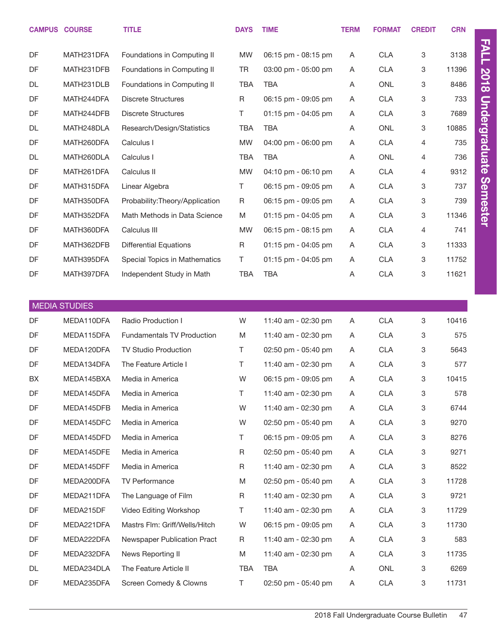|           | <b>CAMPUS COURSE</b> | <b>TITLE</b>                    | <b>DAYS</b> | <b>TIME</b>                           | <b>TERM</b> | <b>FORMAT</b> | <b>CREDIT</b>  | <b>CRN</b> |  |
|-----------|----------------------|---------------------------------|-------------|---------------------------------------|-------------|---------------|----------------|------------|--|
|           |                      |                                 |             |                                       |             |               |                |            |  |
| DF        | MATH231DFA           | Foundations in Computing II     | <b>MW</b>   | 06:15 pm - 08:15 pm                   | Α           | <b>CLA</b>    | 3              | 3138       |  |
| DF        | MATH231DFB           | Foundations in Computing II     | <b>TR</b>   | $03:00 \text{ pm} - 05:00 \text{ pm}$ | A           | <b>CLA</b>    | 3              | 11396      |  |
| DL        | MATH231DLB           | Foundations in Computing II     | <b>TBA</b>  | <b>TBA</b>                            | A           | <b>ONL</b>    | 3              | 8486       |  |
| DF        | MATH244DFA           | <b>Discrete Structures</b>      | R           | 06:15 pm - 09:05 pm                   | Α           | <b>CLA</b>    | 3              | 733        |  |
| DF        | MATH244DFB           | <b>Discrete Structures</b>      | T.          | $01:15$ pm - 04:05 pm                 | A           | <b>CLA</b>    | 3              | 7689       |  |
| DL        | MATH248DLA           | Research/Design/Statistics      | <b>TBA</b>  | <b>TBA</b>                            | Α           | <b>ONL</b>    | 3              | 10885      |  |
| DF        | MATH260DFA           | Calculus I                      | <b>MW</b>   | 04:00 pm - 06:00 pm                   | A           | <b>CLA</b>    | $\overline{4}$ | 735        |  |
| <b>DL</b> | MATH260DLA           | Calculus I                      | <b>TBA</b>  | <b>TBA</b>                            | A           | <b>ONL</b>    | 4              | 736        |  |
| DF        | MATH261DFA           | Calculus II                     | <b>MW</b>   | 04:10 pm - 06:10 pm                   | A           | <b>CLA</b>    | 4              | 9312       |  |
| DF        | MATH315DFA           | Linear Algebra                  | $\top$      | 06:15 pm - 09:05 pm                   | A           | <b>CLA</b>    | 3              | 737        |  |
| DF        | MATH350DFA           | Probability: Theory/Application | R           | 06:15 pm - 09:05 pm                   | A           | <b>CLA</b>    | 3              | 739        |  |
| DF        | MATH352DFA           | Math Methods in Data Science    | M           | $01:15$ pm - 04:05 pm                 | A           | <b>CLA</b>    | 3              | 11346      |  |
| DF        | MATH360DFA           | Calculus III                    | <b>MW</b>   | $06:15$ pm - $08:15$ pm               | Α           | <b>CLA</b>    | 4              | 741        |  |
| DF        | MATH362DFB           | <b>Differential Equations</b>   | R           | $01:15$ pm - 04:05 pm                 | A           | <b>CLA</b>    | 3              | 11333      |  |
| DF        | MATH395DFA           | Special Topics in Mathematics   | T.          | 01:15 pm - 04:05 pm                   | Α           | <b>CLA</b>    | 3              | 11752      |  |
| DF        | MATH397DFA           | Independent Study in Math       | <b>TBA</b>  | <b>TBA</b>                            | A           | <b>CLA</b>    | 3              | 11621      |  |

|           | <b>MEDIA STUDIES</b> |                                   |             |                     |   |            |                           |       |
|-----------|----------------------|-----------------------------------|-------------|---------------------|---|------------|---------------------------|-------|
| DF        | MEDA110DFA           | Radio Production I                | W           | 11:40 am - 02:30 pm | A | <b>CLA</b> | $\,3$                     | 10416 |
| DF        | MEDA115DFA           | <b>Fundamentals TV Production</b> | M           | 11:40 am - 02:30 pm | A | <b>CLA</b> | $\,3$                     | 575   |
| DF        | MEDA120DFA           | <b>TV Studio Production</b>       | Τ           | 02:50 pm - 05:40 pm | A | <b>CLA</b> | 3                         | 5643  |
| DF        | MEDA134DFA           | The Feature Article I             | т           | 11:40 am - 02:30 pm | A | <b>CLA</b> | 3                         | 577   |
| <b>BX</b> | MEDA145BXA           | Media in America                  | W           | 06:15 pm - 09:05 pm | A | <b>CLA</b> | 3                         | 10415 |
| DF        | MEDA145DFA           | Media in America                  | T           | 11:40 am - 02:30 pm | A | <b>CLA</b> | $\,3$                     | 578   |
| DF        | MEDA145DFB           | Media in America                  | W           | 11:40 am - 02:30 pm | A | <b>CLA</b> | 3                         | 6744  |
| DF        | MEDA145DFC           | Media in America                  | W           | 02:50 pm - 05:40 pm | A | <b>CLA</b> | $\,3$                     | 9270  |
| DF        | MEDA145DFD           | Media in America                  | Τ           | 06:15 pm - 09:05 pm | A | <b>CLA</b> | 3                         | 8276  |
| DF        | MEDA145DFE           | Media in America                  | $\mathsf R$ | 02:50 pm - 05:40 pm | A | <b>CLA</b> | $\ensuremath{\mathsf{3}}$ | 9271  |
| DF        | MEDA145DFF           | Media in America                  | R           | 11:40 am - 02:30 pm | Α | <b>CLA</b> | 3                         | 8522  |
| DF        | MEDA200DFA           | <b>TV Performance</b>             | M           | 02:50 pm - 05:40 pm | A | <b>CLA</b> | 3                         | 11728 |
| DF        | MEDA211DFA           | The Language of Film              | R           | 11:40 am - 02:30 pm | A | <b>CLA</b> | 3                         | 9721  |
| DF        | MEDA215DF            | Video Editing Workshop            | Τ           | 11:40 am - 02:30 pm | A | <b>CLA</b> | $\,3$                     | 11729 |
| <b>DF</b> | MEDA221DFA           | Mastrs Flm: Griff/Wells/Hitch     | W           | 06:15 pm - 09:05 pm | A | <b>CLA</b> | 3                         | 11730 |
| DF        | MEDA222DFA           | Newspaper Publication Pract       | R           | 11:40 am - 02:30 pm | A | <b>CLA</b> | 3                         | 583   |
| <b>DF</b> | MEDA232DFA           | News Reporting II                 | M           | 11:40 am - 02:30 pm | Α | <b>CLA</b> | 3                         | 11735 |
| DL        | MEDA234DLA           | The Feature Article II            | <b>TBA</b>  | <b>TBA</b>          | A | <b>ONL</b> | 3                         | 6269  |
| DF        | MEDA235DFA           | Screen Comedy & Clowns            | T           | 02:50 pm - 05:40 pm | A | <b>CLA</b> | 3                         | 11731 |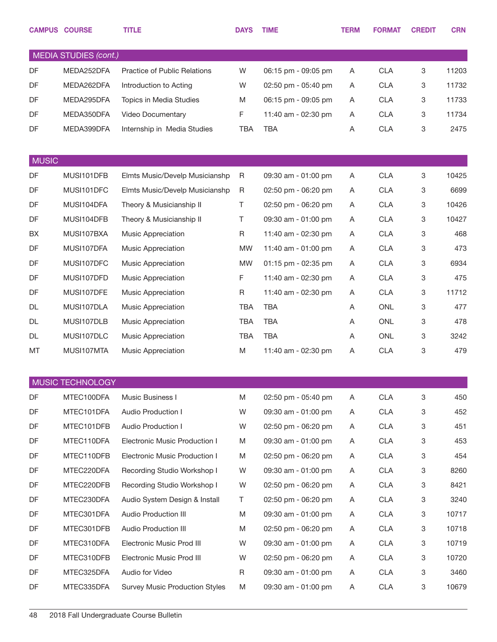|              | <b>CAMPUS COURSE</b>         | <b>TITLE</b>                          | <b>DAYS</b> | <b>TIME</b>         | <b>TERM</b> | <b>FORMAT</b> | <b>CREDIT</b> | <b>CRN</b> |
|--------------|------------------------------|---------------------------------------|-------------|---------------------|-------------|---------------|---------------|------------|
|              | <b>MEDIA STUDIES (cont.)</b> |                                       |             |                     |             |               |               |            |
| DF           | MEDA252DFA                   | Practice of Public Relations          | W           | 06:15 pm - 09:05 pm | Α           | <b>CLA</b>    | 3             | 11203      |
| DF           | MEDA262DFA                   | Introduction to Acting                | W           | 02:50 pm - 05:40 pm | A           | <b>CLA</b>    | 3             | 11732      |
| DF           | MEDA295DFA                   | Topics in Media Studies               | M           | 06:15 pm - 09:05 pm | A           | <b>CLA</b>    | 3             | 11733      |
| DF           | MEDA350DFA                   | Video Documentary                     | F           | 11:40 am - 02:30 pm | A           | <b>CLA</b>    | 3             | 11734      |
| DF           | MEDA399DFA                   | Internship in Media Studies           | <b>TBA</b>  | <b>TBA</b>          | Α           | <b>CLA</b>    | 3             | 2475       |
| <b>MUSIC</b> |                              |                                       |             |                     |             |               |               |            |
| DF           | MUSI101DFB                   | Elmts Music/Develp Musicianshp        | R           | 09:30 am - 01:00 pm | Α           | <b>CLA</b>    | 3             | 10425      |
| DF           | MUSI101DFC                   | Elmts Music/Develp Musicianshp        | R           | 02:50 pm - 06:20 pm | A           | <b>CLA</b>    | 3             | 6699       |
| DF           | MUSI104DFA                   | Theory & Musicianship II              | Τ           | 02:50 pm - 06:20 pm | Α           | <b>CLA</b>    | 3             | 10426      |
| DF           | MUSI104DFB                   | Theory & Musicianship II              | Τ           | 09:30 am - 01:00 pm | A           | <b>CLA</b>    | 3             | 10427      |
| BX           | MUSI107BXA                   | Music Appreciation                    | $\mathsf R$ | 11:40 am - 02:30 pm | Α           | <b>CLA</b>    | 3             | 468        |
| <b>DF</b>    | MUSI107DFA                   | Music Appreciation                    | <b>MW</b>   | 11:40 am - 01:00 pm | A           | <b>CLA</b>    | 3             | 473        |
| DF           | MUSI107DFC                   | Music Appreciation                    | <b>MW</b>   | 01:15 pm - 02:35 pm | Α           | <b>CLA</b>    | 3             | 6934       |
| DF           | MUSI107DFD                   | Music Appreciation                    | F           | 11:40 am - 02:30 pm | A           | <b>CLA</b>    | 3             | 475        |
| DF           | MUSI107DFE                   | Music Appreciation                    | $\mathsf R$ | 11:40 am - 02:30 pm | Α           | <b>CLA</b>    | 3             | 11712      |
| DL           | MUSI107DLA                   | Music Appreciation                    | <b>TBA</b>  | <b>TBA</b>          | A           | <b>ONL</b>    | 3             | 477        |
| DL           | MUSI107DLB                   | Music Appreciation                    | TBA         | <b>TBA</b>          | A           | <b>ONL</b>    | 3             | 478        |
| DL           | MUSI107DLC                   | Music Appreciation                    | TBA         | <b>TBA</b>          | A           | <b>ONL</b>    | 3             | 3242       |
| MT           | MUSI107MTA                   | Music Appreciation                    | M           | 11:40 am - 02:30 pm | Α           | <b>CLA</b>    | 3             | 479        |
|              |                              |                                       |             |                     |             |               |               |            |
|              | MUSIC TECHNOLOGY             |                                       |             |                     |             |               |               |            |
| DF           | MTEC100DFA                   | Music Business I                      | M           | 02:50 pm - 05:40 pm | Α           | <b>CLA</b>    | 3             | 450        |
| DF           | MTEC101DFA                   | Audio Production I                    | W           | 09:30 am - 01:00 pm | A           | <b>CLA</b>    | 3             | 452        |
| DF           | MTEC101DFB                   | Audio Production I                    | W           | 02:50 pm - 06:20 pm | Α           | <b>CLA</b>    | 3             | 451        |
| DF           | MTEC110DFA                   | <b>Electronic Music Production I</b>  | M           | 09:30 am - 01:00 pm | A           | <b>CLA</b>    | 3             | 453        |
| DF           | MTEC110DFB                   | <b>Electronic Music Production I</b>  | M           | 02:50 pm - 06:20 pm | A           | <b>CLA</b>    | 3             | 454        |
| DF           | MTEC220DFA                   | Recording Studio Workshop I           | W           | 09:30 am - 01:00 pm | A           | <b>CLA</b>    | 3             | 8260       |
| DF           | MTEC220DFB                   | Recording Studio Workshop I           | W           | 02:50 pm - 06:20 pm | A           | <b>CLA</b>    | 3             | 8421       |
| DF           | MTEC230DFA                   | Audio System Design & Install         | T           | 02:50 pm - 06:20 pm | A           | <b>CLA</b>    | 3             | 3240       |
| DF           | MTEC301DFA                   | Audio Production III                  | M           | 09:30 am - 01:00 pm | A           | <b>CLA</b>    | 3             | 10717      |
| DF           | MTEC301DFB                   | <b>Audio Production III</b>           | M           | 02:50 pm - 06:20 pm | A           | <b>CLA</b>    | 3             | 10718      |
| DF           | MTEC310DFA                   | Electronic Music Prod III             | W           | 09:30 am - 01:00 pm | A           | <b>CLA</b>    | 3             | 10719      |
| DF           | MTEC310DFB                   | Electronic Music Prod III             | W           | 02:50 pm - 06:20 pm | A           | <b>CLA</b>    | 3             | 10720      |
| DF           | MTEC325DFA                   | Audio for Video                       | R           | 09:30 am - 01:00 pm | Α           | <b>CLA</b>    | 3             | 3460       |
| DF           | MTEC335DFA                   | <b>Survey Music Production Styles</b> | M           | 09:30 am - 01:00 pm | A           | <b>CLA</b>    | 3             | 10679      |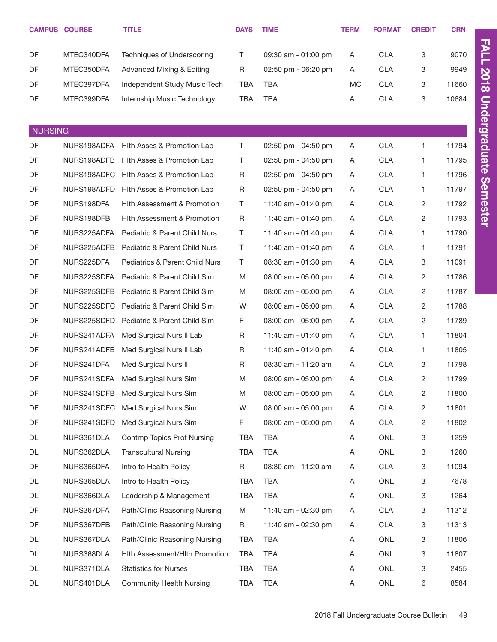|                | <b>CAMPUS COURSE</b> | <b>TITLE</b>                           | <b>DAYS</b> | <b>TIME</b>         | <b>TERM</b> | <b>FORMAT</b>  | <b>CREDIT</b>           | <b>CRN</b> |                      |
|----------------|----------------------|----------------------------------------|-------------|---------------------|-------------|----------------|-------------------------|------------|----------------------|
| DF             | MTEC340DFA           | Techniques of Underscoring             | T           | 09:30 am - 01:00 pm | Α           | <b>CLA</b>     | 3                       | 9070       | <b>FALL</b>          |
| DF             | MTEC350DFA           | <b>Advanced Mixing &amp; Editing</b>   | R           | 02:50 pm - 06:20 pm | Α           | <b>CLA</b>     | 3                       | 9949       |                      |
| DF             | MTEC397DFA           | Independent Study Music Tech           | TBA         | <b>TBA</b>          | <b>MC</b>   | <b>CLA</b>     | 3                       | 11660      | <b>2018</b>          |
| DF             | MTEC399DFA           | Internship Music Technology            | <b>TBA</b>  | <b>TBA</b>          | Α           | <b>CLA</b>     | 3                       | 10684      |                      |
|                |                      |                                        |             |                     |             |                |                         |            | <b>Undergraduate</b> |
| <b>NURSING</b> |                      |                                        |             |                     |             |                |                         |            |                      |
| DF             | NURS198ADFA          | Hith Asses & Promotion Lab             | T.          | 02:50 pm - 04:50 pm | A           | CLA            | 1                       | 11794      |                      |
| DF             | NURS198ADFB          | Hith Asses & Promotion Lab             | T           | 02:50 pm - 04:50 pm | A           | <b>CLA</b>     | 1                       | 11795      |                      |
| DF             | NURS198ADFC          | Hith Asses & Promotion Lab             | R           | 02:50 pm - 04:50 pm | A           | <b>CLA</b>     | 1                       | 11796      |                      |
| DF             | NURS198ADFD          | Hith Asses & Promotion Lab             | $\mathsf R$ | 02:50 pm - 04:50 pm | A           | <b>CLA</b>     | 1                       | 11797      | <b>Semester</b>      |
| DF             | NURS198DFA           | Hith Assessment & Promotion            | T           | 11:40 am - 01:40 pm | A           | <b>CLA</b>     | 2                       | 11792      |                      |
| DF             | NURS198DFB           | <b>Hith Assessment &amp; Promotion</b> | R           | 11:40 am - 01:40 pm | A           | <b>CLA</b>     | $\overline{c}$          | 11793      |                      |
| DF             | NURS225ADFA          | Pediatric & Parent Child Nurs          | T.          | 11:40 am - 01:40 pm | A           | <b>CLA</b>     | 1                       | 11790      |                      |
| DF             | NURS225ADFB          | Pediatric & Parent Child Nurs          | T.          | 11:40 am - 01:40 pm | A           | <b>CLA</b>     | 1                       | 11791      |                      |
| DF             | NURS225DFA           | Pediatrics & Parent Child Nurs         | T           | 08:30 am - 01:30 pm | A           | <b>CLA</b>     | 3                       | 11091      |                      |
| DF             | NURS225SDFA          | Pediatric & Parent Child Sim           | M           | 08:00 am - 05:00 pm | A           | <b>CLA</b>     | $\overline{c}$          | 11786      |                      |
| DF             | NURS225SDFB          | Pediatric & Parent Child Sim           | M           | 08:00 am - 05:00 pm | A           | <b>CLA</b>     | $\overline{c}$          | 11787      |                      |
| DF             | NURS225SDFC          | Pediatric & Parent Child Sim           | W           | 08:00 am - 05:00 pm | A           | <b>CLA</b>     | $\overline{c}$          | 11788      |                      |
| DF             | NURS225SDFD          | Pediatric & Parent Child Sim           | F           | 08:00 am - 05:00 pm | A           | <b>CLA</b>     | $\overline{c}$          | 11789      |                      |
| DF             | NURS241ADFA          | Med Surgical Nurs II Lab               | R           | 11:40 am - 01:40 pm | A           | <b>CLA</b>     | 1                       | 11804      |                      |
| DF             | NURS241ADFB          | Med Surgical Nurs II Lab               | R           | 11:40 am - 01:40 pm | A           | <b>CLA</b>     | 1                       | 11805      |                      |
| DF             | NURS241DFA           | Med Surgical Nurs II                   | R           | 08:30 am - 11:20 am | A           | <b>CLA</b>     | 3                       | 11798      |                      |
| DF             | NURS241SDFA          | Med Surgical Nurs Sim                  | M           | 08:00 am - 05:00 pm | Α           | <b>CLA</b>     | 2                       | 11799      |                      |
| DF             | NURS241SDFB          | Med Surgical Nurs Sim                  | M           | 08:00 am - 05:00 pm | A           | <b>CLA</b>     | $\overline{\mathbf{c}}$ | 11800      |                      |
| DF             | NURS241SDFC          | Med Surgical Nurs Sim                  | W           | 08:00 am - 05:00 pm | A           | CLA            | $\overline{\mathbf{c}}$ | 11801      |                      |
| DF             | NURS241SDFD          | Med Surgical Nurs Sim                  | F.          | 08:00 am - 05:00 pm | A           | CLA            | 2                       | 11802      |                      |
| DL             | NURS361DLA           | <b>Contmp Topics Prof Nursing</b>      | TBA         | <b>TBA</b>          | A           | ONL            | 3                       | 1259       |                      |
| DL             | NURS362DLA           | <b>Transcultural Nursing</b>           | <b>TBA</b>  | <b>TBA</b>          | A           | ONL            | 3                       | 1260       |                      |
| DF             | NURS365DFA           | Intro to Health Policy                 | $\mathsf R$ | 08:30 am - 11:20 am | Α           | CLA            | 3                       | 11094      |                      |
| DL             | NURS365DLA           | Intro to Health Policy                 | <b>TBA</b>  | <b>TBA</b>          | A           | ONL            | 3                       | 7678       |                      |
| DL             | NURS366DLA           | Leadership & Management                | <b>TBA</b>  | <b>TBA</b>          | A           | ONL            | 3                       | 1264       |                      |
| DF             | NURS367DFA           | Path/Clinic Reasoning Nursing          | M           | 11:40 am - 02:30 pm | A           | CLA            | 3                       | 11312      |                      |
| DF             | NURS367DFB           | Path/Clinic Reasoning Nursing          | R           | 11:40 am - 02:30 pm | A           | CLA            | 3                       | 11313      |                      |
| DL             | NURS367DLA           | Path/Clinic Reasoning Nursing          | <b>TBA</b>  | <b>TBA</b>          | A           | ONL            | 3                       | 11806      |                      |
| DL             | NURS368DLA           | Hith Assessment/Hith Promotion         | <b>TBA</b>  | <b>TBA</b>          | A           | ONL            | 3                       | 11807      |                      |
| DL             | NURS371DLA           | <b>Statistics for Nurses</b>           | <b>TBA</b>  | <b>TBA</b>          | Α           | ONL            | 3                       | 2455       |                      |
| DL             | NURS401DLA           | <b>Community Health Nursing</b>        | <b>TBA</b>  | TBA                 | Α           | $\mathsf{ONL}$ | 6                       | 8584       |                      |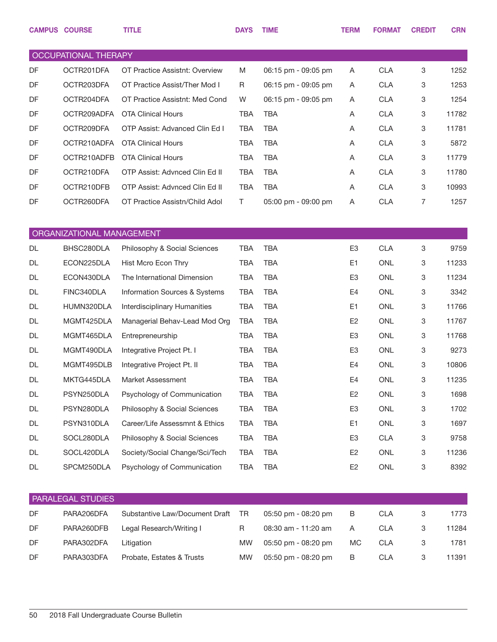|           | <b>CAMPUS COURSE</b>      | <b>TITLE</b>                   | <b>DAYS</b> | <b>TIME</b>         | <b>TERM</b>    | <b>FORMAT</b> | <b>CREDIT</b> | <b>CRN</b> |
|-----------|---------------------------|--------------------------------|-------------|---------------------|----------------|---------------|---------------|------------|
|           |                           |                                |             |                     |                |               |               |            |
|           | OCCUPATIONAL THERAPY      |                                |             |                     |                |               |               |            |
| <b>DF</b> | OCTR201DFA                | OT Practice Assistnt: Overview | M           | 06:15 pm - 09:05 pm | Α              | <b>CLA</b>    | 3             | 1252       |
| DF        | OCTR203DFA                | OT Practice Assist/Ther Mod I  | R           | 06:15 pm - 09:05 pm | A              | <b>CLA</b>    | 3             | 1253       |
| <b>DF</b> | OCTR204DFA                | OT Practice Assistnt: Med Cond | W           | 06:15 pm - 09:05 pm | Α              | <b>CLA</b>    | 3             | 1254       |
| DF        | OCTR209ADFA               | <b>OTA Clinical Hours</b>      | <b>TBA</b>  | <b>TBA</b>          | Α              | <b>CLA</b>    | 3             | 11782      |
| <b>DF</b> | OCTR209DFA                | OTP Assist: Advanced Clin Ed I | <b>TBA</b>  | <b>TBA</b>          | Α              | <b>CLA</b>    | 3             | 11781      |
| DF        | OCTR210ADFA               | <b>OTA Clinical Hours</b>      | <b>TBA</b>  | <b>TBA</b>          | Α              | <b>CLA</b>    | 3             | 5872       |
| DF        | OCTR210ADFB               | <b>OTA Clinical Hours</b>      | <b>TBA</b>  | <b>TBA</b>          | Α              | <b>CLA</b>    | 3             | 11779      |
| DF        | OCTR210DFA                | OTP Assist: Advnced Clin Ed II | <b>TBA</b>  | <b>TBA</b>          | Α              | <b>CLA</b>    | 3             | 11780      |
| DF        | OCTR210DFB                | OTP Assist: Advnced Clin Ed II | <b>TBA</b>  | <b>TBA</b>          | Α              | <b>CLA</b>    | 3             | 10993      |
| DF        | OCTR260DFA                | OT Practice Assistn/Child Adol | $\top$      | 05:00 pm - 09:00 pm | Α              | <b>CLA</b>    | 7             | 1257       |
|           |                           |                                |             |                     |                |               |               |            |
|           | ORGANIZATIONAL MANAGEMENT |                                |             |                     |                |               |               |            |
| <b>DL</b> | BHSC280DLA                | Philosophy & Social Sciences   | <b>TBA</b>  | <b>TBA</b>          | E <sub>3</sub> | <b>CLA</b>    | 3             | 9759       |
| DL        | ECON225DLA                | Hist Mcro Econ Thry            | <b>TBA</b>  | <b>TBA</b>          | E1             | <b>ONL</b>    | 3             | 11233      |
| DL        | ECON430DLA                | The International Dimension    | <b>TBA</b>  | <b>TBA</b>          | E3             | <b>ONL</b>    | 3             | 11234      |
| DL        | FINC340DLA                | Information Sources & Systems  | <b>TBA</b>  | <b>TBA</b>          | E4             | <b>ONL</b>    | 3             | 3342       |
| DL        | HUMN320DLA                | Interdisciplinary Humanities   | <b>TBA</b>  | <b>TBA</b>          | E <sub>1</sub> | <b>ONL</b>    | 3             | 11766      |
| DL        | MGMT425DLA                | Managerial Behav-Lead Mod Org  | <b>TBA</b>  | <b>TBA</b>          | E <sub>2</sub> | <b>ONL</b>    | 3             | 11767      |
| DL        | MGMT465DLA                | Entrepreneurship               | <b>TBA</b>  | <b>TBA</b>          | E3             | <b>ONL</b>    | 3             | 11768      |
| DL        | MGMT490DLA                | Integrative Project Pt. I      | <b>TBA</b>  | <b>TBA</b>          | E3             | <b>ONL</b>    | 3             | 9273       |
| DL        | MGMT495DLB                | Integrative Project Pt. II     | <b>TBA</b>  | <b>TBA</b>          | E4             | <b>ONL</b>    | 3             | 10806      |
| DL        | MKTG445DLA                | Market Assessment              | <b>TBA</b>  | <b>TBA</b>          | E4             | <b>ONL</b>    | 3             | 11235      |
| DL        | PSYN250DLA                | Psychology of Communication    | <b>TBA</b>  | <b>TBA</b>          | E <sub>2</sub> | ONL           | 3             | 1698       |
| DL        | PSYN280DLA                | Philosophy & Social Sciences   | <b>TBA</b>  | <b>TBA</b>          | E <sub>3</sub> | ONL           | 3             | 1702       |
| DL        | PSYN310DLA                | Career/Life Assessmnt & Ethics | <b>TBA</b>  | <b>TBA</b>          | E <sub>1</sub> | ONL           | 3             | 1697       |
| DL        | SOCL280DLA                | Philosophy & Social Sciences   | <b>TBA</b>  | <b>TBA</b>          | E <sub>3</sub> | <b>CLA</b>    | 3             | 9758       |
| DL        | SOCL420DLA                | Society/Social Change/Sci/Tech | <b>TBA</b>  | <b>TBA</b>          | E <sub>2</sub> | ONL           | 3             | 11236      |
| DL        | SPCM250DLA                | Psychology of Communication    | <b>TBA</b>  | <b>TBA</b>          | E <sub>2</sub> | ONL           | 3             | 8392       |
|           |                           |                                |             |                     |                |               |               |            |
|           | PARALEGAL STUDIES         |                                |             |                     |                |               |               |            |
| DF        | PARA206DFA                | Substantive Law/Document Draft | <b>TR</b>   | 05:50 pm - 08:20 pm | B              | <b>CLA</b>    | 3             | 1773       |
| DF        | PARA260DFB                | Legal Research/Writing I       | $\mathsf R$ | 08:30 am - 11:20 am | A              | <b>CLA</b>    | 3             | 11284      |
| DF        | PARA302DFA                | Litigation                     | MW          | 05:50 pm - 08:20 pm | MC             | <b>CLA</b>    | 3             | 1781       |
| DF        | PARA303DFA                | Probate, Estates & Trusts      | <b>MW</b>   | 05:50 pm - 08:20 pm | $\sf B$        | <b>CLA</b>    | 3             | 11391      |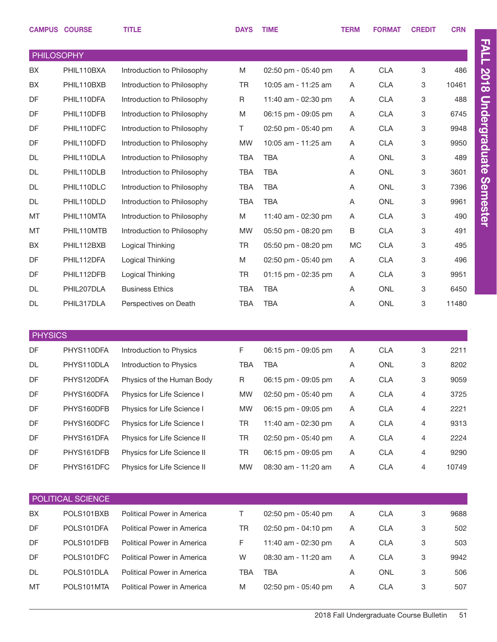|                   | <b>CAMPUS COURSE</b> | <b>TITLE</b>                | <b>DAYS</b> | <b>TIME</b>         | <b>TERM</b> | <b>FORMAT</b> | <b>CREDIT</b> | <b>CRN</b> |
|-------------------|----------------------|-----------------------------|-------------|---------------------|-------------|---------------|---------------|------------|
| <b>PHILOSOPHY</b> |                      |                             |             |                     |             |               |               |            |
| BX                | PHIL110BXA           | Introduction to Philosophy  | M           | 02:50 pm - 05:40 pm | A           | <b>CLA</b>    | 3             | 486        |
| BX                | PHIL110BXB           | Introduction to Philosophy  | <b>TR</b>   | 10:05 am - 11:25 am | A           | <b>CLA</b>    | 3             | 10461      |
| DF                | PHIL110DFA           | Introduction to Philosophy  | R           | 11:40 am - 02:30 pm | Α           | <b>CLA</b>    | 3             | 488        |
| DF                | PHIL110DFB           | Introduction to Philosophy  | M           | 06:15 pm - 09:05 pm | Α           | <b>CLA</b>    | 3             | 6745       |
| DF                | PHIL110DFC           | Introduction to Philosophy  | Τ           | 02:50 pm - 05:40 pm | Α           | <b>CLA</b>    | 3             | 9948       |
| DF                | PHIL110DFD           | Introduction to Philosophy  | <b>MW</b>   | 10:05 am - 11:25 am | A           | <b>CLA</b>    | 3             | 9950       |
| DL                | PHIL110DLA           | Introduction to Philosophy  | <b>TBA</b>  | <b>TBA</b>          | Α           | <b>ONL</b>    | 3             | 489        |
| <b>DL</b>         | PHIL110DLB           | Introduction to Philosophy  | <b>TBA</b>  | <b>TBA</b>          | Α           | <b>ONL</b>    | 3             | 3601       |
| <b>DL</b>         | PHIL110DLC           | Introduction to Philosophy  | <b>TBA</b>  | <b>TBA</b>          | Α           | <b>ONL</b>    | 3             | 7396       |
| <b>DL</b>         | PHIL110DLD           | Introduction to Philosophy  | <b>TBA</b>  | <b>TBA</b>          | Α           | <b>ONL</b>    | 3             | 9961       |
| MT                | PHIL110MTA           | Introduction to Philosophy  | M           | 11:40 am - 02:30 pm | Α           | <b>CLA</b>    | 3             | 490        |
| MT                | PHIL110MTB           | Introduction to Philosophy  | <b>MW</b>   | 05:50 pm - 08:20 pm | B           | <b>CLA</b>    | 3             | 491        |
| BX                | PHIL112BXB           | Logical Thinking            | <b>TR</b>   | 05:50 pm - 08:20 pm | MC          | <b>CLA</b>    | 3             | 495        |
| DF                | PHIL112DFA           | Logical Thinking            | M           | 02:50 pm - 05:40 pm | Α           | <b>CLA</b>    | 3             | 496        |
| DF                | PHIL112DFB           | Logical Thinking            | <b>TR</b>   | 01:15 pm - 02:35 pm | Α           | <b>CLA</b>    | 3             | 9951       |
| <b>DL</b>         | PHIL207DLA           | <b>Business Ethics</b>      | <b>TBA</b>  | <b>TBA</b>          | Α           | <b>ONL</b>    | 3             | 6450       |
| <b>DL</b>         | PHIL317DLA           | Perspectives on Death       | <b>TBA</b>  | <b>TBA</b>          | Α           | <b>ONL</b>    | 3             | 11480      |
|                   |                      |                             |             |                     |             |               |               |            |
| <b>PHYSICS</b>    |                      |                             |             |                     |             |               |               |            |
| DF                | PHYS110DFA           | Introduction to Physics     | F           | 06:15 pm - 09:05 pm | Α           | <b>CLA</b>    | 3             | 2211       |
| <b>DL</b>         | PHYS110DLA           | Introduction to Physics     | <b>TBA</b>  | <b>TBA</b>          | A           | ONL           | 3             | 8202       |
| DF                | PHYS120DFA           | Physics of the Human Body   | R           | 06:15 pm - 09:05 pm | A           | <b>CLA</b>    | 3             | 9059       |
| DF                | PHYS160DFA           | Physics for Life Science I  | MW          | 02:50 pm - 05:40 pm | Α           | CLA           | 4             | 3725       |
| DF                | PHYS160DFB           | Physics for Life Science I  | <b>MW</b>   | 06:15 pm - 09:05 pm | Α           | <b>CLA</b>    | 4             | 2221       |
| DF                | PHYS160DFC           | Physics for Life Science I  | TR          | 11:40 am - 02:30 pm | Α           | <b>CLA</b>    | 4             | 9313       |
| DF                | PHYS161DFA           | Physics for Life Science II | TR          | 02:50 pm - 05:40 pm | Α           | <b>CLA</b>    | 4             | 2224       |
| DF                | PHYS161DFB           | Physics for Life Science II | TR          | 06:15 pm - 09:05 pm | Α           | <b>CLA</b>    | 4             | 9290       |
| DF                | PHYS161DFC           | Physics for Life Science II | <b>MW</b>   | 08:30 am - 11:20 am | Α           | <b>CLA</b>    | 4             | 10749      |
|                   |                      |                             |             |                     |             |               |               |            |
|                   | POLITICAL SCIENCE    |                             |             |                     |             |               |               |            |
| BX                | POLS101BXB           | Political Power in America  | T.          | 02:50 pm - 05:40 pm | Α           | <b>CLA</b>    | 3             | 9688       |
| DF                | POLS101DFA           | Political Power in America  | TR          | 02:50 pm - 04:10 pm | A           | <b>CLA</b>    | 3             | 502        |
| DF                | POLS101DFB           | Political Power in America  | F           | 11:40 am - 02:30 pm | A           | <b>CLA</b>    | 3             | 503        |
| DF                | POLS101DFC           | Political Power in America  | W           | 08:30 am - 11:20 am | Α           | <b>CLA</b>    | 3             | 9942       |
| DL                | POLS101DLA           | Political Power in America  | TBA         | <b>TBA</b>          | Α           | ONL           | 3             | 506        |
| MT                | POLS101MTA           | Political Power in America  | Μ           | 02:50 pm - 05:40 pm | A           | <b>CLA</b>    | 3             | 507        |
|                   |                      |                             |             |                     |             |               |               |            |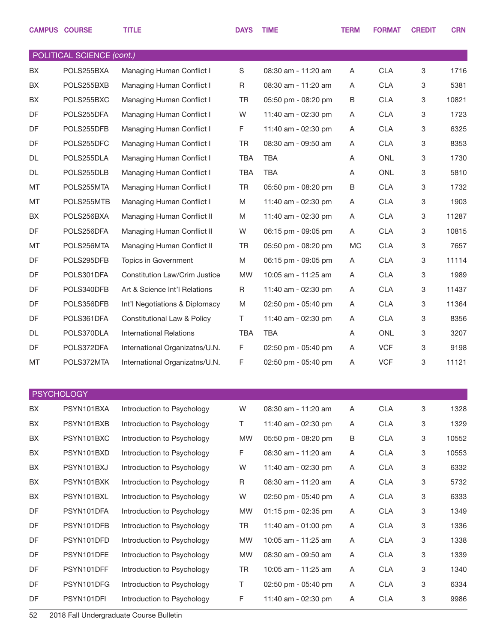|           | <b>CAMPUS COURSE</b>      | <b>TITLE</b>                   | <b>DAYS</b> | <b>TIME</b>         | <b>TERM</b> | <b>FORMAT</b> | <b>CREDIT</b>             | <b>CRN</b> |
|-----------|---------------------------|--------------------------------|-------------|---------------------|-------------|---------------|---------------------------|------------|
|           | POLITICAL SCIENCE (cont.) |                                |             |                     |             |               |                           |            |
| BX        | POLS255BXA                | Managing Human Conflict I      | S           | 08:30 am - 11:20 am | A           | <b>CLA</b>    | 3                         | 1716       |
| BX        | POLS255BXB                | Managing Human Conflict I      | R           | 08:30 am - 11:20 am | A           | <b>CLA</b>    | 3                         | 5381       |
| <b>BX</b> | POLS255BXC                | Managing Human Conflict I      | <b>TR</b>   | 05:50 pm - 08:20 pm | B           | <b>CLA</b>    | 3                         | 10821      |
| DF        | POLS255DFA                | Managing Human Conflict I      | W           | 11:40 am - 02:30 pm | A           | <b>CLA</b>    | 3                         | 1723       |
| DF        | POLS255DFB                | Managing Human Conflict I      | F           | 11:40 am - 02:30 pm | A           | <b>CLA</b>    | 3                         | 6325       |
| DF        | POLS255DFC                | Managing Human Conflict I      | <b>TR</b>   | 08:30 am - 09:50 am | A           | <b>CLA</b>    | 3                         | 8353       |
| DL        | POLS255DLA                | Managing Human Conflict I      | <b>TBA</b>  | <b>TBA</b>          | A           | <b>ONL</b>    | 3                         | 1730       |
| DL        | POLS255DLB                | Managing Human Conflict I      | <b>TBA</b>  | <b>TBA</b>          | A           | <b>ONL</b>    | 3                         | 5810       |
| MT        | POLS255MTA                | Managing Human Conflict I      | <b>TR</b>   | 05:50 pm - 08:20 pm | B           | <b>CLA</b>    | 3                         | 1732       |
| MT        | POLS255MTB                | Managing Human Conflict I      | M           | 11:40 am - 02:30 pm | A           | <b>CLA</b>    | 3                         | 1903       |
| BX        | POLS256BXA                | Managing Human Conflict II     | M           | 11:40 am - 02:30 pm | A           | <b>CLA</b>    | 3                         | 11287      |
| DF        | POLS256DFA                | Managing Human Conflict II     | W           | 06:15 pm - 09:05 pm | A           | <b>CLA</b>    | 3                         | 10815      |
| MT        | POLS256MTA                | Managing Human Conflict II     | <b>TR</b>   | 05:50 pm - 08:20 pm | <b>MC</b>   | <b>CLA</b>    | 3                         | 7657       |
| DF        | POLS295DFB                | Topics in Government           | M           | 06:15 pm - 09:05 pm | A           | <b>CLA</b>    | 3                         | 11114      |
| DF        | POLS301DFA                | Constitution Law/Crim Justice  | <b>MW</b>   | 10:05 am - 11:25 am | A           | <b>CLA</b>    | 3                         | 1989       |
| DF        | POLS340DFB                | Art & Science Int'l Relations  | R           | 11:40 am - 02:30 pm | A           | <b>CLA</b>    | 3                         | 11437      |
| DF        | POLS356DFB                | Int'l Negotiations & Diplomacy | M           | 02:50 pm - 05:40 pm | A           | <b>CLA</b>    | 3                         | 11364      |
| DF        | POLS361DFA                | Constitutional Law & Policy    | Τ           | 11:40 am - 02:30 pm | A           | <b>CLA</b>    | 3                         | 8356       |
| DL        | POLS370DLA                | <b>International Relations</b> | <b>TBA</b>  | <b>TBA</b>          | A           | <b>ONL</b>    | 3                         | 3207       |
| DF        | POLS372DFA                | International Organizatns/U.N. | F           | 02:50 pm - 05:40 pm | A           | <b>VCF</b>    | 3                         | 9198       |
| MT        | POLS372MTA                | International Organizatns/U.N. | F           | 02:50 pm - 05:40 pm | Α           | <b>VCF</b>    | 3                         | 11121      |
|           | <b>PSYCHOLOGY</b>         |                                |             |                     |             |               |                           |            |
| BX        | PSYN101BXA                | Introduction to Psychology     | W           | 08:30 am - 11:20 am | A           | CLA           | $\ensuremath{\mathsf{3}}$ | 1328       |
| BX        | PSYN101BXB                | Introduction to Psychology     | Τ           | 11:40 am - 02:30 pm | Α           | <b>CLA</b>    | 3                         | 1329       |
| BX        | PSYN101BXC                | Introduction to Psychology     | <b>MW</b>   | 05:50 pm - 08:20 pm | В           | <b>CLA</b>    | 3                         | 10552      |
| BX        | PSYN101BXD                | Introduction to Psychology     | F           | 08:30 am - 11:20 am | Α           | <b>CLA</b>    | 3                         | 10553      |
| BX        | PSYN101BXJ                | Introduction to Psychology     | W           | 11:40 am - 02:30 pm | Α           | <b>CLA</b>    | 3                         | 6332       |
| BX        | PSYN101BXK                | Introduction to Psychology     | R           | 08:30 am - 11:20 am | Α           | <b>CLA</b>    | 3                         | 5732       |
| BX        | PSYN101BXL                | Introduction to Psychology     | W           | 02:50 pm - 05:40 pm | Α           | <b>CLA</b>    | 3                         | 6333       |
| DF        | PSYN101DFA                | Introduction to Psychology     | MW          | 01:15 pm - 02:35 pm | Α           | <b>CLA</b>    | 3                         | 1349       |
| DF        | PSYN101DFB                | Introduction to Psychology     | <b>TR</b>   | 11:40 am - 01:00 pm | Α           | <b>CLA</b>    | 3                         | 1336       |
| DF        | PSYN101DFD                | Introduction to Psychology     | MW          | 10:05 am - 11:25 am | Α           | <b>CLA</b>    | 3                         | 1338       |
| DF        | PSYN101DFE                | Introduction to Psychology     | <b>MW</b>   | 08:30 am - 09:50 am | A           | CLA           | 3                         | 1339       |

DF PSYN101DFF Introduction to Psychology TR 10:05 am - 11:25 am A CLA 3 1340 DF PSYN101DFG Introduction to Psychology T 02:50 pm - 05:40 pm A CLA 3 6334 DF PSYN101DFI Introduction to Psychology F 11:40 am - 02:30 pm A CLA 3 9986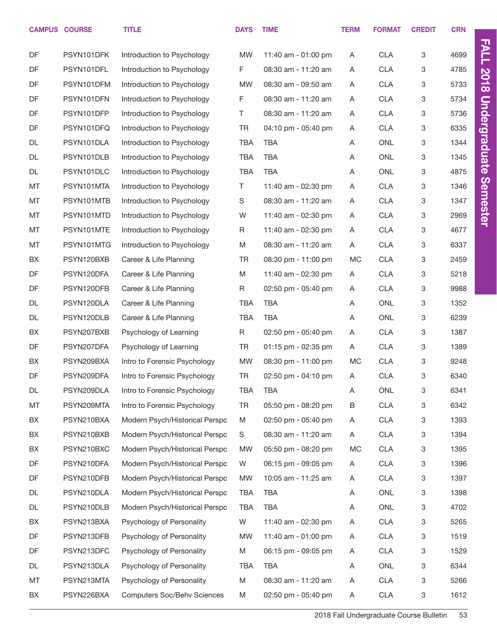|    | <b>CAMPUS COURSE</b> | <b>TITLE</b>                       | <b>DAYS</b> | <b>TIME</b>         | <b>TERM</b> | <b>FORMAT</b> | <b>CREDIT</b> | <b>CRN</b> |
|----|----------------------|------------------------------------|-------------|---------------------|-------------|---------------|---------------|------------|
| DF | PSYN101DFK           | Introduction to Psychology         | <b>MW</b>   | 11:40 am - 01:00 pm | A           | <b>CLA</b>    | 3             | 4699       |
| DF | PSYN101DFL           | Introduction to Psychology         | F           | 08:30 am - 11:20 am | A           | <b>CLA</b>    | 3             | 4785       |
| DF | PSYN101DFM           | Introduction to Psychology         | <b>MW</b>   | 08:30 am - 09:50 am | Α           | <b>CLA</b>    | 3             | 5733       |
| DF | PSYN101DFN           | Introduction to Psychology         | F           | 08:30 am - 11:20 am | Α           | <b>CLA</b>    | 3             | 5734       |
| DF | PSYN101DFP           | Introduction to Psychology         | T.          | 08:30 am - 11:20 am | Α           | <b>CLA</b>    | 3             | 5736       |
| DF | PSYN101DFQ           | Introduction to Psychology         | <b>TR</b>   | 04:10 pm - 05:40 pm | A           | <b>CLA</b>    | 3             | 6335       |
| DL | PSYN101DLA           | Introduction to Psychology         | <b>TBA</b>  | <b>TBA</b>          | A           | <b>ONL</b>    | 3             | 1344       |
| DL | PSYN101DLB           | Introduction to Psychology         | <b>TBA</b>  | <b>TBA</b>          | A           | ONL           | 3             | 1345       |
| DL | PSYN101DLC           | Introduction to Psychology         | <b>TBA</b>  | <b>TBA</b>          | A           | <b>ONL</b>    | 3             | 4875       |
| MT | PSYN101MTA           | Introduction to Psychology         | T.          | 11:40 am - 02:30 pm | Α           | <b>CLA</b>    | 3             | 1346       |
| MT | PSYN101MTB           | Introduction to Psychology         | S           | 08:30 am - 11:20 am | Α           | <b>CLA</b>    | 3             | 1347       |
| MT | PSYN101MTD           | Introduction to Psychology         | W           | 11:40 am - 02:30 pm | Α           | <b>CLA</b>    | 3             | 2969       |
| MT | PSYN101MTE           | Introduction to Psychology         | R           | 11:40 am - 02:30 pm | A           | <b>CLA</b>    | 3             | 4677       |
| MT | PSYN101MTG           | Introduction to Psychology         | M           | 08:30 am - 11:20 am | Α           | <b>CLA</b>    | 3             | 6337       |
| BX | PSYN120BXB           | Career & Life Planning             | <b>TR</b>   | 08:30 pm - 11:00 pm | МC          | <b>CLA</b>    | 3             | 2459       |
| DF | PSYN120DFA           | Career & Life Planning             | M           | 11:40 am - 02:30 pm | Α           | <b>CLA</b>    | 3             | 5218       |
| DF | PSYN120DFB           | Career & Life Planning             | R           | 02:50 pm - 05:40 pm | A           | <b>CLA</b>    | 3             | 9988       |
| DL | PSYN120DLA           | Career & Life Planning             | <b>TBA</b>  | <b>TBA</b>          | A           | ONL           | 3             | 1352       |
| DL | PSYN120DLB           | Career & Life Planning             | <b>TBA</b>  | <b>TBA</b>          | Α           | ONL           | 3             | 6239       |
| BX | PSYN207BXB           | Psychology of Learning             | R           | 02:50 pm - 05:40 pm | Α           | <b>CLA</b>    | 3             | 1387       |
| DF | PSYN207DFA           | Psychology of Learning             | <b>TR</b>   | 01:15 pm - 02:35 pm | A           | <b>CLA</b>    | 3             | 1389       |
| BX | PSYN209BXA           | Intro to Forensic Psychology       | MW          | 08:30 pm - 11:00 pm | МC          | <b>CLA</b>    | 3             | 9248       |
| DF | PSYN209DFA           | Intro to Forensic Psychology       | <b>TR</b>   | 02:50 pm - 04:10 pm | A           | <b>CLA</b>    | 3             | 6340       |
| DL | PSYN209DLA           | Intro to Forensic Psychology       | TBA         | TBA                 | A           | ONL           | 3             | 6341       |
| MT | PSYN209MTA           | Intro to Forensic Psychology       | <b>TR</b>   | 05:50 pm - 08:20 pm | В           | <b>CLA</b>    | 3             | 6342       |
| BX | PSYN210BXA           | Modern Psych/Historical Perspc     | M           | 02:50 pm - 05:40 pm | A           | <b>CLA</b>    | 3             | 1393       |
| BX | PSYN210BXB           | Modern Psych/Historical Perspc     | S           | 08:30 am - 11:20 am | Α           | <b>CLA</b>    | 3             | 1394       |
| BX | PSYN210BXC           | Modern Psych/Historical Perspc     | MW          | 05:50 pm - 08:20 pm | МC          | <b>CLA</b>    | 3             | 1395       |
| DF | PSYN210DFA           | Modern Psych/Historical Perspc     | W           | 06:15 pm - 09:05 pm | Α           | <b>CLA</b>    | 3             | 1396       |
| DF | PSYN210DFB           | Modern Psych/Historical Perspc     | MW          | 10:05 am - 11:25 am | A           | <b>CLA</b>    | 3             | 1397       |
| DL | PSYN210DLA           | Modern Psych/Historical Perspc     | <b>TBA</b>  | TBA                 | A           | ONL           | 3             | 1398       |
| DL | PSYN210DLB           | Modern Psych/Historical Perspc     | TBA         | TBA                 | Α           | ONL           | 3             | 4702       |
| BX | PSYN213BXA           | Psychology of Personality          | W           | 11:40 am - 02:30 pm | Α           | <b>CLA</b>    | 3             | 5265       |
| DF | PSYN213DFB           | Psychology of Personality          | MW          | 11:40 am - 01:00 pm | A           | <b>CLA</b>    | 3             | 1519       |
| DF | PSYN213DFC           | Psychology of Personality          | M           | 06:15 pm - 09:05 pm | A           | <b>CLA</b>    | 3             | 1529       |
| DL | PSYN213DLA           | Psychology of Personality          | TBA         | <b>TBA</b>          | Α           | ONL           | 3             | 6344       |
| MT | PSYN213MTA           | Psychology of Personality          | M           | 08:30 am - 11:20 am | Α           | <b>CLA</b>    | 3             | 5266       |
| BX | PSYN226BXA           | <b>Computers Soc/Behv Sciences</b> | M           | 02:50 pm - 05:40 pm | Α           | CLA           | 3             | 1612       |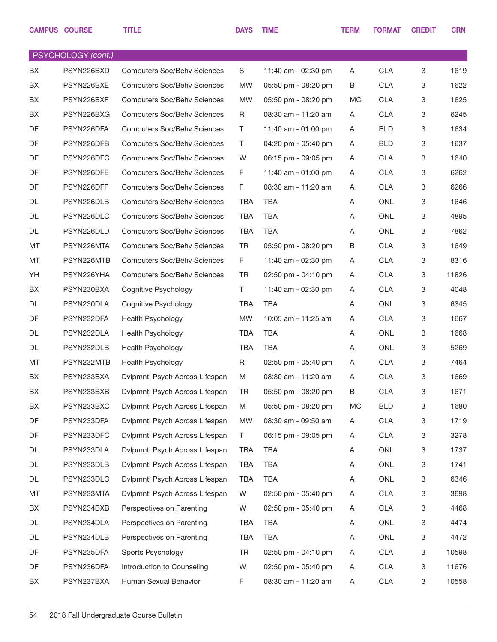|           | <b>CAMPUS COURSE</b> | <b>TITLE</b>                       | <b>DAYS</b> | <b>TIME</b>             | <b>TERM</b> | <b>FORMAT</b> | <b>CREDIT</b> | <b>CRN</b> |
|-----------|----------------------|------------------------------------|-------------|-------------------------|-------------|---------------|---------------|------------|
|           | PSYCHOLOGY (cont.)   |                                    |             |                         |             |               |               |            |
| <b>BX</b> | PSYN226BXD           | <b>Computers Soc/Behv Sciences</b> | S           | 11:40 am - 02:30 pm     | A           | <b>CLA</b>    | 3             | 1619       |
| BX.       | PSYN226BXE           | <b>Computers Soc/Behv Sciences</b> | <b>MW</b>   | 05:50 pm - 08:20 pm     | B           | <b>CLA</b>    | 3             | 1622       |
| BX        | PSYN226BXF           | <b>Computers Soc/Behv Sciences</b> | <b>MW</b>   | 05:50 pm - 08:20 pm     | <b>MC</b>   | <b>CLA</b>    | 3             | 1625       |
| BX        | PSYN226BXG           | <b>Computers Soc/Behv Sciences</b> | R           | 08:30 am - 11:20 am     | Α           | <b>CLA</b>    | 3             | 6245       |
| DF        | PSYN226DFA           | <b>Computers Soc/Behv Sciences</b> | Τ           | 11:40 am - 01:00 pm     | A           | <b>BLD</b>    | 3             | 1634       |
| DF        | PSYN226DFB           | <b>Computers Soc/Behv Sciences</b> | T.          | 04:20 pm - 05:40 pm     | A           | <b>BLD</b>    | 3             | 1637       |
| DF        | PSYN226DFC           | <b>Computers Soc/Behv Sciences</b> | W           | 06:15 pm - 09:05 pm     | Α           | <b>CLA</b>    | 3             | 1640       |
| DF        | PSYN226DFE           | <b>Computers Soc/Behv Sciences</b> | F           | 11:40 am - 01:00 pm     | A           | <b>CLA</b>    | 3             | 6262       |
| DF        | PSYN226DFF           | <b>Computers Soc/Behv Sciences</b> | F           | 08:30 am - 11:20 am     | Α           | <b>CLA</b>    | 3             | 6266       |
| DL        | PSYN226DLB           | <b>Computers Soc/Behv Sciences</b> | <b>TBA</b>  | <b>TBA</b>              | A           | <b>ONL</b>    | 3             | 1646       |
| DL        | PSYN226DLC           | <b>Computers Soc/Behv Sciences</b> | <b>TBA</b>  | TBA                     | A           | <b>ONL</b>    | 3             | 4895       |
| DL        | PSYN226DLD           | <b>Computers Soc/Behv Sciences</b> | <b>TBA</b>  | <b>TBA</b>              | A           | <b>ONL</b>    | 3             | 7862       |
| MT        | PSYN226MTA           | <b>Computers Soc/Behv Sciences</b> | <b>TR</b>   | 05:50 pm - 08:20 pm     | B           | <b>CLA</b>    | 3             | 1649       |
| MT        | PSYN226MTB           | <b>Computers Soc/Behv Sciences</b> | F           | 11:40 am - 02:30 pm     | A           | <b>CLA</b>    | 3             | 8316       |
| YH        | PSYN226YHA           | <b>Computers Soc/Behv Sciences</b> | <b>TR</b>   | 02:50 pm - 04:10 pm     | Α           | <b>CLA</b>    | 3             | 11826      |
| BX        | PSYN230BXA           | Cognitive Psychology               | T.          | 11:40 am - 02:30 pm     | A           | <b>CLA</b>    | 3             | 4048       |
| DL        | PSYN230DLA           | Cognitive Psychology               | <b>TBA</b>  | TBA                     | A           | <b>ONL</b>    | 3             | 6345       |
| DF        | PSYN232DFA           | Health Psychology                  | <b>MW</b>   | 10:05 am - 11:25 am     | A           | <b>CLA</b>    | 3             | 1667       |
| DL        | PSYN232DLA           | Health Psychology                  | <b>TBA</b>  | <b>TBA</b>              | A           | <b>ONL</b>    | 3             | 1668       |
| DL        | PSYN232DLB           | Health Psychology                  | <b>TBA</b>  | TBA                     | A           | <b>ONL</b>    | 3             | 5269       |
| МT        | PSYN232MTB           | Health Psychology                  | R           | $02:50$ pm - $05:40$ pm | A           | <b>CLA</b>    | 3             | 7464       |
| BX        | PSYN233BXA           | Dvlpmntl Psych Across Lifespan     | M           | 08:30 am - 11:20 am     | A           | <b>CLA</b>    | 3             | 1669       |
| BX        | PSYN233BXB           | Dvlpmntl Psych Across Lifespan     | TR          | 05:50 pm - 08:20 pm     | В           | <b>CLA</b>    | 3             | 1671       |
| BX        | PSYN233BXC           | Dvlpmntl Psych Across Lifespan     | M           | 05:50 pm - 08:20 pm     | МC          | <b>BLD</b>    | 3             | 1680       |
| DF        | PSYN233DFA           | Dvlpmntl Psych Across Lifespan     | MW          | 08:30 am - 09:50 am     | Α           | <b>CLA</b>    | 3             | 1719       |
| DF        | PSYN233DFC           | Dvlpmntl Psych Across Lifespan     | T.          | 06:15 pm - 09:05 pm     | Α           | <b>CLA</b>    | 3             | 3278       |
| DL        | PSYN233DLA           | Dvlpmntl Psych Across Lifespan     | <b>TBA</b>  | <b>TBA</b>              | Α           | ONL           | 3             | 1737       |
| DL        | PSYN233DLB           | Dvlpmntl Psych Across Lifespan     | <b>TBA</b>  | <b>TBA</b>              | Α           | ONL           | 3             | 1741       |
| DL        | PSYN233DLC           | Dvlpmntl Psych Across Lifespan     | <b>TBA</b>  | <b>TBA</b>              | Α           | ONL           | 3             | 6346       |
| МT        | PSYN233MTA           | Dvlpmntl Psych Across Lifespan     | W           | 02:50 pm - 05:40 pm     | Α           | <b>CLA</b>    | 3             | 3698       |
| BX        | PSYN234BXB           | Perspectives on Parenting          | W           | 02:50 pm - 05:40 pm     | Α           | <b>CLA</b>    | 3             | 4468       |
| DL        | PSYN234DLA           | Perspectives on Parenting          | <b>TBA</b>  | TBA                     | Α           | ONL           | 3             | 4474       |
| DL        | PSYN234DLB           | Perspectives on Parenting          | <b>TBA</b>  | <b>TBA</b>              | A           | ONL           | 3             | 4472       |
| DF        | PSYN235DFA           | Sports Psychology                  | <b>TR</b>   | 02:50 pm - 04:10 pm     | Α           | <b>CLA</b>    | 3             | 10598      |
| DF        | PSYN236DFA           | Introduction to Counseling         | W           | 02:50 pm - 05:40 pm     | Α           | <b>CLA</b>    | 3             | 11676      |
| BX        | PSYN237BXA           | Human Sexual Behavior              | F.          | 08:30 am - 11:20 am     | Α           | <b>CLA</b>    | 3             | 10558      |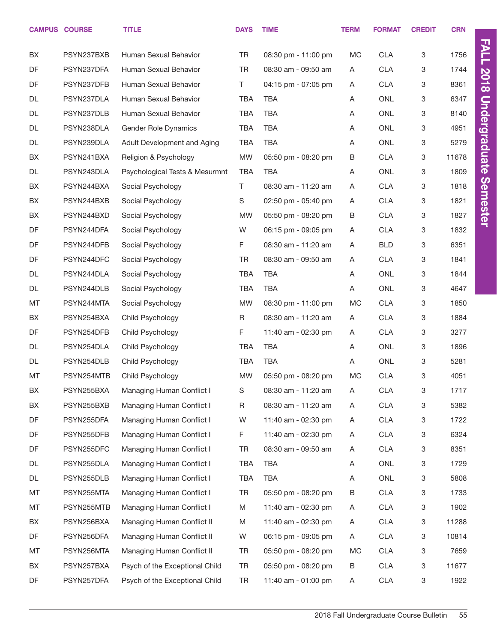|    | <b>CAMPUS COURSE</b> | <b>TITLE</b>                   | <b>DAYS</b> | <b>TIME</b>         | <b>TERM</b> | <b>FORMAT</b> | <b>CREDIT</b> | <b>CRN</b> |                      |
|----|----------------------|--------------------------------|-------------|---------------------|-------------|---------------|---------------|------------|----------------------|
| BX | PSYN237BXB           | Human Sexual Behavior          | <b>TR</b>   | 08:30 pm - 11:00 pm | MC          | <b>CLA</b>    | 3             | 1756       | <b>FALL</b>          |
| DF | PSYN237DFA           | Human Sexual Behavior          | <b>TR</b>   | 08:30 am - 09:50 am | A           | <b>CLA</b>    | 3             | 1744       |                      |
| DF | PSYN237DFB           | Human Sexual Behavior          | T.          | 04:15 pm - 07:05 pm | A           | <b>CLA</b>    | 3             | 8361       | <b>2018</b>          |
| DL | PSYN237DLA           | Human Sexual Behavior          | <b>TBA</b>  | <b>TBA</b>          | A           | <b>ONL</b>    | 3             | 6347       |                      |
| DL | PSYN237DLB           | Human Sexual Behavior          | <b>TBA</b>  | <b>TBA</b>          | Α           | <b>ONL</b>    | 3             | 8140       |                      |
| DL | PSYN238DLA           | <b>Gender Role Dynamics</b>    | <b>TBA</b>  | <b>TBA</b>          | A           | <b>ONL</b>    | 3             | 4951       |                      |
| DL | PSYN239DLA           | Adult Development and Aging    | <b>TBA</b>  | <b>TBA</b>          | A           | ONL           | 3             | 5279       |                      |
| BX | PSYN241BXA           | Religion & Psychology          | <b>MW</b>   | 05:50 pm - 08:20 pm | В           | <b>CLA</b>    | 3             | 11678      | <b>Undergraduate</b> |
| DL | PSYN243DLA           | Psychological Tests & Mesurmnt | <b>TBA</b>  | <b>TBA</b>          | Α           | ONL           | 3             | 1809       |                      |
| BX | PSYN244BXA           | Social Psychology              | T.          | 08:30 am - 11:20 am | Α           | <b>CLA</b>    | 3             | 1818       |                      |
| BX | PSYN244BXB           | Social Psychology              | S           | 02:50 pm - 05:40 pm | A           | <b>CLA</b>    | 3             | 1821       | <b>Semester</b>      |
| BX | PSYN244BXD           | Social Psychology              | <b>MW</b>   | 05:50 pm - 08:20 pm | В           | <b>CLA</b>    | 3             | 1827       |                      |
| DF | PSYN244DFA           | Social Psychology              | W           | 06:15 pm - 09:05 pm | A           | <b>CLA</b>    | 3             | 1832       |                      |
| DF | PSYN244DFB           | Social Psychology              | F           | 08:30 am - 11:20 am | A           | <b>BLD</b>    | 3             | 6351       |                      |
| DF | PSYN244DFC           | Social Psychology              | TR          | 08:30 am - 09:50 am | A           | <b>CLA</b>    | 3             | 1841       |                      |
| DL | PSYN244DLA           | Social Psychology              | <b>TBA</b>  | <b>TBA</b>          | A           | ONL           | 3             | 1844       |                      |
| DL | PSYN244DLB           | Social Psychology              | <b>TBA</b>  | <b>TBA</b>          | Α           | ONL           | 3             | 4647       |                      |
| MT | PSYN244MTA           | Social Psychology              | <b>MW</b>   | 08:30 pm - 11:00 pm | MC          | <b>CLA</b>    | 3             | 1850       |                      |
| BX | PSYN254BXA           | Child Psychology               | R           | 08:30 am - 11:20 am | A           | <b>CLA</b>    | 3             | 1884       |                      |
| DF | PSYN254DFB           | Child Psychology               | F           | 11:40 am - 02:30 pm | A           | <b>CLA</b>    | 3             | 3277       |                      |
| DL | PSYN254DLA           | Child Psychology               | <b>TBA</b>  | <b>TBA</b>          | A           | ONL           | 3             | 1896       |                      |
| DL | PSYN254DLB           | Child Psychology               | <b>TBA</b>  | <b>TBA</b>          | Α           | ONL           | 3             | 5281       |                      |
| MT | PSYN254MTB           | Child Psychology               | <b>MW</b>   | 05:50 pm - 08:20 pm | MC          | <b>CLA</b>    | 3             | 4051       |                      |
| BX | PSYN255BXA           | Managing Human Conflict I      | S           | 08:30 am - 11:20 am | Α           | <b>CLA</b>    | 3             | 1717       |                      |
| BX | PSYN255BXB           | Managing Human Conflict I      | R           | 08:30 am - 11:20 am | A           | <b>CLA</b>    | 3             | 5382       |                      |
| DF | PSYN255DFA           | Managing Human Conflict I      | W           | 11:40 am - 02:30 pm | A           | <b>CLA</b>    | 3             | 1722       |                      |
| DF | PSYN255DFB           | Managing Human Conflict I      | F           | 11:40 am - 02:30 pm | A           | <b>CLA</b>    | 3             | 6324       |                      |
| DF | PSYN255DFC           | Managing Human Conflict I      | TR          | 08:30 am - 09:50 am | A           | <b>CLA</b>    | 3             | 8351       |                      |
| DL | PSYN255DLA           | Managing Human Conflict I      | TBA         | TBA                 | A           | ONL           | 3             | 1729       |                      |
| DL | PSYN255DLB           | Managing Human Conflict I      | <b>TBA</b>  | <b>TBA</b>          | A           | ONL           | 3             | 5808       |                      |
| MT | PSYN255MTA           | Managing Human Conflict I      | TR          | 05:50 pm - 08:20 pm | B           | <b>CLA</b>    | 3             | 1733       |                      |
| MT | PSYN255MTB           | Managing Human Conflict I      | M           | 11:40 am - 02:30 pm | A           | <b>CLA</b>    | 3             | 1902       |                      |
| BX | PSYN256BXA           | Managing Human Conflict II     | M           | 11:40 am - 02:30 pm | A           | <b>CLA</b>    | 3             | 11288      |                      |
| DF | PSYN256DFA           | Managing Human Conflict II     | W           | 06:15 pm - 09:05 pm | A           | <b>CLA</b>    | 3             | 10814      |                      |
| MT | PSYN256MTA           | Managing Human Conflict II     | TR          | 05:50 pm - 08:20 pm | МC          | <b>CLA</b>    | 3             | 7659       |                      |
| BX | PSYN257BXA           | Psych of the Exceptional Child | <b>TR</b>   | 05:50 pm - 08:20 pm | B           | <b>CLA</b>    | 3             | 11677      |                      |
| DF | PSYN257DFA           | Psych of the Exceptional Child | TR          | 11:40 am - 01:00 pm | A           | <b>CLA</b>    | 3             | 1922       |                      |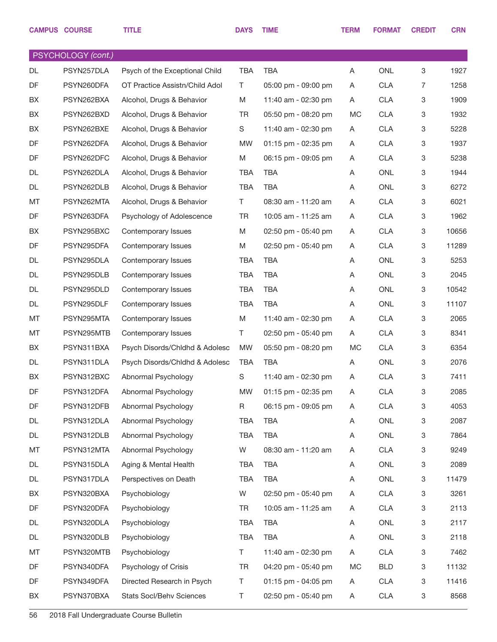|    | <b>CAMPUS COURSE</b> | <b>TITLE</b>                    | <b>DAYS</b> | <b>TIME</b>         | <b>TERM</b> | <b>FORMAT</b> | <b>CREDIT</b>             | <b>CRN</b> |
|----|----------------------|---------------------------------|-------------|---------------------|-------------|---------------|---------------------------|------------|
|    | PSYCHOLOGY (cont.)   |                                 |             |                     |             |               |                           |            |
| DL | PSYN257DLA           | Psych of the Exceptional Child  | <b>TBA</b>  | <b>TBA</b>          | A           | <b>ONL</b>    | 3                         | 1927       |
| DF | PSYN260DFA           | OT Practice Assistn/Child Adol  | T           | 05:00 pm - 09:00 pm | A           | <b>CLA</b>    | $\overline{7}$            | 1258       |
| BX | PSYN262BXA           | Alcohol, Drugs & Behavior       | M           | 11:40 am - 02:30 pm | A           | <b>CLA</b>    | 3                         | 1909       |
| BX | PSYN262BXD           | Alcohol, Drugs & Behavior       | TR.         | 05:50 pm - 08:20 pm | МC          | <b>CLA</b>    | 3                         | 1932       |
| BX | PSYN262BXE           | Alcohol, Drugs & Behavior       | S           | 11:40 am - 02:30 pm | A           | <b>CLA</b>    | 3                         | 5228       |
| DF | PSYN262DFA           | Alcohol, Drugs & Behavior       | MW          | 01:15 pm - 02:35 pm | A           | <b>CLA</b>    | $\,3$                     | 1937       |
| DF | PSYN262DFC           | Alcohol, Drugs & Behavior       | M           | 06:15 pm - 09:05 pm | A           | <b>CLA</b>    | 3                         | 5238       |
| DL | PSYN262DLA           | Alcohol, Drugs & Behavior       | <b>TBA</b>  | <b>TBA</b>          | A           | <b>ONL</b>    | $\mathbf 3$               | 1944       |
| DL | PSYN262DLB           | Alcohol, Drugs & Behavior       | <b>TBA</b>  | <b>TBA</b>          | A           | ONL           | 3                         | 6272       |
| МT | PSYN262MTA           | Alcohol, Drugs & Behavior       | T.          | 08:30 am - 11:20 am | A           | <b>CLA</b>    | $\,3$                     | 6021       |
| DF | PSYN263DFA           | Psychology of Adolescence       | <b>TR</b>   | 10:05 am - 11:25 am | A           | <b>CLA</b>    | 3                         | 1962       |
| BX | PSYN295BXC           | Contemporary Issues             | M           | 02:50 pm - 05:40 pm | A           | <b>CLA</b>    | $\mathbf 3$               | 10656      |
| DF | PSYN295DFA           | Contemporary Issues             | M           | 02:50 pm - 05:40 pm | A           | <b>CLA</b>    | 3                         | 11289      |
| DL | PSYN295DLA           | Contemporary Issues             | <b>TBA</b>  | <b>TBA</b>          | A           | <b>ONL</b>    | 3                         | 5253       |
| DL | PSYN295DLB           | Contemporary Issues             | <b>TBA</b>  | <b>TBA</b>          | A           | ONL           | 3                         | 2045       |
| DL | PSYN295DLD           | Contemporary Issues             | <b>TBA</b>  | <b>TBA</b>          | A           | <b>ONL</b>    | $\mathbf 3$               | 10542      |
| DL | PSYN295DLF           | Contemporary Issues             | <b>TBA</b>  | <b>TBA</b>          | A           | <b>ONL</b>    | 3                         | 11107      |
| МT | PSYN295MTA           | Contemporary Issues             | M           | 11:40 am - 02:30 pm | A           | <b>CLA</b>    | 3                         | 2065       |
| МT | PSYN295MTB           | Contemporary Issues             | T.          | 02:50 pm - 05:40 pm | A           | <b>CLA</b>    | 3                         | 8341       |
| BX | PSYN311BXA           | Psych Disords/Chldhd & Adolesc  | <b>MW</b>   | 05:50 pm - 08:20 pm | МC          | <b>CLA</b>    | 3                         | 6354       |
| DL | PSYN311DLA           | Psych Disords/Chldhd & Adolesc  | TBA         | TBA                 | A           | <b>ONL</b>    | 3                         | 2076       |
| BX | PSYN312BXC           | Abnormal Psychology             | $\mathbb S$ | 11:40 am - 02:30 pm | A           | <b>CLA</b>    | $\,3$                     | 7411       |
| DF | PSYN312DFA           | Abnormal Psychology             | MW          | 01:15 pm - 02:35 pm | Α           | <b>CLA</b>    | $\ensuremath{\mathsf{3}}$ | 2085       |
| DF | PSYN312DFB           | Abnormal Psychology             | R           | 06:15 pm - 09:05 pm | A           | <b>CLA</b>    | 3                         | 4053       |
| DL | PSYN312DLA           | Abnormal Psychology             | TBA         | <b>TBA</b>          | Α           | ONL           | $\ensuremath{\mathsf{3}}$ | 2087       |
| DL | PSYN312DLB           | Abnormal Psychology             | <b>TBA</b>  | <b>TBA</b>          | Α           | ONL           | $\mathbf 3$               | 7864       |
| МT | PSYN312MTA           | Abnormal Psychology             | W           | 08:30 am - 11:20 am | A           | <b>CLA</b>    | $\mathbf 3$               | 9249       |
| DL | PSYN315DLA           | Aging & Mental Health           | TBA         | <b>TBA</b>          | Α           | ONL           | $\mathbf 3$               | 2089       |
| DL | PSYN317DLA           | Perspectives on Death           | TBA         | <b>TBA</b>          | A           | ONL           | $\mathbf 3$               | 11479      |
| BX | PSYN320BXA           | Psychobiology                   | W           | 02:50 pm - 05:40 pm | A           | <b>CLA</b>    | 3                         | 3261       |
| DF | PSYN320DFA           | Psychobiology                   | TR          | 10:05 am - 11:25 am | A           | <b>CLA</b>    | 3                         | 2113       |
| DL | PSYN320DLA           | Psychobiology                   | TBA         | <b>TBA</b>          | Α           | ONL           | $\mathbf 3$               | 2117       |
| DL | PSYN320DLB           | Psychobiology                   | <b>TBA</b>  | <b>TBA</b>          | A           | ONL           | $\mathbf 3$               | 2118       |
| MT | PSYN320MTB           | Psychobiology                   | T.          | 11:40 am - 02:30 pm | A           | <b>CLA</b>    | $\mathbf 3$               | 7462       |
| DF | PSYN340DFA           | Psychology of Crisis            | TR          | 04:20 pm - 05:40 pm | МC          | <b>BLD</b>    | $\mathbf 3$               | 11132      |
| DF | PSYN349DFA           | Directed Research in Psych      | T.          | 01:15 pm - 04:05 pm | A           | <b>CLA</b>    | 3                         | 11416      |
| BX | PSYN370BXA           | <b>Stats Socl/Behv Sciences</b> | T           | 02:50 pm - 05:40 pm | A           | <b>CLA</b>    | $\ensuremath{\mathsf{3}}$ | 8568       |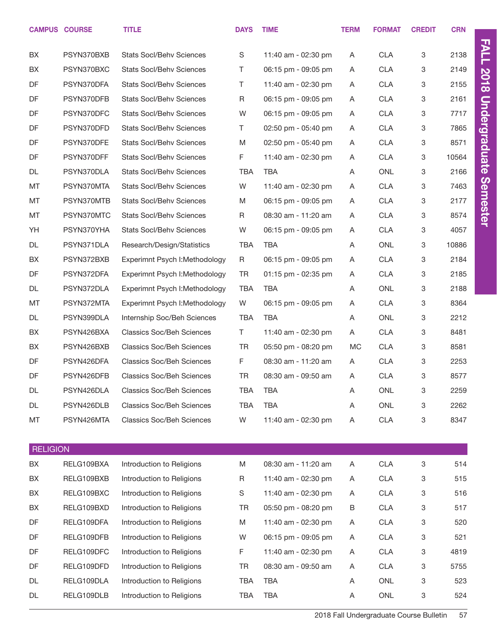|                 | <b>CAMPUS COURSE</b> | <b>TITLE</b>                     | <b>DAYS</b> | <b>TIME</b>         | <b>TERM</b> | <b>FORMAT</b> | <b>CREDIT</b> | <b>CRN</b> |                      |
|-----------------|----------------------|----------------------------------|-------------|---------------------|-------------|---------------|---------------|------------|----------------------|
| BX              | PSYN370BXB           | <b>Stats Socl/Behv Sciences</b>  | S           | 11:40 am - 02:30 pm | A           | <b>CLA</b>    | 3             | 2138       | <b>FALL</b>          |
| BX              | PSYN370BXC           | <b>Stats Socl/Behv Sciences</b>  | T.          | 06:15 pm - 09:05 pm | A           | <b>CLA</b>    | 3             | 2149       |                      |
| DF              | PSYN370DFA           | <b>Stats Socl/Behv Sciences</b>  | Τ           | 11:40 am - 02:30 pm | A           | <b>CLA</b>    | 3             | 2155       | 2018                 |
| DF              | PSYN370DFB           | <b>Stats Socl/Behv Sciences</b>  | R           | 06:15 pm - 09:05 pm | A           | <b>CLA</b>    | 3             | 2161       |                      |
| DF              | PSYN370DFC           | <b>Stats Socl/Behv Sciences</b>  | W           | 06:15 pm - 09:05 pm | A           | <b>CLA</b>    | 3             | 7717       |                      |
| DF              | PSYN370DFD           | <b>Stats Socl/Behv Sciences</b>  | T           | 02:50 pm - 05:40 pm | A           | <b>CLA</b>    | 3             | 7865       |                      |
| DF              | PSYN370DFE           | <b>Stats Socl/Behv Sciences</b>  | M           | 02:50 pm - 05:40 pm | A           | <b>CLA</b>    | 3             | 8571       |                      |
| DF              | PSYN370DFF           | <b>Stats Socl/Behv Sciences</b>  | F           | 11:40 am - 02:30 pm | A           | <b>CLA</b>    | 3             | 10564      | <b>Undergraduate</b> |
| DL              | PSYN370DLA           | <b>Stats Socl/Behv Sciences</b>  | <b>TBA</b>  | <b>TBA</b>          | A           | <b>ONL</b>    | 3             | 2166       |                      |
| MT              | PSYN370MTA           | <b>Stats Socl/Behv Sciences</b>  | W           | 11:40 am - 02:30 pm | A           | <b>CLA</b>    | 3             | 7463       |                      |
| MT              | PSYN370MTB           | <b>Stats Socl/Behv Sciences</b>  | M           | 06:15 pm - 09:05 pm | A           | <b>CLA</b>    | 3             | 2177       | Semester             |
| MT              | PSYN370MTC           | <b>Stats Socl/Behv Sciences</b>  | R           | 08:30 am - 11:20 am | A           | <b>CLA</b>    | 3             | 8574       |                      |
| YH              | PSYN370YHA           | <b>Stats Socl/Behv Sciences</b>  | W           | 06:15 pm - 09:05 pm | A           | <b>CLA</b>    | 3             | 4057       |                      |
| DL              | PSYN371DLA           | Research/Design/Statistics       | <b>TBA</b>  | <b>TBA</b>          | A           | ONL           | 3             | 10886      |                      |
| BX              | PSYN372BXB           | Experimnt Psych I: Methodology   | R           | 06:15 pm - 09:05 pm | A           | <b>CLA</b>    | 3             | 2184       |                      |
| DF              | PSYN372DFA           | Experimnt Psych I: Methodology   | <b>TR</b>   | 01:15 pm - 02:35 pm | A           | <b>CLA</b>    | 3             | 2185       |                      |
| DL              | PSYN372DLA           | Experimnt Psych I: Methodology   | <b>TBA</b>  | <b>TBA</b>          | A           | ONL           | 3             | 2188       |                      |
| MT              | PSYN372MTA           | Experimnt Psych I: Methodology   | W           | 06:15 pm - 09:05 pm | A           | <b>CLA</b>    | 3             | 8364       |                      |
| DL              | PSYN399DLA           | Internship Soc/Beh Sciences      | <b>TBA</b>  | <b>TBA</b>          | A           | <b>ONL</b>    | 3             | 2212       |                      |
| BX              | PSYN426BXA           | <b>Classics Soc/Beh Sciences</b> | T.          | 11:40 am - 02:30 pm | Α           | <b>CLA</b>    | 3             | 8481       |                      |
| BX              | PSYN426BXB           | <b>Classics Soc/Beh Sciences</b> | <b>TR</b>   | 05:50 pm - 08:20 pm | MC          | <b>CLA</b>    | 3             | 8581       |                      |
| DF              | PSYN426DFA           | <b>Classics Soc/Beh Sciences</b> | F           | 08:30 am - 11:20 am | A           | <b>CLA</b>    | 3             | 2253       |                      |
| DF              | PSYN426DFB           | <b>Classics Soc/Beh Sciences</b> | <b>TR</b>   | 08:30 am - 09:50 am | Α           | <b>CLA</b>    | 3             | 8577       |                      |
| DL              | PSYN426DLA           | <b>Classics Soc/Beh Sciences</b> | <b>TBA</b>  | <b>TBA</b>          | Α           | ONL           | 3             | 2259       |                      |
| DL              | PSYN426DLB           | <b>Classics Soc/Beh Sciences</b> | <b>TBA</b>  | <b>TBA</b>          | A           | <b>ONL</b>    | 3             | 2262       |                      |
| MT              | PSYN426MTA           | <b>Classics Soc/Beh Sciences</b> | W           | 11:40 am - 02:30 pm | Α           | <b>CLA</b>    | 3             | 8347       |                      |
| <b>RELIGION</b> |                      |                                  |             |                     |             |               |               |            |                      |
| BX              | RELG109BXA           | Introduction to Religions        | M           | 08:30 am - 11:20 am | A           | <b>CLA</b>    | 3             | 514        |                      |
| BX              | RELG109BXB           | Introduction to Religions        | R           | 11:40 am - 02:30 pm | A           | <b>CLA</b>    | 3             | 515        |                      |
| BX              | RELG109BXC           | Introduction to Religions        | S           | 11:40 am - 02:30 pm | A           | CLA           | 3             | 516        |                      |
| BX              | RELG109BXD           | Introduction to Religions        | TR          | 05:50 pm - 08:20 pm | B           | CLA           | 3             | 517        |                      |
| DF              | RELG109DFA           | Introduction to Religions        | M           | 11:40 am - 02:30 pm | Α           | CLA           | 3             | 520        |                      |
| DF              | RELG109DFB           | Introduction to Religions        | W           | 06:15 pm - 09:05 pm | A           | <b>CLA</b>    | 3             | 521        |                      |
| DF              | RELG109DFC           | Introduction to Religions        | F           | 11:40 am - 02:30 pm | Α           | CLA           | 3             | 4819       |                      |
| DF              | RELG109DFD           | Introduction to Religions        | <b>TR</b>   | 08:30 am - 09:50 am | Α           | <b>CLA</b>    | 3             | 5755       |                      |
| DL              | RELG109DLA           | Introduction to Religions        | <b>TBA</b>  | <b>TBA</b>          | Α           | ONL           | 3             | 523        |                      |
| DL              | RELG109DLB           | Introduction to Religions        | <b>TBA</b>  | <b>TBA</b>          | Α           | ONL           | 3             | 524        |                      |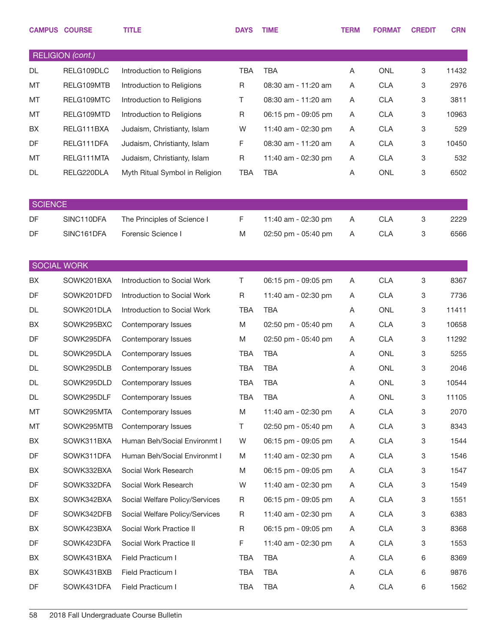|                    | <b>CAMPUS COURSE</b>    | <b>TITLE</b>                   | <b>DAYS</b> | <b>TIME</b>         | <b>TERM</b> | <b>FORMAT</b> | <b>CREDIT</b> | <b>CRN</b> |
|--------------------|-------------------------|--------------------------------|-------------|---------------------|-------------|---------------|---------------|------------|
|                    | <b>RELIGION</b> (cont.) |                                |             |                     |             |               |               |            |
| <b>DL</b>          | RELG109DLC              | Introduction to Religions      | <b>TBA</b>  | <b>TBA</b>          | Α           | <b>ONL</b>    | 3             | 11432      |
| MT                 | RELG109MTB              | Introduction to Religions      | R           | 08:30 am - 11:20 am | A           | <b>CLA</b>    | 3             | 2976       |
| MT                 | RELG109MTC              | Introduction to Religions      | Τ           | 08:30 am - 11:20 am | A           | <b>CLA</b>    | 3             | 3811       |
| MT                 | RELG109MTD              | Introduction to Religions      | R           | 06:15 pm - 09:05 pm | A           | <b>CLA</b>    | 3             | 10963      |
| BX                 | RELG111BXA              | Judaism, Christianty, Islam    | W           | 11:40 am - 02:30 pm | A           | <b>CLA</b>    | 3             | 529        |
| DF                 | RELG111DFA              | Judaism, Christianty, Islam    | F           | 08:30 am - 11:20 am | A           | <b>CLA</b>    | 3             | 10450      |
| MT                 | RELG111MTA              | Judaism, Christianty, Islam    | $\mathsf R$ | 11:40 am - 02:30 pm | A           | <b>CLA</b>    | 3             | 532        |
| DL                 | RELG220DLA              | Myth Ritual Symbol in Religion | <b>TBA</b>  | <b>TBA</b>          | A           | <b>ONL</b>    | 3             | 6502       |
| <b>SCIENCE</b>     |                         |                                |             |                     |             |               |               |            |
| DF                 | SINC110DFA              | The Principles of Science I    | F           | 11:40 am - 02:30 pm | A           | <b>CLA</b>    | 3             | 2229       |
| DF                 | SINC161DFA              | Forensic Science I             | M           | 02:50 pm - 05:40 pm | A           | <b>CLA</b>    | 3             | 6566       |
|                    |                         |                                |             |                     |             |               |               |            |
| <b>SOCIAL WORK</b> |                         |                                |             |                     |             |               |               |            |
| BX                 | SOWK201BXA              | Introduction to Social Work    | Τ           | 06:15 pm - 09:05 pm | Α           | <b>CLA</b>    | 3             | 8367       |
| DF                 | SOWK201DFD              | Introduction to Social Work    | R           | 11:40 am - 02:30 pm | Α           | <b>CLA</b>    | 3             | 7736       |
| DL                 | SOWK201DLA              | Introduction to Social Work    | <b>TBA</b>  | <b>TBA</b>          | Α           | <b>ONL</b>    | 3             | 11411      |
| BX                 | SOWK295BXC              | Contemporary Issues            | M           | 02:50 pm - 05:40 pm | Α           | <b>CLA</b>    | 3             | 10658      |
| DF                 | SOWK295DFA              | Contemporary Issues            | M           | 02:50 pm - 05:40 pm | Α           | <b>CLA</b>    | 3             | 11292      |
| DL                 | SOWK295DLA              | Contemporary Issues            | <b>TBA</b>  | <b>TBA</b>          | A           | <b>ONL</b>    | 3             | 5255       |
| DL                 | SOWK295DLB              | Contemporary Issues            | <b>TBA</b>  | <b>TBA</b>          | Α           | <b>ONL</b>    | 3             | 2046       |
| DL                 | SOWK295DLD              | Contemporary Issues            | <b>TBA</b>  | <b>TBA</b>          | Α           | ONL           | 3             | 10544      |
| DL                 | SOWK295DLF              | Contemporary Issues            | TBA         | <b>TBA</b>          | Α           | ONL           | 3             | 11105      |
| MT                 | SOWK295MTA              | Contemporary Issues            | M           | 11:40 am - 02:30 pm | A           | <b>CLA</b>    | 3             | 2070       |
| MT                 | SOWK295MTB              | Contemporary Issues            | Τ           | 02:50 pm - 05:40 pm | A           | <b>CLA</b>    | 3             | 8343       |
| BX                 | SOWK311BXA              | Human Beh/Social Environmt I   | W           | 06:15 pm - 09:05 pm | A           | <b>CLA</b>    | 3             | 1544       |
| DF                 | SOWK311DFA              | Human Beh/Social Environmt I   | M           | 11:40 am - 02:30 pm | Α           | <b>CLA</b>    | 3             | 1546       |
| BX                 | SOWK332BXA              | Social Work Research           | M           | 06:15 pm - 09:05 pm | A           | <b>CLA</b>    | 3             | 1547       |
| DF                 | SOWK332DFA              | Social Work Research           | W           | 11:40 am - 02:30 pm | Α           | <b>CLA</b>    | 3             | 1549       |
| BX                 | SOWK342BXA              | Social Welfare Policy/Services | R           | 06:15 pm - 09:05 pm | A           | <b>CLA</b>    | 3             | 1551       |
| DF                 | SOWK342DFB              | Social Welfare Policy/Services | R           | 11:40 am - 02:30 pm | Α           | <b>CLA</b>    | 3             | 6383       |
| BX                 | SOWK423BXA              | Social Work Practice II        | R           | 06:15 pm - 09:05 pm | A           | <b>CLA</b>    | 3             | 8368       |
| DF                 | SOWK423DFA              | Social Work Practice II        | F           | 11:40 am - 02:30 pm | A           | <b>CLA</b>    | 3             | 1553       |
| BX                 | SOWK431BXA              | Field Practicum I              | TBA         | TBA                 | A           | <b>CLA</b>    | 6             | 8369       |
| BX                 | SOWK431BXB              | Field Practicum I              | TBA         | TBA                 | Α           | <b>CLA</b>    | 6             | 9876       |
| DF                 | SOWK431DFA              | Field Practicum I              | TBA         | <b>TBA</b>          | A           | <b>CLA</b>    | 6             | 1562       |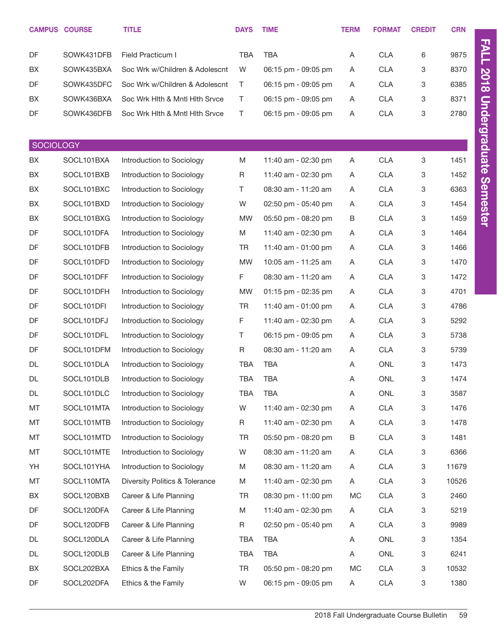|                  | <b>CAMPUS COURSE</b>     | <b>TITLE</b>                               | <b>DAYS</b> | <b>TIME</b>                                | <b>TERM</b> | <b>FORMAT</b>            | <b>CREDIT</b> | <b>CRN</b>    |
|------------------|--------------------------|--------------------------------------------|-------------|--------------------------------------------|-------------|--------------------------|---------------|---------------|
| DF               | SOWK431DFB               | Field Practicum I                          | <b>TBA</b>  | <b>TBA</b>                                 | A           | <b>CLA</b>               | 6             | 9875          |
| BX               | SOWK435BXA               | Soc Wrk w/Children & Adolescnt             | W           | 06:15 pm - 09:05 pm                        | A           | <b>CLA</b>               | 3             | 8370          |
| DF               | SOWK435DFC               | Soc Wrk w/Children & Adolescnt             | $\top$      | 06:15 pm - 09:05 pm                        | A           | <b>CLA</b>               | 3             | 6385          |
| BX               | SOWK436BXA               | Soc Wrk Hith & Mntl Hith Srvce             | $\top$      | 06:15 pm - 09:05 pm                        | A           | <b>CLA</b>               | 3             | 8371          |
| DF               | SOWK436DFB               | Soc Wrk Hith & Mntl Hith Srvce             | $\top$      | 06:15 pm - 09:05 pm                        | A           | <b>CLA</b>               | 3             | 2780          |
|                  |                          |                                            |             |                                            |             |                          |               |               |
| <b>SOCIOLOGY</b> |                          |                                            |             |                                            |             |                          |               |               |
| BX               | SOCL101BXA               | Introduction to Sociology                  | M           | 11:40 am - 02:30 pm                        | Α           | <b>CLA</b>               | $\,3$         | 1451          |
| BX               | SOCL101BXB               | Introduction to Sociology                  | R           | 11:40 am - 02:30 pm                        | A           | <b>CLA</b>               | 3             | 1452          |
| BX               | SOCL101BXC               | Introduction to Sociology                  | T.          | 08:30 am - 11:20 am                        | A           | <b>CLA</b>               | 3             | 6363          |
| BX               | SOCL101BXD               | Introduction to Sociology                  | W           | 02:50 pm - 05:40 pm                        | A           | <b>CLA</b>               | 3             | 1454          |
| BX               | SOCL101BXG               | Introduction to Sociology                  | MW          | 05:50 pm - 08:20 pm                        | В           | <b>CLA</b>               | 3             | 1459          |
| DF               | SOCL101DFA               | Introduction to Sociology                  | M           | 11:40 am - 02:30 pm                        | A           | <b>CLA</b>               | 3             | 1464          |
| DF               | SOCL101DFB               | Introduction to Sociology                  | <b>TR</b>   | 11:40 am - 01:00 pm                        | A           | <b>CLA</b>               | 3             | 1466          |
| DF               | SOCL101DFD               | Introduction to Sociology                  | <b>MW</b>   | 10:05 am - 11:25 am                        | A           | <b>CLA</b>               | 3             | 1470          |
| DF               | SOCL101DFF               | Introduction to Sociology                  | F           | 08:30 am - 11:20 am                        | A           | <b>CLA</b>               | 3             | 1472          |
| DF               | SOCL101DFH               | Introduction to Sociology                  | <b>MW</b>   | 01:15 pm - 02:35 pm                        | A           | <b>CLA</b>               | 3             | 4701          |
| DF               | SOCL101DFI               | Introduction to Sociology                  | TR          | 11:40 am - 01:00 pm                        | A           | <b>CLA</b>               | 3             | 4786          |
| DF               | SOCL101DFJ               | Introduction to Sociology                  | F           | 11:40 am - 02:30 pm                        | A           | <b>CLA</b>               | 3             | 5292          |
| DF               | SOCL101DFL               | Introduction to Sociology                  | Τ           | 06:15 pm - 09:05 pm                        | A           | <b>CLA</b>               | 3             | 5738          |
| DF               | SOCL101DFM               | Introduction to Sociology                  | R           | 08:30 am - 11:20 am                        | A           | <b>CLA</b>               | 3             | 5739          |
| DL               | SOCL101DLA               | Introduction to Sociology                  | TBA         | <b>TBA</b>                                 | A           | ONL                      | 3             | 1473          |
| DL               | SOCL101DLB               | Introduction to Sociology                  | TBA         | <b>TBA</b>                                 | A           | ONL                      | 3             | 1474          |
| DL               | SOCL101DLC               | Introduction to Sociology                  | TBA         | TBA                                        | A           | ONL                      | 3             | 3587          |
| MT               | SOCL101MTA               | Introduction to Sociology                  | W           | 11:40 am - 02:30 pm                        | A           | <b>CLA</b>               | 3             | 1476          |
| MT               | SOCL101MTB               | Introduction to Sociology                  | R           | 11:40 am - 02:30 pm                        | A           | <b>CLA</b>               | 3             | 1478          |
| MT               | SOCL101MTD               | Introduction to Sociology                  | TR          | 05:50 pm - 08:20 pm                        | B           | <b>CLA</b>               | 3             | 1481          |
| MT               | SOCL101MTE               | Introduction to Sociology                  | W           | 08:30 am - 11:20 am                        | A           | <b>CLA</b>               | 3             | 6366          |
| YH               | SOCL101YHA               | Introduction to Sociology                  | M           | 08:30 am - 11:20 am                        | A           | <b>CLA</b>               | 3             | 11679         |
| MT               | SOCL110MTA               | <b>Diversity Politics &amp; Tolerance</b>  | M           | 11:40 am - 02:30 pm                        | A           | <b>CLA</b>               | 3             | 10526         |
| BX               | SOCL120BXB               | Career & Life Planning                     | TR          | 08:30 pm - 11:00 pm                        | МC          | <b>CLA</b>               | 3             | 2460          |
| DF               | SOCL120DFA               | Career & Life Planning                     | M           | 11:40 am - 02:30 pm                        | A           | <b>CLA</b>               | 3             | 5219          |
| DF               | SOCL120DFB               | Career & Life Planning                     | R           | 02:50 pm - 05:40 pm                        | A           | <b>CLA</b>               | 3             | 9989          |
| DL               | SOCL120DLA               | Career & Life Planning                     | TBA         | TBA                                        | A           | ONL                      | 3             | 1354          |
| DL               | SOCL120DLB               | Career & Life Planning                     | TBA         | TBA                                        | A           | ONL                      | 3             | 6241          |
|                  |                          |                                            |             |                                            |             |                          |               |               |
|                  |                          |                                            |             |                                            |             |                          |               |               |
| BX<br>DF         | SOCL202BXA<br>SOCL202DFA | Ethics & the Family<br>Ethics & the Family | TR<br>W     | 05:50 pm - 08:20 pm<br>06:15 pm - 09:05 pm | МC<br>A     | <b>CLA</b><br><b>CLA</b> | 3<br>3        | 10532<br>1380 |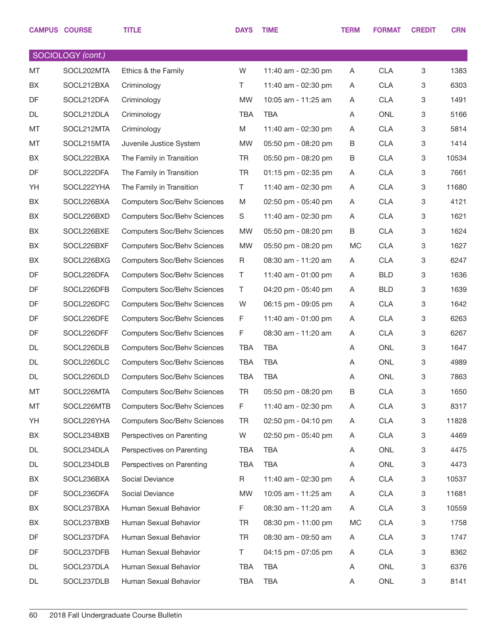|           | <b>CAMPUS COURSE</b> | <b>TITLE</b>                       | <b>DAYS</b> | <b>TIME</b>         | <b>TERM</b> | <b>FORMAT</b> | <b>CREDIT</b> | <b>CRN</b> |
|-----------|----------------------|------------------------------------|-------------|---------------------|-------------|---------------|---------------|------------|
|           | SOCIOLOGY (cont.)    |                                    |             |                     |             |               |               |            |
| <b>MT</b> | SOCL202MTA           | Ethics & the Family                | W           | 11:40 am - 02:30 pm | A           | <b>CLA</b>    | 3             | 1383       |
| BX        | SOCL212BXA           | Criminology                        | T.          | 11:40 am - 02:30 pm | A           | <b>CLA</b>    | 3             | 6303       |
| DF        | SOCL212DFA           | Criminology                        | <b>MW</b>   | 10:05 am - 11:25 am | A           | <b>CLA</b>    | 3             | 1491       |
| DL        | SOCL212DLA           | Criminology                        | <b>TBA</b>  | <b>TBA</b>          | A           | <b>ONL</b>    | 3             | 5166       |
| МT        | SOCL212MTA           | Criminology                        | M           | 11:40 am - 02:30 pm | A           | <b>CLA</b>    | 3             | 5814       |
| МT        | SOCL215MTA           | Juvenile Justice System            | <b>MW</b>   | 05:50 pm - 08:20 pm | B           | <b>CLA</b>    | $\mathbf 3$   | 1414       |
| BX        | SOCL222BXA           | The Family in Transition           | TR          | 05:50 pm - 08:20 pm | B           | <b>CLA</b>    | 3             | 10534      |
| DF        | SOCL222DFA           | The Family in Transition           | <b>TR</b>   | 01:15 pm - 02:35 pm | A           | <b>CLA</b>    | 3             | 7661       |
| YH        | SOCL222YHA           | The Family in Transition           | T.          | 11:40 am - 02:30 pm | A           | <b>CLA</b>    | 3             | 11680      |
| BX        | SOCL226BXA           | <b>Computers Soc/Behv Sciences</b> | M           | 02:50 pm - 05:40 pm | A           | <b>CLA</b>    | $\,3$         | 4121       |
| BX        | SOCL226BXD           | <b>Computers Soc/Behv Sciences</b> | S           | 11:40 am - 02:30 pm | A           | <b>CLA</b>    | 3             | 1621       |
| BX        | SOCL226BXE           | <b>Computers Soc/Behv Sciences</b> | <b>MW</b>   | 05:50 pm - 08:20 pm | B           | <b>CLA</b>    | $\,3$         | 1624       |
| BX        | SOCL226BXF           | <b>Computers Soc/Behv Sciences</b> | <b>MW</b>   | 05:50 pm - 08:20 pm | MC          | <b>CLA</b>    | 3             | 1627       |
| BX        | SOCL226BXG           | <b>Computers Soc/Behv Sciences</b> | R           | 08:30 am - 11:20 am | A           | <b>CLA</b>    | $\,3$         | 6247       |
| DF        | SOCL226DFA           | <b>Computers Soc/Behv Sciences</b> | Τ           | 11:40 am - 01:00 pm | A           | <b>BLD</b>    | 3             | 1636       |
| DF        | SOCL226DFB           | <b>Computers Soc/Behv Sciences</b> | Τ           | 04:20 pm - 05:40 pm | A           | <b>BLD</b>    | $\,3$         | 1639       |
| DF        | SOCL226DFC           | <b>Computers Soc/Behv Sciences</b> | W           | 06:15 pm - 09:05 pm | A           | <b>CLA</b>    | 3             | 1642       |
| DF        | SOCL226DFE           | <b>Computers Soc/Behv Sciences</b> | F           | 11:40 am - 01:00 pm | A           | <b>CLA</b>    | $\,3$         | 6263       |
| DF        | SOCL226DFF           | <b>Computers Soc/Behv Sciences</b> | F           | 08:30 am - 11:20 am | A           | <b>CLA</b>    | 3             | 6267       |
| DL        | SOCL226DLB           | <b>Computers Soc/Behv Sciences</b> | TBA         | <b>TBA</b>          | A           | ONL           | 3             | 1647       |
| DL        | SOCL226DLC           | <b>Computers Soc/Behv Sciences</b> | TBA         | <b>TBA</b>          | A           | ONL           | 3             | 4989       |
| DL        | SOCL226DLD           | <b>Computers Soc/Behv Sciences</b> | TBA         | <b>TBA</b>          | A           | <b>ONL</b>    | $\,3$         | 7863       |
| МT        | SOCL226MTA           | <b>Computers Soc/Behv Sciences</b> | <b>TR</b>   | 05:50 pm - 08:20 pm | В           | <b>CLA</b>    | $\mathbf 3$   | 1650       |
| МT        | SOCL226MTB           | <b>Computers Soc/Behv Sciences</b> | F.          | 11:40 am - 02:30 pm | A           | <b>CLA</b>    | 3             | 8317       |
| YH        | SOCL226YHA           | <b>Computers Soc/Behv Sciences</b> | TR          | 02:50 pm - 04:10 pm | A           | <b>CLA</b>    | $\mathbf 3$   | 11828      |
| BX        | SOCL234BXB           | Perspectives on Parenting          | W           | 02:50 pm - 05:40 pm | A           | <b>CLA</b>    | 3             | 4469       |
| DL        | SOCL234DLA           | Perspectives on Parenting          | TBA         | <b>TBA</b>          | A           | <b>ONL</b>    | $\mathbf 3$   | 4475       |
| DL        | SOCL234DLB           | Perspectives on Parenting          | TBA         | TBA                 | A           | ONL           | $\mathbf 3$   | 4473       |
| BX        | SOCL236BXA           | Social Deviance                    | R           | 11:40 am - 02:30 pm | A           | <b>CLA</b>    | $\mathbf 3$   | 10537      |
| DF        | SOCL236DFA           | Social Deviance                    | MW          | 10:05 am - 11:25 am | A           | <b>CLA</b>    | 3             | 11681      |
| BX        | SOCL237BXA           | Human Sexual Behavior              | F.          | 08:30 am - 11:20 am | A           | <b>CLA</b>    | $\mathbf 3$   | 10559      |
| BX        | SOCL237BXB           | Human Sexual Behavior              | <b>TR</b>   | 08:30 pm - 11:00 pm | МC          | <b>CLA</b>    | 3             | 1758       |
| DF        | SOCL237DFA           | Human Sexual Behavior              | TR          | 08:30 am - 09:50 am | A           | <b>CLA</b>    | $\mathbf 3$   | 1747       |
| DF        | SOCL237DFB           | Human Sexual Behavior              | T.          | 04:15 pm - 07:05 pm | A           | <b>CLA</b>    | $\mathbf 3$   | 8362       |
| DL        | SOCL237DLA           | Human Sexual Behavior              | TBA         | <b>TBA</b>          | A           | <b>ONL</b>    | $\mathbf 3$   | 6376       |
| DL        | SOCL237DLB           | Human Sexual Behavior              | TBA         | <b>TBA</b>          | A           | ONL           | 3             | 8141       |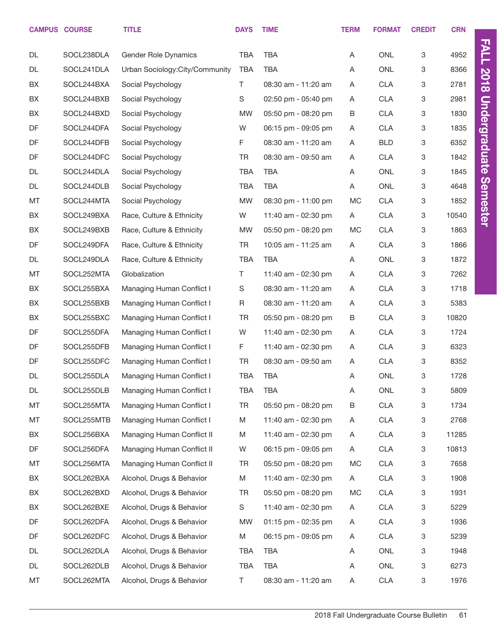|           | <b>CAMPUS COURSE</b> | <b>TITLE</b>                    | <b>DAYS</b> | <b>TIME</b>         | <b>TERM</b> | <b>FORMAT</b> | <b>CREDIT</b> | <b>CRN</b> |
|-----------|----------------------|---------------------------------|-------------|---------------------|-------------|---------------|---------------|------------|
| <b>DL</b> | SOCL238DLA           | Gender Role Dynamics            | <b>TBA</b>  | <b>TBA</b>          | Α           | <b>ONL</b>    | 3             | 4952       |
| DL        | SOCL241DLA           | Urban Sociology: City/Community | <b>TBA</b>  | <b>TBA</b>          | Α           | <b>ONL</b>    | 3             | 8366       |
| BX        | SOCL244BXA           | Social Psychology               | T           | 08:30 am - 11:20 am | Α           | <b>CLA</b>    | 3             | 2781       |
| BX        | SOCL244BXB           | Social Psychology               | S           | 02:50 pm - 05:40 pm | Α           | <b>CLA</b>    | 3             | 2981       |
| BX        | SOCL244BXD           | Social Psychology               | <b>MW</b>   | 05:50 pm - 08:20 pm | B           | <b>CLA</b>    | 3             | 1830       |
| DF        | SOCL244DFA           | Social Psychology               | W           | 06:15 pm - 09:05 pm | Α           | <b>CLA</b>    | 3             | 1835       |
| DF        | SOCL244DFB           | Social Psychology               | F.          | 08:30 am - 11:20 am | Α           | <b>BLD</b>    | 3             | 6352       |
| DF        | SOCL244DFC           | Social Psychology               | <b>TR</b>   | 08:30 am - 09:50 am | Α           | <b>CLA</b>    | 3             | 1842       |
| <b>DL</b> | SOCL244DLA           | Social Psychology               | <b>TBA</b>  | <b>TBA</b>          | Α           | <b>ONL</b>    | 3             | 1845       |
| DL        | SOCL244DLB           | Social Psychology               | <b>TBA</b>  | <b>TBA</b>          | Α           | ONL           | 3             | 4648       |
| MT        | SOCL244MTA           | Social Psychology               | <b>MW</b>   | 08:30 pm - 11:00 pm | <b>MC</b>   | <b>CLA</b>    | 3             | 1852       |
| BX        | SOCL249BXA           | Race, Culture & Ethnicity       | W           | 11:40 am - 02:30 pm | Α           | <b>CLA</b>    | 3             | 10540      |
| BX        | SOCL249BXB           | Race, Culture & Ethnicity       | <b>MW</b>   | 05:50 pm - 08:20 pm | <b>MC</b>   | <b>CLA</b>    | 3             | 1863       |
| DF        | SOCL249DFA           | Race, Culture & Ethnicity       | <b>TR</b>   | 10:05 am - 11:25 am | Α           | <b>CLA</b>    | 3             | 1866       |
| DL        | SOCL249DLA           | Race, Culture & Ethnicity       | <b>TBA</b>  | <b>TBA</b>          | Α           | ONL           | 3             | 1872       |
| МT        | SOCL252MTA           | Globalization                   | $\top$      | 11:40 am - 02:30 pm | Α           | <b>CLA</b>    | 3             | 7262       |
| BX        | SOCL255BXA           | Managing Human Conflict I       | S           | 08:30 am - 11:20 am | Α           | <b>CLA</b>    | 3             | 1718       |
| BX        | SOCL255BXB           | Managing Human Conflict I       | R           | 08:30 am - 11:20 am | Α           | <b>CLA</b>    | 3             | 5383       |
| BX        | SOCL255BXC           | Managing Human Conflict I       | <b>TR</b>   | 05:50 pm - 08:20 pm | B           | <b>CLA</b>    | 3             | 10820      |
| DF        | SOCL255DFA           | Managing Human Conflict I       | W           | 11:40 am - 02:30 pm | Α           | <b>CLA</b>    | 3             | 1724       |
| DF        | SOCL255DFB           | Managing Human Conflict I       | F.          | 11:40 am - 02:30 pm | Α           | <b>CLA</b>    | 3             | 6323       |
| DF        | SOCL255DFC           | Managing Human Conflict I       | <b>TR</b>   | 08:30 am - 09:50 am | Α           | <b>CLA</b>    | 3             | 8352       |
| DL        | SOCL255DLA           | Managing Human Conflict I       | <b>TBA</b>  | <b>TBA</b>          | Α           | <b>ONL</b>    | 3             | 1728       |
| DL        | SOCL255DLB           | Managing Human Conflict I       | <b>TBA</b>  | TBA                 | A           | ONL           | 3             | 5809       |
| MT        | SOCL255MTA           | Managing Human Conflict I       | <b>TR</b>   | 05:50 pm - 08:20 pm | B           | <b>CLA</b>    | 3             | 1734       |
| МT        | SOCL255MTB           | Managing Human Conflict I       | M           | 11:40 am - 02:30 pm | A           | <b>CLA</b>    | 3             | 2768       |
| BX        | SOCL256BXA           | Managing Human Conflict II      | M           | 11:40 am - 02:30 pm | Α           | <b>CLA</b>    | 3             | 11285      |
| DF        | SOCL256DFA           | Managing Human Conflict II      | W           | 06:15 pm - 09:05 pm | Α           | <b>CLA</b>    | 3             | 10813      |
| MT        | SOCL256MTA           | Managing Human Conflict II      | <b>TR</b>   | 05:50 pm - 08:20 pm | МC          | <b>CLA</b>    | 3             | 7658       |
| BX        | SOCL262BXA           | Alcohol, Drugs & Behavior       | M           | 11:40 am - 02:30 pm | A           | <b>CLA</b>    | 3             | 1908       |
| BX        | SOCL262BXD           | Alcohol, Drugs & Behavior       | <b>TR</b>   | 05:50 pm - 08:20 pm | МC          | <b>CLA</b>    | 3             | 1931       |
| BX        | SOCL262BXE           | Alcohol, Drugs & Behavior       | S           | 11:40 am - 02:30 pm | A           | <b>CLA</b>    | 3             | 5229       |
| DF        | SOCL262DFA           | Alcohol, Drugs & Behavior       | MW          | 01:15 pm - 02:35 pm | A           | <b>CLA</b>    | 3             | 1936       |
| DF        | SOCL262DFC           | Alcohol, Drugs & Behavior       | M           | 06:15 pm - 09:05 pm | A           | <b>CLA</b>    | 3             | 5239       |
| DL        | SOCL262DLA           | Alcohol, Drugs & Behavior       | TBA         | TBA                 | A           | ONL           | 3             | 1948       |
| DL        | SOCL262DLB           | Alcohol, Drugs & Behavior       | TBA         | TBA                 | Α           | ONL           | 3             | 6273       |
| MT        | SOCL262MTA           | Alcohol, Drugs & Behavior       | T.          | 08:30 am - 11:20 am | Α           | CLA           | 3             | 1976       |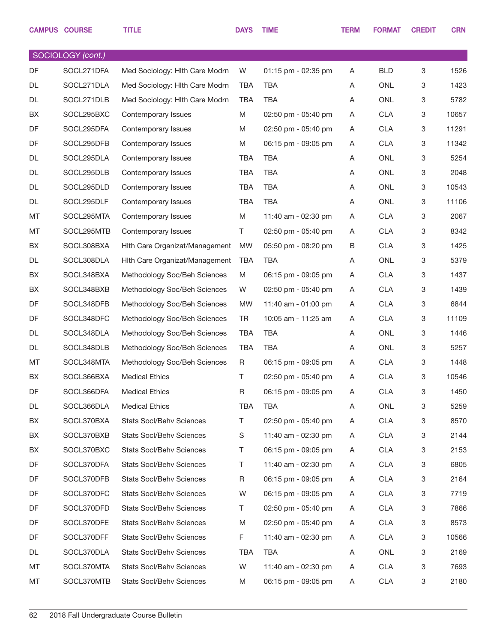|           | <b>CAMPUS COURSE</b> | <b>TITLE</b>                    | <b>DAYS</b> | <b>TIME</b>         | <b>TERM</b> | <b>FORMAT</b> | <b>CREDIT</b> | <b>CRN</b> |
|-----------|----------------------|---------------------------------|-------------|---------------------|-------------|---------------|---------------|------------|
|           | SOCIOLOGY (cont.)    |                                 |             |                     |             |               |               |            |
| <b>DF</b> | SOCL271DFA           | Med Sociology: Hlth Care Modrn  | W           | 01:15 pm - 02:35 pm | A           | <b>BLD</b>    | 3             | 1526       |
| DL        | SOCL271DLA           | Med Sociology: Hlth Care Modrn  | <b>TBA</b>  | <b>TBA</b>          | A           | <b>ONL</b>    | 3             | 1423       |
| DL        | SOCL271DLB           | Med Sociology: Hlth Care Modrn  | <b>TBA</b>  | <b>TBA</b>          | Α           | <b>ONL</b>    | 3             | 5782       |
| BX        | SOCL295BXC           | Contemporary Issues             | M           | 02:50 pm - 05:40 pm | A           | <b>CLA</b>    | 3             | 10657      |
| DF        | SOCL295DFA           | Contemporary Issues             | M           | 02:50 pm - 05:40 pm | A           | <b>CLA</b>    | 3             | 11291      |
| DF        | SOCL295DFB           | Contemporary Issues             | M           | 06:15 pm - 09:05 pm | A           | <b>CLA</b>    | 3             | 11342      |
| DL        | SOCL295DLA           | Contemporary Issues             | <b>TBA</b>  | <b>TBA</b>          | Α           | <b>ONL</b>    | 3             | 5254       |
| DL        | SOCL295DLB           | Contemporary Issues             | <b>TBA</b>  | <b>TBA</b>          | A           | <b>ONL</b>    | 3             | 2048       |
| DL        | SOCL295DLD           | Contemporary Issues             | <b>TBA</b>  | <b>TBA</b>          | Α           | <b>ONL</b>    | 3             | 10543      |
| DL        | SOCL295DLF           | Contemporary Issues             | <b>TBA</b>  | <b>TBA</b>          | Α           | <b>ONL</b>    | 3             | 11106      |
| MT        | SOCL295MTA           | Contemporary Issues             | M           | 11:40 am - 02:30 pm | A           | <b>CLA</b>    | 3             | 2067       |
| MT        | SOCL295MTB           | Contemporary Issues             | T.          | 02:50 pm - 05:40 pm | A           | <b>CLA</b>    | $\,3$         | 8342       |
| BX        | SOCL308BXA           | Hith Care Organizat/Management  | <b>MW</b>   | 05:50 pm - 08:20 pm | B           | <b>CLA</b>    | 3             | 1425       |
| DL        | SOCL308DLA           | Hith Care Organizat/Management  | <b>TBA</b>  | <b>TBA</b>          | Α           | <b>ONL</b>    | $\,3$         | 5379       |
| BX        | SOCL348BXA           | Methodology Soc/Beh Sciences    | M           | 06:15 pm - 09:05 pm | A           | <b>CLA</b>    | 3             | 1437       |
| BX        | SOCL348BXB           | Methodology Soc/Beh Sciences    | W           | 02:50 pm - 05:40 pm | A           | <b>CLA</b>    | 3             | 1439       |
| DF        | SOCL348DFB           | Methodology Soc/Beh Sciences    | <b>MW</b>   | 11:40 am - 01:00 pm | A           | <b>CLA</b>    | 3             | 6844       |
| DF        | SOCL348DFC           | Methodology Soc/Beh Sciences    | <b>TR</b>   | 10:05 am - 11:25 am | A           | <b>CLA</b>    | 3             | 11109      |
| DL        | SOCL348DLA           | Methodology Soc/Beh Sciences    | <b>TBA</b>  | <b>TBA</b>          | Α           | <b>ONL</b>    | 3             | 1446       |
| DL        | SOCL348DLB           | Methodology Soc/Beh Sciences    | <b>TBA</b>  | <b>TBA</b>          | A           | <b>ONL</b>    | 3             | 5257       |
| MT        | SOCL348MTA           | Methodology Soc/Beh Sciences    | R           | 06:15 pm - 09:05 pm | A           | <b>CLA</b>    | 3             | 1448       |
| BX        | SOCL366BXA           | <b>Medical Ethics</b>           | T           | 02:50 pm - 05:40 pm | A           | <b>CLA</b>    | $\,3$         | 10546      |
| DF        | SOCL366DFA           | <b>Medical Ethics</b>           | R           | 06:15 pm - 09:05 pm | A           | <b>CLA</b>    | $\mathbf 3$   | 1450       |
| DL        | SOCL366DLA           | <b>Medical Ethics</b>           | <b>TBA</b>  | <b>TBA</b>          | A           | <b>ONL</b>    | 3             | 5259       |
| BX        | SOCL370BXA           | Stats Socl/Behv Sciences        | T.          | 02:50 pm - 05:40 pm | A           | <b>CLA</b>    | 3             | 8570       |
| BX        | SOCL370BXB           | Stats Socl/Behv Sciences        | S           | 11:40 am - 02:30 pm | A           | <b>CLA</b>    | 3             | 2144       |
| BX        | SOCL370BXC           | Stats Socl/Behv Sciences        | T.          | 06:15 pm - 09:05 pm | A           | <b>CLA</b>    | 3             | 2153       |
| DF        | SOCL370DFA           | <b>Stats Socl/Behv Sciences</b> | T.          | 11:40 am - 02:30 pm | A           | <b>CLA</b>    | 3             | 6805       |
| DF        | SOCL370DFB           | Stats Socl/Behv Sciences        | R           | 06:15 pm - 09:05 pm | A           | <b>CLA</b>    | 3             | 2164       |
| DF        | SOCL370DFC           | Stats Socl/Behv Sciences        | W           | 06:15 pm - 09:05 pm | A           | <b>CLA</b>    | 3             | 7719       |
| DF        | SOCL370DFD           | Stats Socl/Behv Sciences        | Τ           | 02:50 pm - 05:40 pm | A           | <b>CLA</b>    | $\mathbf 3$   | 7866       |
| DF        | SOCL370DFE           | Stats Socl/Behv Sciences        | M           | 02:50 pm - 05:40 pm | A           | <b>CLA</b>    | 3             | 8573       |
| DF        | SOCL370DFF           | Stats Socl/Behv Sciences        | F.          | 11:40 am - 02:30 pm | A           | <b>CLA</b>    | 3             | 10566      |
| DL        | SOCL370DLA           | Stats Socl/Behv Sciences        | TBA         | TBA                 | A           | <b>ONL</b>    | 3             | 2169       |
| MT        | SOCL370MTA           | Stats Socl/Behv Sciences        | W           | 11:40 am - 02:30 pm | A           | <b>CLA</b>    | 3             | 7693       |
| МT        | SOCL370MTB           | Stats Socl/Behv Sciences        | M           | 06:15 pm - 09:05 pm | A           | <b>CLA</b>    | 3             | 2180       |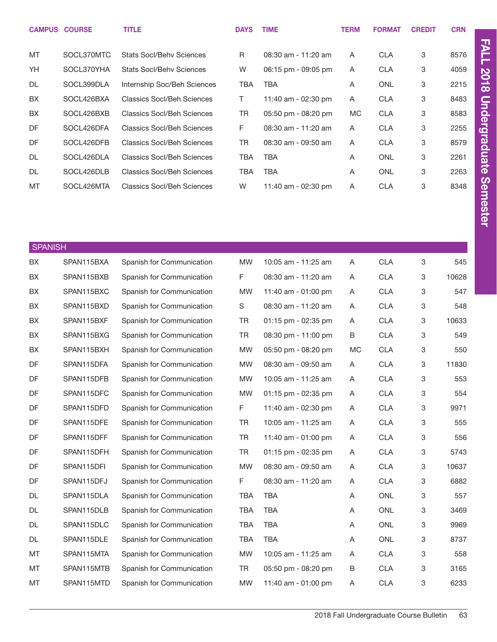| <b>CAMPUS COURSE</b> |            | <b>TITLE</b>                      | <b>DAYS</b> | <b>TIME</b>         | <b>TERM</b> | <b>FORMAT</b> | <b>CREDIT</b> | <b>CRN</b> |
|----------------------|------------|-----------------------------------|-------------|---------------------|-------------|---------------|---------------|------------|
|                      |            |                                   |             |                     |             |               |               |            |
| MT                   | SOCL370MTC | Stats Socl/Behy Sciences          | R           | 08:30 am - 11:20 am | A           | <b>CLA</b>    | 3             | 8576       |
| YH                   | SOCL370YHA | Stats Socl/Behy Sciences          | W           | 06:15 pm - 09:05 pm | A           | <b>CLA</b>    | 3             | 4059       |
| <b>DL</b>            | SOCL399DLA | Internship Soc/Beh Sciences       | <b>TBA</b>  | TBA                 | A           | <b>ONL</b>    | 3             | 2215       |
| <b>BX</b>            | SOCL426BXA | <b>Classics Socl/Beh Sciences</b> | T.          | 11:40 am - 02:30 pm | A           | <b>CLA</b>    | 3             | 8483       |
| <b>BX</b>            | SOCL426BXB | <b>Classics Socl/Beh Sciences</b> | TR          | 05:50 pm - 08:20 pm | <b>MC</b>   | <b>CLA</b>    | 3             | 8583       |
| DF                   | SOCL426DFA | <b>Classics Socl/Beh Sciences</b> | F           | 08:30 am - 11:20 am | A           | <b>CLA</b>    | 3             | 2255       |
| DF                   | SOCL426DFB | <b>Classics Socl/Beh Sciences</b> | TR          | 08:30 am - 09:50 am | A           | <b>CLA</b>    | 3             | 8579       |
| <b>DL</b>            | SOCL426DLA | <b>Classics Socl/Beh Sciences</b> | TBA         | TBA                 | A           | <b>ONL</b>    | 3             | 2261       |
| <b>DL</b>            | SOCL426DLB | <b>Classics Socl/Beh Sciences</b> | TBA         | TBA                 | A           | <b>ONL</b>    | 3             | 2263       |
| MT                   | SOCL426MTA | <b>Classics Socl/Beh Sciences</b> | W           | 11:40 am - 02:30 pm | A           | <b>CLA</b>    | 3             | 8348       |

| <b>SPANISH</b> |            |                           |             |                     |              |            |   |       |
|----------------|------------|---------------------------|-------------|---------------------|--------------|------------|---|-------|
| <b>BX</b>      | SPAN115BXA | Spanish for Communication | <b>MW</b>   | 10:05 am - 11:25 am | A            | <b>CLA</b> | 3 | 545   |
| BX             | SPAN115BXB | Spanish for Communication | F           | 08:30 am - 11:20 am | A            | <b>CLA</b> | 3 | 10628 |
| BX             | SPAN115BXC | Spanish for Communication | <b>MW</b>   | 11:40 am - 01:00 pm | A            | <b>CLA</b> | 3 | 547   |
| BX             | SPAN115BXD | Spanish for Communication | $\mathbb S$ | 08:30 am - 11:20 am | A            | <b>CLA</b> | 3 | 548   |
| BX             | SPAN115BXF | Spanish for Communication | <b>TR</b>   | 01:15 pm - 02:35 pm | $\mathsf{A}$ | <b>CLA</b> | 3 | 10633 |
| BX             | SPAN115BXG | Spanish for Communication | <b>TR</b>   | 08:30 pm - 11:00 pm | B            | <b>CLA</b> | 3 | 549   |
| BX             | SPAN115BXH | Spanish for Communication | <b>MW</b>   | 05:50 pm - 08:20 pm | MC           | <b>CLA</b> | 3 | 550   |
| DF             | SPAN115DFA | Spanish for Communication | <b>MW</b>   | 08:30 am - 09:50 am | A            | <b>CLA</b> | 3 | 11830 |
| DF             | SPAN115DFB | Spanish for Communication | <b>MW</b>   | 10:05 am - 11:25 am | $\mathsf{A}$ | <b>CLA</b> | 3 | 553   |
| DF             | SPAN115DFC | Spanish for Communication | <b>MW</b>   | 01:15 pm - 02:35 pm | A            | <b>CLA</b> | 3 | 554   |
| DF             | SPAN115DFD | Spanish for Communication | F           | 11:40 am - 02:30 pm | A            | CLA        | 3 | 9971  |
| DF             | SPAN115DFE | Spanish for Communication | <b>TR</b>   | 10:05 am - 11:25 am | A            | CLA        | 3 | 555   |
| DF             | SPAN115DFF | Spanish for Communication | <b>TR</b>   | 11:40 am - 01:00 pm | A            | <b>CLA</b> | 3 | 556   |
| DF             | SPAN115DFH | Spanish for Communication | <b>TR</b>   | 01:15 pm - 02:35 pm | A            | CLA        | 3 | 5743  |
| DF             | SPAN115DFI | Spanish for Communication | <b>MW</b>   | 08:30 am - 09:50 am | A            | <b>CLA</b> | 3 | 10637 |
| DF             | SPAN115DFJ | Spanish for Communication | F           | 08:30 am - 11:20 am | A            | <b>CLA</b> | 3 | 6882  |
| DL             | SPAN115DLA | Spanish for Communication | TBA         | <b>TBA</b>          | A            | <b>ONL</b> | 3 | 557   |
| DL             | SPAN115DLB | Spanish for Communication | <b>TBA</b>  | <b>TBA</b>          | A            | <b>ONL</b> | 3 | 3469  |
| DL             | SPAN115DLC | Spanish for Communication | <b>TBA</b>  | <b>TBA</b>          | A            | <b>ONL</b> | 3 | 9969  |
| <b>DL</b>      | SPAN115DLE | Spanish for Communication | <b>TBA</b>  | <b>TBA</b>          | A            | <b>ONL</b> | 3 | 8737  |
| MT             | SPAN115MTA | Spanish for Communication | <b>MW</b>   | 10:05 am - 11:25 am | A            | <b>CLA</b> | 3 | 558   |
| MT             | SPAN115MTB | Spanish for Communication | <b>TR</b>   | 05:50 pm - 08:20 pm | В            | <b>CLA</b> | 3 | 3165  |
| MT             | SPAN115MTD | Spanish for Communication | <b>MW</b>   | 11:40 am - 01:00 pm | Α            | <b>CLA</b> | 3 | 6233  |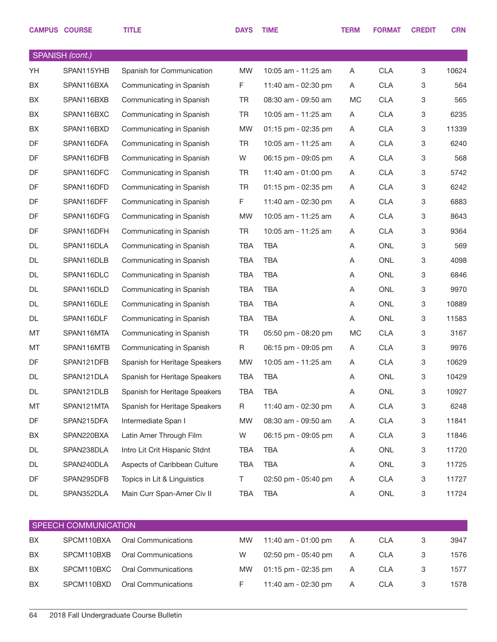| SPANISH (cont.)<br>YH<br>SPAN115YHB<br><b>MW</b><br><b>CLA</b><br>3<br>Spanish for Communication<br>10:05 am - 11:25 am<br>Α<br>F<br><b>CLA</b><br>3<br>BX<br>SPAN116BXA<br>Communicating in Spanish<br>11:40 am - 02:30 pm<br>A<br>BX<br><b>TR</b><br>MC<br><b>CLA</b><br>3<br>SPAN116BXB<br>Communicating in Spanish<br>08:30 am - 09:50 am<br><b>TR</b><br><b>CLA</b><br>3<br>BX<br>SPAN116BXC<br>Communicating in Spanish<br>10:05 am - 11:25 am<br>A<br>BX<br><b>CLA</b><br>3<br>SPAN116BXD<br>Communicating in Spanish<br><b>MW</b><br>01:15 pm - 02:35 pm<br>Α<br>DF<br><b>CLA</b><br>3<br>SPAN116DFA<br>Communicating in Spanish<br><b>TR</b><br>10:05 am - 11:25 am<br>A<br>DF<br>W<br><b>CLA</b><br>3<br>SPAN116DFB<br>Communicating in Spanish<br>06:15 pm - 09:05 pm<br>Α<br>DF<br>SPAN116DFC<br><b>CLA</b><br>3<br>Communicating in Spanish<br><b>TR</b><br>11:40 am - 01:00 pm<br>A<br>DF<br><b>TR</b><br><b>CLA</b><br>3<br>SPAN116DFD<br>Communicating in Spanish<br>01:15 pm - 02:35 pm<br>A<br>DF<br>F.<br><b>CLA</b><br>3<br>SPAN116DFF<br>Communicating in Spanish<br>11:40 am - 02:30 pm<br>A<br>DF<br><b>CLA</b><br>3<br>SPAN116DFG<br>Communicating in Spanish<br><b>MW</b><br>10:05 am - 11:25 am<br>Α<br>DF<br><b>TR</b><br><b>CLA</b><br>3<br>SPAN116DFH<br>Communicating in Spanish<br>10:05 am - 11:25 am<br>Α<br>DL<br><b>TBA</b><br><b>ONL</b><br>3<br>SPAN116DLA<br>Communicating in Spanish<br><b>TBA</b><br>Α<br><b>TBA</b><br><b>ONL</b><br>3<br>DL<br>SPAN116DLB<br>Communicating in Spanish<br><b>TBA</b><br>Α<br><b>TBA</b><br><b>ONL</b><br>3<br>DL<br>SPAN116DLC<br>Communicating in Spanish<br><b>TBA</b><br>Α<br><b>DL</b><br><b>TBA</b><br><b>ONL</b><br>3<br>SPAN116DLD<br>Communicating in Spanish<br><b>TBA</b><br>Α<br><b>TBA</b><br><b>TBA</b><br><b>ONL</b><br>3<br>DL<br>SPAN116DLE<br>Α<br>Communicating in Spanish<br><b>TBA</b><br><b>TBA</b><br><b>ONL</b><br>3<br>DL<br>SPAN116DLF<br>Communicating in Spanish<br>Α<br><b>TR</b><br>3<br>MT<br>SPAN116MTA<br><b>MC</b><br><b>CLA</b><br>Communicating in Spanish<br>05:50 pm - 08:20 pm<br>MT<br>SPAN116MTB<br>R<br><b>CLA</b><br>3<br>Communicating in Spanish<br>06:15 pm - 09:05 pm<br>A<br>DF<br><b>CLA</b><br>3<br>SPAN121DFB<br><b>MW</b><br>10:05 am - 11:25 am<br>Α<br>Spanish for Heritage Speakers<br><b>TBA</b><br><b>TBA</b><br>ONL<br>3<br>DL<br>SPAN121DLA<br>Spanish for Heritage Speakers<br>Α<br>DL<br>SPAN121DLB<br>Spanish for Heritage Speakers<br><b>TBA</b><br><b>TBA</b><br>ONL<br>3<br>Α<br>MT<br>SPAN121MTA<br>11:40 am - 02:30 pm<br><b>CLA</b><br>3<br>Spanish for Heritage Speakers<br>R<br>Α<br>DF<br>Intermediate Span I<br>MW<br>08:30 am - 09:50 am<br><b>CLA</b><br>3<br>SPAN215DFA<br>A<br>Latin Amer Through Film<br>BX<br>W<br>06:15 pm - 09:05 pm<br><b>CLA</b><br>3<br>SPAN220BXA<br>Α<br>DL<br>Intro Lit Crit Hispanic Stdnt<br><b>TBA</b><br>ONL<br>3<br>SPAN238DLA<br>TBA<br>Α<br>DL<br>Aspects of Caribbean Culture<br><b>TBA</b><br>ONL<br>3<br>SPAN240DLA<br>TBA<br>Α<br>DF<br>Topics in Lit & Linguistics<br>T.<br>02:50 pm - 05:40 pm<br><b>CLA</b><br>3<br>SPAN295DFB<br>A | <b>CAMPUS COURSE</b> | <b>TITLE</b> | <b>DAYS</b> | <b>TIME</b> | <b>TERM</b> | <b>FORMAT</b> | <b>CREDIT</b> | <b>CRN</b> |
|---------------------------------------------------------------------------------------------------------------------------------------------------------------------------------------------------------------------------------------------------------------------------------------------------------------------------------------------------------------------------------------------------------------------------------------------------------------------------------------------------------------------------------------------------------------------------------------------------------------------------------------------------------------------------------------------------------------------------------------------------------------------------------------------------------------------------------------------------------------------------------------------------------------------------------------------------------------------------------------------------------------------------------------------------------------------------------------------------------------------------------------------------------------------------------------------------------------------------------------------------------------------------------------------------------------------------------------------------------------------------------------------------------------------------------------------------------------------------------------------------------------------------------------------------------------------------------------------------------------------------------------------------------------------------------------------------------------------------------------------------------------------------------------------------------------------------------------------------------------------------------------------------------------------------------------------------------------------------------------------------------------------------------------------------------------------------------------------------------------------------------------------------------------------------------------------------------------------------------------------------------------------------------------------------------------------------------------------------------------------------------------------------------------------------------------------------------------------------------------------------------------------------------------------------------------------------------------------------------------------------------------------------------------------------------------------------------------------------------------------------------------------------------------------------------------------------------------------------------------------------------------------------------------------------------------------------------------------------------------------------------------------------------------------------------------------------------------------------------------------------------|----------------------|--------------|-------------|-------------|-------------|---------------|---------------|------------|
|                                                                                                                                                                                                                                                                                                                                                                                                                                                                                                                                                                                                                                                                                                                                                                                                                                                                                                                                                                                                                                                                                                                                                                                                                                                                                                                                                                                                                                                                                                                                                                                                                                                                                                                                                                                                                                                                                                                                                                                                                                                                                                                                                                                                                                                                                                                                                                                                                                                                                                                                                                                                                                                                                                                                                                                                                                                                                                                                                                                                                                                                                                                                 |                      |              |             |             |             |               |               |            |
|                                                                                                                                                                                                                                                                                                                                                                                                                                                                                                                                                                                                                                                                                                                                                                                                                                                                                                                                                                                                                                                                                                                                                                                                                                                                                                                                                                                                                                                                                                                                                                                                                                                                                                                                                                                                                                                                                                                                                                                                                                                                                                                                                                                                                                                                                                                                                                                                                                                                                                                                                                                                                                                                                                                                                                                                                                                                                                                                                                                                                                                                                                                                 |                      |              |             |             |             |               |               | 10624      |
|                                                                                                                                                                                                                                                                                                                                                                                                                                                                                                                                                                                                                                                                                                                                                                                                                                                                                                                                                                                                                                                                                                                                                                                                                                                                                                                                                                                                                                                                                                                                                                                                                                                                                                                                                                                                                                                                                                                                                                                                                                                                                                                                                                                                                                                                                                                                                                                                                                                                                                                                                                                                                                                                                                                                                                                                                                                                                                                                                                                                                                                                                                                                 |                      |              |             |             |             |               |               | 564        |
|                                                                                                                                                                                                                                                                                                                                                                                                                                                                                                                                                                                                                                                                                                                                                                                                                                                                                                                                                                                                                                                                                                                                                                                                                                                                                                                                                                                                                                                                                                                                                                                                                                                                                                                                                                                                                                                                                                                                                                                                                                                                                                                                                                                                                                                                                                                                                                                                                                                                                                                                                                                                                                                                                                                                                                                                                                                                                                                                                                                                                                                                                                                                 |                      |              |             |             |             |               |               | 565        |
|                                                                                                                                                                                                                                                                                                                                                                                                                                                                                                                                                                                                                                                                                                                                                                                                                                                                                                                                                                                                                                                                                                                                                                                                                                                                                                                                                                                                                                                                                                                                                                                                                                                                                                                                                                                                                                                                                                                                                                                                                                                                                                                                                                                                                                                                                                                                                                                                                                                                                                                                                                                                                                                                                                                                                                                                                                                                                                                                                                                                                                                                                                                                 |                      |              |             |             |             |               |               | 6235       |
|                                                                                                                                                                                                                                                                                                                                                                                                                                                                                                                                                                                                                                                                                                                                                                                                                                                                                                                                                                                                                                                                                                                                                                                                                                                                                                                                                                                                                                                                                                                                                                                                                                                                                                                                                                                                                                                                                                                                                                                                                                                                                                                                                                                                                                                                                                                                                                                                                                                                                                                                                                                                                                                                                                                                                                                                                                                                                                                                                                                                                                                                                                                                 |                      |              |             |             |             |               |               | 11339      |
|                                                                                                                                                                                                                                                                                                                                                                                                                                                                                                                                                                                                                                                                                                                                                                                                                                                                                                                                                                                                                                                                                                                                                                                                                                                                                                                                                                                                                                                                                                                                                                                                                                                                                                                                                                                                                                                                                                                                                                                                                                                                                                                                                                                                                                                                                                                                                                                                                                                                                                                                                                                                                                                                                                                                                                                                                                                                                                                                                                                                                                                                                                                                 |                      |              |             |             |             |               |               | 6240       |
|                                                                                                                                                                                                                                                                                                                                                                                                                                                                                                                                                                                                                                                                                                                                                                                                                                                                                                                                                                                                                                                                                                                                                                                                                                                                                                                                                                                                                                                                                                                                                                                                                                                                                                                                                                                                                                                                                                                                                                                                                                                                                                                                                                                                                                                                                                                                                                                                                                                                                                                                                                                                                                                                                                                                                                                                                                                                                                                                                                                                                                                                                                                                 |                      |              |             |             |             |               |               | 568        |
|                                                                                                                                                                                                                                                                                                                                                                                                                                                                                                                                                                                                                                                                                                                                                                                                                                                                                                                                                                                                                                                                                                                                                                                                                                                                                                                                                                                                                                                                                                                                                                                                                                                                                                                                                                                                                                                                                                                                                                                                                                                                                                                                                                                                                                                                                                                                                                                                                                                                                                                                                                                                                                                                                                                                                                                                                                                                                                                                                                                                                                                                                                                                 |                      |              |             |             |             |               |               | 5742       |
|                                                                                                                                                                                                                                                                                                                                                                                                                                                                                                                                                                                                                                                                                                                                                                                                                                                                                                                                                                                                                                                                                                                                                                                                                                                                                                                                                                                                                                                                                                                                                                                                                                                                                                                                                                                                                                                                                                                                                                                                                                                                                                                                                                                                                                                                                                                                                                                                                                                                                                                                                                                                                                                                                                                                                                                                                                                                                                                                                                                                                                                                                                                                 |                      |              |             |             |             |               |               | 6242       |
|                                                                                                                                                                                                                                                                                                                                                                                                                                                                                                                                                                                                                                                                                                                                                                                                                                                                                                                                                                                                                                                                                                                                                                                                                                                                                                                                                                                                                                                                                                                                                                                                                                                                                                                                                                                                                                                                                                                                                                                                                                                                                                                                                                                                                                                                                                                                                                                                                                                                                                                                                                                                                                                                                                                                                                                                                                                                                                                                                                                                                                                                                                                                 |                      |              |             |             |             |               |               | 6883       |
|                                                                                                                                                                                                                                                                                                                                                                                                                                                                                                                                                                                                                                                                                                                                                                                                                                                                                                                                                                                                                                                                                                                                                                                                                                                                                                                                                                                                                                                                                                                                                                                                                                                                                                                                                                                                                                                                                                                                                                                                                                                                                                                                                                                                                                                                                                                                                                                                                                                                                                                                                                                                                                                                                                                                                                                                                                                                                                                                                                                                                                                                                                                                 |                      |              |             |             |             |               |               | 8643       |
|                                                                                                                                                                                                                                                                                                                                                                                                                                                                                                                                                                                                                                                                                                                                                                                                                                                                                                                                                                                                                                                                                                                                                                                                                                                                                                                                                                                                                                                                                                                                                                                                                                                                                                                                                                                                                                                                                                                                                                                                                                                                                                                                                                                                                                                                                                                                                                                                                                                                                                                                                                                                                                                                                                                                                                                                                                                                                                                                                                                                                                                                                                                                 |                      |              |             |             |             |               |               | 9364       |
|                                                                                                                                                                                                                                                                                                                                                                                                                                                                                                                                                                                                                                                                                                                                                                                                                                                                                                                                                                                                                                                                                                                                                                                                                                                                                                                                                                                                                                                                                                                                                                                                                                                                                                                                                                                                                                                                                                                                                                                                                                                                                                                                                                                                                                                                                                                                                                                                                                                                                                                                                                                                                                                                                                                                                                                                                                                                                                                                                                                                                                                                                                                                 |                      |              |             |             |             |               |               | 569        |
|                                                                                                                                                                                                                                                                                                                                                                                                                                                                                                                                                                                                                                                                                                                                                                                                                                                                                                                                                                                                                                                                                                                                                                                                                                                                                                                                                                                                                                                                                                                                                                                                                                                                                                                                                                                                                                                                                                                                                                                                                                                                                                                                                                                                                                                                                                                                                                                                                                                                                                                                                                                                                                                                                                                                                                                                                                                                                                                                                                                                                                                                                                                                 |                      |              |             |             |             |               |               | 4098       |
|                                                                                                                                                                                                                                                                                                                                                                                                                                                                                                                                                                                                                                                                                                                                                                                                                                                                                                                                                                                                                                                                                                                                                                                                                                                                                                                                                                                                                                                                                                                                                                                                                                                                                                                                                                                                                                                                                                                                                                                                                                                                                                                                                                                                                                                                                                                                                                                                                                                                                                                                                                                                                                                                                                                                                                                                                                                                                                                                                                                                                                                                                                                                 |                      |              |             |             |             |               |               | 6846       |
|                                                                                                                                                                                                                                                                                                                                                                                                                                                                                                                                                                                                                                                                                                                                                                                                                                                                                                                                                                                                                                                                                                                                                                                                                                                                                                                                                                                                                                                                                                                                                                                                                                                                                                                                                                                                                                                                                                                                                                                                                                                                                                                                                                                                                                                                                                                                                                                                                                                                                                                                                                                                                                                                                                                                                                                                                                                                                                                                                                                                                                                                                                                                 |                      |              |             |             |             |               |               | 9970       |
|                                                                                                                                                                                                                                                                                                                                                                                                                                                                                                                                                                                                                                                                                                                                                                                                                                                                                                                                                                                                                                                                                                                                                                                                                                                                                                                                                                                                                                                                                                                                                                                                                                                                                                                                                                                                                                                                                                                                                                                                                                                                                                                                                                                                                                                                                                                                                                                                                                                                                                                                                                                                                                                                                                                                                                                                                                                                                                                                                                                                                                                                                                                                 |                      |              |             |             |             |               |               | 10889      |
|                                                                                                                                                                                                                                                                                                                                                                                                                                                                                                                                                                                                                                                                                                                                                                                                                                                                                                                                                                                                                                                                                                                                                                                                                                                                                                                                                                                                                                                                                                                                                                                                                                                                                                                                                                                                                                                                                                                                                                                                                                                                                                                                                                                                                                                                                                                                                                                                                                                                                                                                                                                                                                                                                                                                                                                                                                                                                                                                                                                                                                                                                                                                 |                      |              |             |             |             |               |               | 11583      |
|                                                                                                                                                                                                                                                                                                                                                                                                                                                                                                                                                                                                                                                                                                                                                                                                                                                                                                                                                                                                                                                                                                                                                                                                                                                                                                                                                                                                                                                                                                                                                                                                                                                                                                                                                                                                                                                                                                                                                                                                                                                                                                                                                                                                                                                                                                                                                                                                                                                                                                                                                                                                                                                                                                                                                                                                                                                                                                                                                                                                                                                                                                                                 |                      |              |             |             |             |               |               | 3167       |
|                                                                                                                                                                                                                                                                                                                                                                                                                                                                                                                                                                                                                                                                                                                                                                                                                                                                                                                                                                                                                                                                                                                                                                                                                                                                                                                                                                                                                                                                                                                                                                                                                                                                                                                                                                                                                                                                                                                                                                                                                                                                                                                                                                                                                                                                                                                                                                                                                                                                                                                                                                                                                                                                                                                                                                                                                                                                                                                                                                                                                                                                                                                                 |                      |              |             |             |             |               |               | 9976       |
|                                                                                                                                                                                                                                                                                                                                                                                                                                                                                                                                                                                                                                                                                                                                                                                                                                                                                                                                                                                                                                                                                                                                                                                                                                                                                                                                                                                                                                                                                                                                                                                                                                                                                                                                                                                                                                                                                                                                                                                                                                                                                                                                                                                                                                                                                                                                                                                                                                                                                                                                                                                                                                                                                                                                                                                                                                                                                                                                                                                                                                                                                                                                 |                      |              |             |             |             |               |               | 10629      |
|                                                                                                                                                                                                                                                                                                                                                                                                                                                                                                                                                                                                                                                                                                                                                                                                                                                                                                                                                                                                                                                                                                                                                                                                                                                                                                                                                                                                                                                                                                                                                                                                                                                                                                                                                                                                                                                                                                                                                                                                                                                                                                                                                                                                                                                                                                                                                                                                                                                                                                                                                                                                                                                                                                                                                                                                                                                                                                                                                                                                                                                                                                                                 |                      |              |             |             |             |               |               | 10429      |
|                                                                                                                                                                                                                                                                                                                                                                                                                                                                                                                                                                                                                                                                                                                                                                                                                                                                                                                                                                                                                                                                                                                                                                                                                                                                                                                                                                                                                                                                                                                                                                                                                                                                                                                                                                                                                                                                                                                                                                                                                                                                                                                                                                                                                                                                                                                                                                                                                                                                                                                                                                                                                                                                                                                                                                                                                                                                                                                                                                                                                                                                                                                                 |                      |              |             |             |             |               |               | 10927      |
|                                                                                                                                                                                                                                                                                                                                                                                                                                                                                                                                                                                                                                                                                                                                                                                                                                                                                                                                                                                                                                                                                                                                                                                                                                                                                                                                                                                                                                                                                                                                                                                                                                                                                                                                                                                                                                                                                                                                                                                                                                                                                                                                                                                                                                                                                                                                                                                                                                                                                                                                                                                                                                                                                                                                                                                                                                                                                                                                                                                                                                                                                                                                 |                      |              |             |             |             |               |               | 6248       |
|                                                                                                                                                                                                                                                                                                                                                                                                                                                                                                                                                                                                                                                                                                                                                                                                                                                                                                                                                                                                                                                                                                                                                                                                                                                                                                                                                                                                                                                                                                                                                                                                                                                                                                                                                                                                                                                                                                                                                                                                                                                                                                                                                                                                                                                                                                                                                                                                                                                                                                                                                                                                                                                                                                                                                                                                                                                                                                                                                                                                                                                                                                                                 |                      |              |             |             |             |               |               | 11841      |
|                                                                                                                                                                                                                                                                                                                                                                                                                                                                                                                                                                                                                                                                                                                                                                                                                                                                                                                                                                                                                                                                                                                                                                                                                                                                                                                                                                                                                                                                                                                                                                                                                                                                                                                                                                                                                                                                                                                                                                                                                                                                                                                                                                                                                                                                                                                                                                                                                                                                                                                                                                                                                                                                                                                                                                                                                                                                                                                                                                                                                                                                                                                                 |                      |              |             |             |             |               |               | 11846      |
|                                                                                                                                                                                                                                                                                                                                                                                                                                                                                                                                                                                                                                                                                                                                                                                                                                                                                                                                                                                                                                                                                                                                                                                                                                                                                                                                                                                                                                                                                                                                                                                                                                                                                                                                                                                                                                                                                                                                                                                                                                                                                                                                                                                                                                                                                                                                                                                                                                                                                                                                                                                                                                                                                                                                                                                                                                                                                                                                                                                                                                                                                                                                 |                      |              |             |             |             |               |               | 11720      |
|                                                                                                                                                                                                                                                                                                                                                                                                                                                                                                                                                                                                                                                                                                                                                                                                                                                                                                                                                                                                                                                                                                                                                                                                                                                                                                                                                                                                                                                                                                                                                                                                                                                                                                                                                                                                                                                                                                                                                                                                                                                                                                                                                                                                                                                                                                                                                                                                                                                                                                                                                                                                                                                                                                                                                                                                                                                                                                                                                                                                                                                                                                                                 |                      |              |             |             |             |               |               | 11725      |
|                                                                                                                                                                                                                                                                                                                                                                                                                                                                                                                                                                                                                                                                                                                                                                                                                                                                                                                                                                                                                                                                                                                                                                                                                                                                                                                                                                                                                                                                                                                                                                                                                                                                                                                                                                                                                                                                                                                                                                                                                                                                                                                                                                                                                                                                                                                                                                                                                                                                                                                                                                                                                                                                                                                                                                                                                                                                                                                                                                                                                                                                                                                                 |                      |              |             |             |             |               |               | 11727      |
| DL<br>Main Curr Span-Amer Civ II<br><b>TBA</b><br><b>TBA</b><br>ONL<br>3<br>SPAN352DLA<br>A                                                                                                                                                                                                                                                                                                                                                                                                                                                                                                                                                                                                                                                                                                                                                                                                                                                                                                                                                                                                                                                                                                                                                                                                                                                                                                                                                                                                                                                                                                                                                                                                                                                                                                                                                                                                                                                                                                                                                                                                                                                                                                                                                                                                                                                                                                                                                                                                                                                                                                                                                                                                                                                                                                                                                                                                                                                                                                                                                                                                                                     |                      |              |             |             |             |               |               | 11724      |

| <b>SPEECH COMMUNICATION</b> |            |                     |           |                     |   |            |  |      |  |  |  |
|-----------------------------|------------|---------------------|-----------|---------------------|---|------------|--|------|--|--|--|
| <b>BX</b>                   | SPCM110BXA | Oral Communications | <b>MW</b> | 11:40 am - 01:00 pm | A | CLA        |  | 3947 |  |  |  |
| <b>BX</b>                   | SPCM110BXB | Oral Communications | W         | 02:50 pm - 05:40 pm | A | CLA        |  | 1576 |  |  |  |
| <b>BX</b>                   | SPCM110BXC | Oral Communications | <b>MW</b> | 01:15 pm - 02:35 pm | A | CLA        |  | 1577 |  |  |  |
| BX                          | SPCM110BXD | Oral Communications |           | 11:40 am - 02:30 pm | A | <b>CLA</b> |  | 1578 |  |  |  |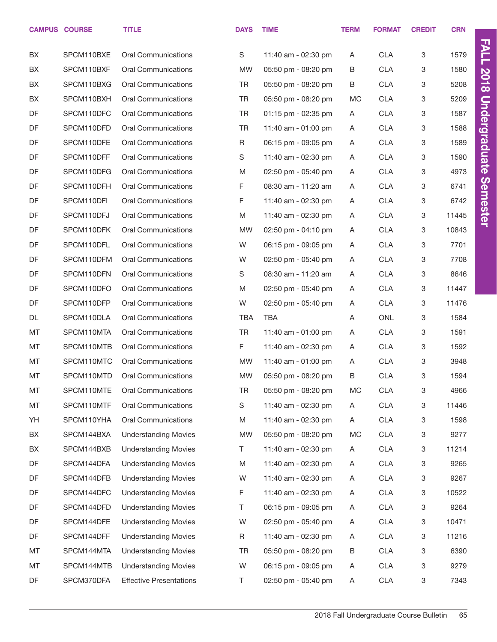|          | <b>CAMPUS COURSE</b>     | <b>TITLE</b>                                             | <b>DAYS</b>              | <b>TIME</b>                                | <b>TERM</b> | <b>FORMAT</b>            | <b>CREDIT</b> | <b>CRN</b>   |                      |
|----------|--------------------------|----------------------------------------------------------|--------------------------|--------------------------------------------|-------------|--------------------------|---------------|--------------|----------------------|
|          |                          |                                                          |                          |                                            |             |                          |               |              | <b>FALL</b>          |
| BX<br>BX | SPCM110BXE<br>SPCM110BXF | <b>Oral Communications</b><br><b>Oral Communications</b> | $\mathbf S$<br><b>MW</b> | 11:40 am - 02:30 pm<br>05:50 pm - 08:20 pm | A<br>В      | <b>CLA</b><br><b>CLA</b> | 3<br>3        | 1579<br>1580 |                      |
| BX       | SPCM110BXG               | <b>Oral Communications</b>                               | TR                       | 05:50 pm - 08:20 pm                        | B           | <b>CLA</b>               | 3             | 5208         | 2018                 |
| BX       | SPCM110BXH               | <b>Oral Communications</b>                               | TR                       | 05:50 pm - 08:20 pm                        | МC          | <b>CLA</b>               | 3             | 5209         |                      |
| DF       | SPCM110DFC               | <b>Oral Communications</b>                               | TR                       | 01:15 pm - 02:35 pm                        | A           | <b>CLA</b>               | 3             | 1587         |                      |
| DF       | SPCM110DFD               | <b>Oral Communications</b>                               | <b>TR</b>                | 11:40 am - 01:00 pm                        | Α           | <b>CLA</b>               | 3             | 1588         | <b>Undergraduate</b> |
| DF       | SPCM110DFE               | <b>Oral Communications</b>                               | $\mathsf R$              |                                            |             | <b>CLA</b>               | 3             | 1589         |                      |
| DF       | SPCM110DFF               | <b>Oral Communications</b>                               |                          | 06:15 pm - 09:05 pm                        | A           | <b>CLA</b>               | 3             | 1590         |                      |
|          |                          |                                                          | S                        | 11:40 am - 02:30 pm                        | Α           |                          |               |              |                      |
| DF       | SPCM110DFG               | <b>Oral Communications</b><br><b>Oral Communications</b> | M                        | 02:50 pm - 05:40 pm                        | Α           | <b>CLA</b>               | 3             | 4973         |                      |
| DF       | SPCM110DFH               |                                                          | F                        | 08:30 am - 11:20 am                        | Α           | <b>CLA</b>               | 3             | 6741         | <b>Semester</b>      |
| DF       | SPCM110DFI               | <b>Oral Communications</b>                               | F                        | 11:40 am - 02:30 pm                        | A           | <b>CLA</b>               | 3             | 6742         |                      |
| DF       | SPCM110DFJ               | <b>Oral Communications</b>                               | M                        | 11:40 am - 02:30 pm                        | Α           | <b>CLA</b>               | 3             | 11445        |                      |
| DF       | SPCM110DFK               | <b>Oral Communications</b>                               | <b>MW</b>                | 02:50 pm - 04:10 pm                        | A           | <b>CLA</b>               | 3             | 10843        |                      |
| DF       | SPCM110DFL               | <b>Oral Communications</b>                               | W                        | 06:15 pm - 09:05 pm                        | Α           | <b>CLA</b>               | 3             | 7701         |                      |
| DF       | SPCM110DFM               | <b>Oral Communications</b>                               | W                        | 02:50 pm - 05:40 pm                        | Α           | <b>CLA</b>               | 3             | 7708         |                      |
| DF       | SPCM110DFN               | <b>Oral Communications</b>                               | S                        | 08:30 am - 11:20 am                        | Α           | <b>CLA</b>               | 3             | 8646         |                      |
| DF       | SPCM110DFO               | <b>Oral Communications</b>                               | M                        | 02:50 pm - 05:40 pm                        | Α           | <b>CLA</b>               | 3             | 11447        |                      |
| DF       | SPCM110DFP               | <b>Oral Communications</b>                               | W                        | 02:50 pm - 05:40 pm                        | Α           | <b>CLA</b>               | 3             | 11476        |                      |
| DL       | SPCM110DLA               | <b>Oral Communications</b>                               | <b>TBA</b>               | <b>TBA</b>                                 | Α           | ONL                      | 3             | 1584         |                      |
| MT       | SPCM110MTA               | <b>Oral Communications</b>                               | <b>TR</b>                | 11:40 am - 01:00 pm                        | Α           | <b>CLA</b>               | 3             | 1591         |                      |
| MT       | SPCM110MTB               | <b>Oral Communications</b>                               | F                        | 11:40 am - 02:30 pm                        | Α           | <b>CLA</b>               | 3             | 1592         |                      |
| MT       | SPCM110MTC               | <b>Oral Communications</b>                               | <b>MW</b>                | 11:40 am - 01:00 pm                        | A           | <b>CLA</b>               | 3             | 3948         |                      |
| MT       | SPCM110MTD               | <b>Oral Communications</b>                               | <b>MW</b>                | 05:50 pm - 08:20 pm                        | В           | <b>CLA</b>               | 3             | 1594         |                      |
| MT       | SPCM110MTE               | <b>Oral Communications</b>                               | TR                       | 05:50 pm - 08:20 pm                        | MC          | <b>CLA</b>               | 3             | 4966         |                      |
| МT       | SPCM110MTF               | Oral Communications                                      | S                        | 11:40 am - 02:30 pm                        | A           | <b>CLA</b>               | 3             | 11446        |                      |
| YH       | SPCM110YHA               | Oral Communications                                      | M                        | 11:40 am - 02:30 pm                        | A           | <b>CLA</b>               | 3             | 1598         |                      |
| BX       | SPCM144BXA               | <b>Understanding Movies</b>                              | <b>MW</b>                | 05:50 pm - 08:20 pm                        | MC          | <b>CLA</b>               | 3             | 9277         |                      |
| BX       | SPCM144BXB               | <b>Understanding Movies</b>                              | T                        | 11:40 am - 02:30 pm                        | A           | <b>CLA</b>               | 3             | 11214        |                      |
| DF       | SPCM144DFA               | <b>Understanding Movies</b>                              | M                        | 11:40 am - 02:30 pm                        | A           | <b>CLA</b>               | 3             | 9265         |                      |
| DF       | SPCM144DFB               | <b>Understanding Movies</b>                              | W                        | 11:40 am - 02:30 pm                        | A           | <b>CLA</b>               | 3             | 9267         |                      |
| DF       | SPCM144DFC               | <b>Understanding Movies</b>                              | F                        | 11:40 am - 02:30 pm                        | A           | <b>CLA</b>               | 3             | 10522        |                      |
| DF       | SPCM144DFD               | <b>Understanding Movies</b>                              | Τ                        | 06:15 pm - 09:05 pm                        | A           | <b>CLA</b>               | 3             | 9264         |                      |
| DF       | SPCM144DFE               | <b>Understanding Movies</b>                              | W                        | 02:50 pm - 05:40 pm                        | A           | <b>CLA</b>               | 3             | 10471        |                      |
| DF       | SPCM144DFF               | <b>Understanding Movies</b>                              | R                        | 11:40 am - 02:30 pm                        | A           | <b>CLA</b>               | 3             | 11216        |                      |
| МT       | SPCM144MTA               | <b>Understanding Movies</b>                              | TR                       | 05:50 pm - 08:20 pm                        | Β           | <b>CLA</b>               | 3             | 6390         |                      |
| МT       | SPCM144MTB               | <b>Understanding Movies</b>                              | W                        | 06:15 pm - 09:05 pm                        | A           | <b>CLA</b>               | 3             | 9279         |                      |
| DF       | SPCM370DFA               | <b>Effective Presentations</b>                           | Τ                        | 02:50 pm - 05:40 pm                        | A           | <b>CLA</b>               | 3             | 7343         |                      |